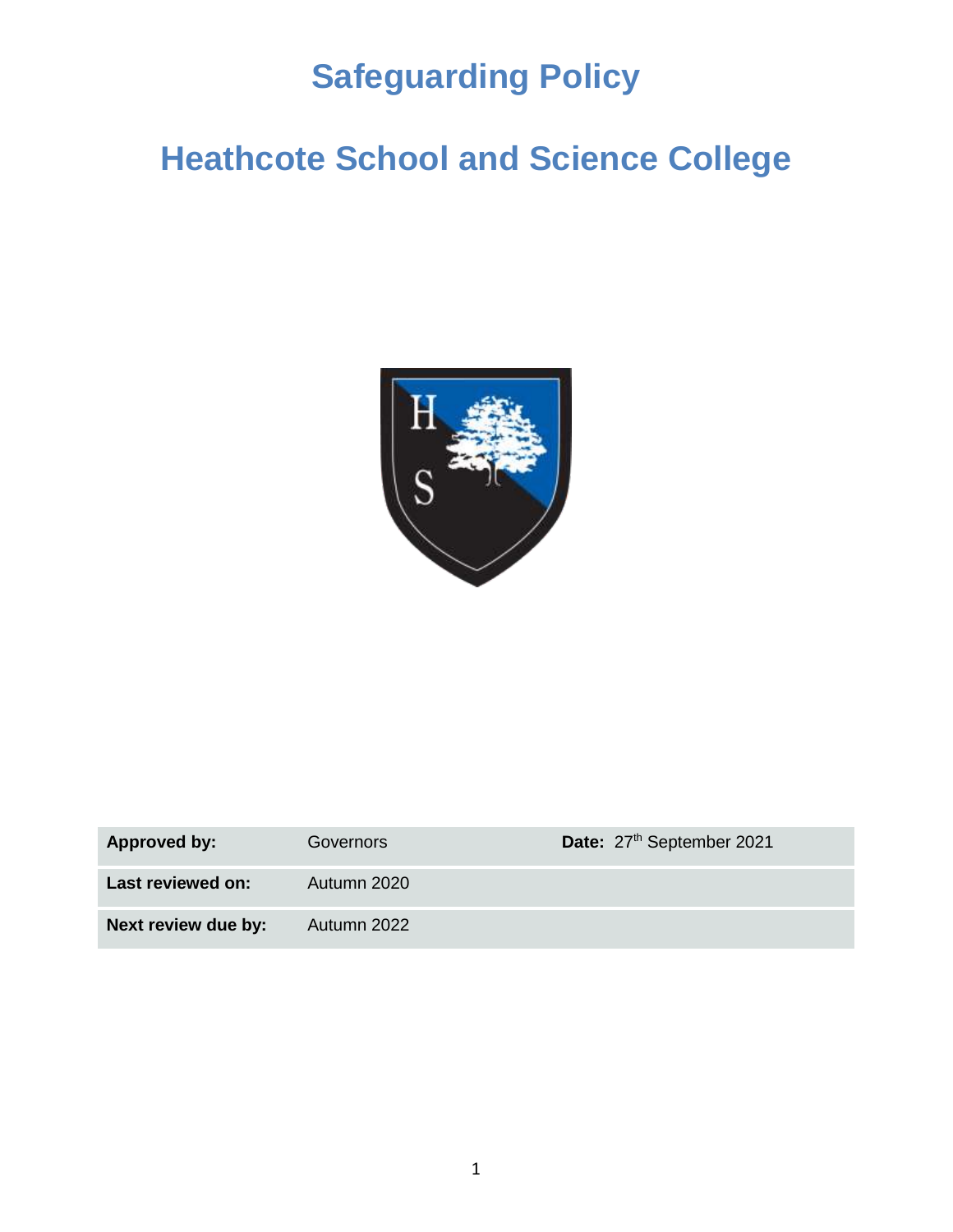# **Safeguarding Policy**

# **Heathcote School and Science College**



| <b>Approved by:</b> | Governors   | Date: 27 <sup>th</sup> September 2021 |
|---------------------|-------------|---------------------------------------|
| Last reviewed on:   | Autumn 2020 |                                       |
| Next review due by: | Autumn 2022 |                                       |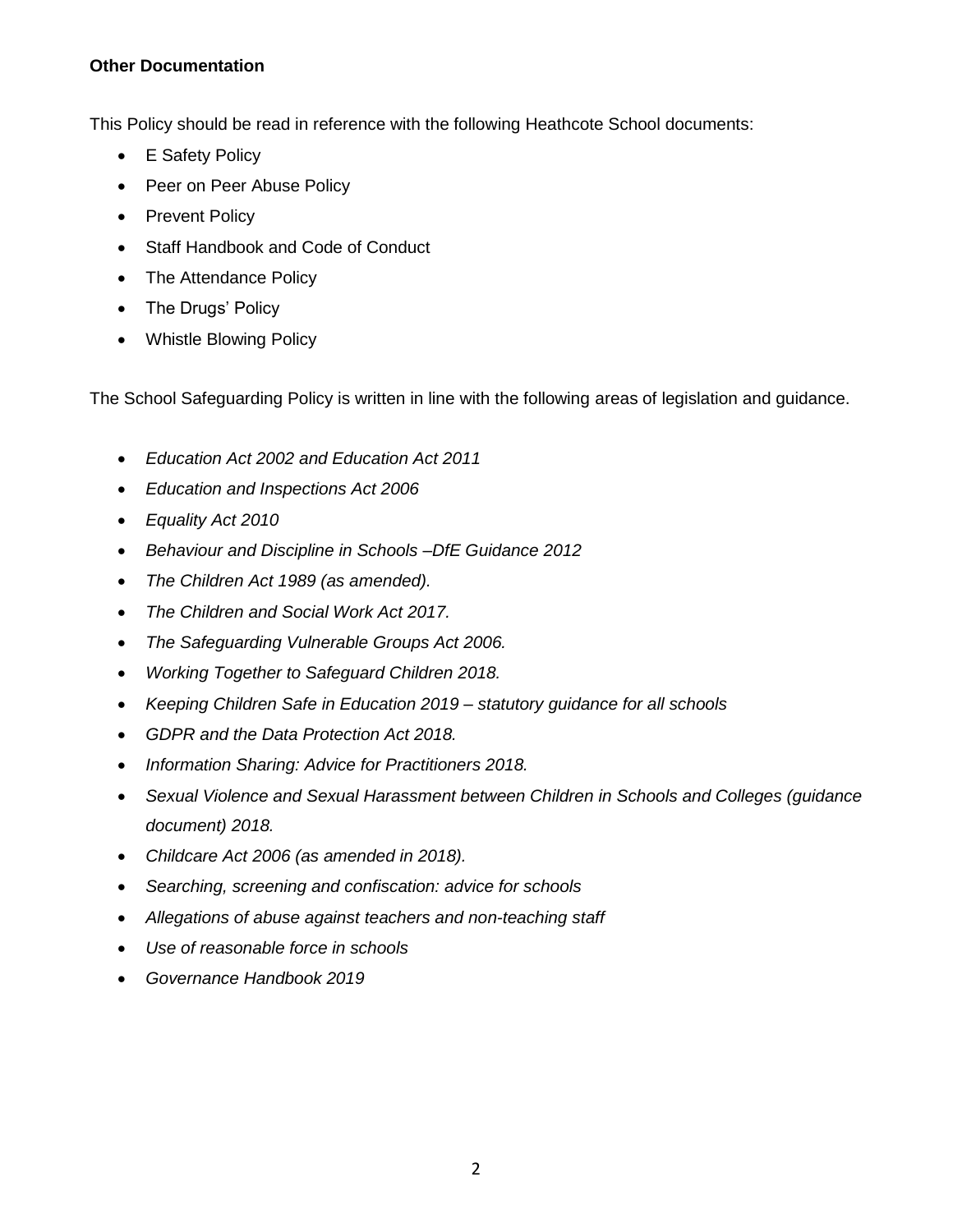#### **Other Documentation**

This Policy should be read in reference with the following Heathcote School documents:

- E Safety Policy
- Peer on Peer Abuse Policy
- Prevent Policy
- Staff Handbook and Code of Conduct
- The Attendance Policy
- The Drugs' Policy
- Whistle Blowing Policy

The School Safeguarding Policy is written in line with the following areas of legislation and guidance.

- *Education Act 2002 and Education Act 2011*
- *Education and Inspections Act 2006*
- *Equality Act 2010*
- *Behaviour and Discipline in Schools –DfE Guidance 2012*
- *The Children Act 1989 (as amended).*
- *The Children and Social Work Act 2017.*
- *The Safeguarding Vulnerable Groups Act 2006.*
- *Working Together to Safeguard Children 2018.*
- *Keeping Children Safe in Education 2019 – statutory guidance for all schools*
- *GDPR and the Data Protection Act 2018.*
- *Information Sharing: Advice for Practitioners 2018.*
- *Sexual Violence and Sexual Harassment between Children in Schools and Colleges (guidance document) 2018.*
- *Childcare Act 2006 (as amended in 2018).*
- *Searching, screening and confiscation: advice for schools*
- *Allegations of abuse against teachers and non-teaching staff*
- *Use of reasonable force in schools*
- *Governance Handbook 2019*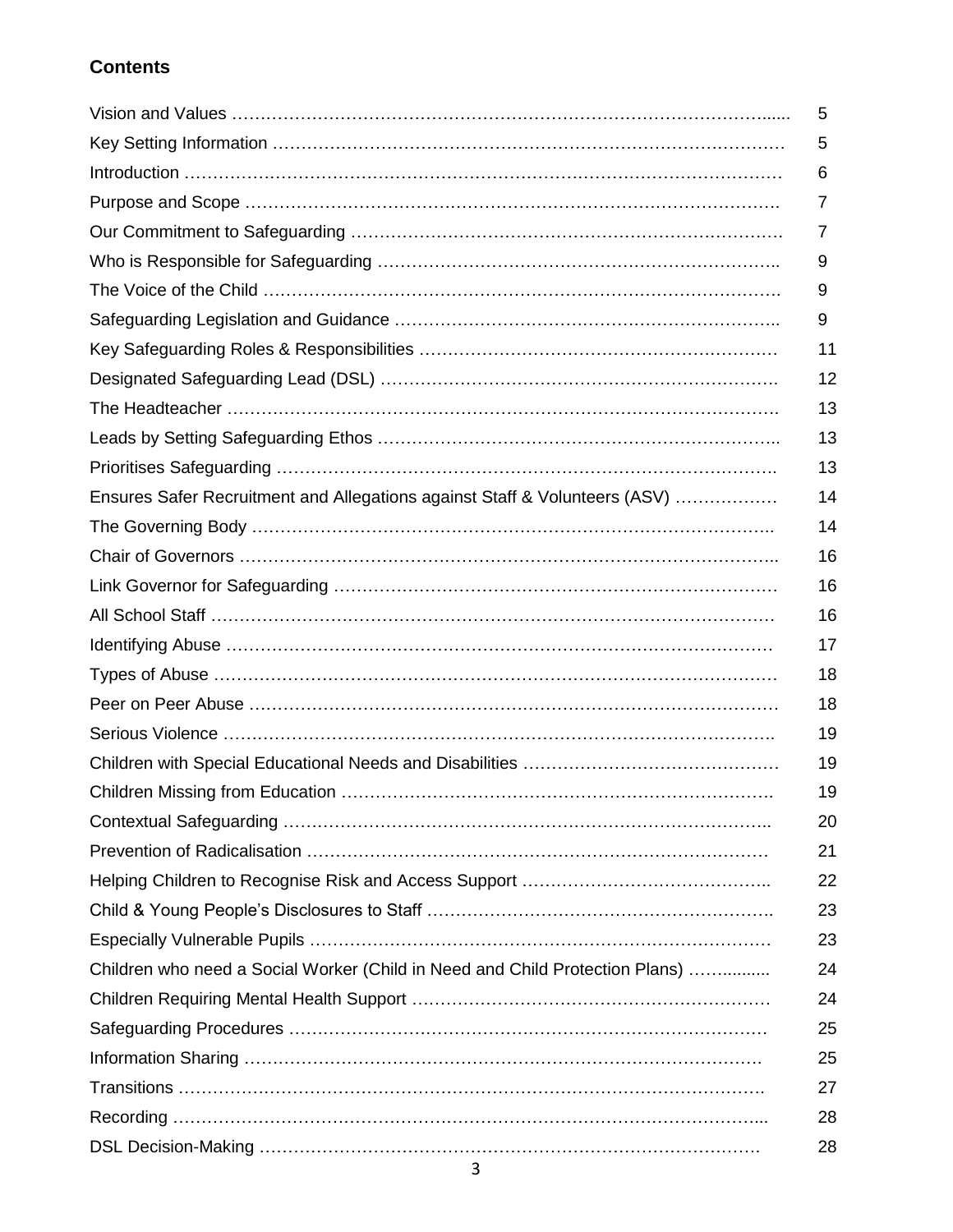### **Contents**

|                                                                              | 5  |
|------------------------------------------------------------------------------|----|
|                                                                              | 5  |
|                                                                              | 6  |
|                                                                              | 7  |
|                                                                              | 7  |
|                                                                              | 9  |
|                                                                              | 9  |
|                                                                              | 9  |
|                                                                              | 11 |
|                                                                              | 12 |
|                                                                              | 13 |
|                                                                              | 13 |
|                                                                              | 13 |
| Ensures Safer Recruitment and Allegations against Staff & Volunteers (ASV)   | 14 |
|                                                                              | 14 |
|                                                                              | 16 |
|                                                                              | 16 |
|                                                                              | 16 |
|                                                                              | 17 |
|                                                                              | 18 |
|                                                                              | 18 |
|                                                                              | 19 |
|                                                                              | 19 |
|                                                                              | 19 |
|                                                                              | 20 |
|                                                                              | 21 |
|                                                                              | 22 |
|                                                                              | 23 |
|                                                                              | 23 |
| Children who need a Social Worker (Child in Need and Child Protection Plans) | 24 |
|                                                                              | 24 |
|                                                                              | 25 |
|                                                                              | 25 |
|                                                                              | 27 |
|                                                                              | 28 |
|                                                                              | 28 |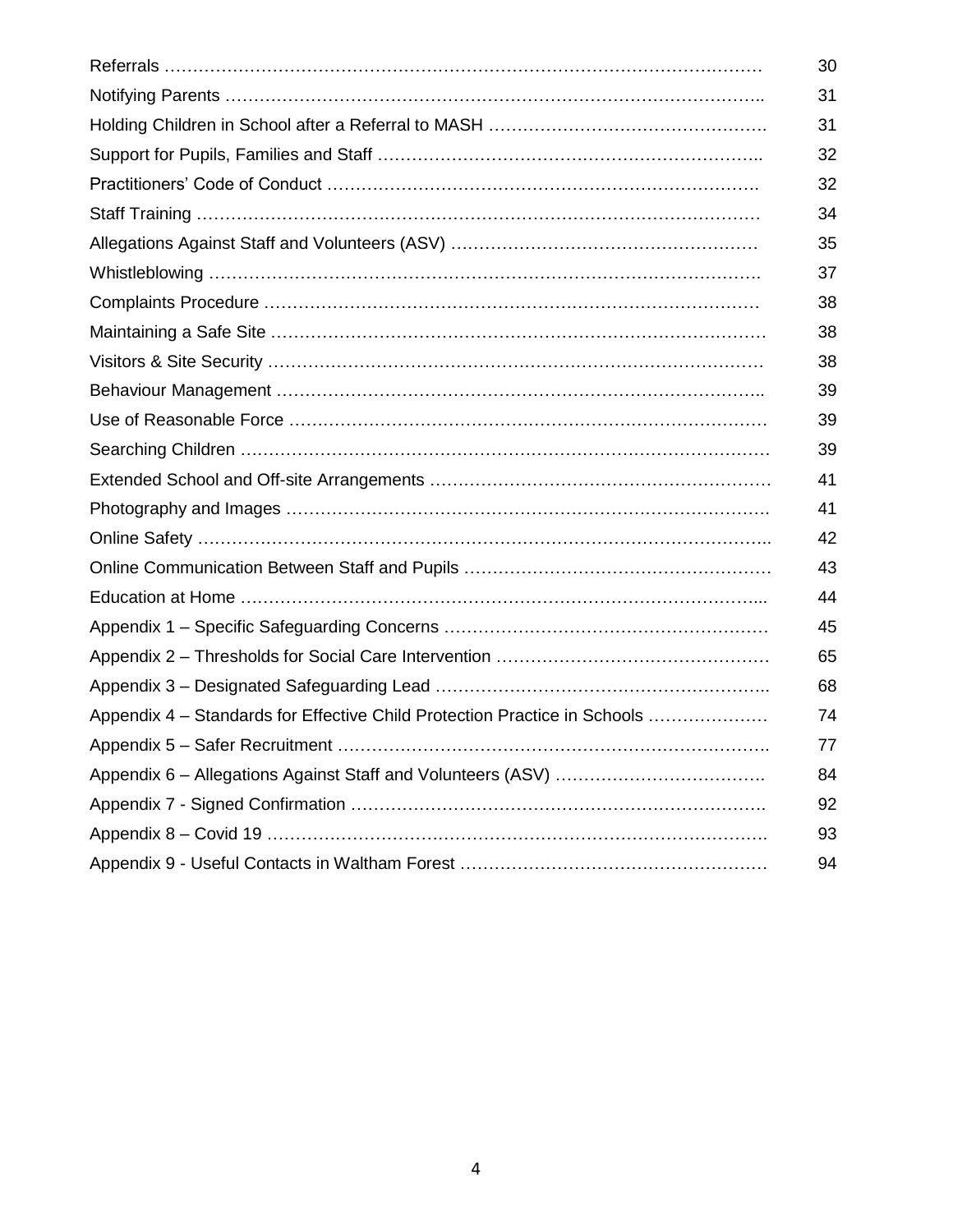|                                                                           | 30 |
|---------------------------------------------------------------------------|----|
|                                                                           | 31 |
|                                                                           | 31 |
|                                                                           | 32 |
|                                                                           | 32 |
|                                                                           | 34 |
|                                                                           | 35 |
|                                                                           | 37 |
|                                                                           | 38 |
|                                                                           | 38 |
|                                                                           | 38 |
|                                                                           | 39 |
|                                                                           | 39 |
|                                                                           | 39 |
|                                                                           | 41 |
|                                                                           | 41 |
|                                                                           | 42 |
|                                                                           | 43 |
|                                                                           | 44 |
|                                                                           | 45 |
|                                                                           | 65 |
|                                                                           | 68 |
| Appendix 4 – Standards for Effective Child Protection Practice in Schools | 74 |
|                                                                           | 77 |
|                                                                           | 84 |
|                                                                           | 92 |
|                                                                           | 93 |
|                                                                           | 94 |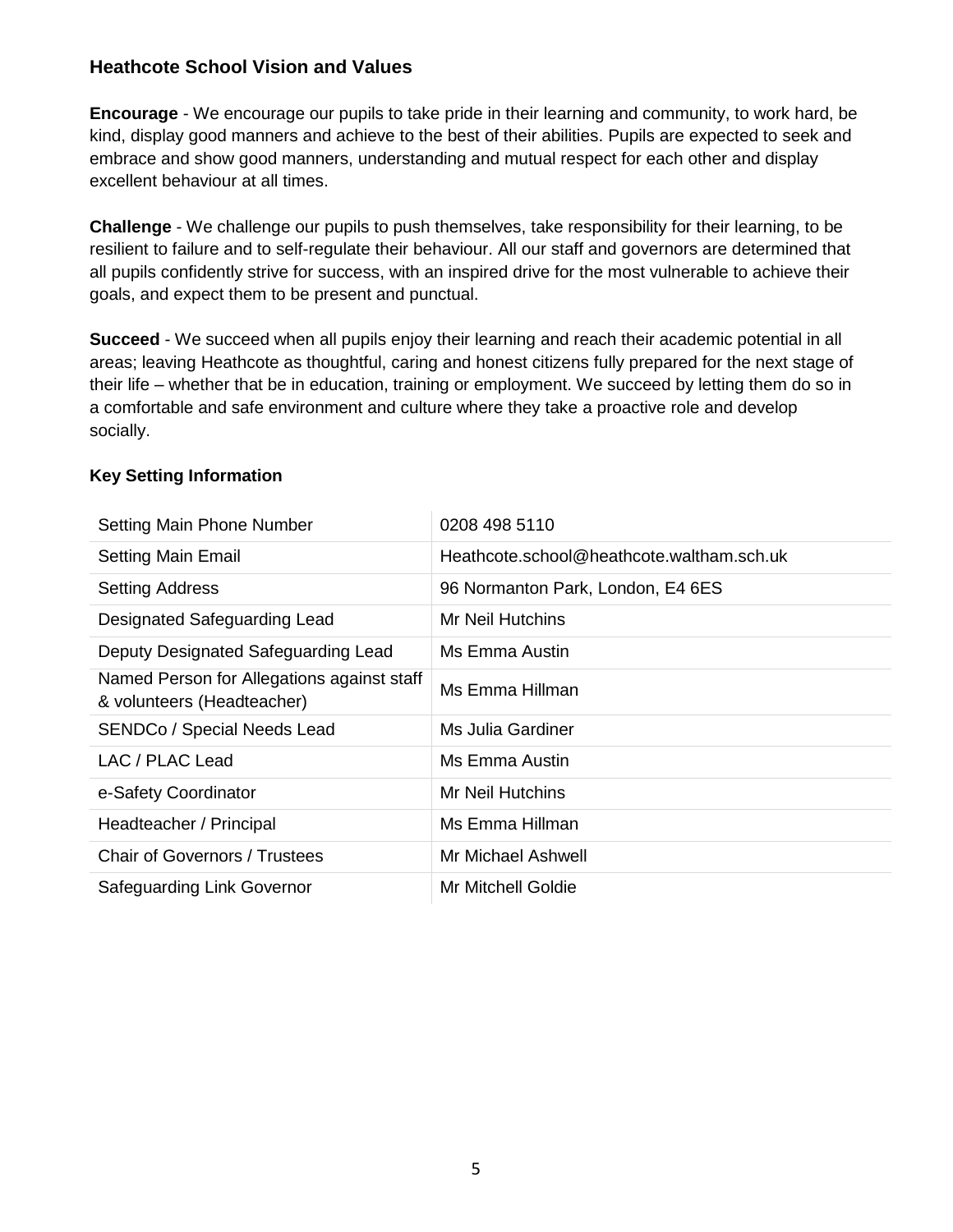#### **Heathcote School Vision and Values**

**Encourage** - We encourage our pupils to take pride in their learning and community, to work hard, be kind, display good manners and achieve to the best of their abilities. Pupils are expected to seek and embrace and show good manners, understanding and mutual respect for each other and display excellent behaviour at all times.

**Challenge** - We challenge our pupils to push themselves, take responsibility for their learning, to be resilient to failure and to self-regulate their behaviour. All our staff and governors are determined that all pupils confidently strive for success, with an inspired drive for the most vulnerable to achieve their goals, and expect them to be present and punctual.

**Succeed** - We succeed when all pupils enjoy their learning and reach their academic potential in all areas; leaving Heathcote as thoughtful, caring and honest citizens fully prepared for the next stage of their life – whether that be in education, training or employment. We succeed by letting them do so in a comfortable and safe environment and culture where they take a proactive role and develop socially.

#### **Key Setting Information**

| Setting Main Phone Number                                                | 0208 498 5110                             |
|--------------------------------------------------------------------------|-------------------------------------------|
| <b>Setting Main Email</b>                                                | Heathcote.school@heathcote.waltham.sch.uk |
| <b>Setting Address</b>                                                   | 96 Normanton Park, London, E4 6ES         |
| Designated Safeguarding Lead                                             | Mr Neil Hutchins                          |
| Deputy Designated Safeguarding Lead                                      | Ms Emma Austin                            |
| Named Person for Allegations against staff<br>& volunteers (Headteacher) | Ms Emma Hillman                           |
| <b>SENDCo / Special Needs Lead</b>                                       | Ms Julia Gardiner                         |
| LAC / PLAC Lead                                                          | Ms Emma Austin                            |
| e-Safety Coordinator                                                     | Mr Neil Hutchins                          |
| Headteacher / Principal                                                  | Ms Emma Hillman                           |
| <b>Chair of Governors / Trustees</b>                                     | Mr Michael Ashwell                        |
| Safeguarding Link Governor                                               | Mr Mitchell Goldie                        |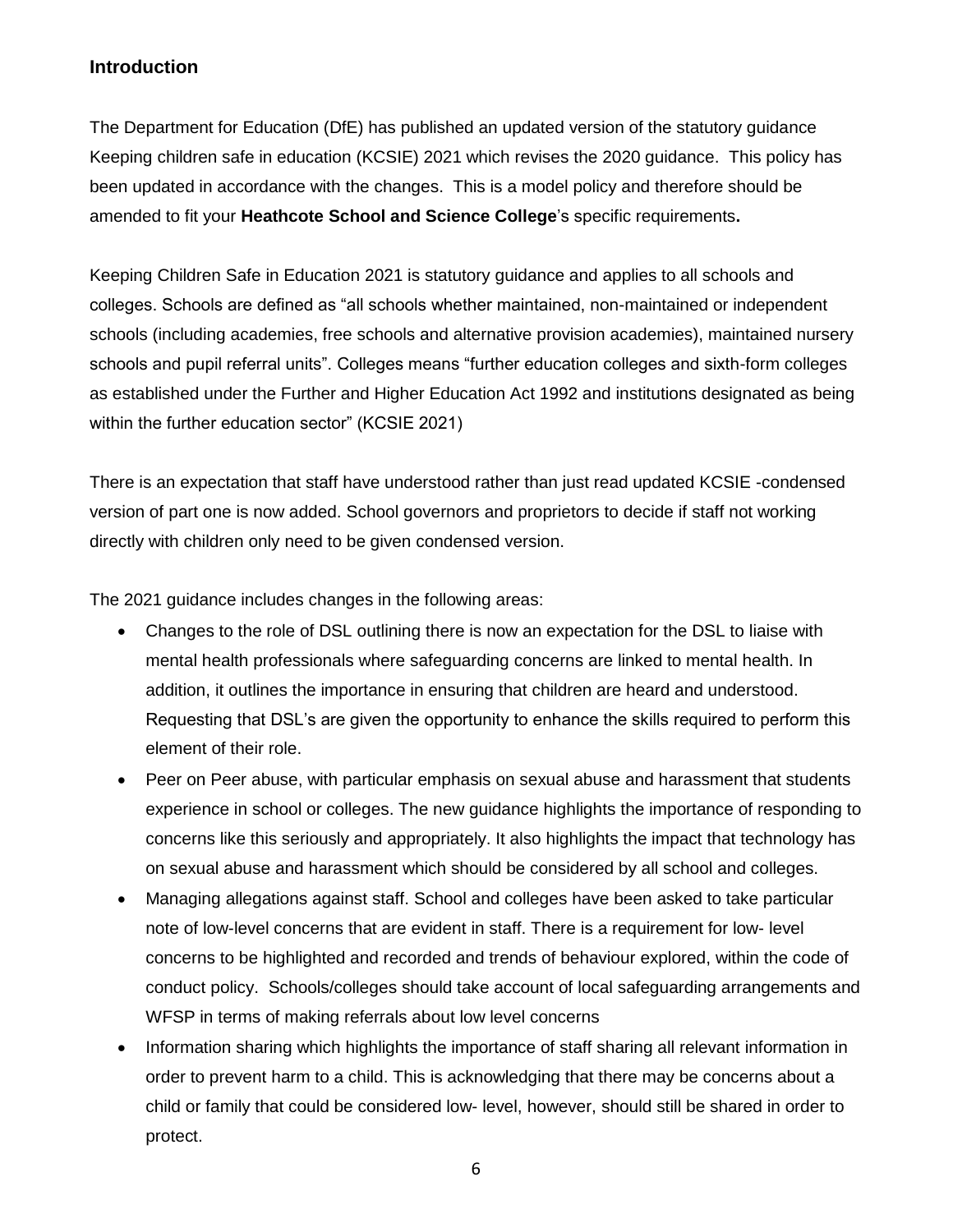#### **Introduction**

The Department for Education (DfE) has published an updated version of the statutory guidance Keeping children safe in education (KCSIE) 2021 which revises the 2020 guidance. This policy has been updated in accordance with the changes. This is a model policy and therefore should be amended to fit your **Heathcote School and Science College**'s specific requirements**.**

Keeping Children Safe in Education 2021 is statutory guidance and applies to all schools and colleges. Schools are defined as "all schools whether maintained, non-maintained or independent schools (including academies, free schools and alternative provision academies), maintained nursery schools and pupil referral units". Colleges means "further education colleges and sixth-form colleges as established under the Further and Higher Education Act 1992 and institutions designated as being within the further education sector" (KCSIE 2021)

There is an expectation that staff have understood rather than just read updated KCSIE -condensed version of part one is now added. School governors and proprietors to decide if staff not working directly with children only need to be given condensed version.

The 2021 guidance includes changes in the following areas:

- Changes to the role of DSL outlining there is now an expectation for the DSL to liaise with mental health professionals where safeguarding concerns are linked to mental health. In addition, it outlines the importance in ensuring that children are heard and understood. Requesting that DSL's are given the opportunity to enhance the skills required to perform this element of their role.
- Peer on Peer abuse, with particular emphasis on sexual abuse and harassment that students experience in school or colleges. The new guidance highlights the importance of responding to concerns like this seriously and appropriately. It also highlights the impact that technology has on sexual abuse and harassment which should be considered by all school and colleges.
- Managing allegations against staff. School and colleges have been asked to take particular note of low-level concerns that are evident in staff. There is a requirement for low- level concerns to be highlighted and recorded and trends of behaviour explored, within the code of conduct policy. Schools/colleges should take account of local safeguarding arrangements and WFSP in terms of making referrals about low level concerns
- Information sharing which highlights the importance of staff sharing all relevant information in order to prevent harm to a child. This is acknowledging that there may be concerns about a child or family that could be considered low- level, however, should still be shared in order to protect.

6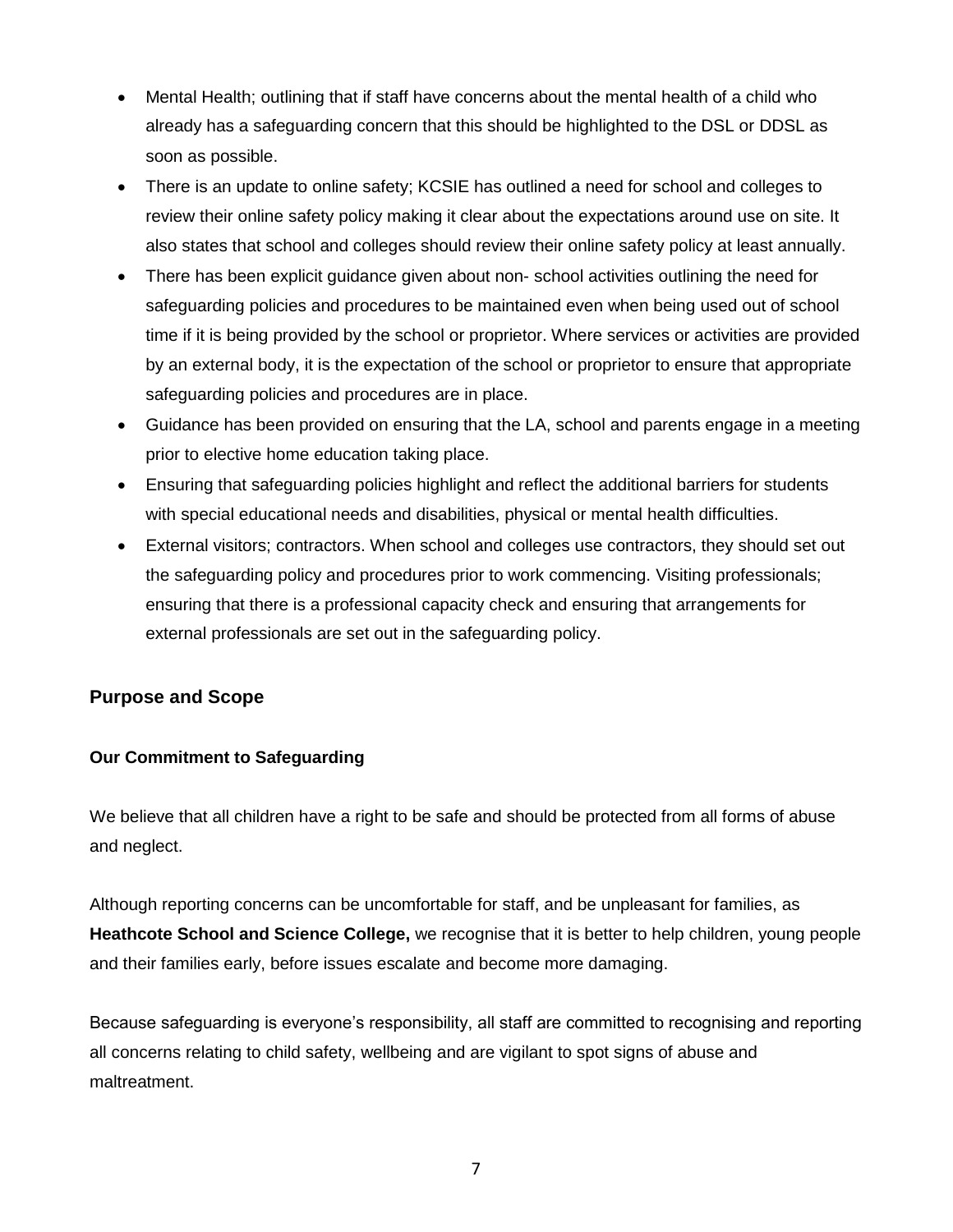- Mental Health; outlining that if staff have concerns about the mental health of a child who already has a safeguarding concern that this should be highlighted to the DSL or DDSL as soon as possible.
- There is an update to online safety; KCSIE has outlined a need for school and colleges to review their online safety policy making it clear about the expectations around use on site. It also states that school and colleges should review their online safety policy at least annually.
- There has been explicit quidance given about non-school activities outlining the need for safeguarding policies and procedures to be maintained even when being used out of school time if it is being provided by the school or proprietor. Where services or activities are provided by an external body, it is the expectation of the school or proprietor to ensure that appropriate safeguarding policies and procedures are in place.
- Guidance has been provided on ensuring that the LA, school and parents engage in a meeting prior to elective home education taking place.
- Ensuring that safeguarding policies highlight and reflect the additional barriers for students with special educational needs and disabilities, physical or mental health difficulties.
- External visitors; contractors. When school and colleges use contractors, they should set out the safeguarding policy and procedures prior to work commencing. Visiting professionals; ensuring that there is a professional capacity check and ensuring that arrangements for external professionals are set out in the safeguarding policy.

#### **Purpose and Scope**

#### **Our Commitment to Safeguarding**

We believe that all children have a right to be safe and should be protected from all forms of abuse and neglect.

Although reporting concerns can be uncomfortable for staff, and be unpleasant for families, as **Heathcote School and Science College,** we recognise that it is better to help children, young people and their families early, before issues escalate and become more damaging.

Because safeguarding is everyone's responsibility, all staff are committed to recognising and reporting all concerns relating to child safety, wellbeing and are vigilant to spot signs of abuse and maltreatment.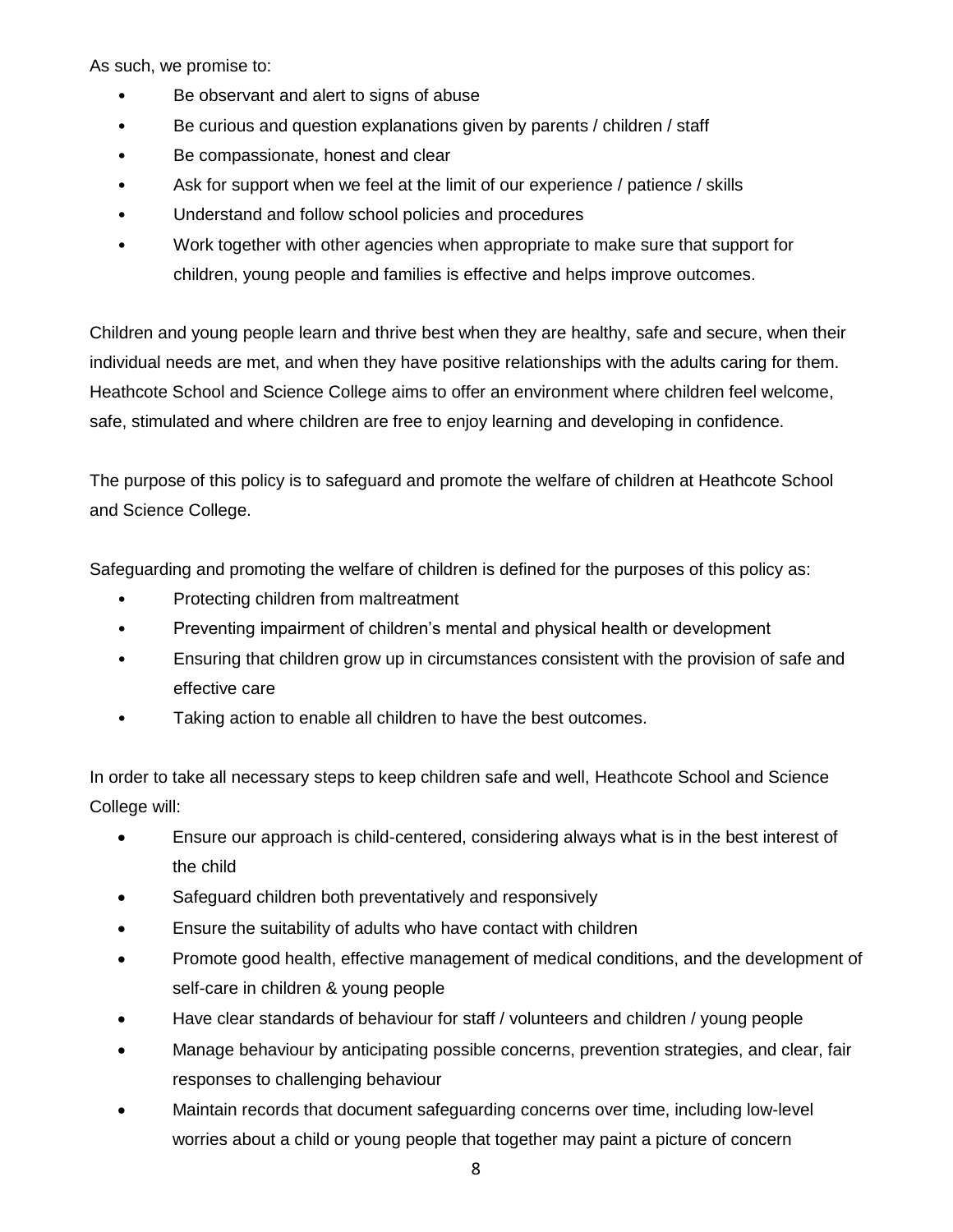As such, we promise to:

- Be observant and alert to signs of abuse
- Be curious and question explanations given by parents / children / staff
- Be compassionate, honest and clear
- Ask for support when we feel at the limit of our experience / patience / skills
- Understand and follow school policies and procedures
- Work together with other agencies when appropriate to make sure that support for children, young people and families is effective and helps improve outcomes.

Children and young people learn and thrive best when they are healthy, safe and secure, when their individual needs are met, and when they have positive relationships with the adults caring for them. Heathcote School and Science College aims to offer an environment where children feel welcome, safe, stimulated and where children are free to enjoy learning and developing in confidence.

The purpose of this policy is to safeguard and promote the welfare of children at Heathcote School and Science College.

Safeguarding and promoting the welfare of children is defined for the purposes of this policy as:

- Protecting children from maltreatment
- Preventing impairment of children's mental and physical health or development
- Ensuring that children grow up in circumstances consistent with the provision of safe and effective care
- Taking action to enable all children to have the best outcomes.

In order to take all necessary steps to keep children safe and well, Heathcote School and Science College will:

- Ensure our approach is child-centered, considering always what is in the best interest of the child
- Safeguard children both preventatively and responsively
- Ensure the suitability of adults who have contact with children
- Promote good health, effective management of medical conditions, and the development of self-care in children & young people
- Have clear standards of behaviour for staff / volunteers and children / young people
- Manage behaviour by anticipating possible concerns, prevention strategies, and clear, fair responses to challenging behaviour
- Maintain records that document safeguarding concerns over time, including low-level worries about a child or young people that together may paint a picture of concern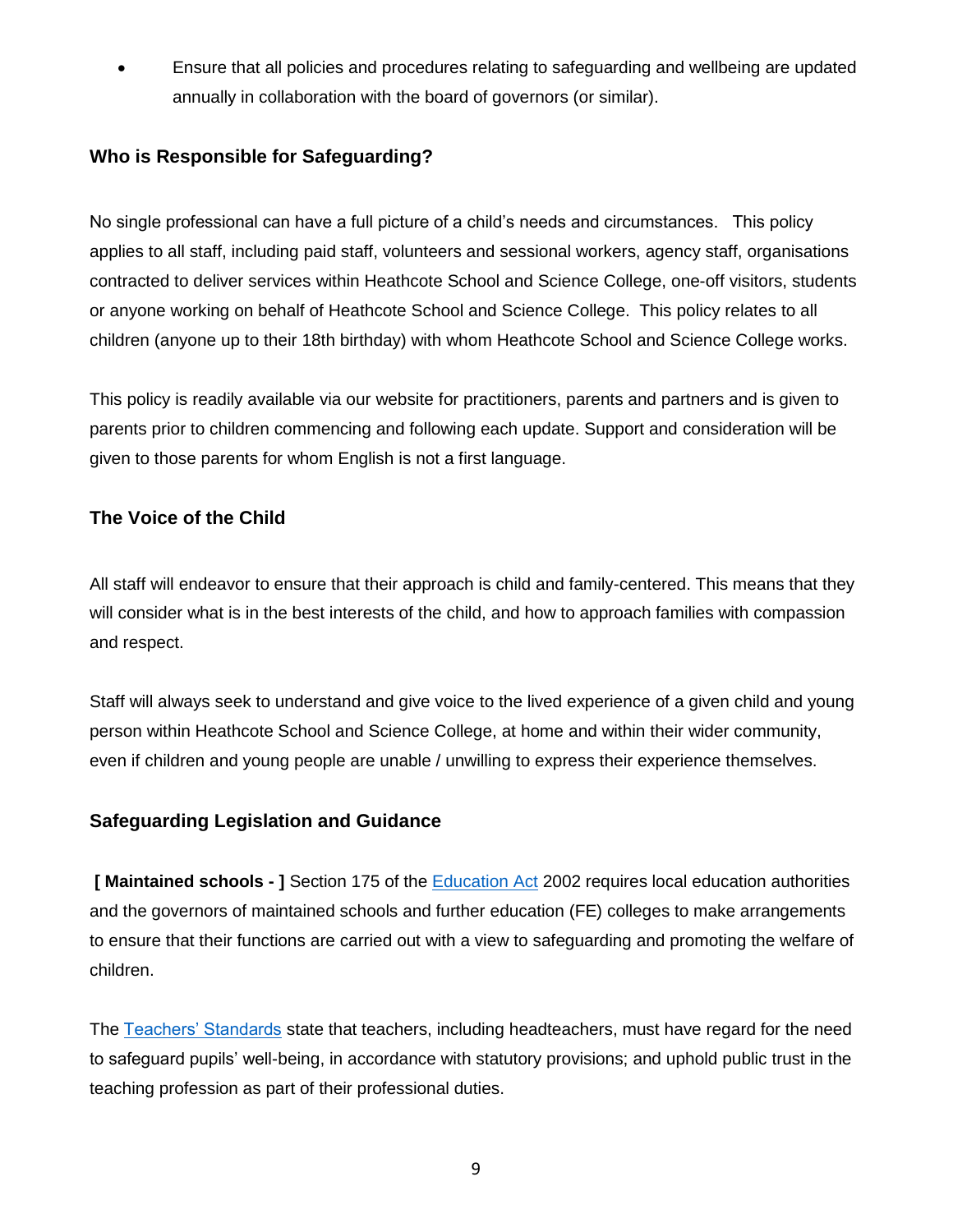• Ensure that all policies and procedures relating to safeguarding and wellbeing are updated annually in collaboration with the board of governors (or similar).

#### **Who is Responsible for Safeguarding?**

No single professional can have a full picture of a child's needs and circumstances. This policy applies to all staff, including paid staff, volunteers and sessional workers, agency staff, organisations contracted to deliver services within Heathcote School and Science College, one-off visitors, students or anyone working on behalf of Heathcote School and Science College. This policy relates to all children (anyone up to their 18th birthday) with whom Heathcote School and Science College works.

This policy is readily available via our website for practitioners, parents and partners and is given to parents prior to children commencing and following each update. Support and consideration will be given to those parents for whom English is not a first language.

#### **The Voice of the Child**

All staff will endeavor to ensure that their approach is child and family-centered. This means that they will consider what is in the best interests of the child, and how to approach families with compassion and respect.

Staff will always seek to understand and give voice to the lived experience of a given child and young person within Heathcote School and Science College, at home and within their wider community, even if children and young people are unable / unwilling to express their experience themselves.

#### **Safeguarding Legislation and Guidance**

**[ Maintained schools - ]** Section 175 of the [Education Act](http://www.legislation.gov.uk/ukpga/2002/32/contents) 2002 requires local education authorities and the governors of maintained schools and further education (FE) colleges to make arrangements to ensure that their functions are carried out with a view to safeguarding and promoting the welfare of children.

The [Teachers' Standards](https://assets.publishing.service.gov.uk/government/uploads/system/uploads/attachment_data/file/665520/Teachers__Standards.pdf) state that teachers, including headteachers, must have regard for the need to safeguard pupils' well-being, in accordance with statutory provisions; and uphold public trust in the teaching profession as part of their professional duties.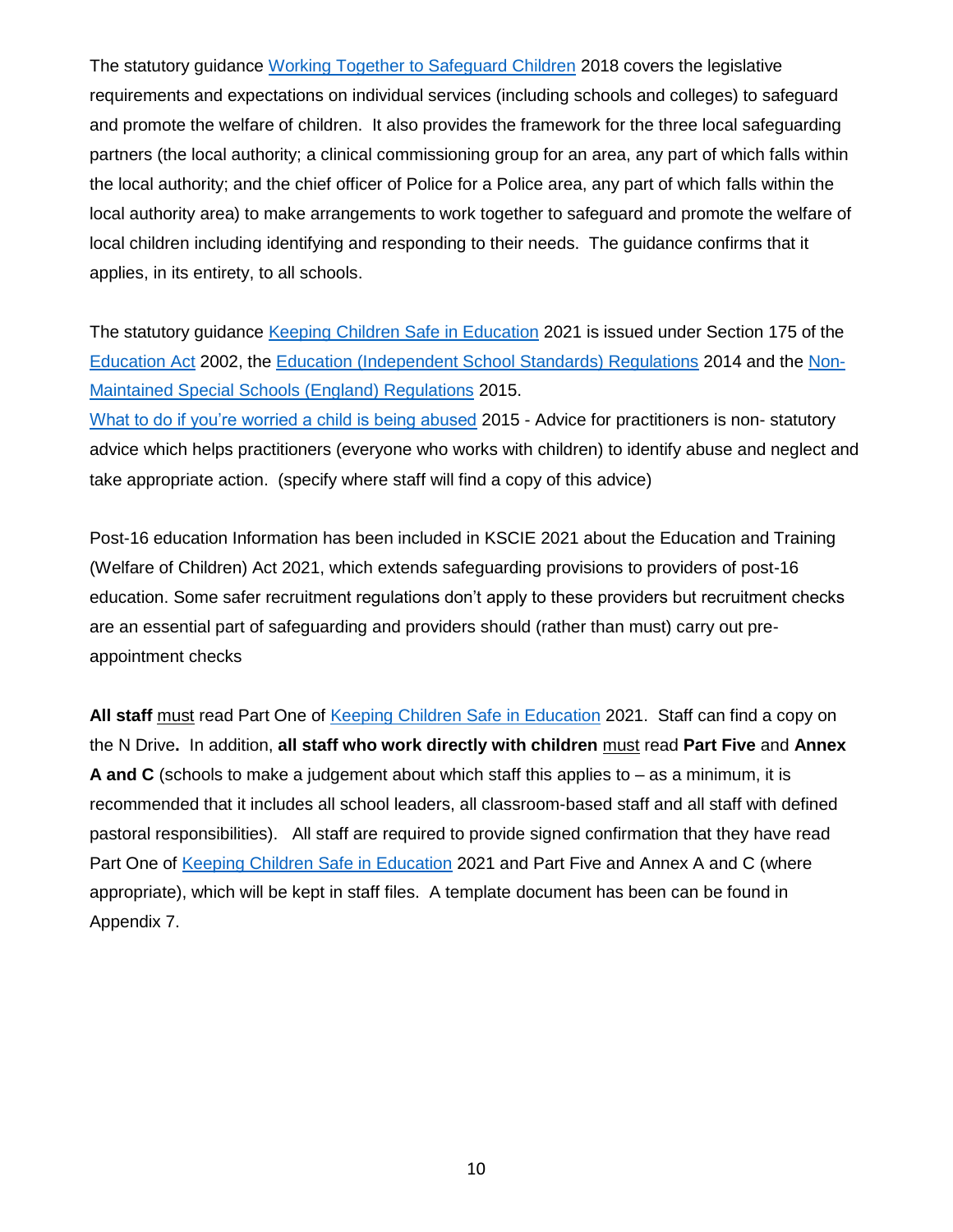The statutory guidance [Working Together to Safeguard Children](https://www.gov.uk/government/publications/working-together-to-safeguard-children--2) 2018 covers the legislative requirements and expectations on individual services (including schools and colleges) to safeguard and promote the welfare of children. It also provides the framework for the three local safeguarding partners (the local authority; a clinical commissioning group for an area, any part of which falls within the local authority; and the chief officer of Police for a Police area, any part of which falls within the local authority area) to make arrangements to work together to safeguard and promote the welfare of local children including identifying and responding to their needs. The guidance confirms that it applies, in its entirety, to all schools.

The statutory guidance [Keeping Children Safe in Education](https://www.gov.uk/government/publications/keeping-children-safe-in-education--2) 2021 is issued under Section 175 of the [Education Act](http://www.legislation.gov.uk/ukpga/2002/32/contents) 2002, the [Education \(Independent School Standards\) Regulations](http://www.legislation.gov.uk/uksi/2014/3283/schedule/made) 2014 and the [Non-](https://www.gov.uk/government/publications/non-maintained-special-schools-regulations-2015)[Maintained Special Schools \(England\) Regulations](https://www.gov.uk/government/publications/non-maintained-special-schools-regulations-2015) 2015.

[What to do if you're worried a child is being abused](https://assets.publishing.service.gov.uk/government/uploads/system/uploads/attachment_data/file/419604/What_to_do_if_you_re_worried_a_child_is_being_abused.pdf) 2015 - Advice for practitioners is non-statutory advice which helps practitioners (everyone who works with children) to identify abuse and neglect and take appropriate action. (specify where staff will find a copy of this advice)

Post-16 education Information has been included in KSCIE 2021 about the Education and Training (Welfare of Children) Act 2021, which extends safeguarding provisions to providers of post-16 education. Some safer recruitment regulations don't apply to these providers but recruitment checks are an essential part of safeguarding and providers should (rather than must) carry out preappointment checks

**All staff** must read Part One of [Keeping Children Safe in Education](https://www.gov.uk/government/publications/keeping-children-safe-in-education--2) 2021. Staff can find a copy on the N Drive**.** In addition, **all staff who work directly with children** must read **Part Five** and **Annex A and C** (schools to make a judgement about which staff this applies to – as a minimum, it is recommended that it includes all school leaders, all classroom-based staff and all staff with defined pastoral responsibilities). All staff are required to provide signed confirmation that they have read Part One of [Keeping Children Safe in Education](https://www.gov.uk/government/publications/keeping-children-safe-in-education--2) 2021 and Part Five and Annex A and C (where appropriate), which will be kept in staff files. A template document has been can be found in Appendix 7.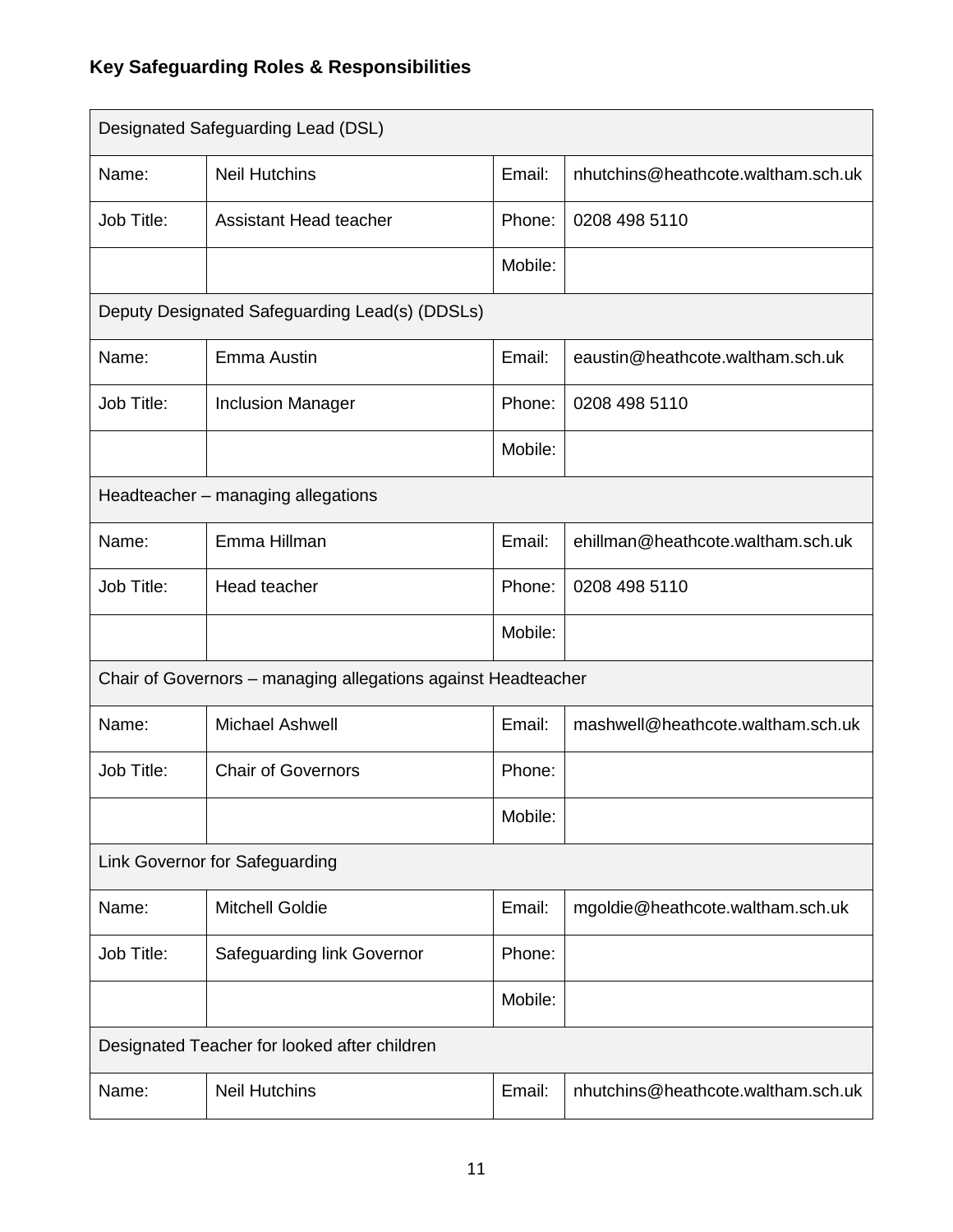# **Key Safeguarding Roles & Responsibilities**

|                                                               | Designated Safeguarding Lead (DSL)             |         |                                    |
|---------------------------------------------------------------|------------------------------------------------|---------|------------------------------------|
| Name:                                                         | <b>Neil Hutchins</b>                           | Email:  | nhutchins@heathcote.waltham.sch.uk |
| Job Title:                                                    | Assistant Head teacher                         |         | 0208 498 5110                      |
|                                                               |                                                | Mobile: |                                    |
|                                                               | Deputy Designated Safeguarding Lead(s) (DDSLs) |         |                                    |
| Name:                                                         | Emma Austin                                    | Email:  | eaustin@heathcote.waltham.sch.uk   |
| Job Title:                                                    | <b>Inclusion Manager</b>                       | Phone:  | 0208 498 5110                      |
|                                                               |                                                | Mobile: |                                    |
|                                                               | Headteacher - managing allegations             |         |                                    |
| Name:                                                         | Emma Hillman                                   | Email:  | ehillman@heathcote.waltham.sch.uk  |
| Job Title:                                                    | Head teacher                                   | Phone:  | 0208 498 5110                      |
|                                                               |                                                | Mobile: |                                    |
| Chair of Governors - managing allegations against Headteacher |                                                |         |                                    |
| Name:                                                         | <b>Michael Ashwell</b>                         | Email:  | mashwell@heathcote.waltham.sch.uk  |
| Job Title:                                                    | <b>Chair of Governors</b>                      | Phone:  |                                    |
|                                                               |                                                | Mobile: |                                    |
| Link Governor for Safeguarding                                |                                                |         |                                    |
| Name:                                                         | <b>Mitchell Goldie</b>                         | Email:  | mgoldie@heathcote.waltham.sch.uk   |
| Job Title:                                                    | Safeguarding link Governor                     | Phone:  |                                    |
|                                                               |                                                | Mobile: |                                    |
|                                                               | Designated Teacher for looked after children   |         |                                    |
| Name:                                                         | <b>Neil Hutchins</b>                           | Email:  | nhutchins@heathcote.waltham.sch.uk |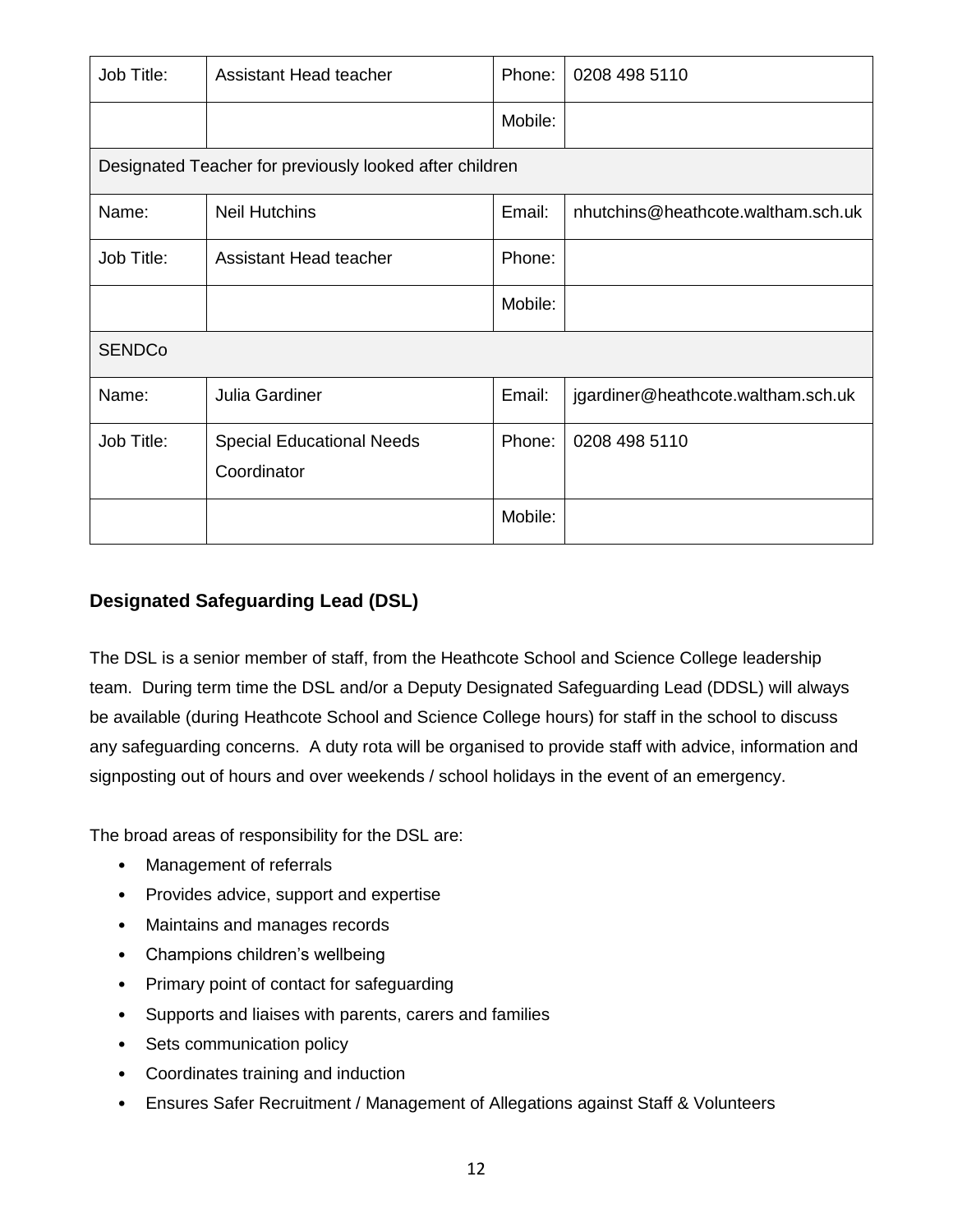| Job Title:    | Assistant Head teacher                                  | Phone:  | 0208 498 5110                      |  |
|---------------|---------------------------------------------------------|---------|------------------------------------|--|
|               |                                                         | Mobile: |                                    |  |
|               | Designated Teacher for previously looked after children |         |                                    |  |
| Name:         | <b>Neil Hutchins</b>                                    | Email:  | nhutchins@heathcote.waltham.sch.uk |  |
| Job Title:    | <b>Assistant Head teacher</b>                           | Phone:  |                                    |  |
|               |                                                         | Mobile: |                                    |  |
| <b>SENDCo</b> |                                                         |         |                                    |  |
| Name:         | <b>Julia Gardiner</b>                                   | Email:  | jgardiner@heathcote.waltham.sch.uk |  |
| Job Title:    | <b>Special Educational Needs</b><br>Coordinator         | Phone:  | 0208 498 5110                      |  |
|               |                                                         | Mobile: |                                    |  |

#### **Designated Safeguarding Lead (DSL)**

The DSL is a senior member of staff, from the Heathcote School and Science College leadership team. During term time the DSL and/or a Deputy Designated Safeguarding Lead (DDSL) will always be available (during Heathcote School and Science College hours) for staff in the school to discuss any safeguarding concerns. A duty rota will be organised to provide staff with advice, information and signposting out of hours and over weekends / school holidays in the event of an emergency.

The broad areas of responsibility for the DSL are:

- Management of referrals
- Provides advice, support and expertise
- Maintains and manages records
- Champions children's wellbeing
- Primary point of contact for safeguarding
- Supports and liaises with parents, carers and families
- Sets communication policy
- Coordinates training and induction
- Ensures Safer Recruitment / Management of Allegations against Staff & Volunteers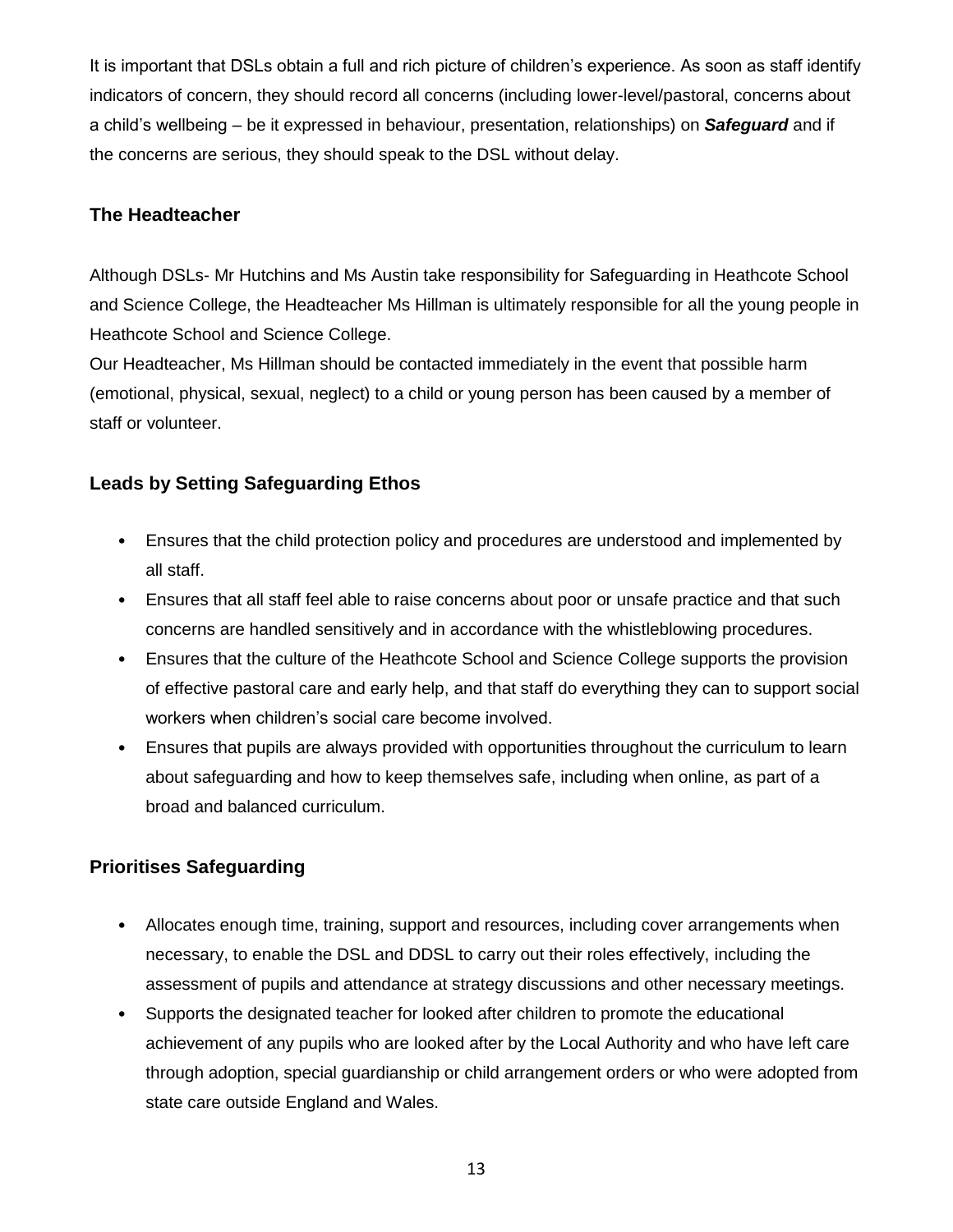It is important that DSLs obtain a full and rich picture of children's experience. As soon as staff identify indicators of concern, they should record all concerns (including lower-level/pastoral, concerns about a child's wellbeing – be it expressed in behaviour, presentation, relationships) on *Safeguard* and if the concerns are serious, they should speak to the DSL without delay.

#### **The Headteacher**

Although DSLs- Mr Hutchins and Ms Austin take responsibility for Safeguarding in Heathcote School and Science College, the Headteacher Ms Hillman is ultimately responsible for all the young people in Heathcote School and Science College.

Our Headteacher, Ms Hillman should be contacted immediately in the event that possible harm (emotional, physical, sexual, neglect) to a child or young person has been caused by a member of staff or volunteer.

#### **Leads by Setting Safeguarding Ethos**

- Ensures that the child protection policy and procedures are understood and implemented by all staff.
- Ensures that all staff feel able to raise concerns about poor or unsafe practice and that such concerns are handled sensitively and in accordance with the whistleblowing procedures.
- Ensures that the culture of the Heathcote School and Science College supports the provision of effective pastoral care and early help, and that staff do everything they can to support social workers when children's social care become involved.
- Ensures that pupils are always provided with opportunities throughout the curriculum to learn about safeguarding and how to keep themselves safe, including when online, as part of a broad and balanced curriculum.

### **Prioritises Safeguarding**

- Allocates enough time, training, support and resources, including cover arrangements when necessary, to enable the DSL and DDSL to carry out their roles effectively, including the assessment of pupils and attendance at strategy discussions and other necessary meetings.
- Supports the designated teacher for looked after children to promote the educational achievement of any pupils who are looked after by the Local Authority and who have left care through adoption, special guardianship or child arrangement orders or who were adopted from state care outside England and Wales.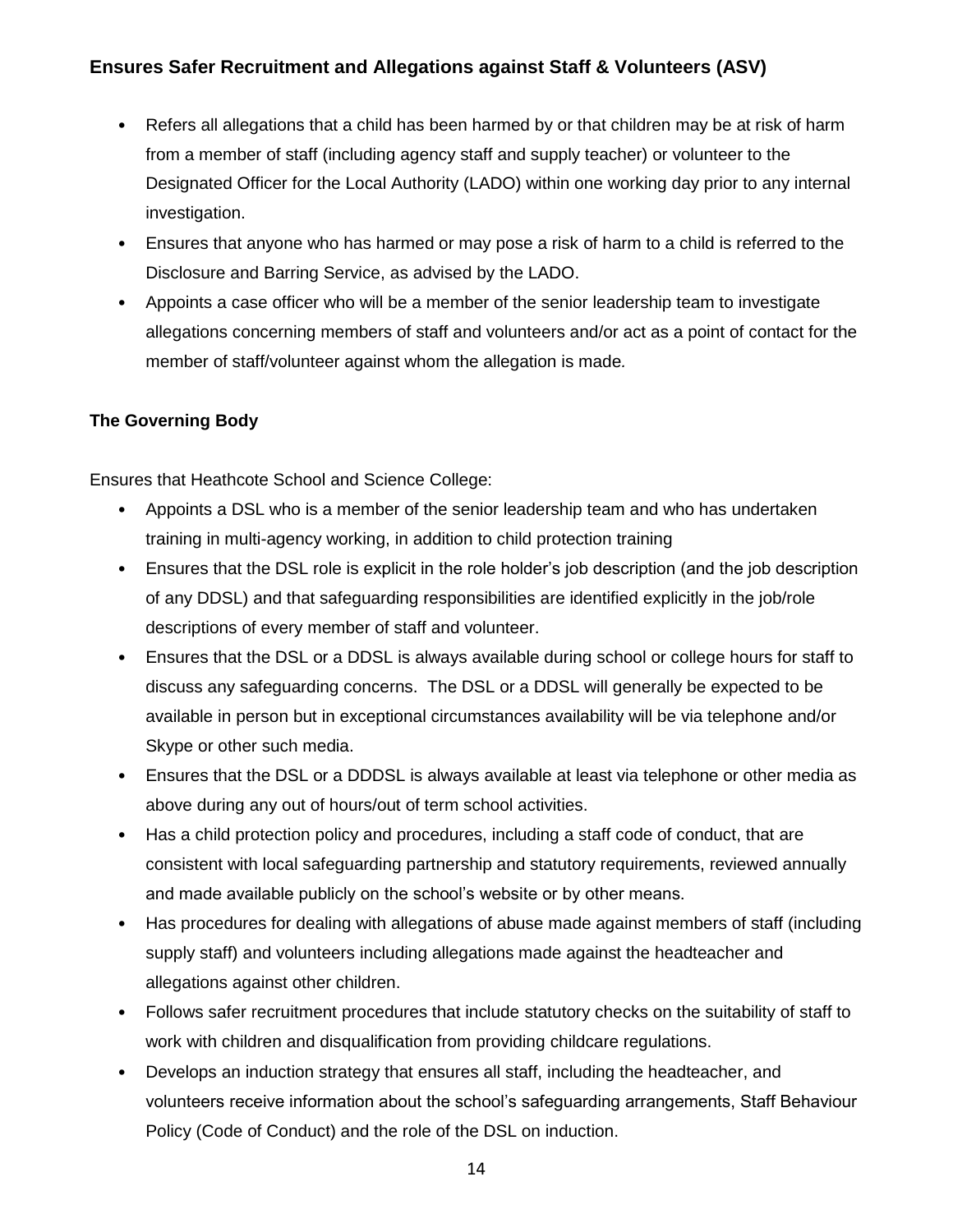#### **Ensures Safer Recruitment and Allegations against Staff & Volunteers (ASV)**

- Refers all allegations that a child has been harmed by or that children may be at risk of harm from a member of staff (including agency staff and supply teacher) or volunteer to the Designated Officer for the Local Authority (LADO) within one working day prior to any internal investigation.
- Ensures that anyone who has harmed or may pose a risk of harm to a child is referred to the Disclosure and Barring Service, as advised by the LADO.
- Appoints a case officer who will be a member of the senior leadership team to investigate allegations concerning members of staff and volunteers and/or act as a point of contact for the member of staff/volunteer against whom the allegation is made*.*

#### **The Governing Body**

Ensures that Heathcote School and Science College:

- Appoints a DSL who is a member of the senior leadership team and who has undertaken training in multi-agency working, in addition to child protection training
- Ensures that the DSL role is explicit in the role holder's job description (and the job description of any DDSL) and that safeguarding responsibilities are identified explicitly in the job/role descriptions of every member of staff and volunteer.
- Ensures that the DSL or a DDSL is always available during school or college hours for staff to discuss any safeguarding concerns. The DSL or a DDSL will generally be expected to be available in person but in exceptional circumstances availability will be via telephone and/or Skype or other such media.
- Ensures that the DSL or a DDDSL is always available at least via telephone or other media as above during any out of hours/out of term school activities.
- Has a child protection policy and procedures, including a staff code of conduct, that are consistent with local safeguarding partnership and statutory requirements, reviewed annually and made available publicly on the school's website or by other means.
- Has procedures for dealing with allegations of abuse made against members of staff (including supply staff) and volunteers including allegations made against the headteacher and allegations against other children.
- Follows safer recruitment procedures that include statutory checks on the suitability of staff to work with children and disqualification from providing childcare regulations.
- Develops an induction strategy that ensures all staff, including the headteacher, and volunteers receive information about the school's safeguarding arrangements, Staff Behaviour Policy (Code of Conduct) and the role of the DSL on induction.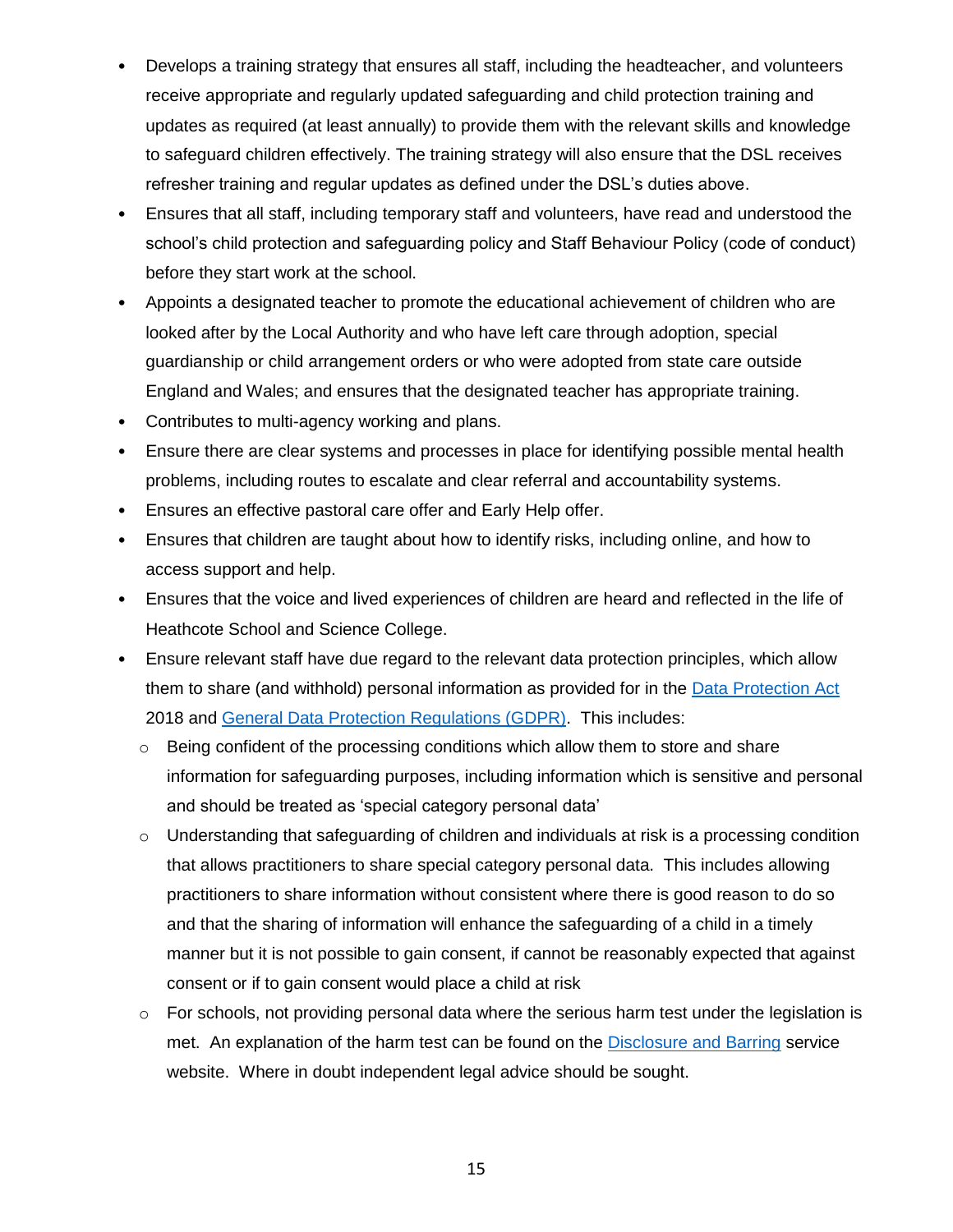- Develops a training strategy that ensures all staff, including the headteacher, and volunteers receive appropriate and regularly updated safeguarding and child protection training and updates as required (at least annually) to provide them with the relevant skills and knowledge to safeguard children effectively. The training strategy will also ensure that the DSL receives refresher training and regular updates as defined under the DSL's duties above.
- Ensures that all staff, including temporary staff and volunteers, have read and understood the school's child protection and safeguarding policy and Staff Behaviour Policy (code of conduct) before they start work at the school.
- Appoints a designated teacher to promote the educational achievement of children who are looked after by the Local Authority and who have left care through adoption, special guardianship or child arrangement orders or who were adopted from state care outside England and Wales; and ensures that the designated teacher has appropriate training.
- Contributes to multi-agency working and plans.
- Ensure there are clear systems and processes in place for identifying possible mental health problems, including routes to escalate and clear referral and accountability systems.
- Ensures an effective pastoral care offer and Early Help offer.
- Ensures that children are taught about how to identify risks, including online, and how to access support and help.
- Ensures that the voice and lived experiences of children are heard and reflected in the life of Heathcote School and Science College.
- Ensure relevant staff have due regard to the relevant data protection principles, which allow them to share (and withhold) personal information as provided for in the [Data Protection Act](https://www.gov.uk/data-protection) 2018 and [General Data Protection Regulations \(GDPR\).](https://gdpr-info.eu/) This includes:
	- $\circ$  Being confident of the processing conditions which allow them to store and share information for safeguarding purposes, including information which is sensitive and personal and should be treated as 'special category personal data'
	- $\circ$  Understanding that safeguarding of children and individuals at risk is a processing condition that allows practitioners to share special category personal data. This includes allowing practitioners to share information without consistent where there is good reason to do so and that the sharing of information will enhance the safeguarding of a child in a timely manner but it is not possible to gain consent, if cannot be reasonably expected that against consent or if to gain consent would place a child at risk
	- $\circ$  For schools, not providing personal data where the serious harm test under the legislation is met. An explanation of the harm test can be found on the [Disclosure and Barring](https://www.gov.uk/guidance/making-barring-referrals-to-the-dbs#what-is-the-harm-test) service website. Where in doubt independent legal advice should be sought.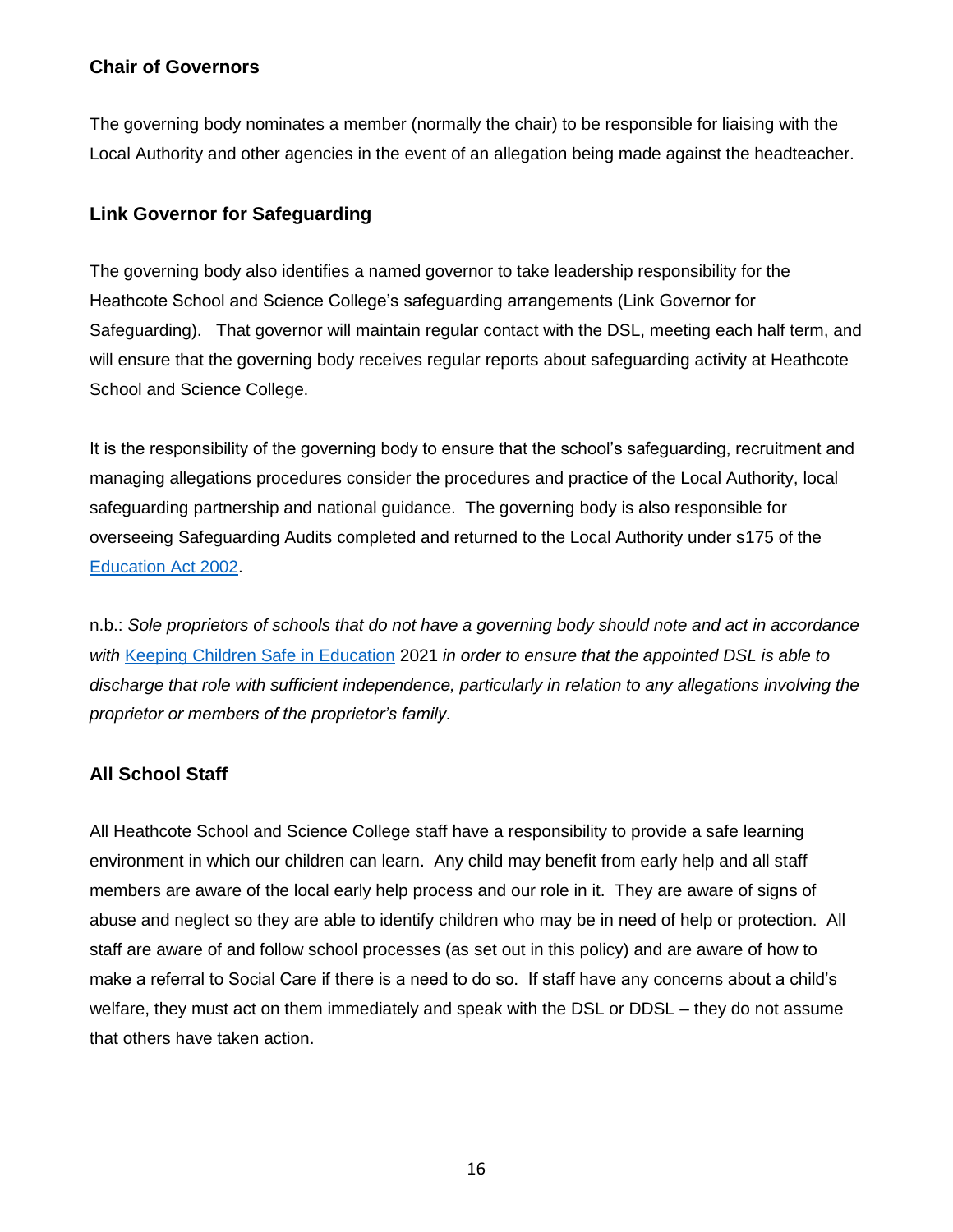#### **Chair of Governors**

The governing body nominates a member (normally the chair) to be responsible for liaising with the Local Authority and other agencies in the event of an allegation being made against the headteacher.

#### **Link Governor for Safeguarding**

The governing body also identifies a named governor to take leadership responsibility for the Heathcote School and Science College's safeguarding arrangements (Link Governor for Safeguarding). That governor will maintain regular contact with the DSL, meeting each half term, and will ensure that the governing body receives regular reports about safeguarding activity at Heathcote School and Science College.

It is the responsibility of the governing body to ensure that the school's safeguarding, recruitment and managing allegations procedures consider the procedures and practice of the Local Authority, local safeguarding partnership and national guidance. The governing body is also responsible for overseeing Safeguarding Audits completed and returned to the Local Authority under s175 of the [Education Act 2002.](http://www.legislation.gov.uk/ukpga/2002/32/contents)

n.b.: *Sole proprietors of schools that do not have a governing body should note and act in accordance with* [Keeping Children Safe in Education](https://www.gov.uk/government/publications/keeping-children-safe-in-education--2) 2021 *in order to ensure that the appointed DSL is able to discharge that role with sufficient independence, particularly in relation to any allegations involving the proprietor or members of the proprietor's family.* 

#### **All School Staff**

All Heathcote School and Science College staff have a responsibility to provide a safe learning environment in which our children can learn. Any child may benefit from early help and all staff members are aware of the local early help process and our role in it. They are aware of signs of abuse and neglect so they are able to identify children who may be in need of help or protection. All staff are aware of and follow school processes (as set out in this policy) and are aware of how to make a referral to Social Care if there is a need to do so. If staff have any concerns about a child's welfare, they must act on them immediately and speak with the DSL or DDSL – they do not assume that others have taken action.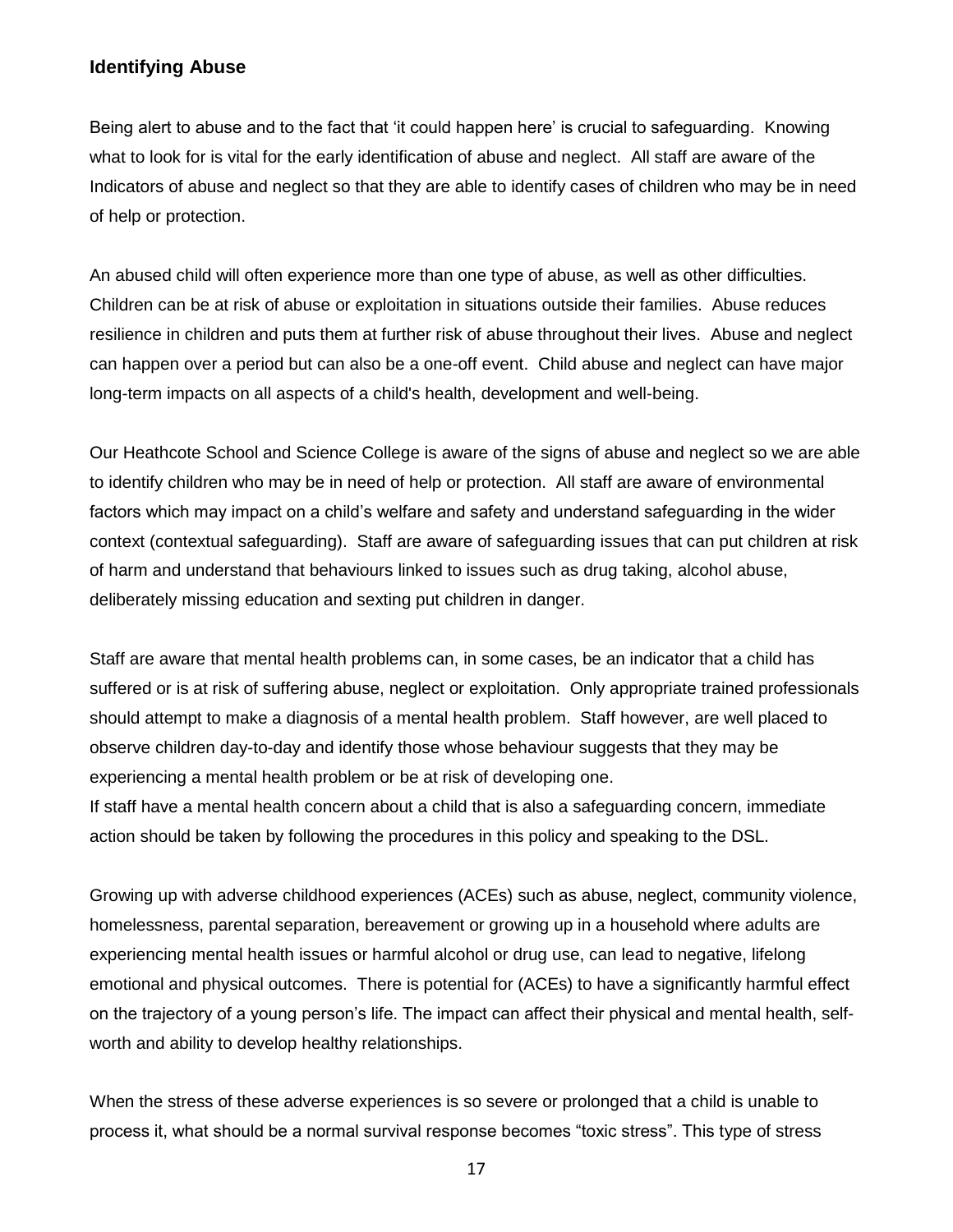#### **Identifying Abuse**

Being alert to abuse and to the fact that 'it could happen here' is crucial to safeguarding. Knowing what to look for is vital for the early identification of abuse and neglect. All staff are aware of the Indicators of abuse and neglect so that they are able to identify cases of children who may be in need of help or protection.

An abused child will often experience more than one type of abuse, as well as other difficulties. Children can be at risk of abuse or exploitation in situations outside their families. Abuse reduces resilience in children and puts them at further risk of abuse throughout their lives. Abuse and neglect can happen over a period but can also be a one-off event. Child abuse and neglect can have major long-term impacts on all aspects of a child's health, development and well-being.

Our Heathcote School and Science College is aware of the signs of abuse and neglect so we are able to identify children who may be in need of help or protection. All staff are aware of environmental factors which may impact on a child's welfare and safety and understand safeguarding in the wider context (contextual safeguarding). Staff are aware of safeguarding issues that can put children at risk of harm and understand that behaviours linked to issues such as drug taking, alcohol abuse, deliberately missing education and sexting put children in danger.

Staff are aware that mental health problems can, in some cases, be an indicator that a child has suffered or is at risk of suffering abuse, neglect or exploitation. Only appropriate trained professionals should attempt to make a diagnosis of a mental health problem. Staff however, are well placed to observe children day-to-day and identify those whose behaviour suggests that they may be experiencing a mental health problem or be at risk of developing one. If staff have a mental health concern about a child that is also a safeguarding concern, immediate

action should be taken by following the procedures in this policy and speaking to the DSL.

Growing up with adverse childhood experiences (ACEs) such as abuse, neglect, community violence, homelessness, parental separation, bereavement or growing up in a household where adults are experiencing mental health issues or harmful alcohol or drug use, can lead to negative, lifelong emotional and physical outcomes. There is potential for (ACEs) to have a significantly harmful effect on the trajectory of a young person's life. The impact can affect their physical and mental health, selfworth and ability to develop healthy relationships.

When the stress of these adverse experiences is so severe or prolonged that a child is unable to process it, what should be a normal survival response becomes "toxic stress". This type of stress

17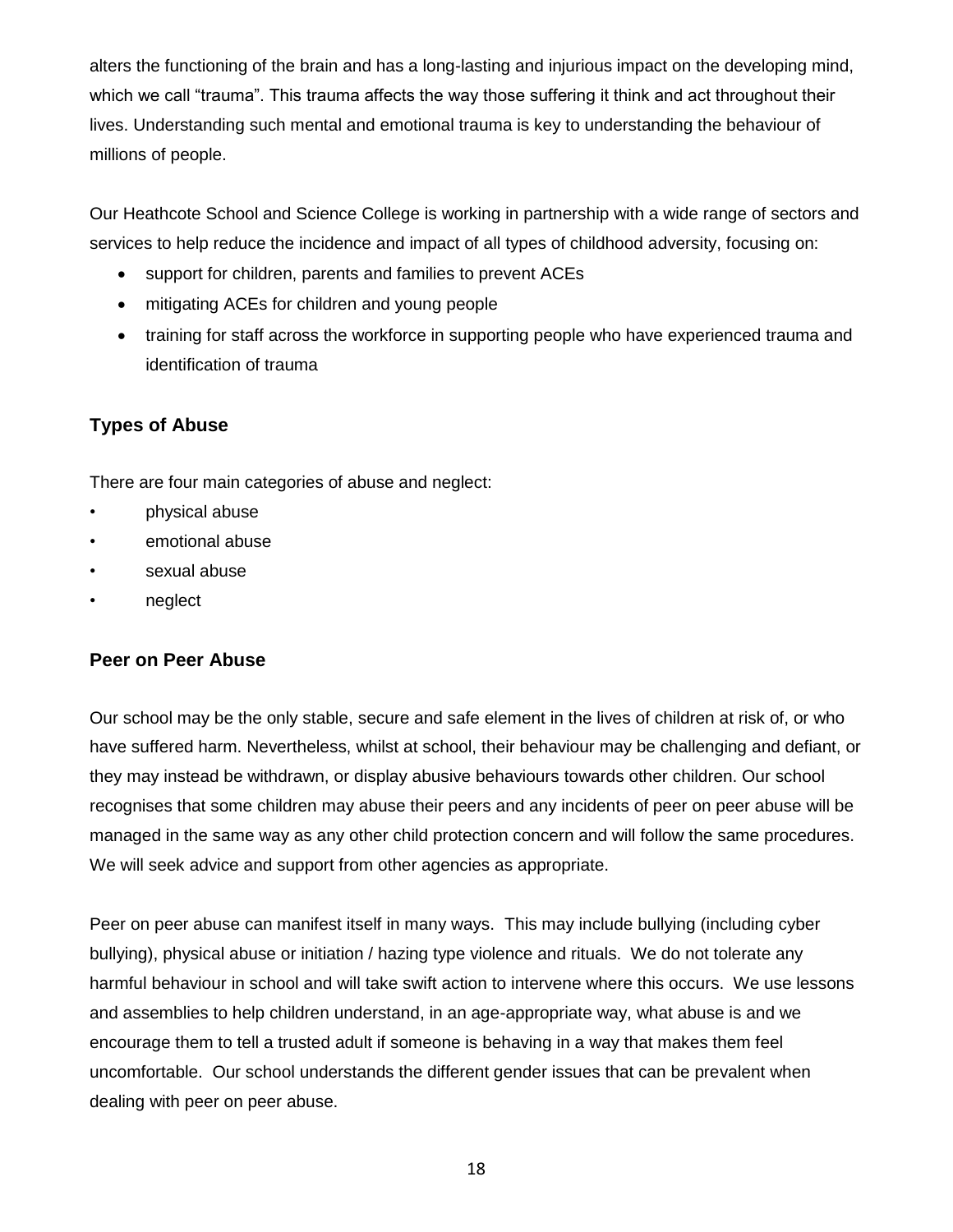alters the functioning of the brain and has a long-lasting and injurious impact on the developing mind, which we call "trauma". This trauma affects the way those suffering it think and act throughout their lives. Understanding such mental and emotional trauma is key to understanding the behaviour of millions of people.

Our Heathcote School and Science College is working in partnership with a wide range of sectors and services to help reduce the incidence and impact of all types of childhood adversity, focusing on:

- support for children, parents and families to prevent ACEs
- mitigating ACEs for children and young people
- training for staff across the workforce in supporting people who have experienced trauma and identification of trauma

#### **Types of Abuse**

There are four main categories of abuse and neglect:

- physical abuse
- emotional abuse
- sexual abuse
- neglect

#### **Peer on Peer Abuse**

Our school may be the only stable, secure and safe element in the lives of children at risk of, or who have suffered harm. Nevertheless, whilst at school, their behaviour may be challenging and defiant, or they may instead be withdrawn, or display abusive behaviours towards other children. Our school recognises that some children may abuse their peers and any incidents of peer on peer abuse will be managed in the same way as any other child protection concern and will follow the same procedures. We will seek advice and support from other agencies as appropriate.

Peer on peer abuse can manifest itself in many ways. This may include bullying (including cyber bullying), physical abuse or initiation / hazing type violence and rituals. We do not tolerate any harmful behaviour in school and will take swift action to intervene where this occurs. We use lessons and assemblies to help children understand, in an age-appropriate way, what abuse is and we encourage them to tell a trusted adult if someone is behaving in a way that makes them feel uncomfortable. Our school understands the different gender issues that can be prevalent when dealing with peer on peer abuse.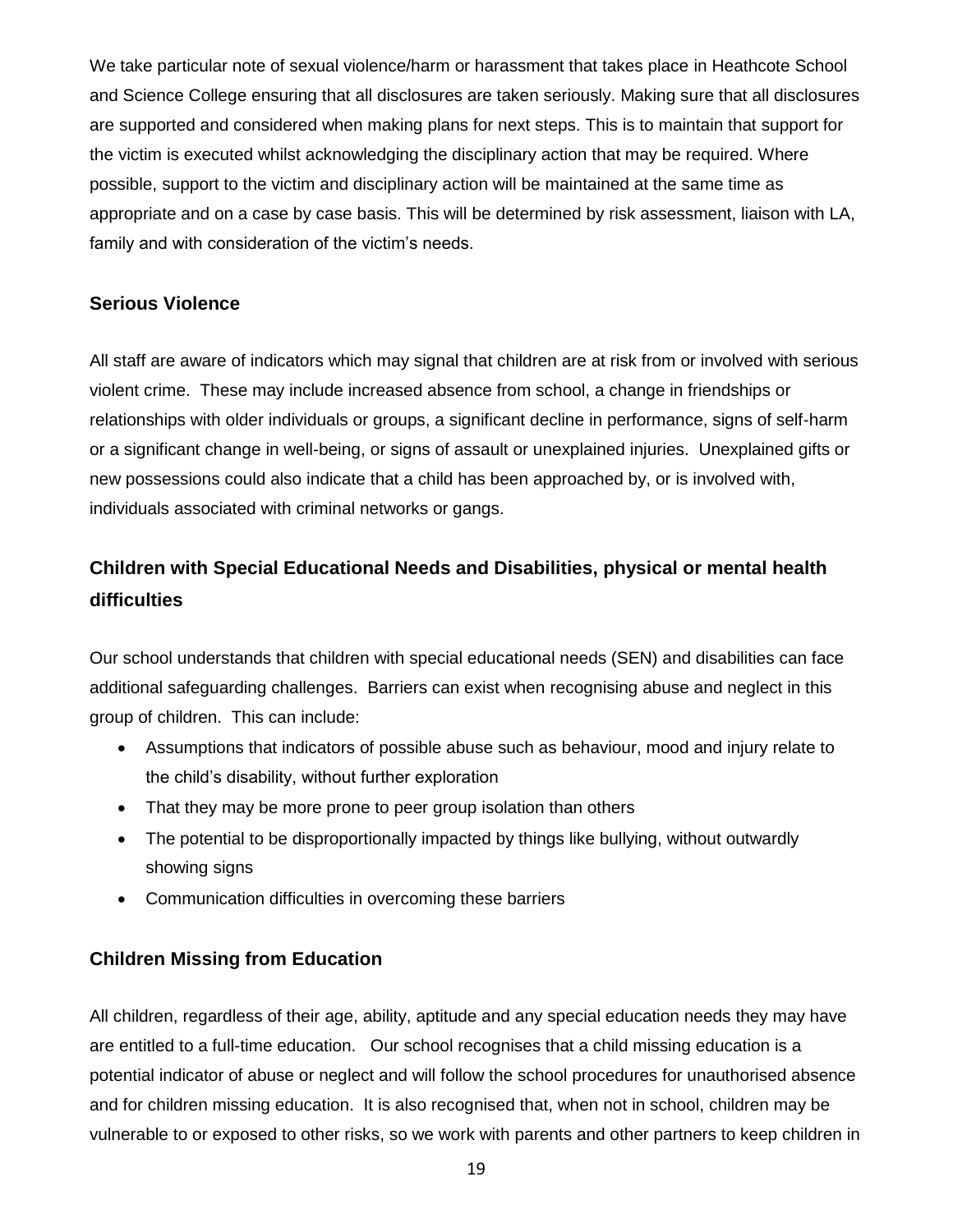We take particular note of sexual violence/harm or harassment that takes place in Heathcote School and Science College ensuring that all disclosures are taken seriously. Making sure that all disclosures are supported and considered when making plans for next steps. This is to maintain that support for the victim is executed whilst acknowledging the disciplinary action that may be required. Where possible, support to the victim and disciplinary action will be maintained at the same time as appropriate and on a case by case basis. This will be determined by risk assessment, liaison with LA, family and with consideration of the victim's needs.

#### **Serious Violence**

All staff are aware of indicators which may signal that children are at risk from or involved with serious violent crime. These may include increased absence from school, a change in friendships or relationships with older individuals or groups, a significant decline in performance, signs of self-harm or a significant change in well-being, or signs of assault or unexplained injuries. Unexplained gifts or new possessions could also indicate that a child has been approached by, or is involved with, individuals associated with criminal networks or gangs.

## **Children with Special Educational Needs and Disabilities, physical or mental health difficulties**

Our school understands that children with special educational needs (SEN) and disabilities can face additional safeguarding challenges. Barriers can exist when recognising abuse and neglect in this group of children. This can include:

- Assumptions that indicators of possible abuse such as behaviour, mood and injury relate to the child's disability, without further exploration
- That they may be more prone to peer group isolation than others
- The potential to be disproportionally impacted by things like bullying, without outwardly showing signs
- Communication difficulties in overcoming these barriers

#### **Children Missing from Education**

All children, regardless of their age, ability, aptitude and any special education needs they may have are entitled to a full-time education. Our school recognises that a child missing education is a potential indicator of abuse or neglect and will follow the school procedures for unauthorised absence and for children missing education. It is also recognised that, when not in school, children may be vulnerable to or exposed to other risks, so we work with parents and other partners to keep children in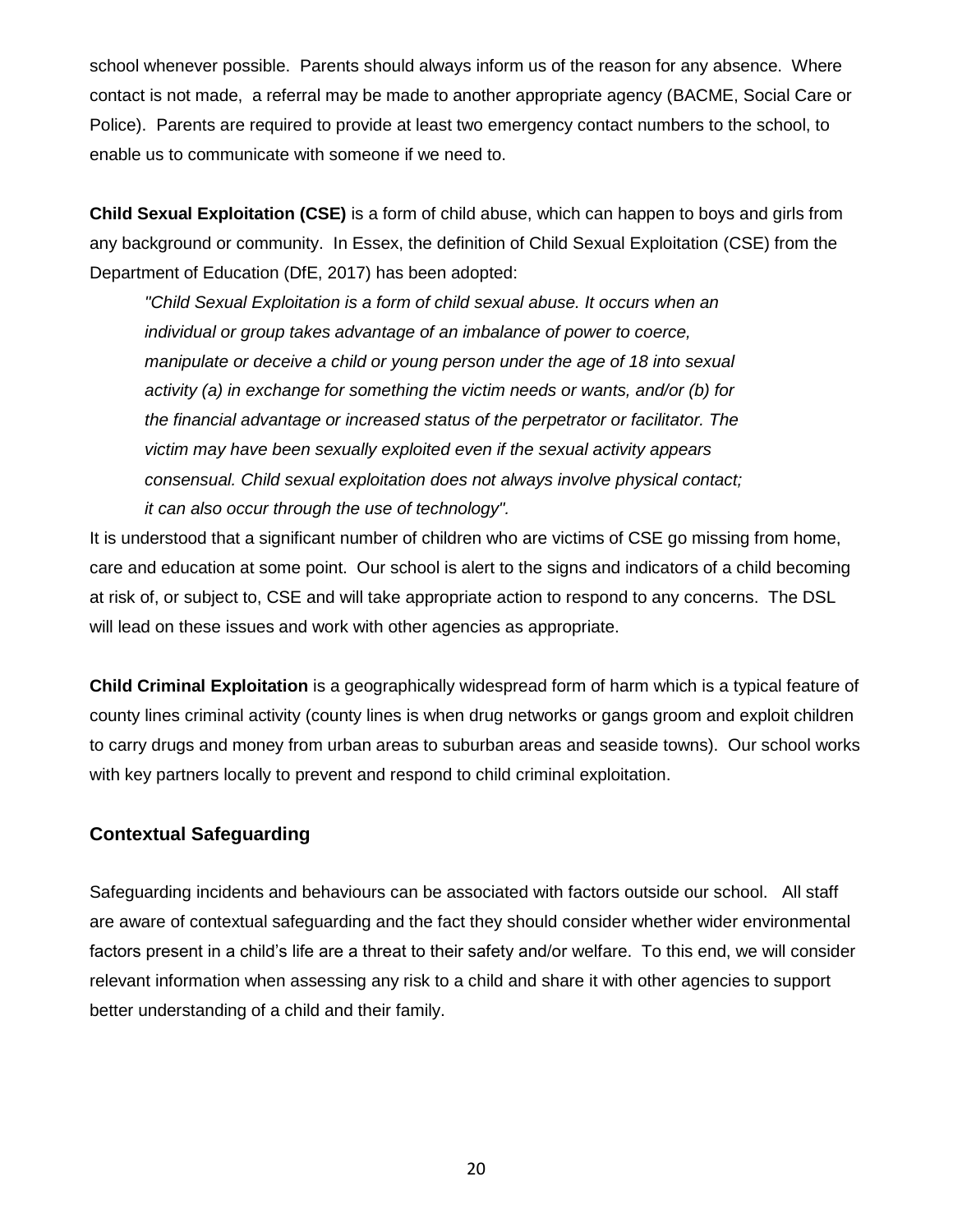school whenever possible. Parents should always inform us of the reason for any absence. Where contact is not made, a referral may be made to another appropriate agency [\(BACME,](https://schools.essex.gov.uk/pupils/Education_Access/Pages/default.aspx) Social Care or Police). Parents are required to provide at least two emergency contact numbers to the school, to enable us to communicate with someone if we need to.

**Child Sexual Exploitation (CSE)** is a form of child abuse, which can happen to boys and girls from any background or community. In Essex, the definition of Child Sexual Exploitation (CSE) from the Department of Education (DfE, 2017) has been adopted:

*"Child Sexual Exploitation is a form of child sexual abuse. It occurs when an individual or group takes advantage of an imbalance of power to coerce, manipulate or deceive a child or young person under the age of 18 into sexual activity (a) in exchange for something the victim needs or wants, and/or (b) for the financial advantage or increased status of the perpetrator or facilitator. The victim may have been sexually exploited even if the sexual activity appears consensual. Child sexual exploitation does not always involve physical contact; it can also occur through the use of technology".*

It is understood that a significant number of children who are victims of CSE go missing from home, care and education at some point. Our school is alert to the signs and indicators of a child becoming at risk of, or subject to, CSE and will take appropriate action to respond to any concerns. The DSL will lead on these issues and work with other agencies as appropriate.

**Child Criminal Exploitation** is a geographically widespread form of harm which is a typical feature of county lines criminal activity (county lines is when drug networks or gangs groom and exploit children to carry drugs and money from urban areas to suburban areas and seaside towns). Our school works with key partners locally to prevent and respond to child criminal exploitation.

#### **Contextual Safeguarding**

Safeguarding incidents and behaviours can be associated with factors outside our school. All staff are aware of contextual safeguarding and the fact they should consider whether wider environmental factors present in a child's life are a threat to their safety and/or welfare. To this end, we will consider relevant information when assessing any risk to a child and share it with other agencies to support better understanding of a child and their family.

20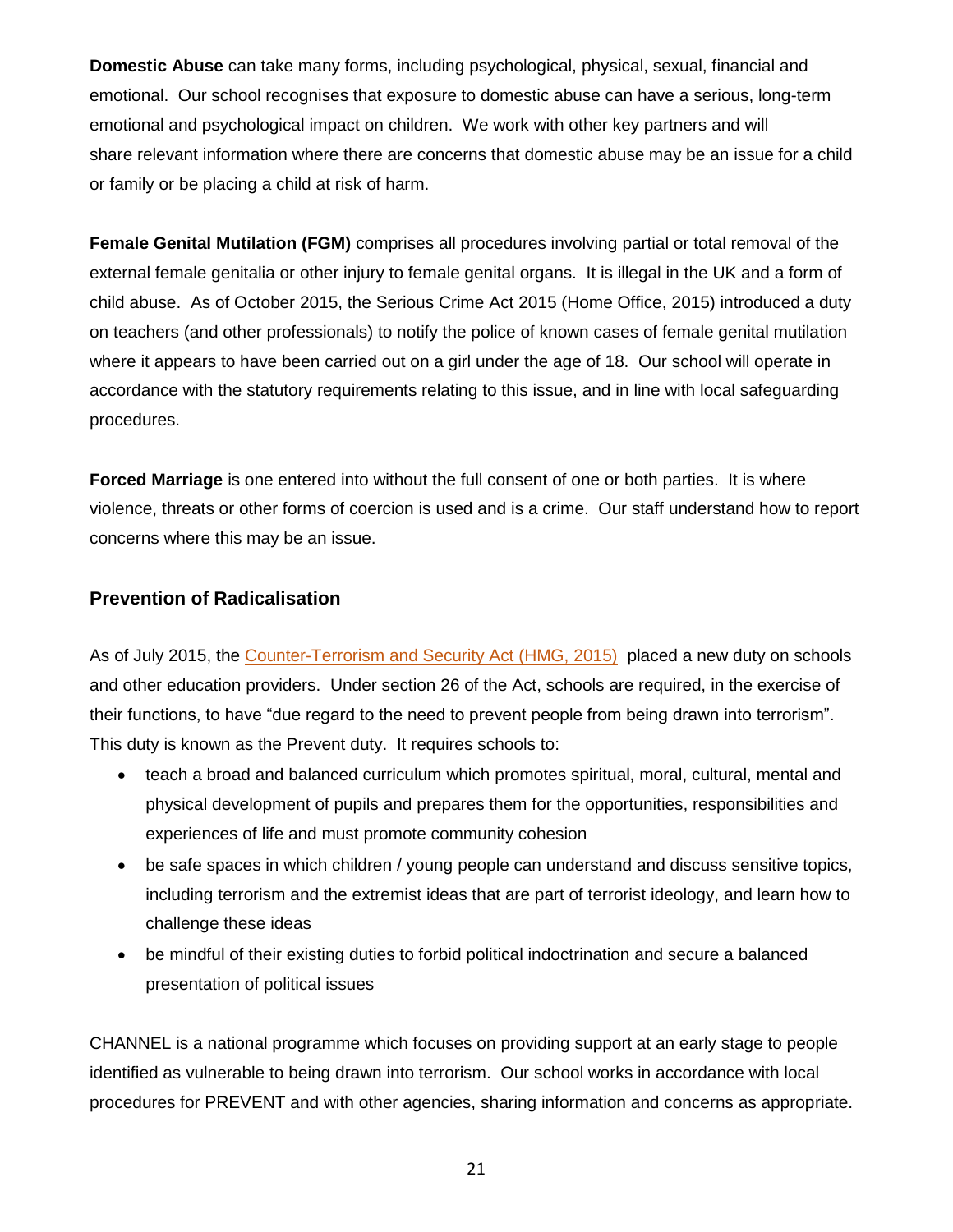**Domestic Abuse** can take many forms, including psychological, physical, sexual, financial and emotional. Our school recognises that exposure to domestic abuse can have a serious, long-term emotional and psychological impact on children. We work with other key partners and will share relevant information where there are concerns that domestic abuse may be an issue for a child or family or be placing a child at risk of harm.

**Female Genital Mutilation (FGM)** comprises all procedures involving partial or total removal of the external female genitalia or other injury to female genital organs. It is illegal in the UK and a form of child abuse. As of October 2015, the Serious Crime Act 2015 (Home Office, 2015) introduced a duty on teachers (and other professionals) to notify the police of known cases of female genital mutilation where it appears to have been carried out on a girl under the age of 18. Our school will operate in accordance with the statutory requirements relating to this issue, and in line with local safeguarding procedures.

**Forced Marriage** is one entered into without the full consent of one or both parties. It is where violence, threats or other forms of coercion is used and is a crime. Our staff understand how to report concerns where this may be an issue.

#### **Prevention of Radicalisation**

As of July 2015, the [Counter-Terrorism and Security Act \(HMG, 2015\)](http://www.legislation.gov.uk/ukpga/2015/6/contents) placed a new duty on schools and other education providers. Under section 26 of the Act, schools are required, in the exercise of their functions, to have "due regard to the need to prevent people from being drawn into terrorism". This duty is known as the Prevent duty. It requires schools to:

- teach a broad and balanced curriculum which promotes spiritual, moral, cultural, mental and physical development of pupils and prepares them for the opportunities, responsibilities and experiences of life and must promote community cohesion
- be safe spaces in which children / young people can understand and discuss sensitive topics, including terrorism and the extremist ideas that are part of terrorist ideology, and learn how to challenge these ideas
- be mindful of their existing duties to forbid political indoctrination and secure a balanced presentation of political issues

CHANNEL is a national programme which focuses on providing support at an early stage to people identified as vulnerable to being drawn into terrorism. Our school works in accordance with local procedures for PREVENT and with other agencies, sharing information and concerns as appropriate.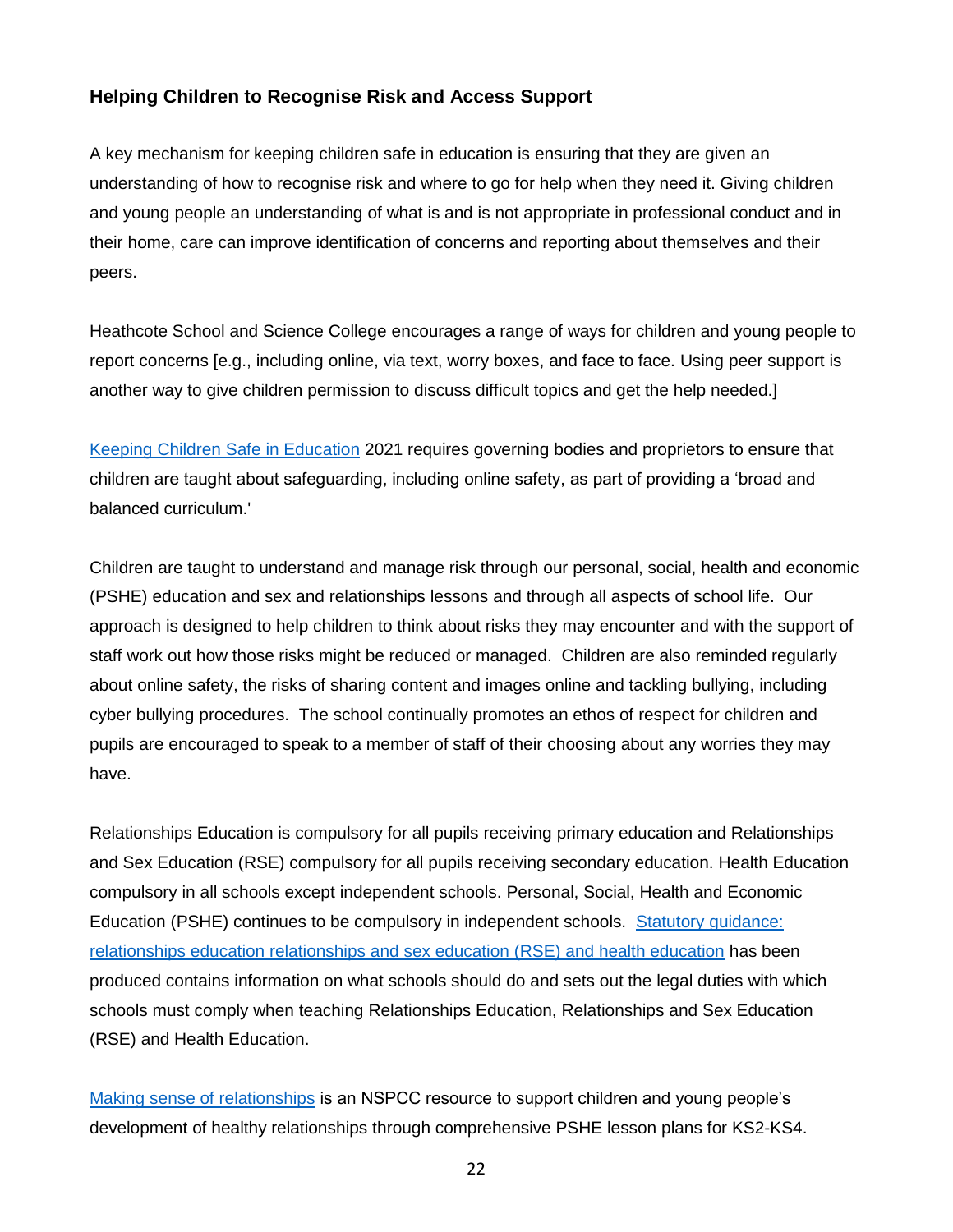#### **Helping Children to Recognise Risk and Access Support**

A key mechanism for keeping children safe in education is ensuring that they are given an understanding of how to recognise risk and where to go for help when they need it. Giving children and young people an understanding of what is and is not appropriate in professional conduct and in their home, care can improve identification of concerns and reporting about themselves and their peers.

Heathcote School and Science College encourages a range of ways for children and young people to report concerns [e.g., including online, via text, worry boxes, and face to face. Using peer support is another way to give children permission to discuss difficult topics and get the help needed.]

[Keeping Children Safe in Education](https://assets.publishing.service.gov.uk/government/uploads/system/uploads/attachment_data/file/892394/Keeping_children_safe_in_education_2020.pdf) 2021 requires governing bodies and proprietors to ensure that children are taught about safeguarding, including online safety, as part of providing a 'broad and balanced curriculum.'

Children are taught to understand and manage risk through our personal, social, health and economic (PSHE) education and sex and relationships lessons and through all aspects of school life. Our approach is designed to help children to think about risks they may encounter and with the support of staff work out how those risks might be reduced or managed. Children are also reminded regularly about online safety, the risks of sharing content and images online and tackling bullying, including cyber bullying procedures. The school continually promotes an ethos of respect for children and pupils are encouraged to speak to a member of staff of their choosing about any worries they may have.

Relationships Education is compulsory for all pupils receiving primary education and Relationships and Sex Education (RSE) compulsory for all pupils receiving secondary education. Health Education compulsory in all schools except independent schools. Personal, Social, Health and Economic Education (PSHE) continues to be compulsory in independent schools. [Statutory guidance:](file:///C:/Users/gnash/AppData/Local/Microsoft/Windows/INetCache/Content.Outlook/37XQZTW6/Relationships%20Education%20compulsory%20for%20all%20pupils%20receiving%20primary%20education%20and%20Relationships%20and%20Sex%20Education%20(RSE)%20compulsory%20for%20all%20pupils%20receiving%20secondary%20education.4%20They%20also%20make%20Health%20Education%20compulsory%20in%20all%20schools%20except%20independent%20schools.%20Personal,%20Social,%20Health%20and%20Economic%20Education%20(PSHE)%20continues%20to%20be%20compulsory%20in%20independent%20schools.)  relationships education [relationships and sex education \(RSE\) and health education](file:///C:/Users/gnash/AppData/Local/Microsoft/Windows/INetCache/Content.Outlook/37XQZTW6/Relationships%20Education%20compulsory%20for%20all%20pupils%20receiving%20primary%20education%20and%20Relationships%20and%20Sex%20Education%20(RSE)%20compulsory%20for%20all%20pupils%20receiving%20secondary%20education.4%20They%20also%20make%20Health%20Education%20compulsory%20in%20all%20schools%20except%20independent%20schools.%20Personal,%20Social,%20Health%20and%20Economic%20Education%20(PSHE)%20continues%20to%20be%20compulsory%20in%20independent%20schools.) has been produced contains information on what schools should do and sets out the legal duties with which schools must comply when teaching Relationships Education, Relationships and Sex Education (RSE) and Health Education.

[Making sense of relationships](https://learning.nspcc.org.uk/research-resources/schools/making-sense-relationships/) is an NSPCC resource to support children and young people's development of healthy relationships through comprehensive PSHE lesson plans for KS2-KS4.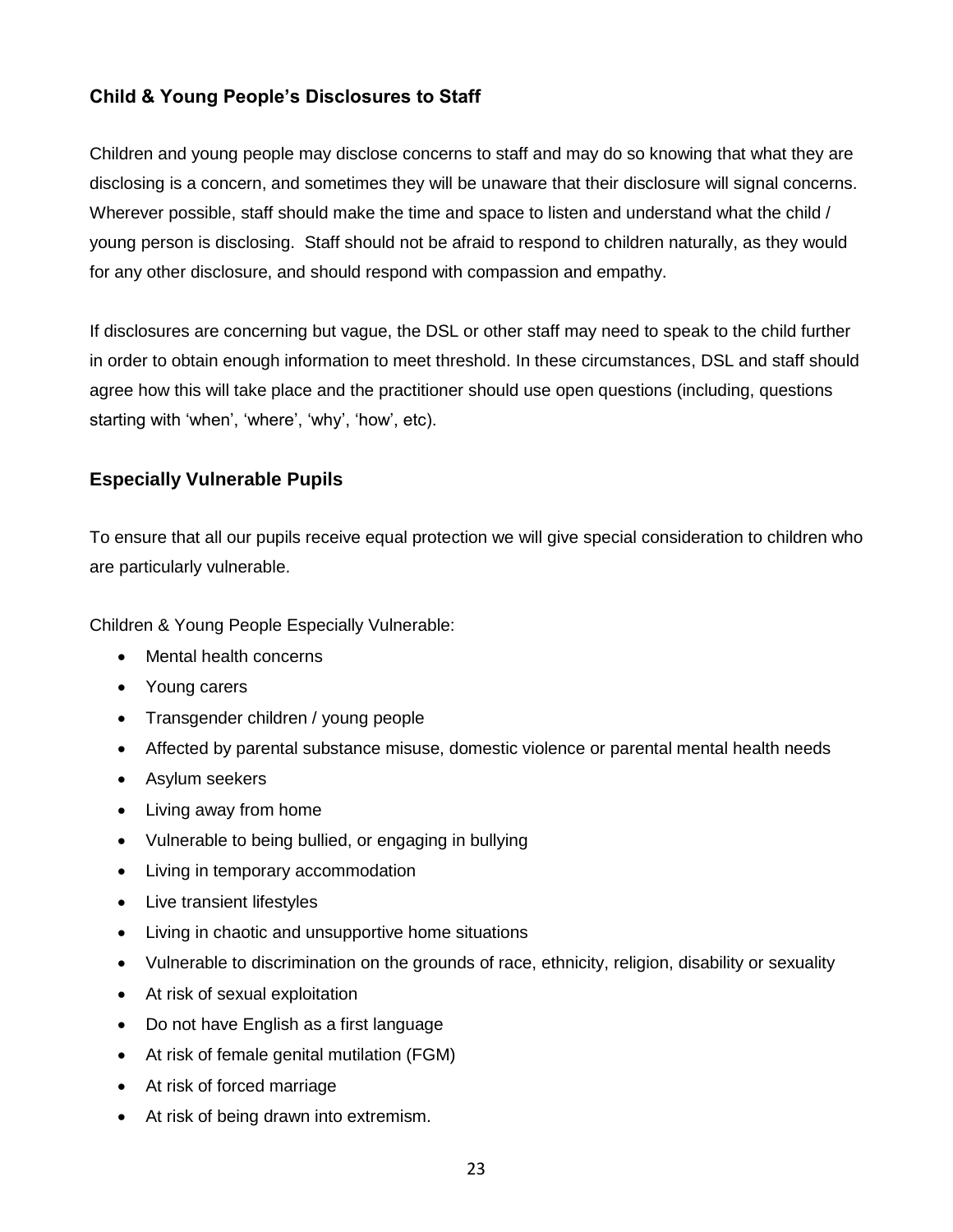#### **Child & Young People's Disclosures to Staff**

Children and young people may disclose concerns to staff and may do so knowing that what they are disclosing is a concern, and sometimes they will be unaware that their disclosure will signal concerns. Wherever possible, staff should make the time and space to listen and understand what the child / young person is disclosing. Staff should not be afraid to respond to children naturally, as they would for any other disclosure, and should respond with compassion and empathy.

If disclosures are concerning but vague, the DSL or other staff may need to speak to the child further in order to obtain enough information to meet threshold. In these circumstances, DSL and staff should agree how this will take place and the practitioner should use open questions (including, questions starting with 'when', 'where', 'why', 'how', etc).

#### **Especially Vulnerable Pupils**

To ensure that all our pupils receive equal protection we will give special consideration to children who are particularly vulnerable.

Children & Young People Especially Vulnerable:

- Mental health concerns
- Young carers
- Transgender children / young people
- Affected by parental substance misuse, domestic violence or parental mental health needs
- Asylum seekers
- Living away from home
- Vulnerable to being bullied, or engaging in bullying
- Living in temporary accommodation
- Live transient lifestyles
- Living in chaotic and unsupportive home situations
- Vulnerable to discrimination on the grounds of race, ethnicity, religion, disability or sexuality
- At risk of sexual exploitation
- Do not have English as a first language
- At risk of female genital mutilation (FGM)
- At risk of forced marriage
- At risk of being drawn into extremism.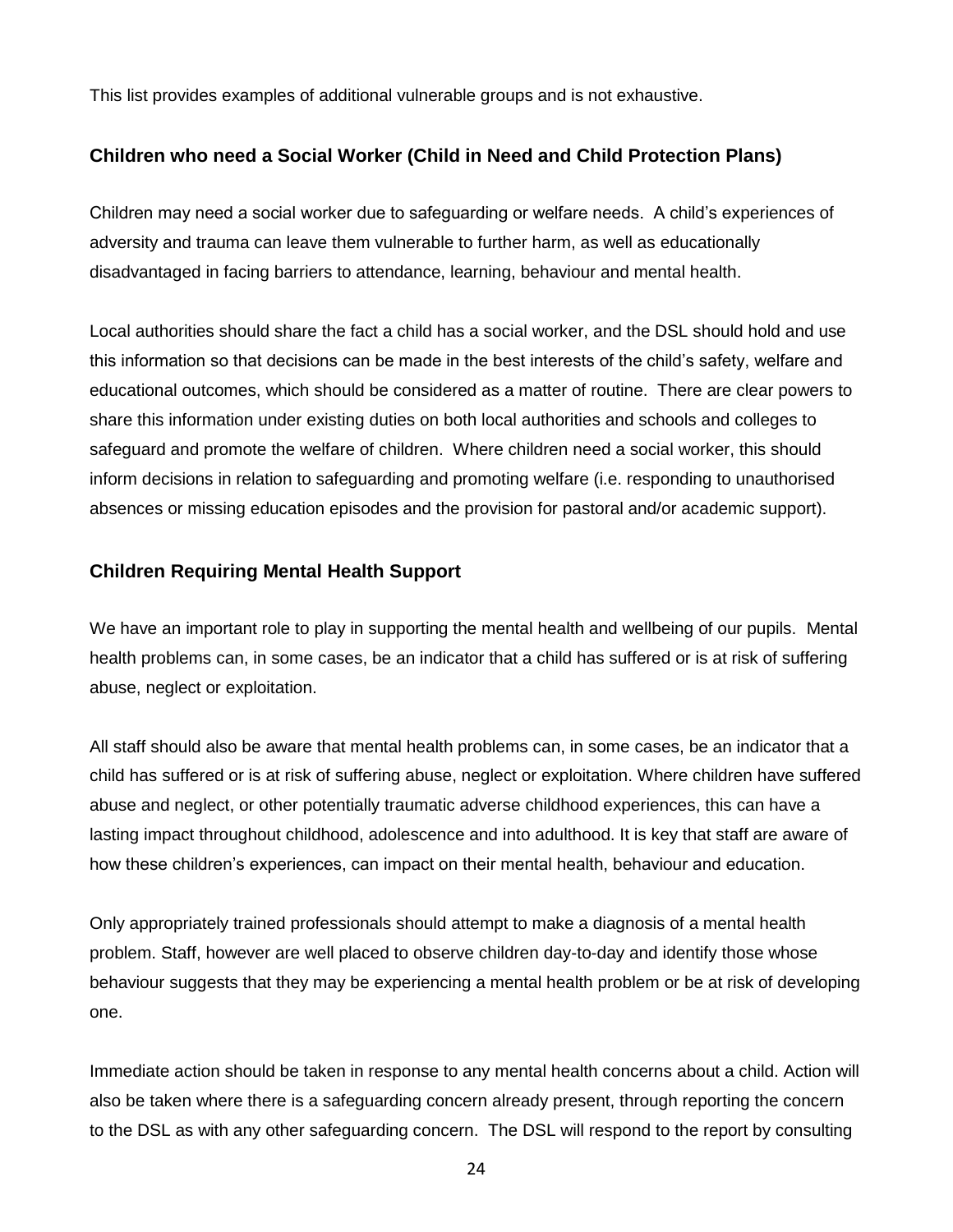This list provides examples of additional vulnerable groups and is not exhaustive.

#### **Children who need a Social Worker (Child in Need and Child Protection Plans)**

Children may need a social worker due to safeguarding or welfare needs. A child's experiences of adversity and trauma can leave them vulnerable to further harm, as well as educationally disadvantaged in facing barriers to attendance, learning, behaviour and mental health.

Local authorities should share the fact a child has a social worker, and the DSL should hold and use this information so that decisions can be made in the best interests of the child's safety, welfare and educational outcomes, which should be considered as a matter of routine. There are clear powers to share this information under existing duties on both local authorities and schools and colleges to safeguard and promote the welfare of children. Where children need a social worker, this should inform decisions in relation to safeguarding and promoting welfare (i.e. responding to unauthorised absences or missing education episodes and the provision for pastoral and/or academic support).

#### **Children Requiring Mental Health Support**

We have an important role to play in supporting the mental health and wellbeing of our pupils. Mental health problems can, in some cases, be an indicator that a child has suffered or is at risk of suffering abuse, neglect or exploitation.

All staff should also be aware that mental health problems can, in some cases, be an indicator that a child has suffered or is at risk of suffering abuse, neglect or exploitation. Where children have suffered abuse and neglect, or other potentially traumatic adverse childhood experiences, this can have a lasting impact throughout childhood, adolescence and into adulthood. It is key that staff are aware of how these children's experiences, can impact on their mental health, behaviour and education.

Only appropriately trained professionals should attempt to make a diagnosis of a mental health problem. Staff, however are well placed to observe children day-to-day and identify those whose behaviour suggests that they may be experiencing a mental health problem or be at risk of developing one.

Immediate action should be taken in response to any mental health concerns about a child. Action will also be taken where there is a safeguarding concern already present, through reporting the concern to the DSL as with any other safeguarding concern. The DSL will respond to the report by consulting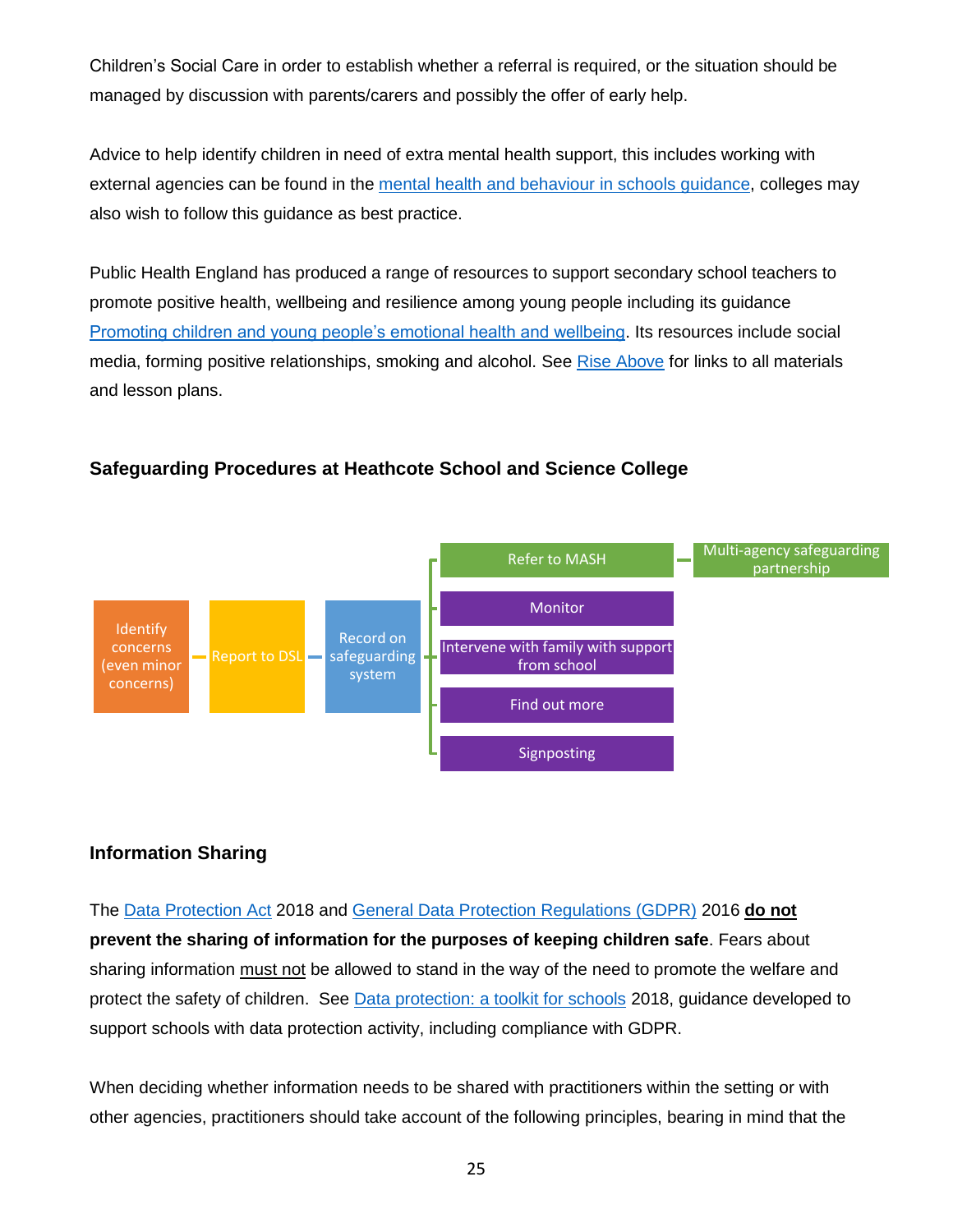Children's Social Care in order to establish whether a referral is required, or the situation should be managed by discussion with parents/carers and possibly the offer of early help.

Advice to help identify children in need of extra mental health support, this includes working with external agencies can be found in the [mental health and behaviour in schools guidance,](https://www.gov.uk/government/publications/mental-health-and-behaviour-in-schools--2) colleges may also wish to follow this guidance as best practice.

Public Health England has produced a range of resources to support secondary school teachers to promote positive health, wellbeing and resilience among young people including its guidance [Promoting children and young people's emotional health and wellbeing.](https://www.gov.uk/government/publications/promoting-children-and-young-peoples-emotional-health-and-wellbeing) Its resources include social media, forming positive relationships, smoking and alcohol. See [Rise Above](https://campaignresources.phe.gov.uk/schools/topics/rise-above/overview) for links to all materials and lesson plans.

#### **Identify** concerns (even minor concerns) Report to DSL Record on safeguarding system Refer to MASH **Multi-agency safeguarding** partnership Monitor Intervene with family with support from school Find out more Signposting

### **Safeguarding Procedures at Heathcote School and Science College**

#### **Information Sharing**

The [Data Protection Act](https://www.gov.uk/data-protection) 2018 and [General Data Protection Regulations \(GDPR\)](https://gdpr-info.eu/) 2016 **do not prevent the sharing of information for the purposes of keeping children safe**. Fears about sharing information must not be allowed to stand in the way of the need to promote the welfare and protect the safety of children. See [Data protection: a toolkit for schools](https://assets.publishing.service.gov.uk/government/uploads/system/uploads/attachment_data/file/747620/Data_Protection_Toolkit_for_Schools_OpenBeta.pdf) 2018, guidance developed to support schools with data protection activity, including compliance with GDPR.

When deciding whether information needs to be shared with practitioners within the setting or with other agencies, practitioners should take account of the following principles, bearing in mind that the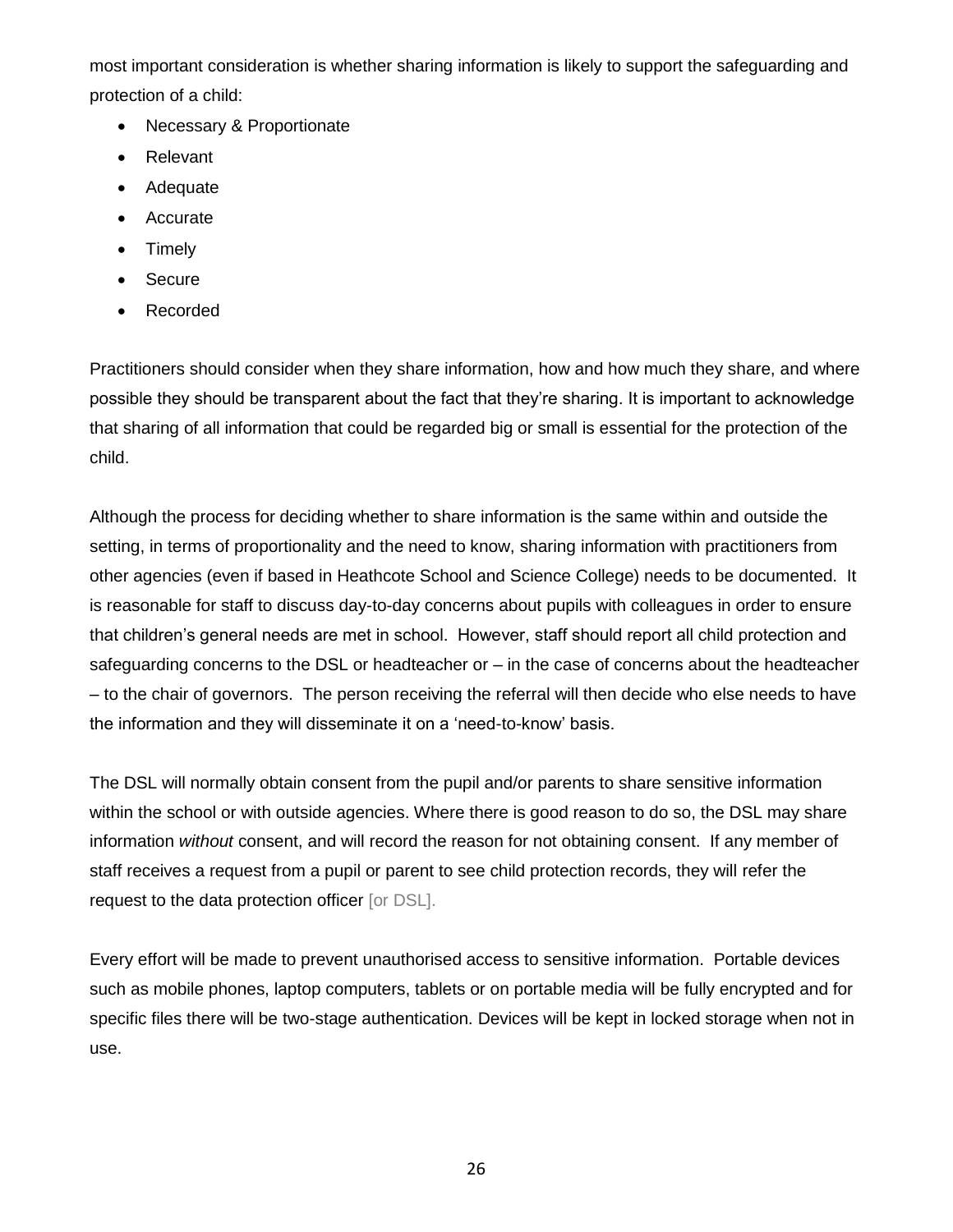most important consideration is whether sharing information is likely to support the safeguarding and protection of a child:

- Necessary & Proportionate
- Relevant
- Adequate
- Accurate
- Timely
- Secure
- Recorded

Practitioners should consider when they share information, how and how much they share, and where possible they should be transparent about the fact that they're sharing. It is important to acknowledge that sharing of all information that could be regarded big or small is essential for the protection of the child.

Although the process for deciding whether to share information is the same within and outside the setting, in terms of proportionality and the need to know, sharing information with practitioners from other agencies (even if based in Heathcote School and Science College) needs to be documented. It is reasonable for staff to discuss day-to-day concerns about pupils with colleagues in order to ensure that children's general needs are met in school. However, staff should report all child protection and safeguarding concerns to the DSL or headteacher or – in the case of concerns about the headteacher – to the chair of governors. The person receiving the referral will then decide who else needs to have the information and they will disseminate it on a 'need-to-know' basis.

The DSL will normally obtain consent from the pupil and/or parents to share sensitive information within the school or with outside agencies. Where there is good reason to do so, the DSL may share information *without* consent, and will record the reason for not obtaining consent. If any member of staff receives a request from a pupil or parent to see child protection records, they will refer the request to the data protection officer [or DSL].

Every effort will be made to prevent unauthorised access to sensitive information. Portable devices such as mobile phones, laptop computers, tablets or on portable media will be fully encrypted and for specific files there will be two-stage authentication. Devices will be kept in locked storage when not in use.

26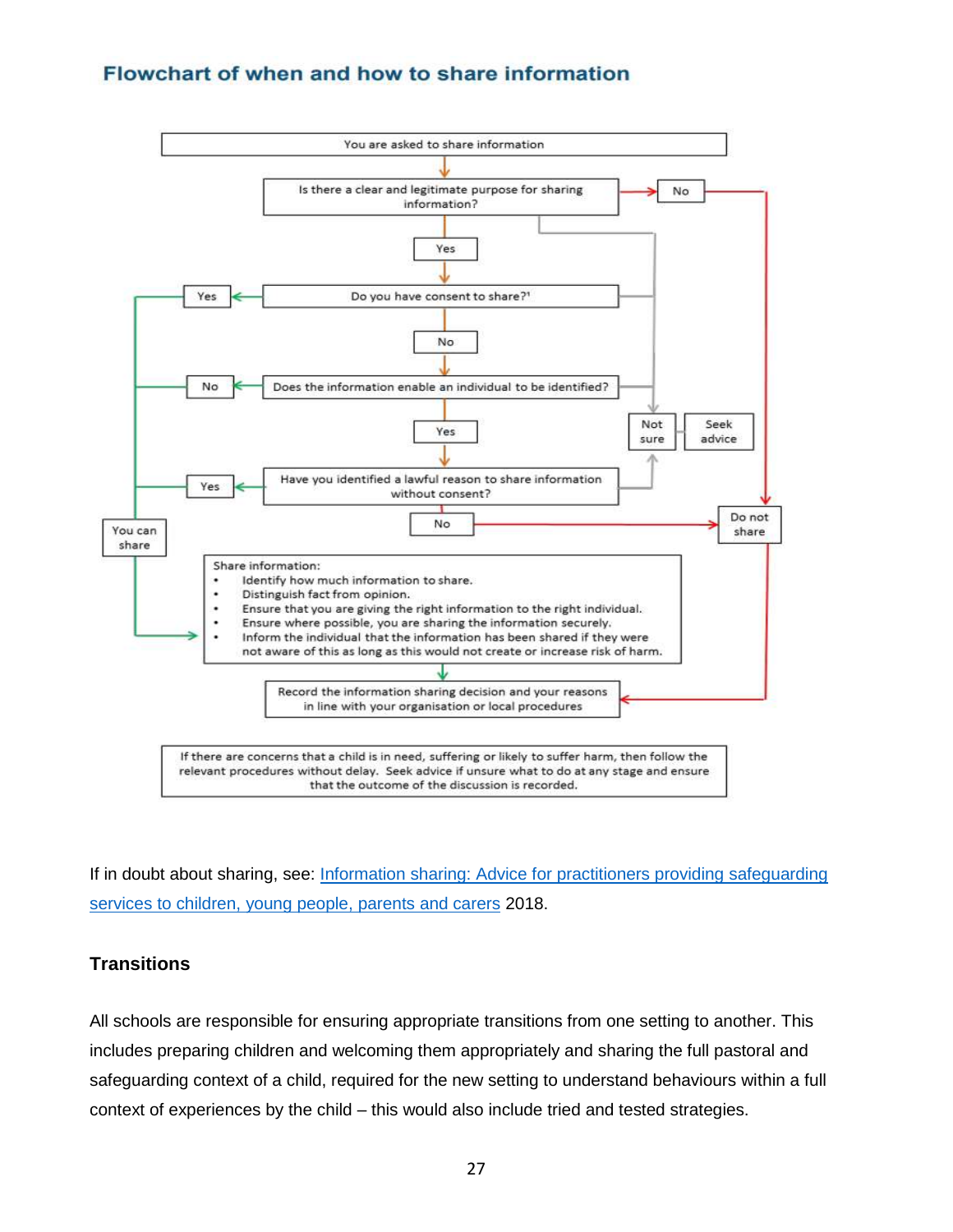## Flowchart of when and how to share information



If in doubt about sharing, see: [Information sharing: Advice for practitioners providing safeguarding](https://assets.publishing.service.gov.uk/government/uploads/system/uploads/attachment_data/file/721581/Information_sharing_advice_practitioners_safeguarding_services.pdf)  [services to children, young people, parents and carers](https://assets.publishing.service.gov.uk/government/uploads/system/uploads/attachment_data/file/721581/Information_sharing_advice_practitioners_safeguarding_services.pdf) 2018.

#### **Transitions**

All schools are responsible for ensuring appropriate transitions from one setting to another. This includes preparing children and welcoming them appropriately and sharing the full pastoral and safeguarding context of a child, required for the new setting to understand behaviours within a full context of experiences by the child – this would also include tried and tested strategies.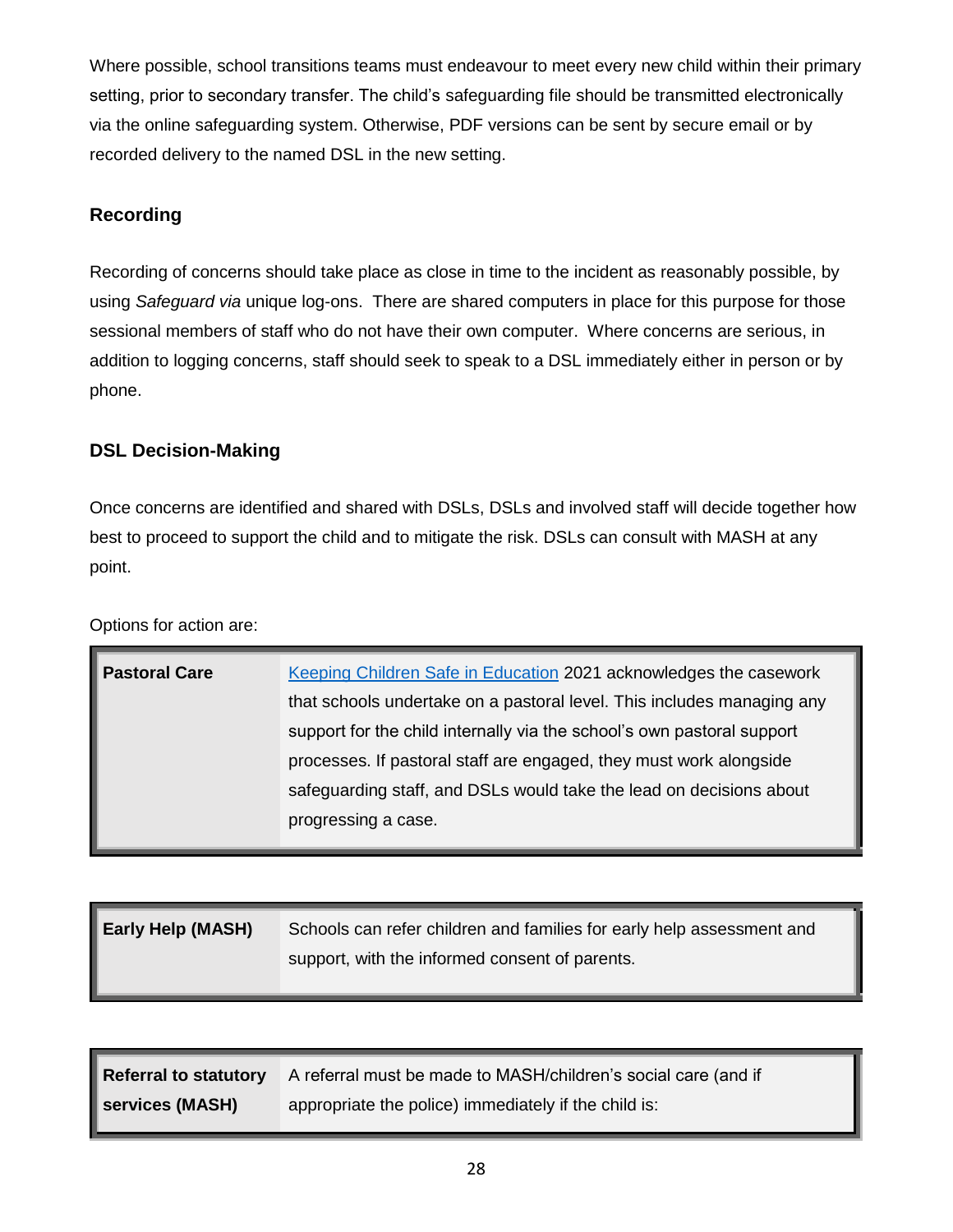Where possible, school transitions teams must endeavour to meet every new child within their primary setting, prior to secondary transfer. The child's safeguarding file should be transmitted electronically via the online safeguarding system. Otherwise, PDF versions can be sent by secure email or by recorded delivery to the named DSL in the new setting.

#### **Recording**

Recording of concerns should take place as close in time to the incident as reasonably possible, by using *Safeguard via* unique log-ons. There are shared computers in place for this purpose for those sessional members of staff who do not have their own computer. Where concerns are serious, in addition to logging concerns, staff should seek to speak to a DSL immediately either in person or by phone.

#### **DSL Decision-Making**

Once concerns are identified and shared with DSLs, DSLs and involved staff will decide together how best to proceed to support the child and to mitigate the risk. DSLs can consult with MASH at any point.

Options for action are:

| <b>Pastoral Care</b> | Keeping Children Safe in Education 2021 acknowledges the casework      |
|----------------------|------------------------------------------------------------------------|
|                      | that schools undertake on a pastoral level. This includes managing any |
|                      | support for the child internally via the school's own pastoral support |
|                      | processes. If pastoral staff are engaged, they must work alongside     |
|                      | safeguarding staff, and DSLs would take the lead on decisions about    |
|                      | progressing a case.                                                    |
|                      |                                                                        |

| <b>Early Help (MASH)</b> | Schools can refer children and families for early help assessment and |
|--------------------------|-----------------------------------------------------------------------|
|                          | support, with the informed consent of parents.                        |

|                        | <b>Referral to statutory</b> A referral must be made to MASH/children's social care (and if |
|------------------------|---------------------------------------------------------------------------------------------|
| <b>Services (MASH)</b> | appropriate the police) immediately if the child is:                                        |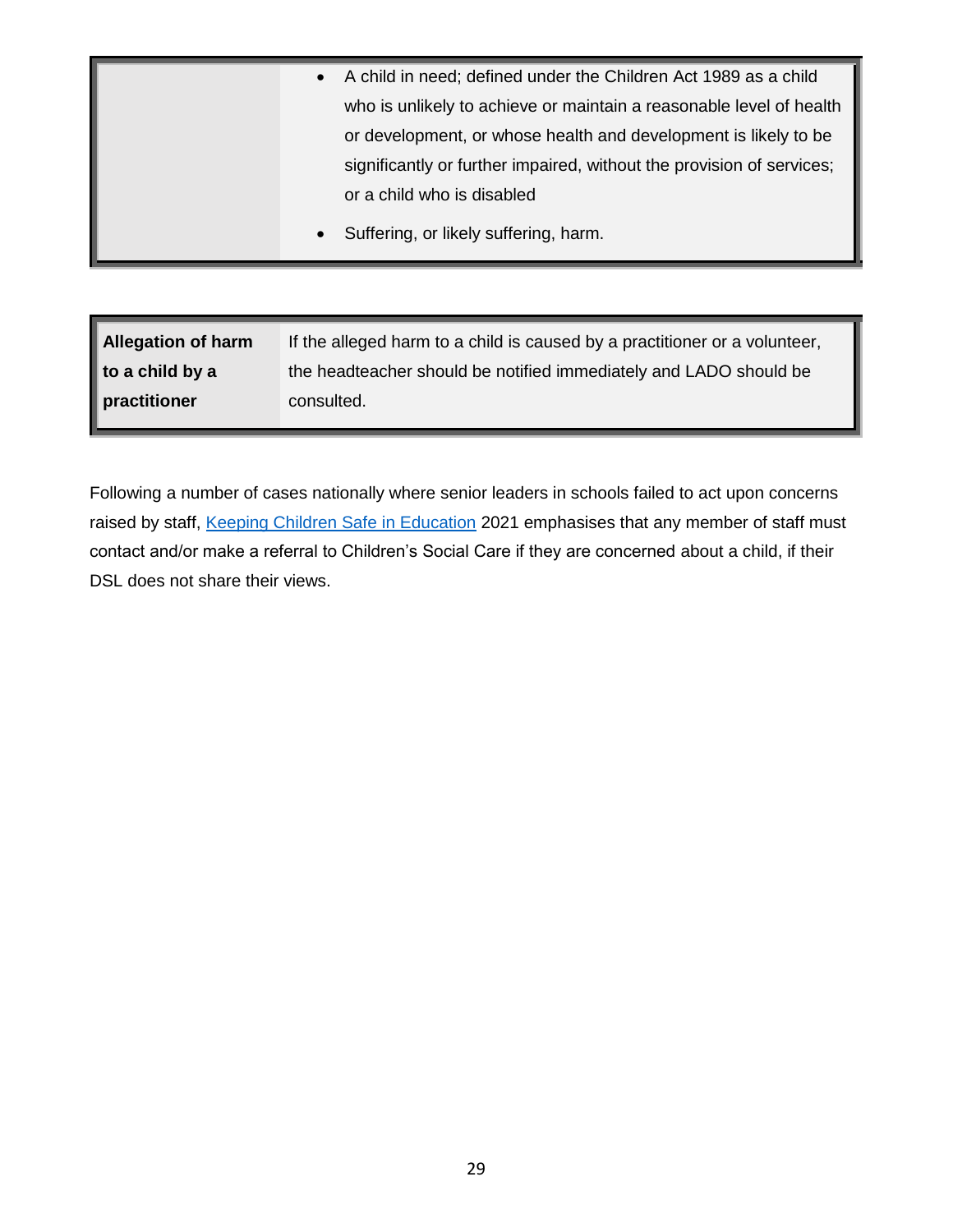| $\bullet$ | A child in need; defined under the Children Act 1989 as a child       |
|-----------|-----------------------------------------------------------------------|
|           | who is unlikely to achieve or maintain a reasonable level of health   |
|           | or development, or whose health and development is likely to be       |
|           | significantly or further impaired, without the provision of services; |
|           | or a child who is disabled                                            |
| $\bullet$ | Suffering, or likely suffering, harm.                                 |

| Allegation of harm          | If the alleged harm to a child is caused by a practitioner or a volunteer, |
|-----------------------------|----------------------------------------------------------------------------|
| $\parallel$ to a child by a | the headteacher should be notified immediately and LADO should be          |
| practitioner                | consulted.                                                                 |

Following a number of cases nationally where senior leaders in schools failed to act upon concerns raised by staff, [Keeping Children Safe in Education](https://www.gov.uk/government/publications/keeping-children-safe-in-education--2) 2021 emphasises that any member of staff must contact and/or make a referral to Children's Social Care if they are concerned about a child, if their DSL does not share their views.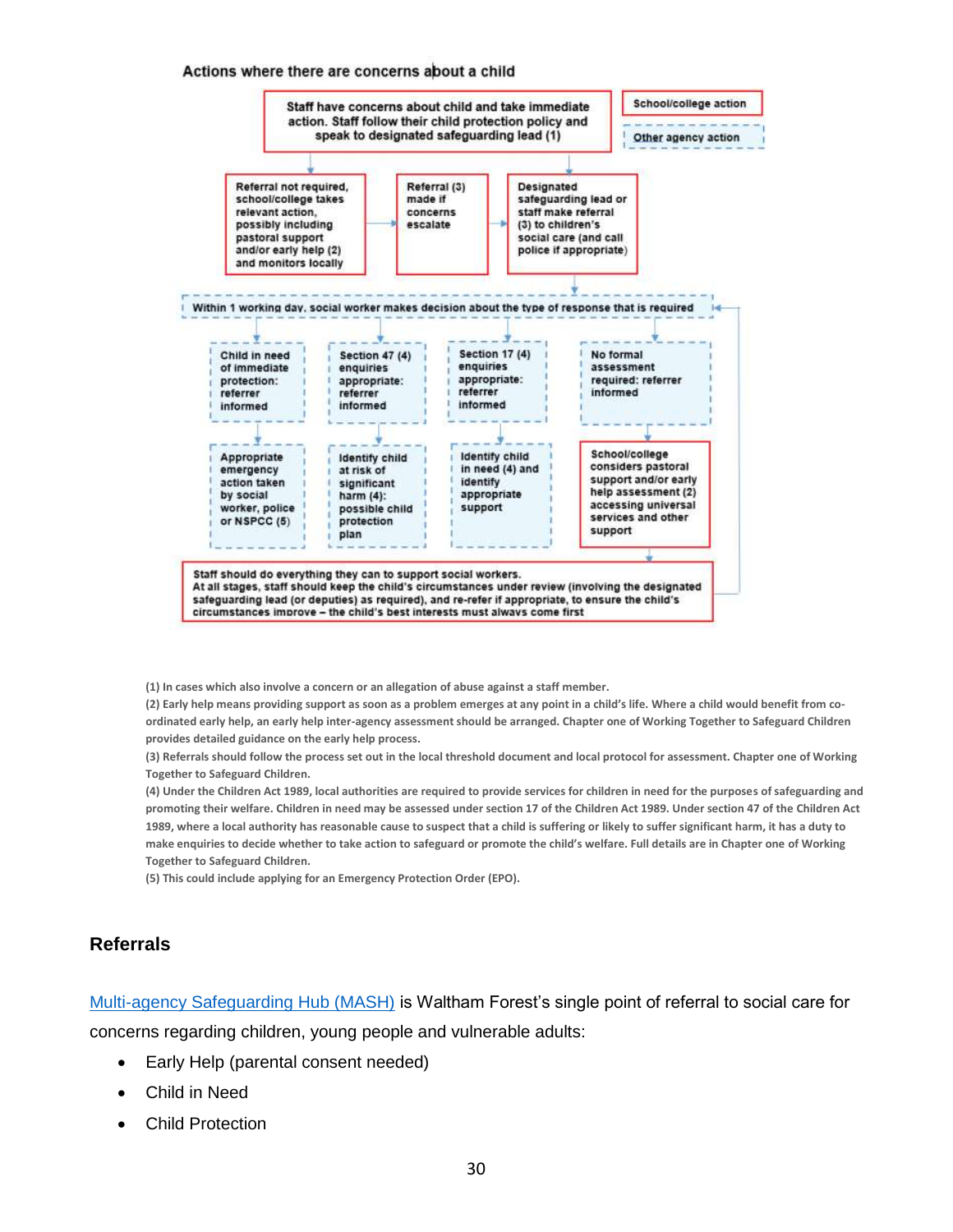#### Actions where there are concerns about a child



**(1) In cases which also involve a concern or an allegation of abuse against a staff member.** 

**(2) Early help means providing support as soon as a problem emerges at any point in a child's life. Where a child would benefit from coordinated early help, an early help inter-agency assessment should be arranged. Chapter one of Working Together to Safeguard Children provides detailed guidance on the early help process.** 

**(3) Referrals should follow the process set out in the local threshold document and local protocol for assessment. Chapter one of Working Together to Safeguard Children.**

**(4) Under the Children Act 1989, local authorities are required to provide services for children in need for the purposes of safeguarding and promoting their welfare. Children in need may be assessed under section 17 of the Children Act 1989. Under section 47 of the Children Act 1989, where a local authority has reasonable cause to suspect that a child is suffering or likely to suffer significant harm, it has a duty to make enquiries to decide whether to take action to safeguard or promote the child's welfare. Full details are in Chapter one of Working Together to Safeguard Children.** 

**(5) This could include applying for an Emergency Protection Order (EPO).**

#### **Referrals**

[Multi-agency Safeguarding Hub \(MASH\)](https://www.walthamforest.gov.uk/node/7660) is Waltham Forest's single point of referral to social care for concerns regarding children, young people and vulnerable adults:

- Early Help (parental consent needed)
- Child in Need
- Child Protection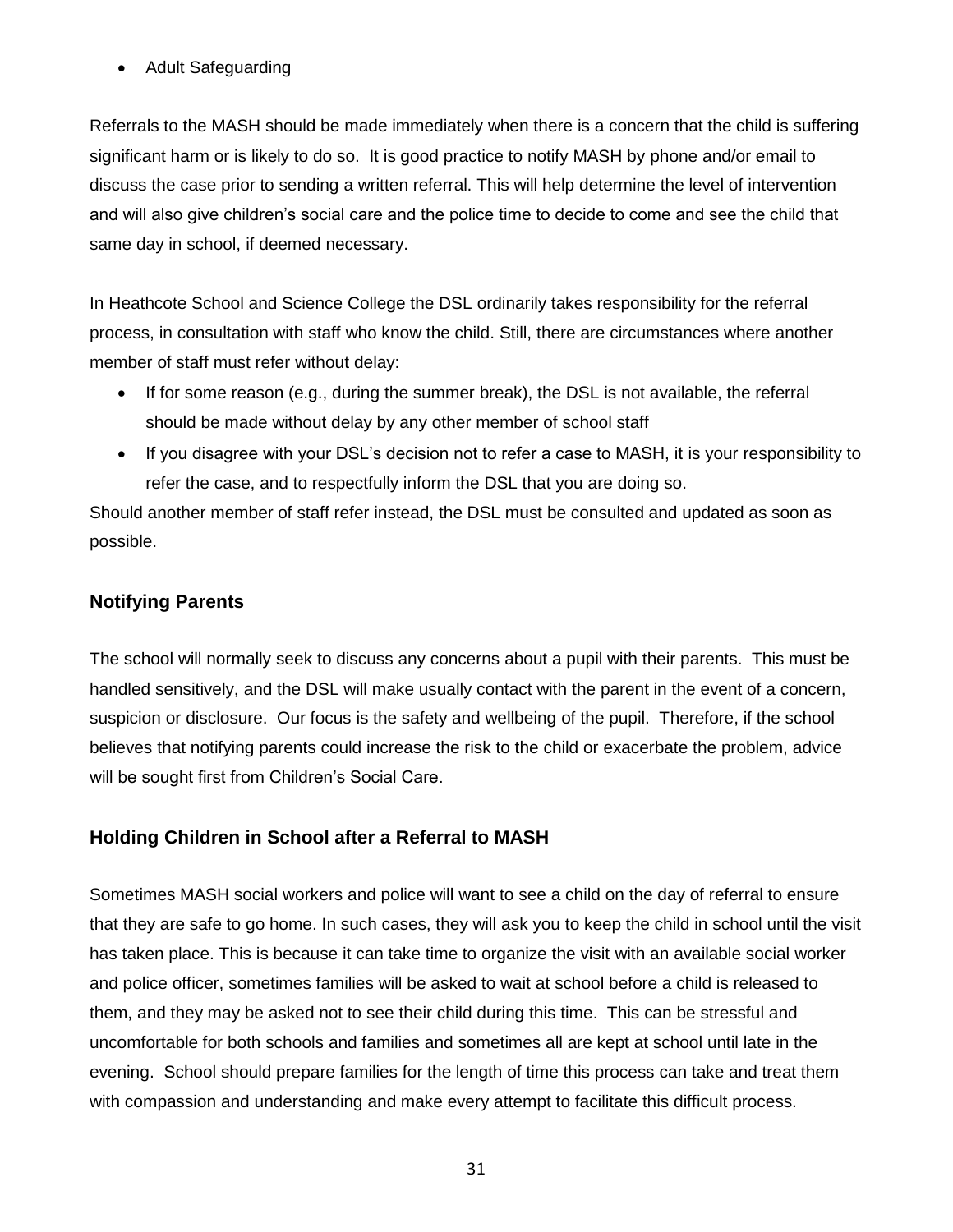• Adult Safeguarding

Referrals to the MASH should be made immediately when there is a concern that the child is suffering significant harm or is likely to do so. It is good practice to notify MASH by phone and/or email to discuss the case prior to sending a written referral. This will help determine the level of intervention and will also give children's social care and the police time to decide to come and see the child that same day in school, if deemed necessary.

In Heathcote School and Science College the DSL ordinarily takes responsibility for the referral process, in consultation with staff who know the child. Still, there are circumstances where another member of staff must refer without delay:

- If for some reason (e.g., during the summer break), the DSL is not available, the referral should be made without delay by any other member of school staff
- If you disagree with your DSL's decision not to refer a case to MASH, it is your responsibility to refer the case, and to respectfully inform the DSL that you are doing so.

Should another member of staff refer instead, the DSL must be consulted and updated as soon as possible.

#### **Notifying Parents**

The school will normally seek to discuss any concerns about a pupil with their parents. This must be handled sensitively, and the DSL will make usually contact with the parent in the event of a concern, suspicion or disclosure. Our focus is the safety and wellbeing of the pupil. Therefore, if the school believes that notifying parents could increase the risk to the child or exacerbate the problem, advice will be sought first from Children's Social Care.

#### **Holding Children in School after a Referral to MASH**

Sometimes MASH social workers and police will want to see a child on the day of referral to ensure that they are safe to go home. In such cases, they will ask you to keep the child in school until the visit has taken place. This is because it can take time to organize the visit with an available social worker and police officer, sometimes families will be asked to wait at school before a child is released to them, and they may be asked not to see their child during this time. This can be stressful and uncomfortable for both schools and families and sometimes all are kept at school until late in the evening. School should prepare families for the length of time this process can take and treat them with compassion and understanding and make every attempt to facilitate this difficult process.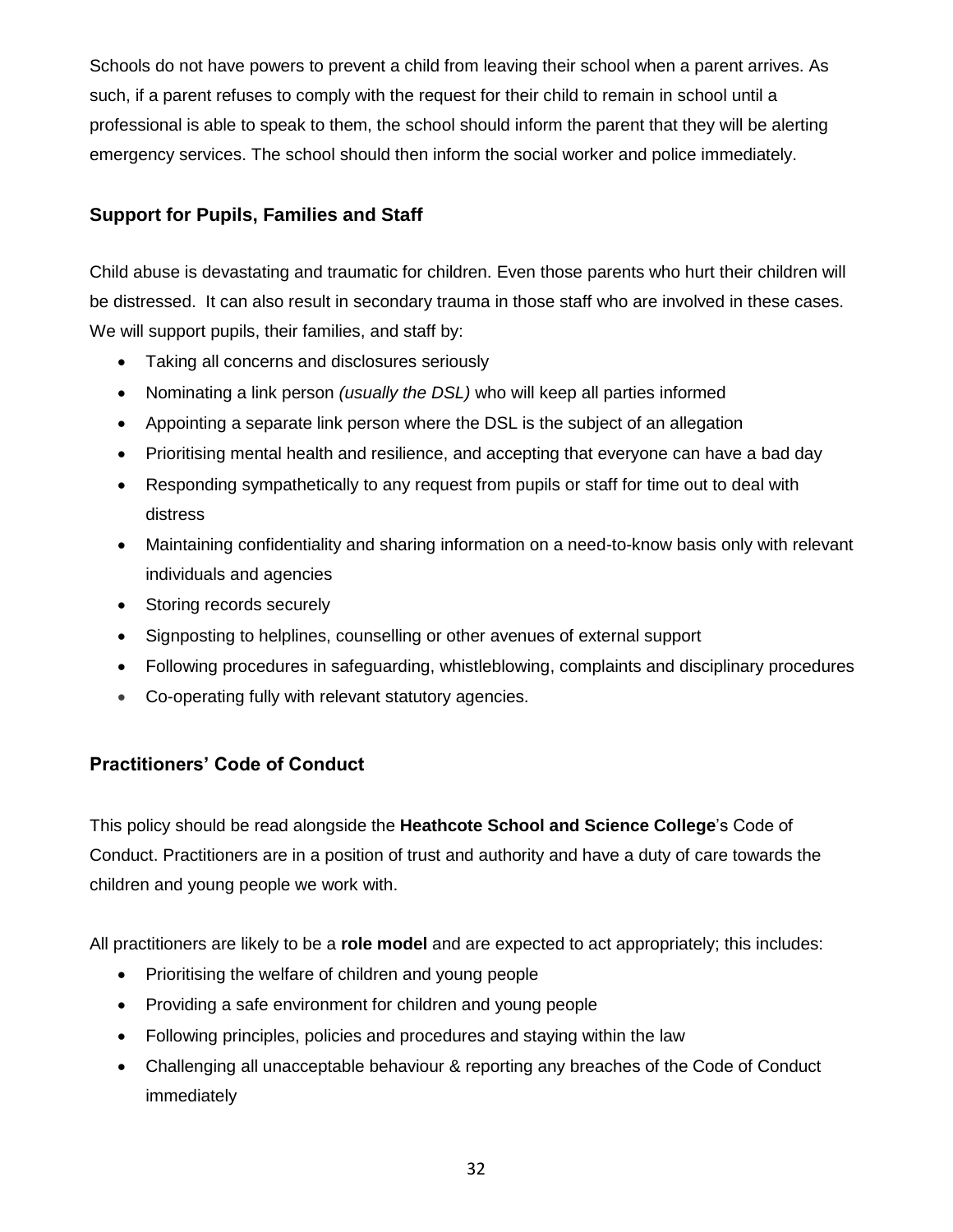Schools do not have powers to prevent a child from leaving their school when a parent arrives. As such, if a parent refuses to comply with the request for their child to remain in school until a professional is able to speak to them, the school should inform the parent that they will be alerting emergency services. The school should then inform the social worker and police immediately.

#### **Support for Pupils, Families and Staff**

Child abuse is devastating and traumatic for children. Even those parents who hurt their children will be distressed. It can also result in secondary trauma in those staff who are involved in these cases. We will support pupils, their families, and staff by:

- Taking all concerns and disclosures seriously
- Nominating a link person *(usually the DSL)* who will keep all parties informed
- Appointing a separate link person where the DSL is the subject of an allegation
- Prioritising mental health and resilience, and accepting that everyone can have a bad day
- Responding sympathetically to any request from pupils or staff for time out to deal with distress
- Maintaining confidentiality and sharing information on a need-to-know basis only with relevant individuals and agencies
- Storing records securely
- Signposting to helplines, counselling or other avenues of external support
- Following procedures in safeguarding, whistleblowing, complaints and disciplinary procedures
- Co-operating fully with relevant statutory agencies.

#### **Practitioners' Code of Conduct**

This policy should be read alongside the **Heathcote School and Science College**'s Code of Conduct. Practitioners are in a position of trust and authority and have a duty of care towards the children and young people we work with.

All practitioners are likely to be a **role model** and are expected to act appropriately; this includes:

- Prioritising the welfare of children and young people
- Providing a safe environment for children and young people
- Following principles, policies and procedures and staying within the law
- Challenging all unacceptable behaviour & reporting any breaches of the Code of Conduct immediately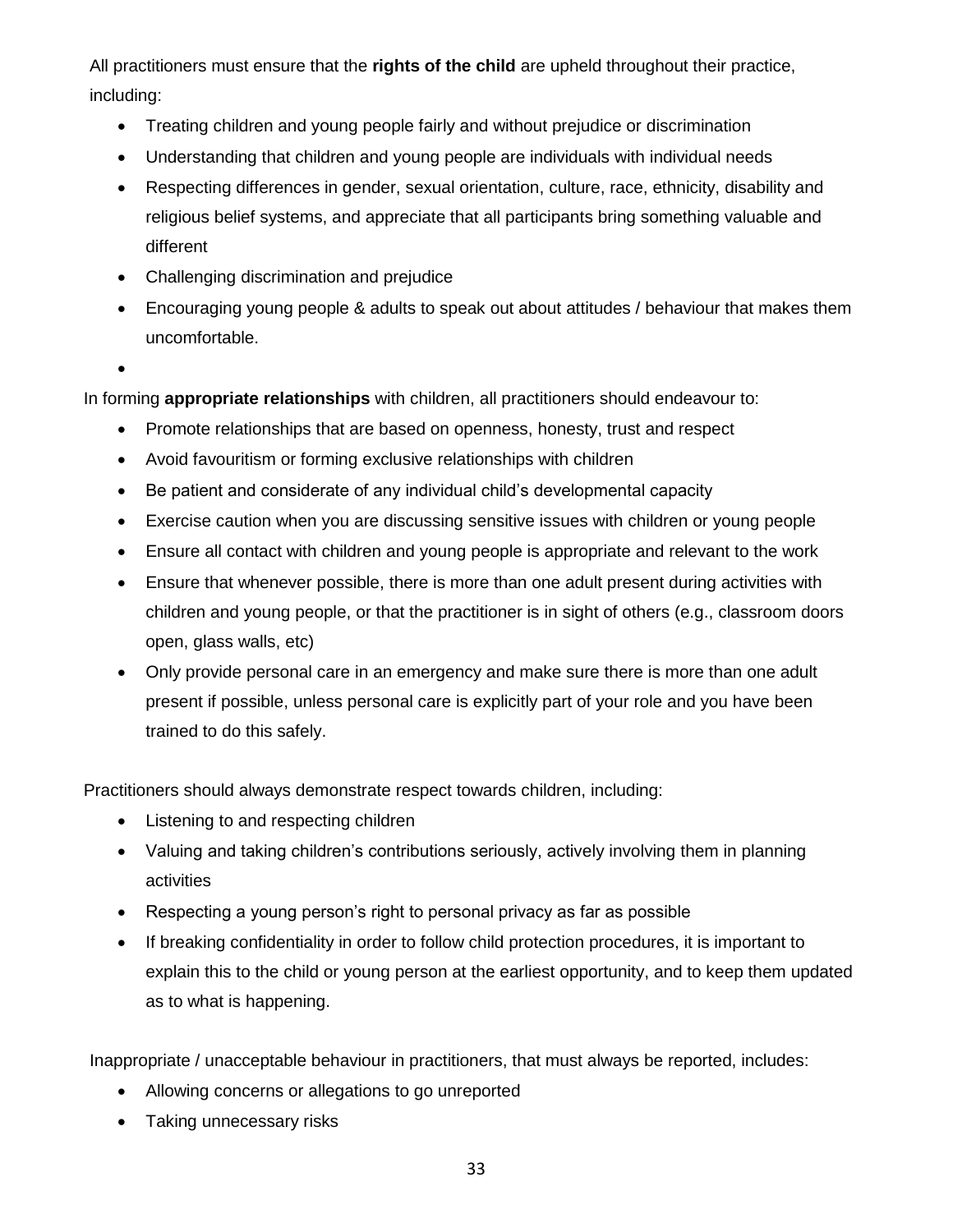All practitioners must ensure that the **rights of the child** are upheld throughout their practice, including:

- Treating children and young people fairly and without prejudice or discrimination
- Understanding that children and young people are individuals with individual needs
- Respecting differences in gender, sexual orientation, culture, race, ethnicity, disability and religious belief systems, and appreciate that all participants bring something valuable and different
- Challenging discrimination and prejudice
- Encouraging young people & adults to speak out about attitudes / behaviour that makes them uncomfortable.
- •

In forming **appropriate relationships** with children, all practitioners should endeavour to:

- Promote relationships that are based on openness, honesty, trust and respect
- Avoid favouritism or forming exclusive relationships with children
- Be patient and considerate of any individual child's developmental capacity
- Exercise caution when you are discussing sensitive issues with children or young people
- Ensure all contact with children and young people is appropriate and relevant to the work
- Ensure that whenever possible, there is more than one adult present during activities with children and young people, or that the practitioner is in sight of others (e.g., classroom doors open, glass walls, etc)
- Only provide personal care in an emergency and make sure there is more than one adult present if possible, unless personal care is explicitly part of your role and you have been trained to do this safely.

Practitioners should always demonstrate respect towards children, including:

- Listening to and respecting children
- Valuing and taking children's contributions seriously, actively involving them in planning activities
- Respecting a young person's right to personal privacy as far as possible
- If breaking confidentiality in order to follow child protection procedures, it is important to explain this to the child or young person at the earliest opportunity, and to keep them updated as to what is happening.

Inappropriate / unacceptable behaviour in practitioners, that must always be reported, includes:

- Allowing concerns or allegations to go unreported
- Taking unnecessary risks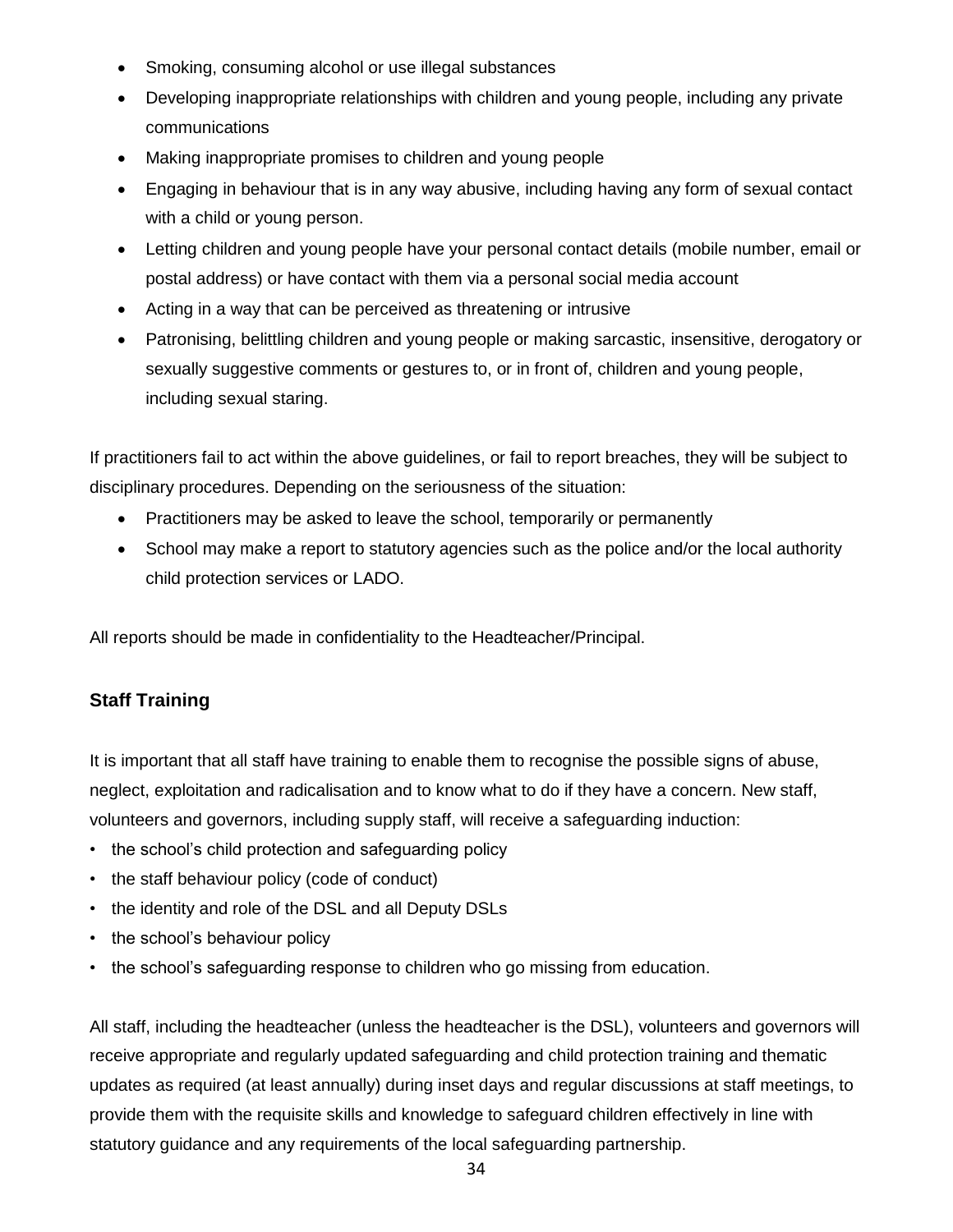- Smoking, consuming alcohol or use illegal substances
- Developing inappropriate relationships with children and young people, including any private communications
- Making inappropriate promises to children and young people
- Engaging in behaviour that is in any way abusive, including having any form of sexual contact with a child or young person.
- Letting children and young people have your personal contact details (mobile number, email or postal address) or have contact with them via a personal social media account
- Acting in a way that can be perceived as threatening or intrusive
- Patronising, belittling children and young people or making sarcastic, insensitive, derogatory or sexually suggestive comments or gestures to, or in front of, children and young people, including sexual staring.

If practitioners fail to act within the above guidelines, or fail to report breaches, they will be subject to disciplinary procedures. Depending on the seriousness of the situation:

- Practitioners may be asked to leave the school, temporarily or permanently
- School may make a report to statutory agencies such as the police and/or the local authority child protection services or LADO.

All reports should be made in confidentiality to the Headteacher/Principal.

### **Staff Training**

It is important that all staff have training to enable them to recognise the possible signs of abuse, neglect, exploitation and radicalisation and to know what to do if they have a concern. New staff, volunteers and governors, including supply staff, will receive a safeguarding induction:

- the school's child protection and safeguarding policy
- the staff behaviour policy (code of conduct)
- the identity and role of the DSL and all Deputy DSLs
- the school's behaviour policy
- the school's safeguarding response to children who go missing from education.

All staff, including the headteacher (unless the headteacher is the DSL), volunteers and governors will receive appropriate and regularly updated safeguarding and child protection training and thematic updates as required (at least annually) during inset days and regular discussions at staff meetings, to provide them with the requisite skills and knowledge to safeguard children effectively in line with statutory guidance and any requirements of the local safeguarding partnership.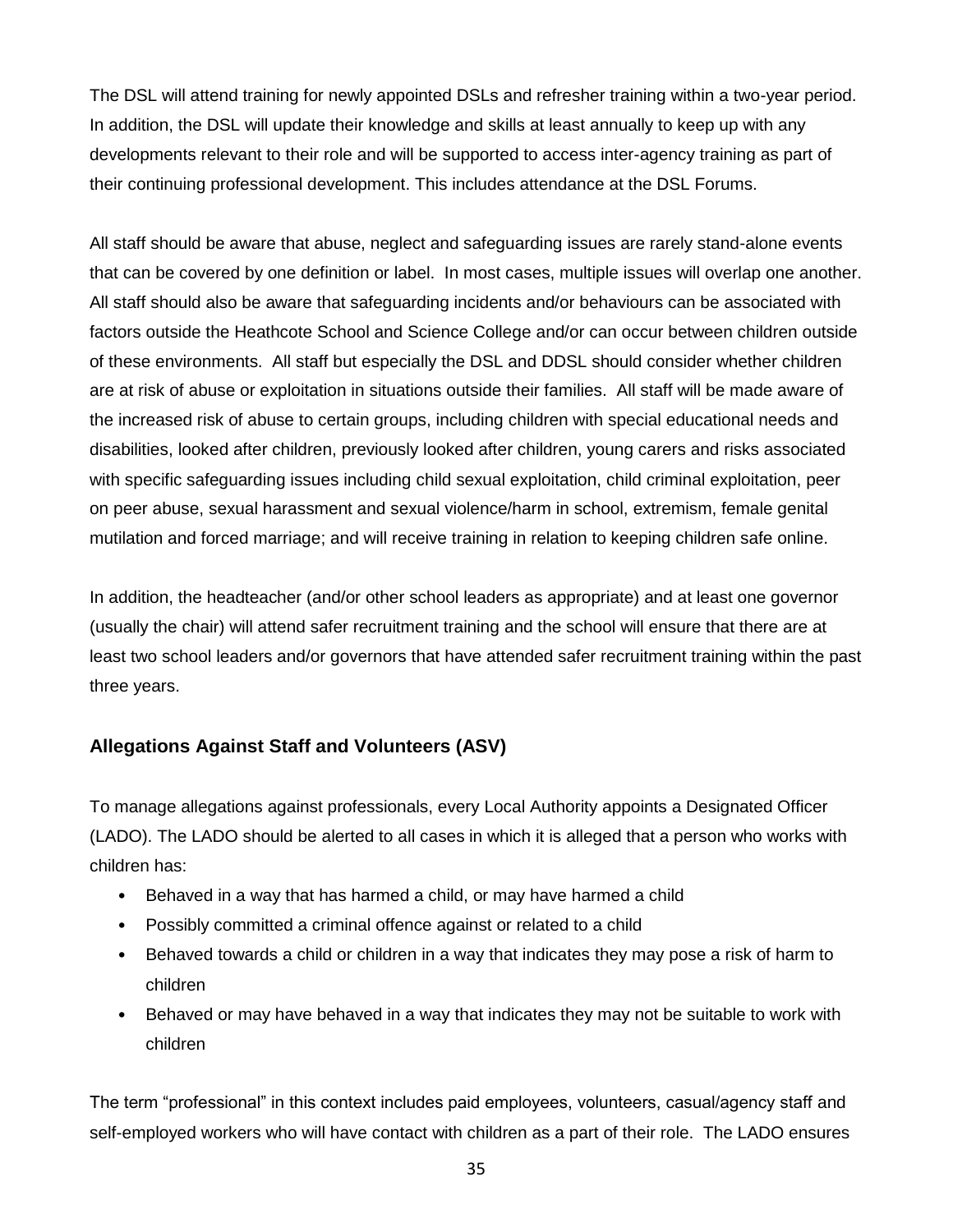The DSL will attend training for newly appointed DSLs and refresher training within a two-year period. In addition, the DSL will update their knowledge and skills at least annually to keep up with any developments relevant to their role and will be supported to access inter-agency training as part of their continuing professional development. This includes attendance at the DSL Forums.

All staff should be aware that abuse, neglect and safeguarding issues are rarely stand-alone events that can be covered by one definition or label. In most cases, multiple issues will overlap one another. All staff should also be aware that safeguarding incidents and/or behaviours can be associated with factors outside the Heathcote School and Science College and/or can occur between children outside of these environments. All staff but especially the DSL and DDSL should consider whether children are at risk of abuse or exploitation in situations outside their families. All staff will be made aware of the increased risk of abuse to certain groups, including children with special educational needs and disabilities, looked after children, previously looked after children, young carers and risks associated with specific safeguarding issues including child sexual exploitation, child criminal exploitation, peer on peer abuse, sexual harassment and sexual violence/harm in school, extremism, female genital mutilation and forced marriage; and will receive training in relation to keeping children safe online.

In addition, the headteacher (and/or other school leaders as appropriate) and at least one governor (usually the chair) will attend safer recruitment training and the school will ensure that there are at least two school leaders and/or governors that have attended safer recruitment training within the past three years.

#### **Allegations Against Staff and Volunteers (ASV)**

To manage allegations against professionals, every Local Authority appoints a Designated Officer (LADO). The LADO should be alerted to all cases in which it is alleged that a person who works with children has:

- Behaved in a way that has harmed a child, or may have harmed a child
- Possibly committed a criminal offence against or related to a child
- Behaved towards a child or children in a way that indicates they may pose a risk of harm to children
- Behaved or may have behaved in a way that indicates they may not be suitable to work with children

The term "professional" in this context includes paid employees, volunteers, casual/agency staff and self-employed workers who will have contact with children as a part of their role. The LADO ensures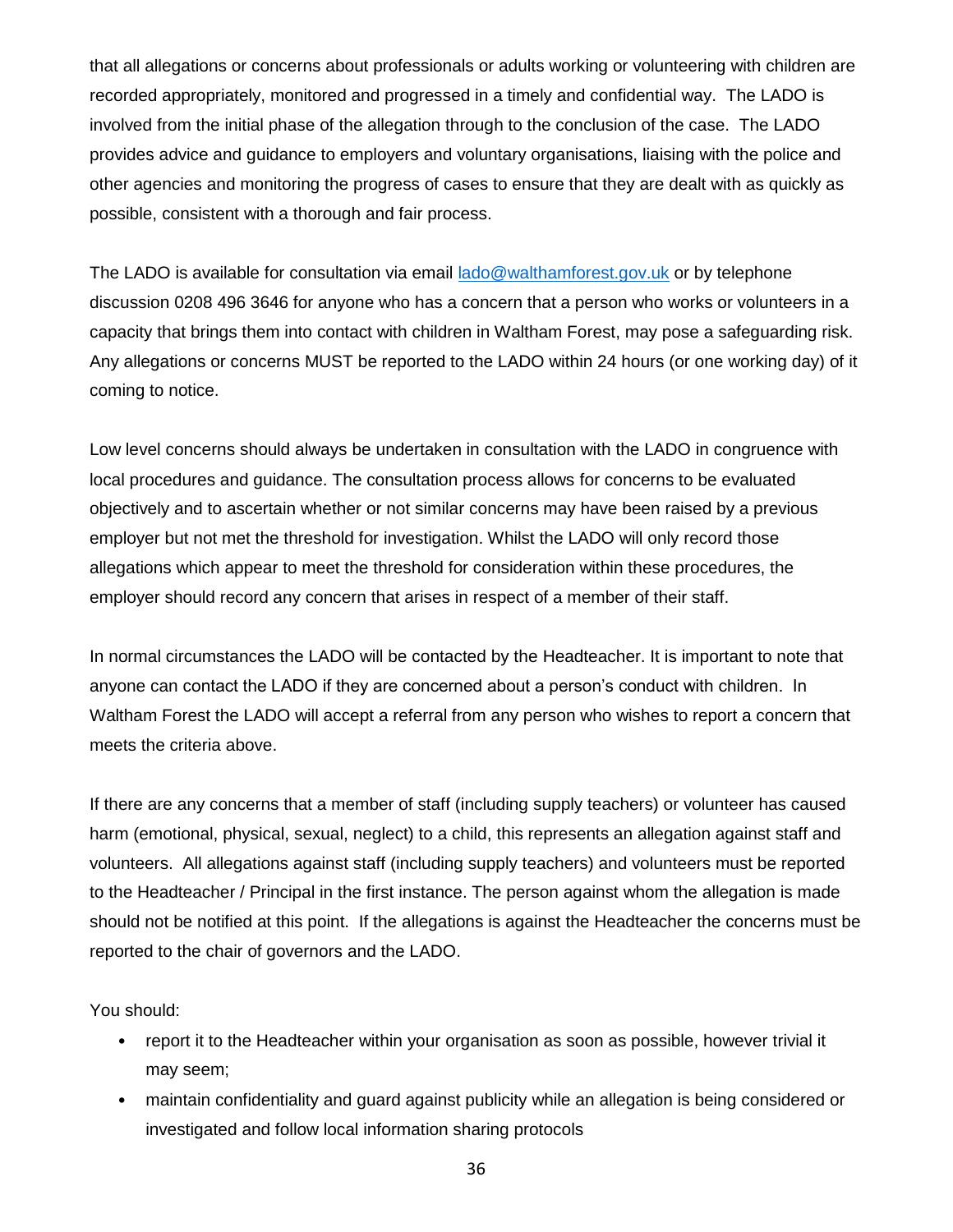that all allegations or concerns about professionals or adults working or volunteering with children are recorded appropriately, monitored and progressed in a timely and confidential way. The LADO is involved from the initial phase of the allegation through to the conclusion of the case. The LADO provides advice and guidance to employers and voluntary organisations, liaising with the police and other agencies and monitoring the progress of cases to ensure that they are dealt with as quickly as possible, consistent with a thorough and fair process.

The LADO is available for consultation via email [lado@walthamforest.gov.uk](mailto:lado@walthamforest.gov.uk) or by telephone discussion 0208 496 3646 for anyone who has a concern that a person who works or volunteers in a capacity that brings them into contact with children in Waltham Forest, may pose a safeguarding risk. Any allegations or concerns MUST be reported to the LADO within 24 hours (or one working day) of it coming to notice.

Low level concerns should always be undertaken in consultation with the LADO in congruence with local procedures and guidance. The consultation process allows for concerns to be evaluated objectively and to ascertain whether or not similar concerns may have been raised by a previous employer but not met the threshold for investigation. Whilst the LADO will only record those allegations which appear to meet the threshold for consideration within these procedures, the employer should record any concern that arises in respect of a member of their staff.

In normal circumstances the LADO will be contacted by the Headteacher. It is important to note that anyone can contact the LADO if they are concerned about a person's conduct with children. In Waltham Forest the LADO will accept a referral from any person who wishes to report a concern that meets the criteria above.

If there are any concerns that a member of staff (including supply teachers) or volunteer has caused harm (emotional, physical, sexual, neglect) to a child, this represents an allegation against staff and volunteers. All allegations against staff (including supply teachers) and volunteers must be reported to the Headteacher / Principal in the first instance. The person against whom the allegation is made should not be notified at this point. If the allegations is against the Headteacher the concerns must be reported to the chair of governors and the LADO.

You should:

- report it to the Headteacher within your organisation as soon as possible, however trivial it may seem;
- maintain confidentiality and guard against publicity while an allegation is being considered or investigated and follow local information sharing protocols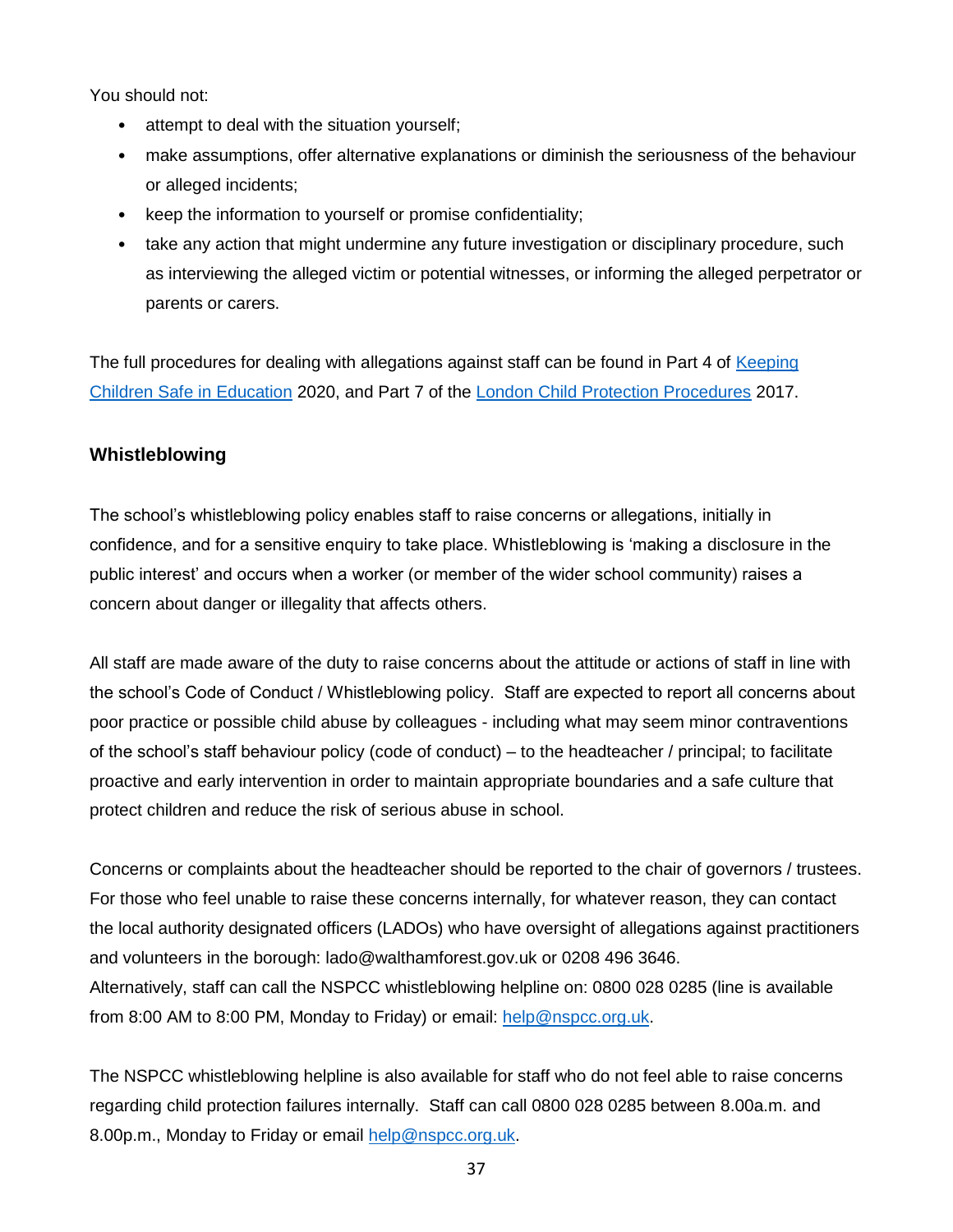You should not:

- attempt to deal with the situation yourself;
- make assumptions, offer alternative explanations or diminish the seriousness of the behaviour or alleged incidents;
- keep the information to yourself or promise confidentiality;
- take any action that might undermine any future investigation or disciplinary procedure, such as interviewing the alleged victim or potential witnesses, or informing the alleged perpetrator or parents or carers.

The full procedures for dealing with allegations against staff can be found in Part 4 of [Keeping](https://www.gov.uk/government/publications/keeping-children-safe-in-education--2)  [Children Safe in Education](https://www.gov.uk/government/publications/keeping-children-safe-in-education--2) 2020, and Part 7 of the [London Child Protection Procedures](https://www.londoncp.co.uk/chapters/alleg_staff.html) 2017.

## **Whistleblowing**

The school's whistleblowing policy enables staff to raise concerns or allegations, initially in confidence, and for a sensitive enquiry to take place. Whistleblowing is 'making a disclosure in the public interest' and occurs when a worker (or member of the wider school community) raises a concern about danger or illegality that affects others.

All staff are made aware of the duty to raise concerns about the attitude or actions of staff in line with the school's Code of Conduct / Whistleblowing policy. Staff are expected to report all concerns about poor practice or possible child abuse by colleagues - including what may seem minor contraventions of the school's staff behaviour policy (code of conduct) – to the headteacher / principal; to facilitate proactive and early intervention in order to maintain appropriate boundaries and a safe culture that protect children and reduce the risk of serious abuse in school.

Concerns or complaints about the headteacher should be reported to the chair of governors / trustees. For those who feel unable to raise these concerns internally, for whatever reason, they can contact the local authority designated officers (LADOs) who have oversight of allegations against practitioners and volunteers in the borough: lado@walthamforest.gov.uk or 0208 496 3646. Alternatively, staff can call the NSPCC whistleblowing helpline on: 0800 028 0285 (line is available from 8:00 AM to 8:00 PM, Monday to Friday) or email: [help@nspcc.org.uk.](mailto:help@nspcc.org.uk)

The NSPCC whistleblowing helpline is also available for staff who do not feel able to raise concerns regarding child protection failures internally. Staff can call 0800 028 0285 between 8.00a.m. and 8.00p.m., Monday to Friday or email [help@nspcc.org.uk.](mailto:help@nspcc.org.uk)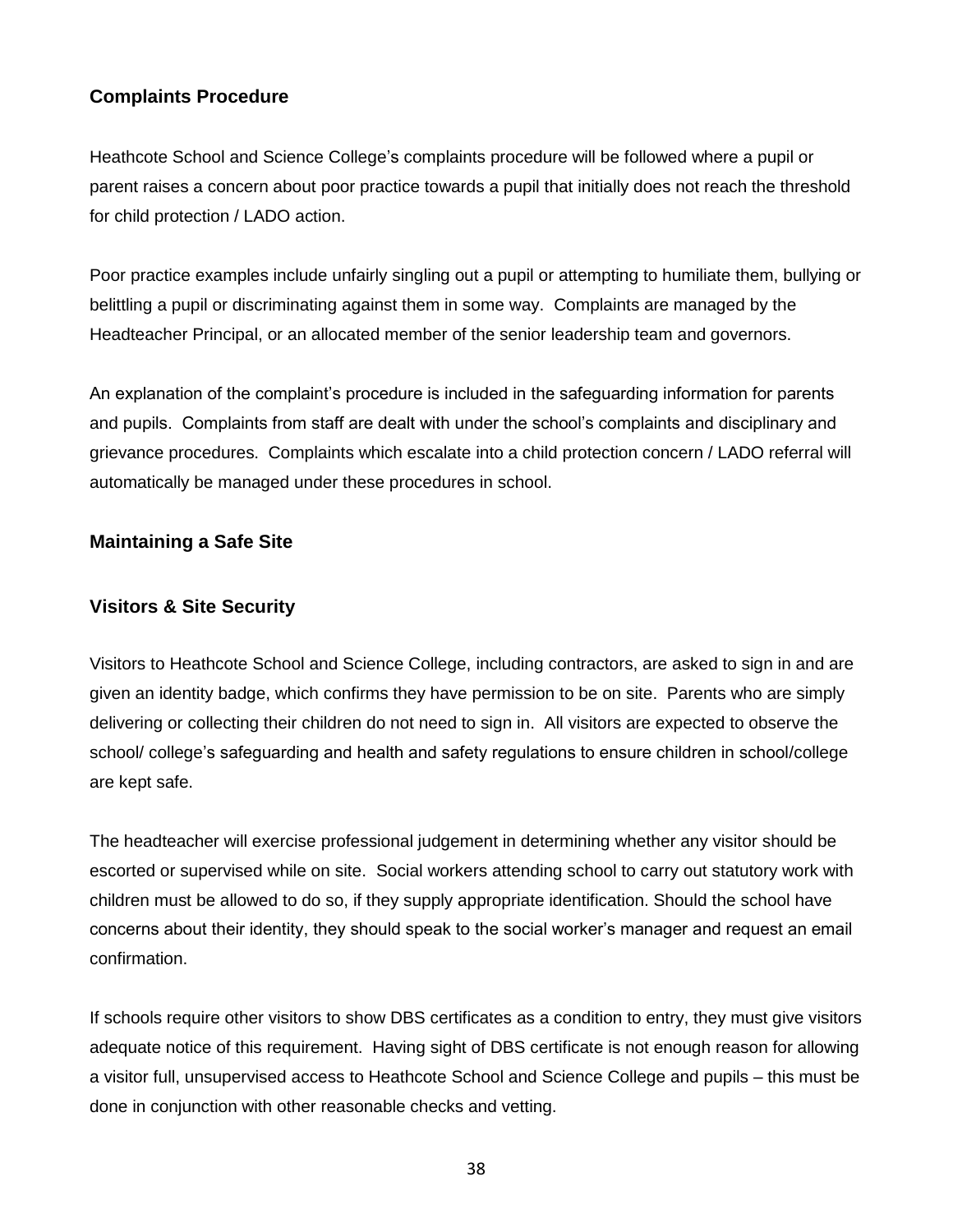## **Complaints Procedure**

Heathcote School and Science College's complaints procedure will be followed where a pupil or parent raises a concern about poor practice towards a pupil that initially does not reach the threshold for child protection / LADO action.

Poor practice examples include unfairly singling out a pupil or attempting to humiliate them, bullying or belittling a pupil or discriminating against them in some way. Complaints are managed by the Headteacher Principal, or an allocated member of the senior leadership team and governors.

An explanation of the complaint's procedure is included in the safeguarding information for parents and pupils. Complaints from staff are dealt with under the school's complaints and disciplinary and grievance procedures. Complaints which escalate into a child protection concern / LADO referral will automatically be managed under these procedures in school.

### **Maintaining a Safe Site**

## **Visitors & Site Security**

Visitors to Heathcote School and Science College, including contractors, are asked to sign in and are given an identity badge, which confirms they have permission to be on site. Parents who are simply delivering or collecting their children do not need to sign in. All visitors are expected to observe the school/ college's safeguarding and health and safety regulations to ensure children in school/college are kept safe.

The headteacher will exercise professional judgement in determining whether any visitor should be escorted or supervised while on site. Social workers attending school to carry out statutory work with children must be allowed to do so, if they supply appropriate identification. Should the school have concerns about their identity, they should speak to the social worker's manager and request an email confirmation.

If schools require other visitors to show DBS certificates as a condition to entry, they must give visitors adequate notice of this requirement. Having sight of DBS certificate is not enough reason for allowing a visitor full, unsupervised access to Heathcote School and Science College and pupils – this must be done in conjunction with other reasonable checks and vetting.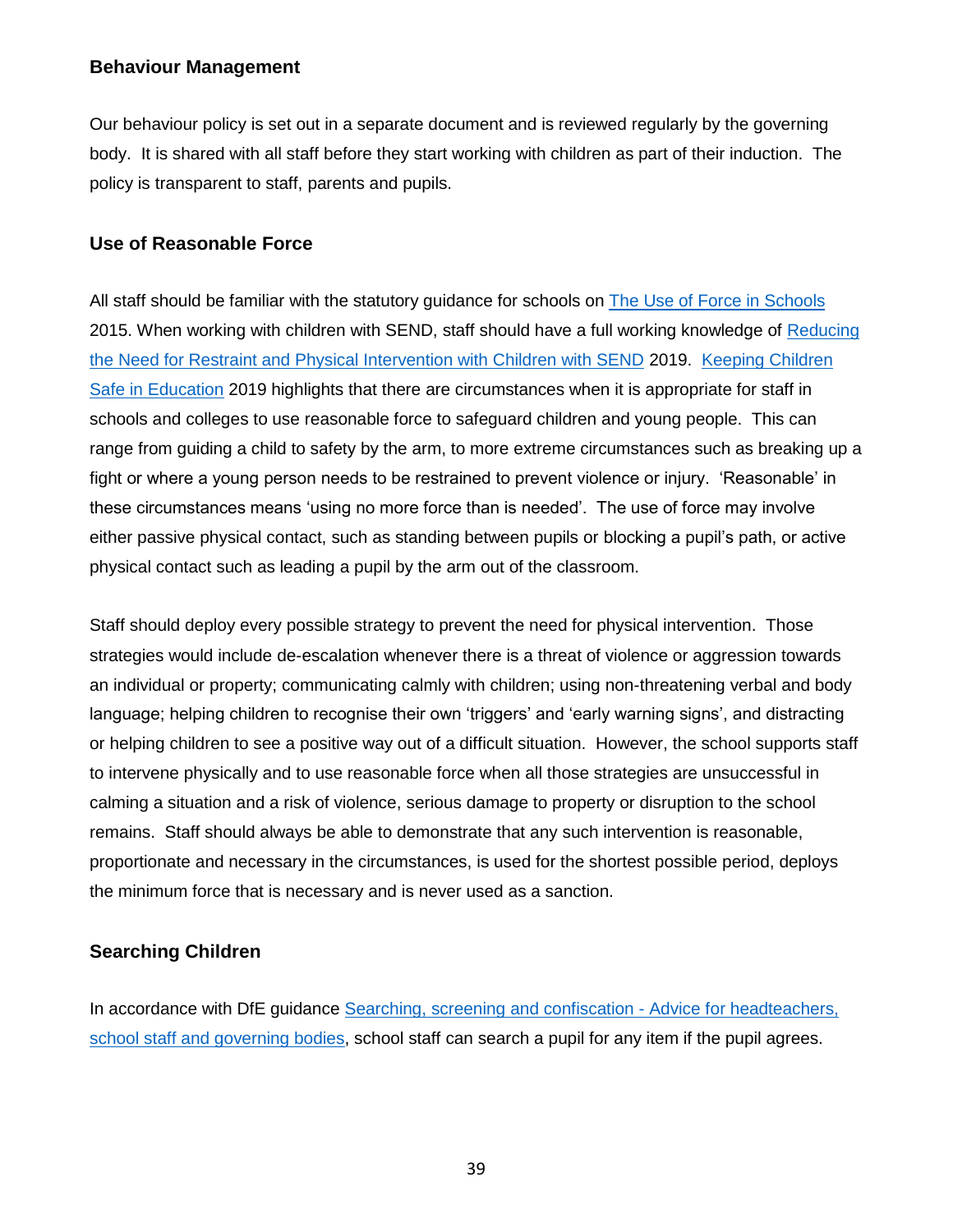#### **Behaviour Management**

Our behaviour policy is set out in a separate document and is reviewed regularly by the governing body. It is shared with all staff before they start working with children as part of their induction. The policy is transparent to staff, parents and pupils.

#### **Use of Reasonable Force**

All staff should be familiar with the statutory guidance for schools on [The Use of Force in Schools](https://www.gov.uk/government/publications/use-of-reasonable-force-in-schools) 2015. When working with children with SEND, staff should have a full working knowledge of Reducing [the Need for Restraint and Physical Intervention with Children with SEND](https://assets.publishing.service.gov.uk/government/uploads/system/uploads/attachment_data/file/812435/reducing-the-need-for-restraint-and-restrictive-intervention.pdf) 2019. [Keeping Children](https://www.gov.uk/government/publications/keeping-children-safe-in-education--2)  [Safe in Education](https://www.gov.uk/government/publications/keeping-children-safe-in-education--2) 2019 highlights that there are circumstances when it is appropriate for staff in schools and colleges to use reasonable force to safeguard children and young people. This can range from guiding a child to safety by the arm, to more extreme circumstances such as breaking up a fight or where a young person needs to be restrained to prevent violence or injury. 'Reasonable' in these circumstances means 'using no more force than is needed'. The use of force may involve either passive physical contact, such as standing between pupils or blocking a pupil's path, or active physical contact such as leading a pupil by the arm out of the classroom.

Staff should deploy every possible strategy to prevent the need for physical intervention. Those strategies would include de-escalation whenever there is a threat of violence or aggression towards an individual or property; communicating calmly with children; using non-threatening verbal and body language; helping children to recognise their own 'triggers' and 'early warning signs', and distracting or helping children to see a positive way out of a difficult situation. However, the school supports staff to intervene physically and to use reasonable force when all those strategies are unsuccessful in calming a situation and a risk of violence, serious damage to property or disruption to the school remains. Staff should always be able to demonstrate that any such intervention is reasonable, proportionate and necessary in the circumstances, is used for the shortest possible period, deploys the minimum force that is necessary and is never used as a sanction.

#### **Searching Children**

In accordance with DfE guidance [Searching, screening and confiscation -](https://assets.publishing.service.gov.uk/government/uploads/system/uploads/attachment_data/file/674416/Searching_screening_and_confiscation.pdf) Advice for headteachers, [school staff and governing bodies,](https://assets.publishing.service.gov.uk/government/uploads/system/uploads/attachment_data/file/674416/Searching_screening_and_confiscation.pdf) school staff can search a pupil for any item if the pupil agrees.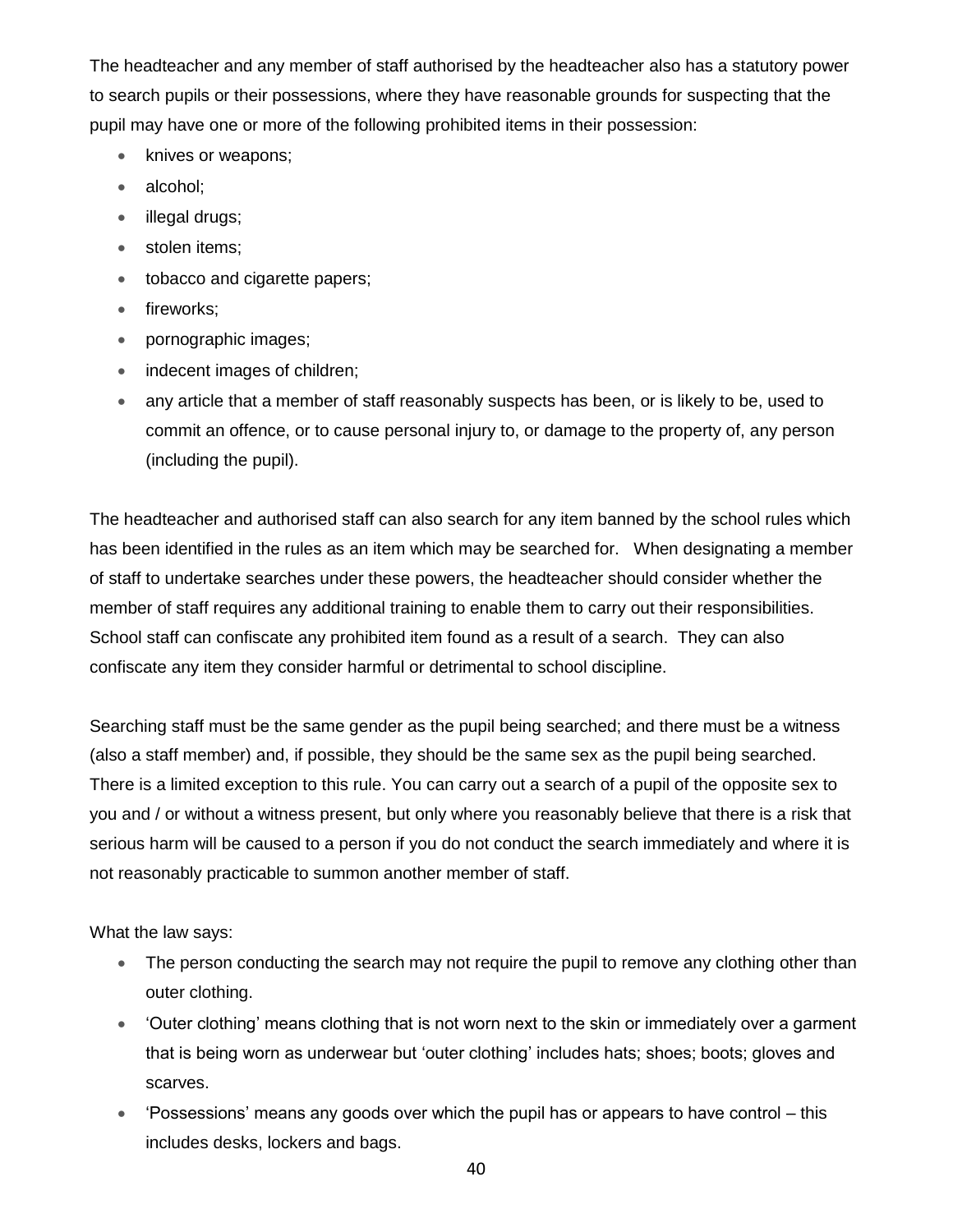The headteacher and any member of staff authorised by the headteacher also has a statutory power to search pupils or their possessions, where they have reasonable grounds for suspecting that the pupil may have one or more of the following prohibited items in their possession:

- knives or weapons;
- alcohol;
- illegal drugs;
- stolen items;
- tobacco and cigarette papers;
- fireworks;
- pornographic images;
- indecent images of children;
- any article that a member of staff reasonably suspects has been, or is likely to be, used to commit an offence, or to cause personal injury to, or damage to the property of, any person (including the pupil).

The headteacher and authorised staff can also search for any item banned by the school rules which has been identified in the rules as an item which may be searched for. When designating a member of staff to undertake searches under these powers, the headteacher should consider whether the member of staff requires any additional training to enable them to carry out their responsibilities. School staff can confiscate any prohibited item found as a result of a search. They can also confiscate any item they consider harmful or detrimental to school discipline.

Searching staff must be the same gender as the pupil being searched; and there must be a witness (also a staff member) and, if possible, they should be the same sex as the pupil being searched. There is a limited exception to this rule. You can carry out a search of a pupil of the opposite sex to you and / or without a witness present, but only where you reasonably believe that there is a risk that serious harm will be caused to a person if you do not conduct the search immediately and where it is not reasonably practicable to summon another member of staff.

What the law says:

- The person conducting the search may not require the pupil to remove any clothing other than outer clothing.
- 'Outer clothing' means clothing that is not worn next to the skin or immediately over a garment that is being worn as underwear but 'outer clothing' includes hats; shoes; boots; gloves and scarves.
- 'Possessions' means any goods over which the pupil has or appears to have control this includes desks, lockers and bags.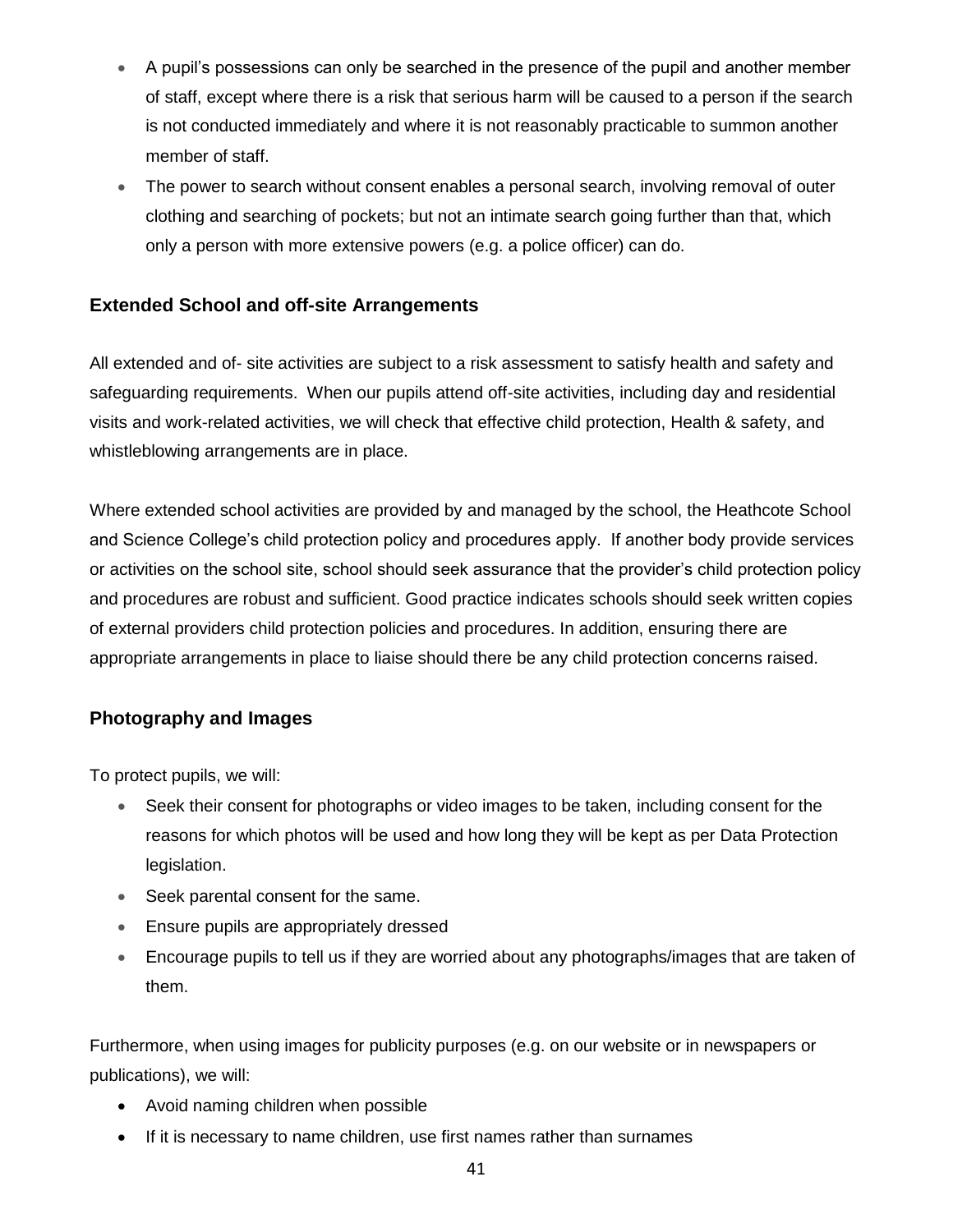- A pupil's possessions can only be searched in the presence of the pupil and another member of staff, except where there is a risk that serious harm will be caused to a person if the search is not conducted immediately and where it is not reasonably practicable to summon another member of staff.
- The power to search without consent enables a personal search, involving removal of outer clothing and searching of pockets; but not an intimate search going further than that, which only a person with more extensive powers (e.g. a police officer) can do.

## **Extended School and off-site Arrangements**

All extended and of- site activities are subject to a risk assessment to satisfy health and safety and safeguarding requirements. When our pupils attend off-site activities, including day and residential visits and work-related activities, we will check that effective child protection, Health & safety, and whistleblowing arrangements are in place.

Where extended school activities are provided by and managed by the school, the Heathcote School and Science College's child protection policy and procedures apply. If another body provide services or activities on the school site, school should seek assurance that the provider's child protection policy and procedures are robust and sufficient. Good practice indicates schools should seek written copies of external providers child protection policies and procedures. In addition, ensuring there are appropriate arrangements in place to liaise should there be any child protection concerns raised.

#### **Photography and Images**

To protect pupils, we will:

- Seek their consent for photographs or video images to be taken, including consent for the reasons for which photos will be used and how long they will be kept as per Data Protection legislation.
- Seek parental consent for the same.
- Ensure pupils are appropriately dressed
- Encourage pupils to tell us if they are worried about any photographs/images that are taken of them.

Furthermore, when using images for publicity purposes (e.g. on our website or in newspapers or publications), we will:

- Avoid naming children when possible
- If it is necessary to name children, use first names rather than surnames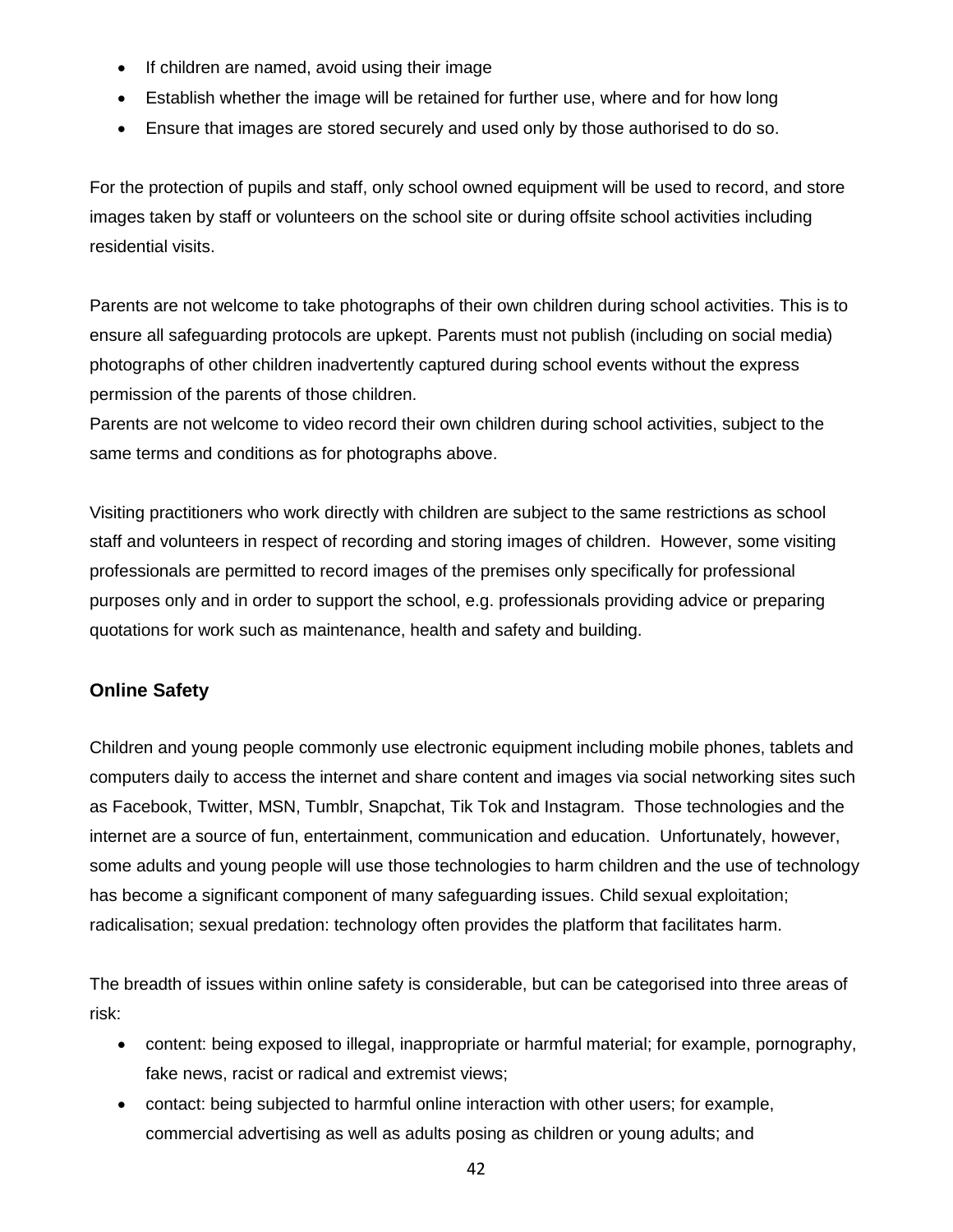- If children are named, avoid using their image
- Establish whether the image will be retained for further use, where and for how long
- Ensure that images are stored securely and used only by those authorised to do so.

For the protection of pupils and staff, only school owned equipment will be used to record, and store images taken by staff or volunteers on the school site or during offsite school activities including residential visits.

Parents are not welcome to take photographs of their own children during school activities. This is to ensure all safeguarding protocols are upkept. Parents must not publish (including on social media) photographs of other children inadvertently captured during school events without the express permission of the parents of those children.

Parents are not welcome to video record their own children during school activities, subject to the same terms and conditions as for photographs above.

Visiting practitioners who work directly with children are subject to the same restrictions as school staff and volunteers in respect of recording and storing images of children. However, some visiting professionals are permitted to record images of the premises only specifically for professional purposes only and in order to support the school, e.g. professionals providing advice or preparing quotations for work such as maintenance, health and safety and building.

## **Online Safety**

Children and young people commonly use electronic equipment including mobile phones, tablets and computers daily to access the internet and share content and images via social networking sites such as Facebook, Twitter, MSN, Tumblr, Snapchat, Tik Tok and Instagram. Those technologies and the internet are a source of fun, entertainment, communication and education. Unfortunately, however, some adults and young people will use those technologies to harm children and the use of technology has become a significant component of many safeguarding issues. Child sexual exploitation; radicalisation; sexual predation: technology often provides the platform that facilitates harm.

The breadth of issues within online safety is considerable, but can be categorised into three areas of risk:

- content: being exposed to illegal, inappropriate or harmful material; for example, pornography, fake news, racist or radical and extremist views;
- contact: being subjected to harmful online interaction with other users; for example, commercial advertising as well as adults posing as children or young adults; and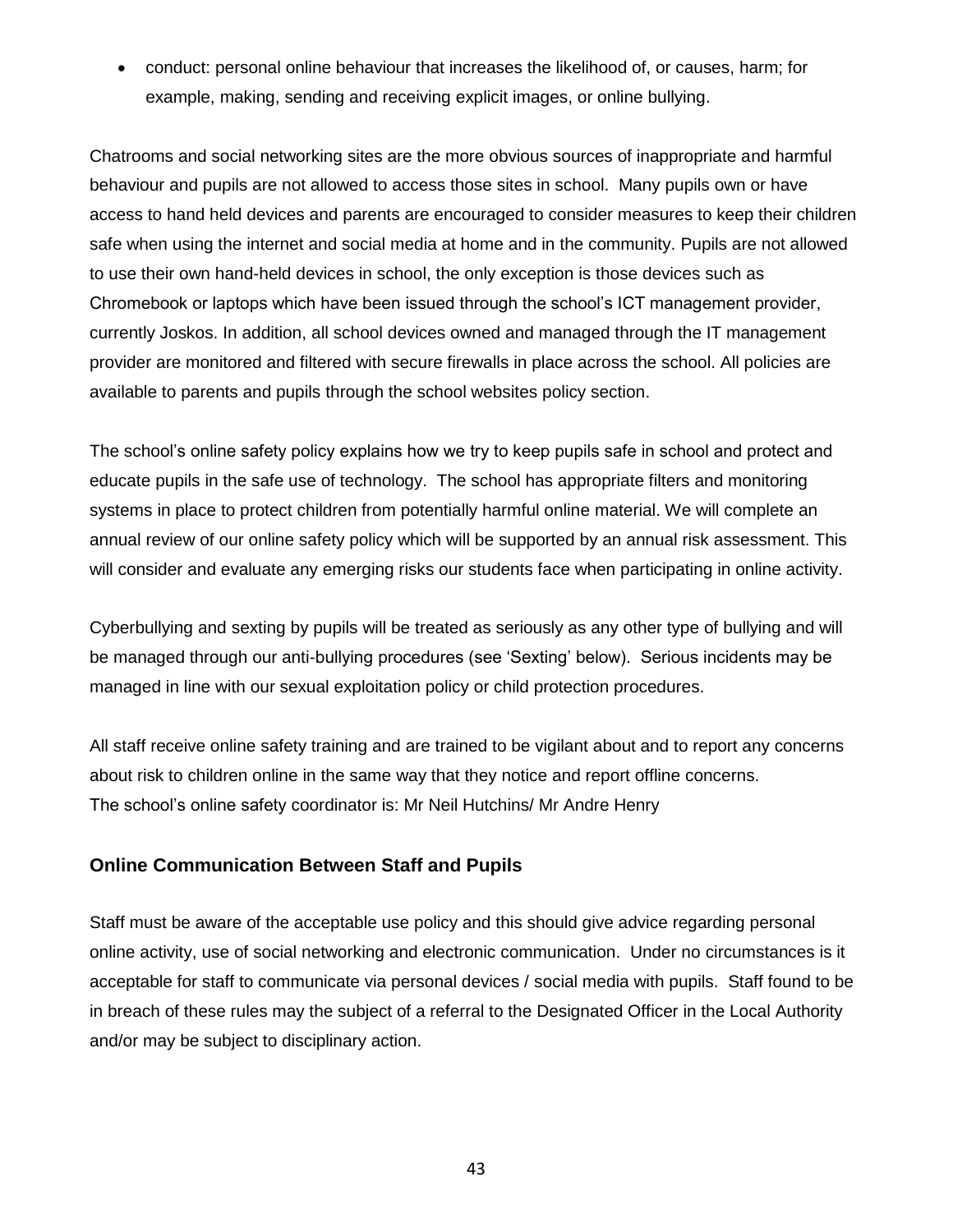• conduct: personal online behaviour that increases the likelihood of, or causes, harm; for example, making, sending and receiving explicit images, or online bullying.

Chatrooms and social networking sites are the more obvious sources of inappropriate and harmful behaviour and pupils are not allowed to access those sites in school. Many pupils own or have access to hand held devices and parents are encouraged to consider measures to keep their children safe when using the internet and social media at home and in the community. Pupils are not allowed to use their own hand-held devices in school, the only exception is those devices such as Chromebook or laptops which have been issued through the school's ICT management provider, currently Joskos. In addition, all school devices owned and managed through the IT management provider are monitored and filtered with secure firewalls in place across the school. All policies are available to parents and pupils through the school websites policy section.

The school's online safety policy explains how we try to keep pupils safe in school and protect and educate pupils in the safe use of technology. The school has appropriate filters and monitoring systems in place to protect children from potentially harmful online material. We will complete an annual review of our online safety policy which will be supported by an annual risk assessment. This will consider and evaluate any emerging risks our students face when participating in online activity.

Cyberbullying and sexting by pupils will be treated as seriously as any other type of bullying and will be managed through our anti-bullying procedures (see 'Sexting' below). Serious incidents may be managed in line with our sexual exploitation policy or child protection procedures.

All staff receive online safety training and are trained to be vigilant about and to report any concerns about risk to children online in the same way that they notice and report offline concerns. The school's online safety coordinator is: Mr Neil Hutchins/ Mr Andre Henry

#### **Online Communication Between Staff and Pupils**

Staff must be aware of the acceptable use policy and this should give advice regarding personal online activity, use of social networking and electronic communication. Under no circumstances is it acceptable for staff to communicate via personal devices / social media with pupils. Staff found to be in breach of these rules may the subject of a referral to the Designated Officer in the Local Authority and/or may be subject to disciplinary action.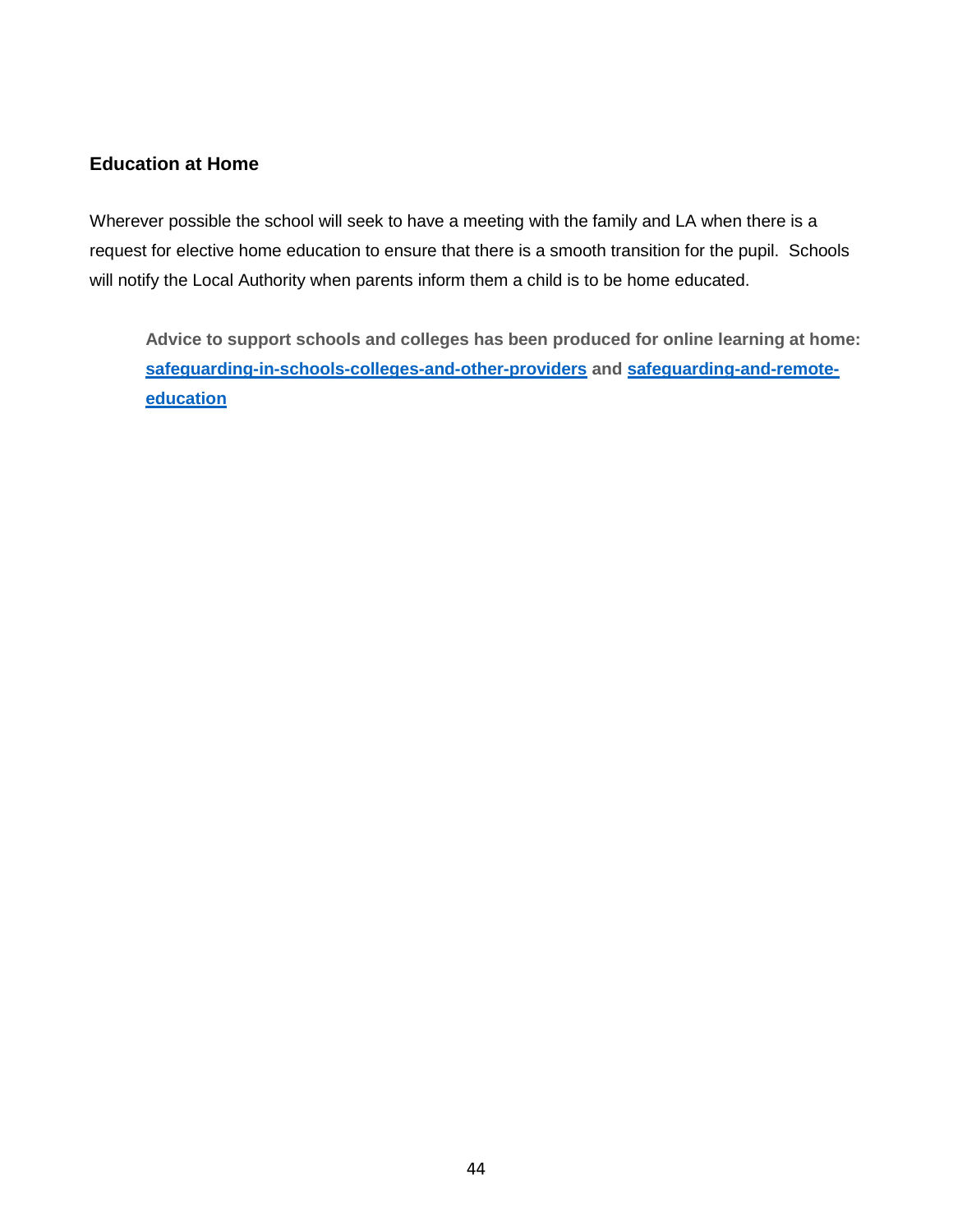### **Education at Home**

Wherever possible the school will seek to have a meeting with the family and LA when there is a request for elective home education to ensure that there is a smooth transition for the pupil. Schools will notify the Local Authority when parents inform them a child is to be home educated.

**Advice to support schools and colleges has been produced for online learning at home: [safeguarding-in-schools-colleges-and-other-providers](https://www.gov.uk/government/publications/covid-19-safeguarding-in-schools-colleges-and-other-providers/coronavirus-covid-19-safeguarding-in-schools-colleges-and-other-providers) and [safeguarding-and-remote](https://www.gov.uk/guidance/safeguarding-and-remote-education-during-coronavirus-covid-19)[education](https://www.gov.uk/guidance/safeguarding-and-remote-education-during-coronavirus-covid-19)**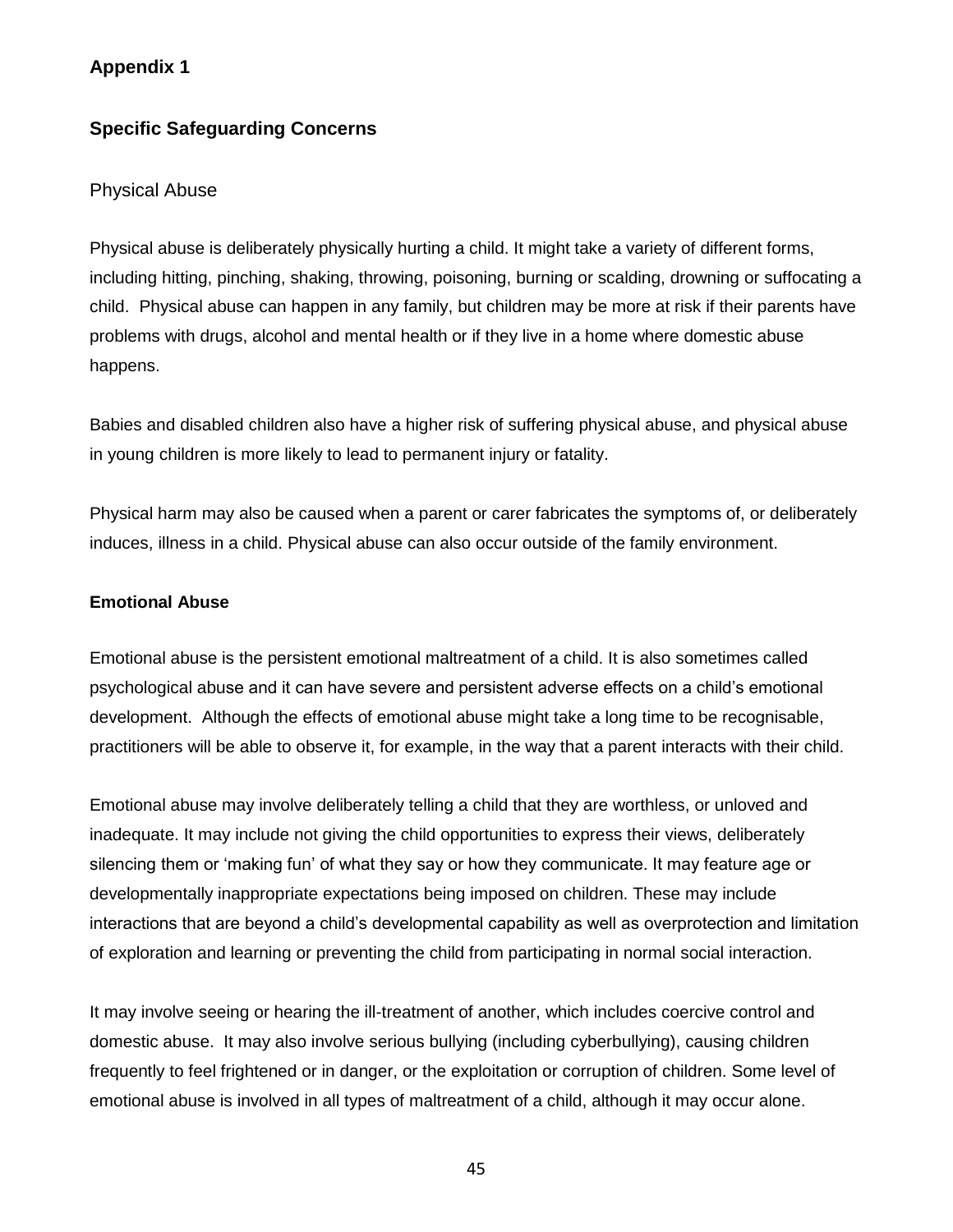## **Appendix 1**

## **Specific Safeguarding Concerns**

#### Physical Abuse

Physical abuse is deliberately physically hurting a child. It might take a variety of different forms, including hitting, pinching, shaking, throwing, poisoning, burning or scalding, drowning or suffocating a child. Physical abuse can happen in any family, but children may be more at risk if their parents have problems with drugs, alcohol and mental health or if they live in a home where domestic abuse happens.

Babies and disabled children also have a higher risk of suffering physical abuse, and physical abuse in young children is more likely to lead to permanent injury or fatality.

Physical harm may also be caused when a parent or carer fabricates the symptoms of, or deliberately induces, illness in a child. Physical abuse can also occur outside of the family environment.

#### **Emotional Abuse**

Emotional abuse is the persistent emotional maltreatment of a child. It is also sometimes called psychological abuse and it can have severe and persistent adverse effects on a child's emotional development. Although the effects of emotional abuse might take a long time to be recognisable, practitioners will be able to observe it, for example, in the way that a parent interacts with their child.

Emotional abuse may involve deliberately telling a child that they are worthless, or unloved and inadequate. It may include not giving the child opportunities to express their views, deliberately silencing them or 'making fun' of what they say or how they communicate. It may feature age or developmentally inappropriate expectations being imposed on children. These may include interactions that are beyond a child's developmental capability as well as overprotection and limitation of exploration and learning or preventing the child from participating in normal social interaction.

It may involve seeing or hearing the ill-treatment of another, which includes coercive control and domestic abuse. It may also involve serious bullying (including cyberbullying), causing children frequently to feel frightened or in danger, or the exploitation or corruption of children. Some level of emotional abuse is involved in all types of maltreatment of a child, although it may occur alone.

45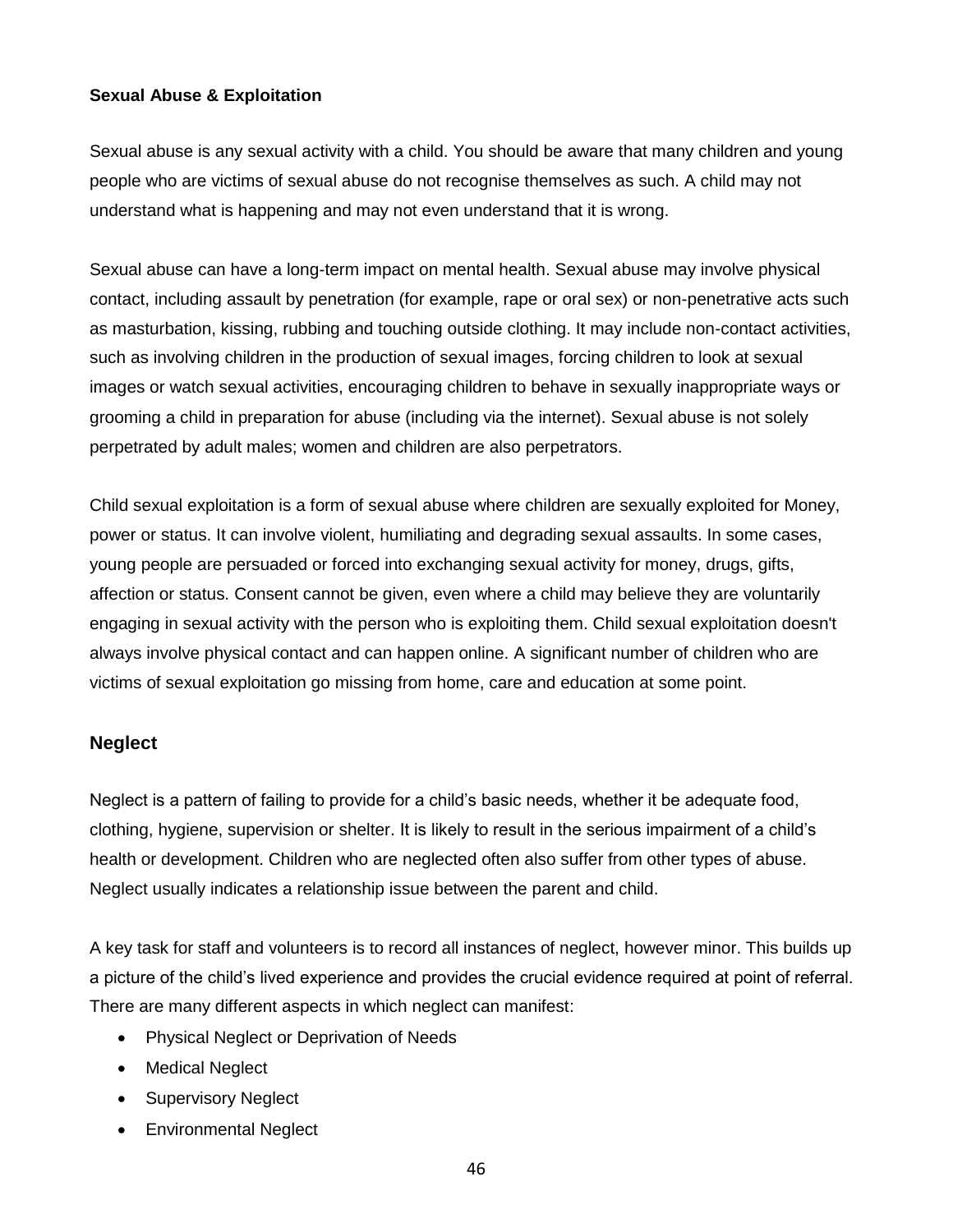#### **Sexual Abuse & Exploitation**

Sexual abuse is any sexual activity with a child. You should be aware that many children and young people who are victims of sexual abuse do not recognise themselves as such. A child may not understand what is happening and may not even understand that it is wrong.

Sexual abuse can have a long-term impact on mental health. Sexual abuse may involve physical contact, including assault by penetration (for example, rape or oral sex) or non-penetrative acts such as masturbation, kissing, rubbing and touching outside clothing. It may include non-contact activities, such as involving children in the production of sexual images, forcing children to look at sexual images or watch sexual activities, encouraging children to behave in sexually inappropriate ways or grooming a child in preparation for abuse (including via the internet). Sexual abuse is not solely perpetrated by adult males; women and children are also perpetrators.

Child sexual exploitation is a form of sexual abuse where children are sexually exploited for Money, power or status. It can involve violent, humiliating and degrading sexual assaults. In some cases, young people are persuaded or forced into exchanging sexual activity for money, drugs, gifts, affection or status. Consent cannot be given, even where a child may believe they are voluntarily engaging in sexual activity with the person who is exploiting them. Child sexual exploitation doesn't always involve physical contact and can happen online. A significant number of children who are victims of sexual exploitation go missing from home, care and education at some point.

#### **Neglect**

Neglect is a pattern of failing to provide for a child's basic needs, whether it be adequate food, clothing, hygiene, supervision or shelter. It is likely to result in the serious impairment of a child's health or development. Children who are neglected often also suffer from other types of abuse. Neglect usually indicates a relationship issue between the parent and child.

A key task for staff and volunteers is to record all instances of neglect, however minor. This builds up a picture of the child's lived experience and provides the crucial evidence required at point of referral. There are many different aspects in which neglect can manifest:

- Physical Neglect or Deprivation of Needs
- Medical Neglect
- Supervisory Neglect
- Environmental Neglect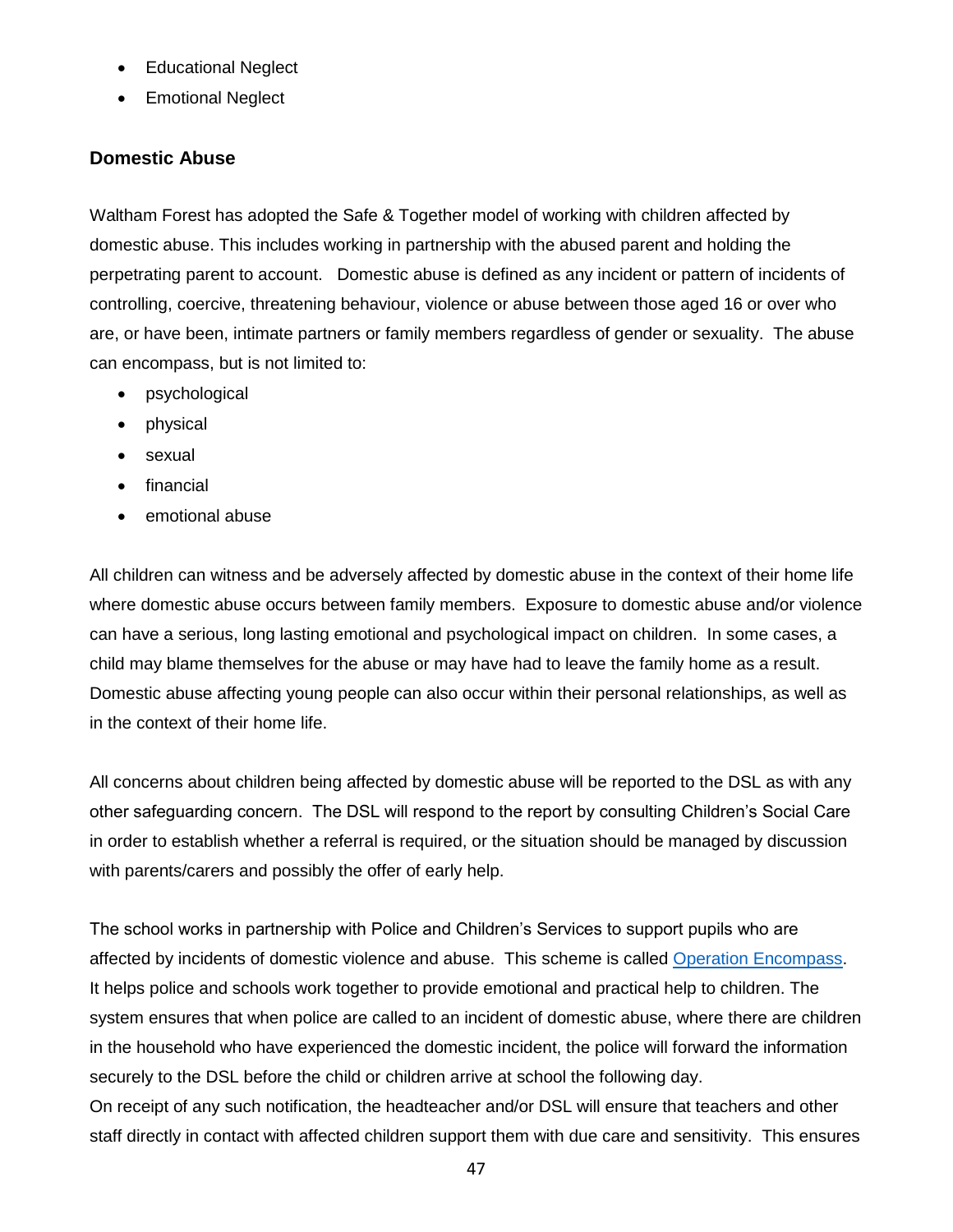- Educational Neglect
- Emotional Neglect

### **Domestic Abuse**

Waltham Forest has adopted the Safe & Together model of working with children affected by domestic abuse. This includes working in partnership with the abused parent and holding the perpetrating parent to account. Domestic abuse is defined as any incident or pattern of incidents of controlling, coercive, threatening behaviour, violence or abuse between those aged 16 or over who are, or have been, intimate partners or family members regardless of gender or sexuality. The abuse can encompass, but is not limited to:

- psychological
- physical
- sexual
- financial
- emotional abuse

All children can witness and be adversely affected by domestic abuse in the context of their home life where domestic abuse occurs between family members. Exposure to domestic abuse and/or violence can have a serious, long lasting emotional and psychological impact on children. In some cases, a child may blame themselves for the abuse or may have had to leave the family home as a result. Domestic abuse affecting young people can also occur within their personal relationships, as well as in the context of their home life.

All concerns about children being affected by domestic abuse will be reported to the DSL as with any other safeguarding concern. The DSL will respond to the report by consulting Children's Social Care in order to establish whether a referral is required, or the situation should be managed by discussion with parents/carers and possibly the offer of early help.

The school works in partnership with Police and Children's Services to support pupils who are affected by incidents of domestic violence and abuse. This scheme is called [Operation Encompass.](https://www.operationencompass.org/) It helps police and schools work together to provide emotional and practical help to children. The system ensures that when police are called to an incident of domestic abuse, where there are children in the household who have experienced the domestic incident, the police will forward the information securely to the DSL before the child or children arrive at school the following day.

On receipt of any such notification, the headteacher and/or DSL will ensure that teachers and other staff directly in contact with affected children support them with due care and sensitivity. This ensures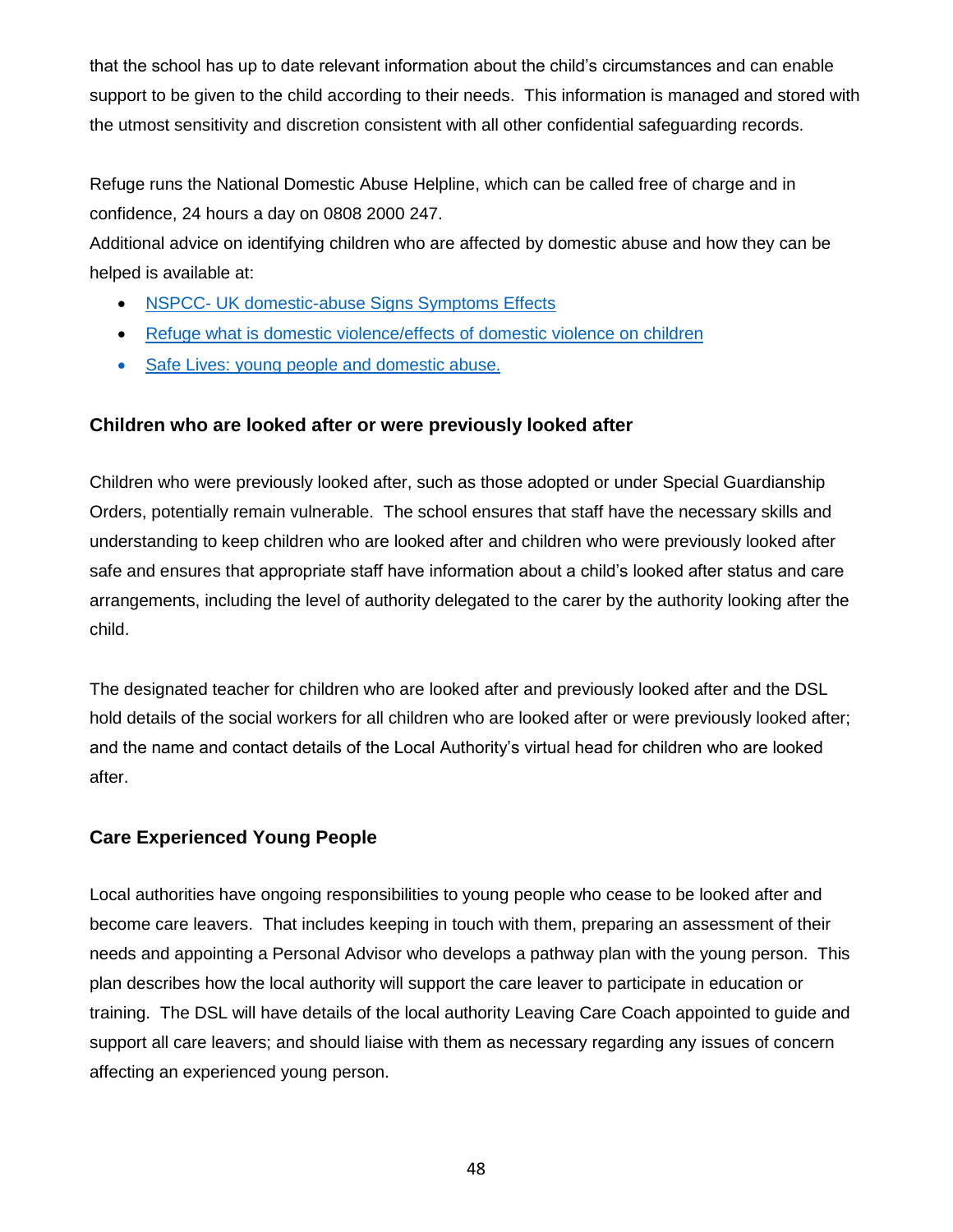that the school has up to date relevant information about the child's circumstances and can enable support to be given to the child according to their needs. This information is managed and stored with the utmost sensitivity and discretion consistent with all other confidential safeguarding records.

Refuge runs the National Domestic Abuse Helpline, which can be called free of charge and in confidence, 24 hours a day on 0808 2000 247.

Additional advice on identifying children who are affected by domestic abuse and how they can be helped is available at:

- NSPCC- [UK domestic-abuse Signs Symptoms Effects](https://www.nspcc.org.uk/what-is-child-abuse/types-of-abuse/domestic-abuse/)
- [Refuge what is domestic violence/effects of domestic violence on children](http://www.refuge.org.uk/get-help-now/support-for-women/what-about-my-children/)
- [Safe Lives: young people and domestic abuse.](SafeLives:%20young%20people%20and%20domestic%20abuse.)

### **Children who are looked after or were previously looked after**

Children who were previously looked after, such as those adopted or under Special Guardianship Orders, potentially remain vulnerable. The school ensures that staff have the necessary skills and understanding to keep children who are looked after and children who were previously looked after safe and ensures that appropriate staff have information about a child's looked after status and care arrangements, including the level of authority delegated to the carer by the authority looking after the child.

The designated teacher for children who are looked after and previously looked after and the DSL hold details of the social workers for all children who are looked after or were previously looked after; and the name and contact details of the Local Authority's virtual head for children who are looked after.

## **Care Experienced Young People**

Local authorities have ongoing responsibilities to young people who cease to be looked after and become care leavers. That includes keeping in touch with them, preparing an assessment of their needs and appointing a Personal Advisor who develops a pathway plan with the young person. This plan describes how the local authority will support the care leaver to participate in education or training. The DSL will have details of the local authority Leaving Care Coach appointed to guide and support all care leavers; and should liaise with them as necessary regarding any issues of concern affecting an experienced young person.

48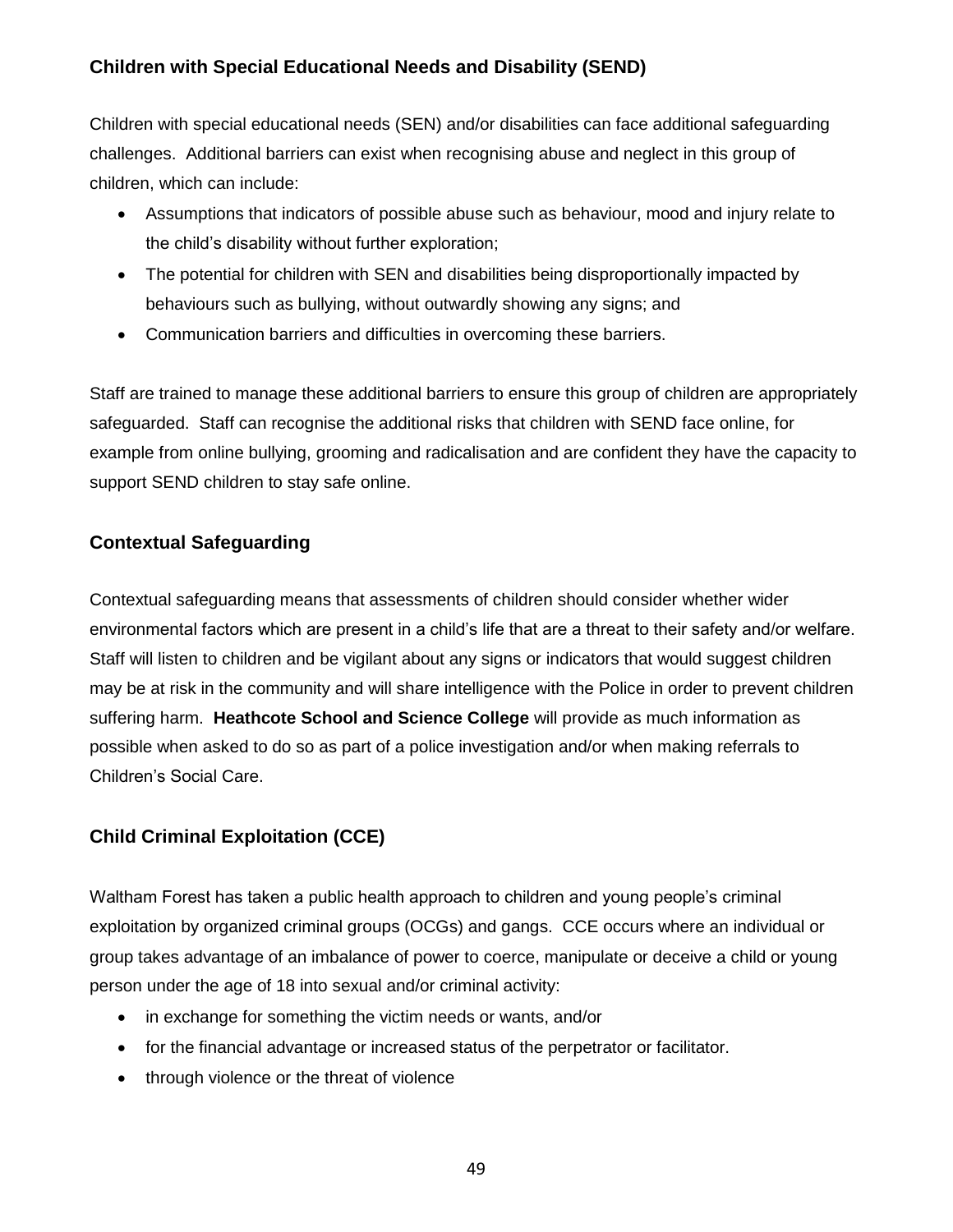## **Children with Special Educational Needs and Disability (SEND)**

Children with special educational needs (SEN) and/or disabilities can face additional safeguarding challenges. Additional barriers can exist when recognising abuse and neglect in this group of children, which can include:

- Assumptions that indicators of possible abuse such as behaviour, mood and injury relate to the child's disability without further exploration;
- The potential for children with SEN and disabilities being disproportionally impacted by behaviours such as bullying, without outwardly showing any signs; and
- Communication barriers and difficulties in overcoming these barriers.

Staff are trained to manage these additional barriers to ensure this group of children are appropriately safeguarded. Staff can recognise the additional risks that children with SEND face online, for example from online bullying, grooming and radicalisation and are confident they have the capacity to support SEND children to stay safe online.

## **Contextual Safeguarding**

Contextual safeguarding means that assessments of children should consider whether wider environmental factors which are present in a child's life that are a threat to their safety and/or welfare. Staff will listen to children and be vigilant about any signs or indicators that would suggest children may be at risk in the community and will share intelligence with the Police in order to prevent children suffering harm. **Heathcote School and Science College** will provide as much information as possible when asked to do so as part of a police investigation and/or when making referrals to Children's Social Care.

## **Child Criminal Exploitation (CCE)**

Waltham Forest has taken a public health approach to children and young people's criminal exploitation by organized criminal groups (OCGs) and gangs. CCE occurs where an individual or group takes advantage of an imbalance of power to coerce, manipulate or deceive a child or young person under the age of 18 into sexual and/or criminal activity:

- in exchange for something the victim needs or wants, and/or
- for the financial advantage or increased status of the perpetrator or facilitator.
- through violence or the threat of violence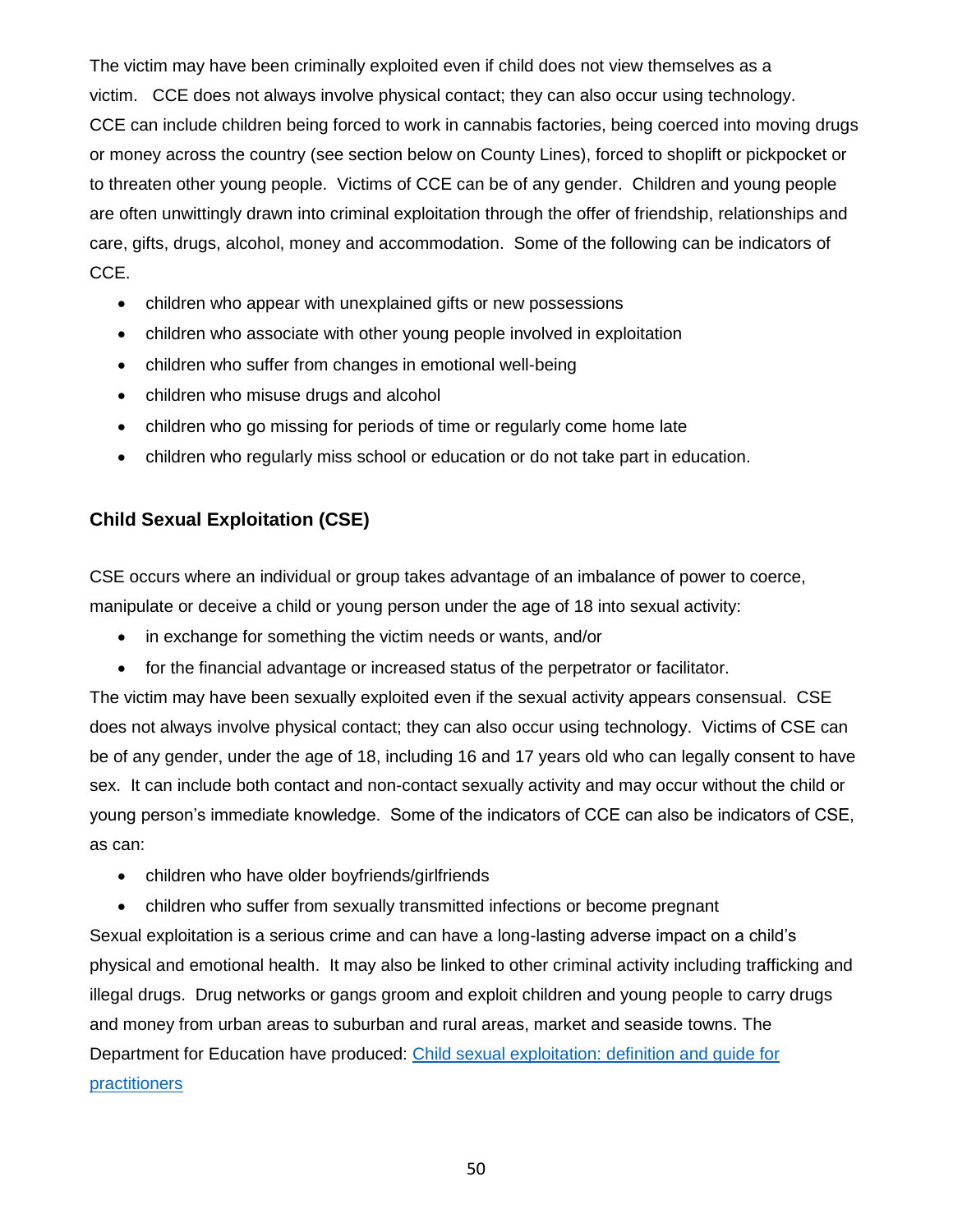The victim may have been criminally exploited even if child does not view themselves as a victim. CCE does not always involve physical contact; they can also occur using technology. CCE can include children being forced to work in cannabis factories, being coerced into moving drugs or money across the country (see section below on County Lines), forced to shoplift or pickpocket or to threaten other young people. Victims of CCE can be of any gender. Children and young people are often unwittingly drawn into criminal exploitation through the offer of friendship, relationships and care, gifts, drugs, alcohol, money and accommodation. Some of the following can be indicators of CCE.

- children who appear with unexplained gifts or new possessions
- children who associate with other young people involved in exploitation
- children who suffer from changes in emotional well-being
- children who misuse drugs and alcohol
- children who go missing for periods of time or regularly come home late
- children who regularly miss school or education or do not take part in education.

## **Child Sexual Exploitation (CSE)**

CSE occurs where an individual or group takes advantage of an imbalance of power to coerce, manipulate or deceive a child or young person under the age of 18 into sexual activity:

- in exchange for something the victim needs or wants, and/or
- for the financial advantage or increased status of the perpetrator or facilitator.

The victim may have been sexually exploited even if the sexual activity appears consensual. CSE does not always involve physical contact; they can also occur using technology. Victims of CSE can be of any gender, under the age of 18, including 16 and 17 years old who can legally consent to have sex. It can include both contact and non-contact sexually activity and may occur without the child or young person's immediate knowledge. Some of the indicators of CCE can also be indicators of CSE, as can:

- children who have older boyfriends/girlfriends
- children who suffer from sexually transmitted infections or become pregnant

Sexual exploitation is a serious crime and can have a long-lasting adverse impact on a child's physical and emotional health. It may also be linked to other criminal activity including trafficking and illegal drugs. Drug networks or gangs groom and exploit children and young people to carry drugs and money from urban areas to suburban and rural areas, market and seaside towns. The Department for Education have produced: [Child sexual exploitation: definition and guide for](https://www.gov.uk/government/publications/child-sexual-exploitation-definition-and-guide-for-practitioners)  [practitioners](https://www.gov.uk/government/publications/child-sexual-exploitation-definition-and-guide-for-practitioners)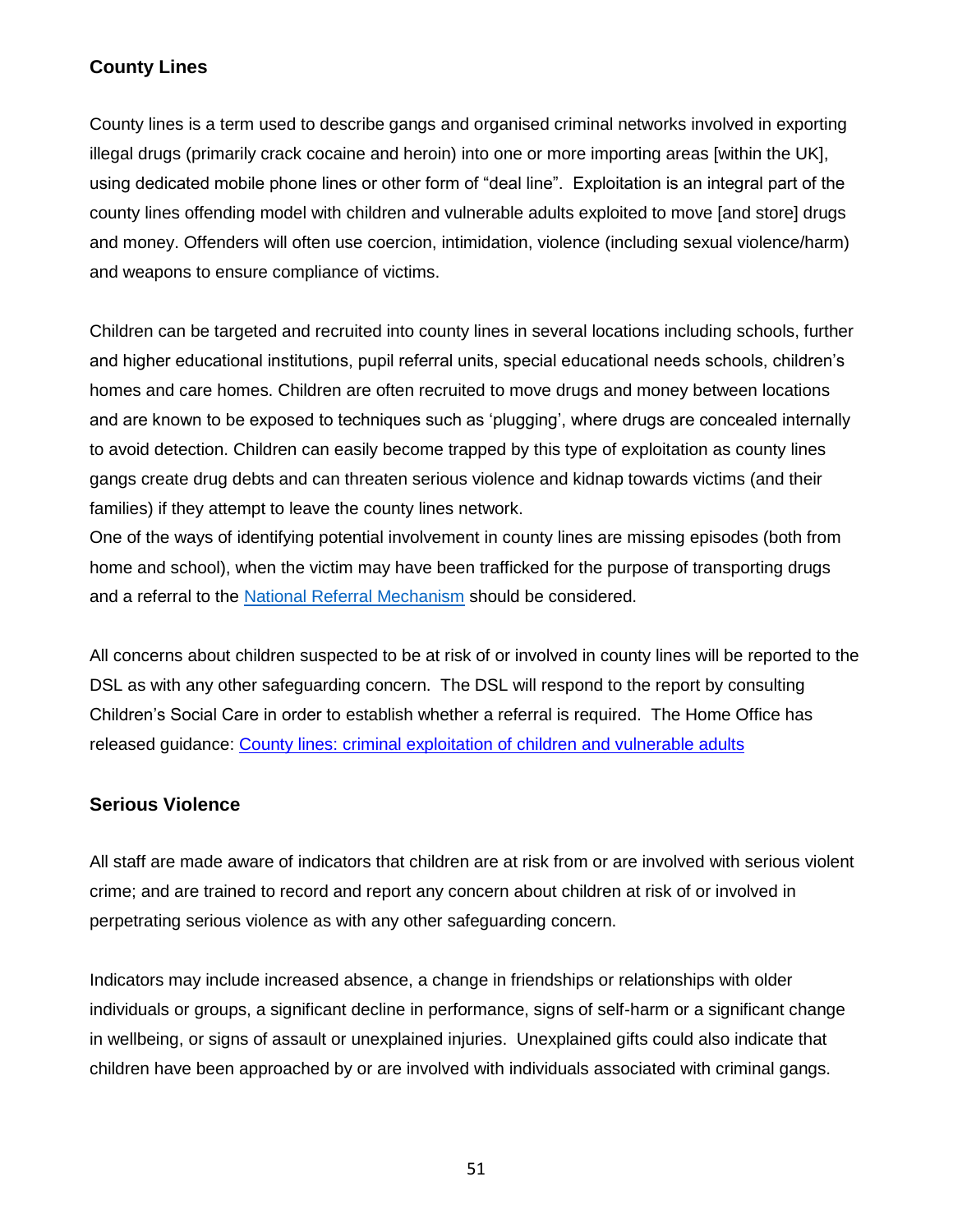## **County Lines**

County lines is a term used to describe gangs and organised criminal networks involved in exporting illegal drugs (primarily crack cocaine and heroin) into one or more importing areas [within the UK], using dedicated mobile phone lines or other form of "deal line". Exploitation is an integral part of the county lines offending model with children and vulnerable adults exploited to move [and store] drugs and money. Offenders will often use coercion, intimidation, violence (including sexual violence/harm) and weapons to ensure compliance of victims.

Children can be targeted and recruited into county lines in several locations including schools, further and higher educational institutions, pupil referral units, special educational needs schools, children's homes and care homes. Children are often recruited to move drugs and money between locations and are known to be exposed to techniques such as 'plugging', where drugs are concealed internally to avoid detection. Children can easily become trapped by this type of exploitation as county lines gangs create drug debts and can threaten serious violence and kidnap towards victims (and their families) if they attempt to leave the county lines network.

One of the ways of identifying potential involvement in county lines are missing episodes (both from home and school), when the victim may have been trafficked for the purpose of transporting drugs and a referral to the [National Referral Mechanism](https://www.nationalcrimeagency.gov.uk/what-we-do/crime-threats/modern-slavery-and-human-trafficking) should be considered.

All concerns about children suspected to be at risk of or involved in county lines will be reported to the DSL as with any other safeguarding concern. The DSL will respond to the report by consulting Children's Social Care in order to establish whether a referral is required. The Home Office has released guidance: [County lines: criminal exploitation of children](https://www.gov.uk/government/collections/county-lines-criminal-exploitation-of-children-and-vulnerable-adults) and vulnerable adults

#### **Serious Violence**

All staff are made aware of indicators that children are at risk from or are involved with serious violent crime; and are trained to record and report any concern about children at risk of or involved in perpetrating serious violence as with any other safeguarding concern.

Indicators may include increased absence, a change in friendships or relationships with older individuals or groups, a significant decline in performance, signs of self-harm or a significant change in wellbeing, or signs of assault or unexplained injuries. Unexplained gifts could also indicate that children have been approached by or are involved with individuals associated with criminal gangs.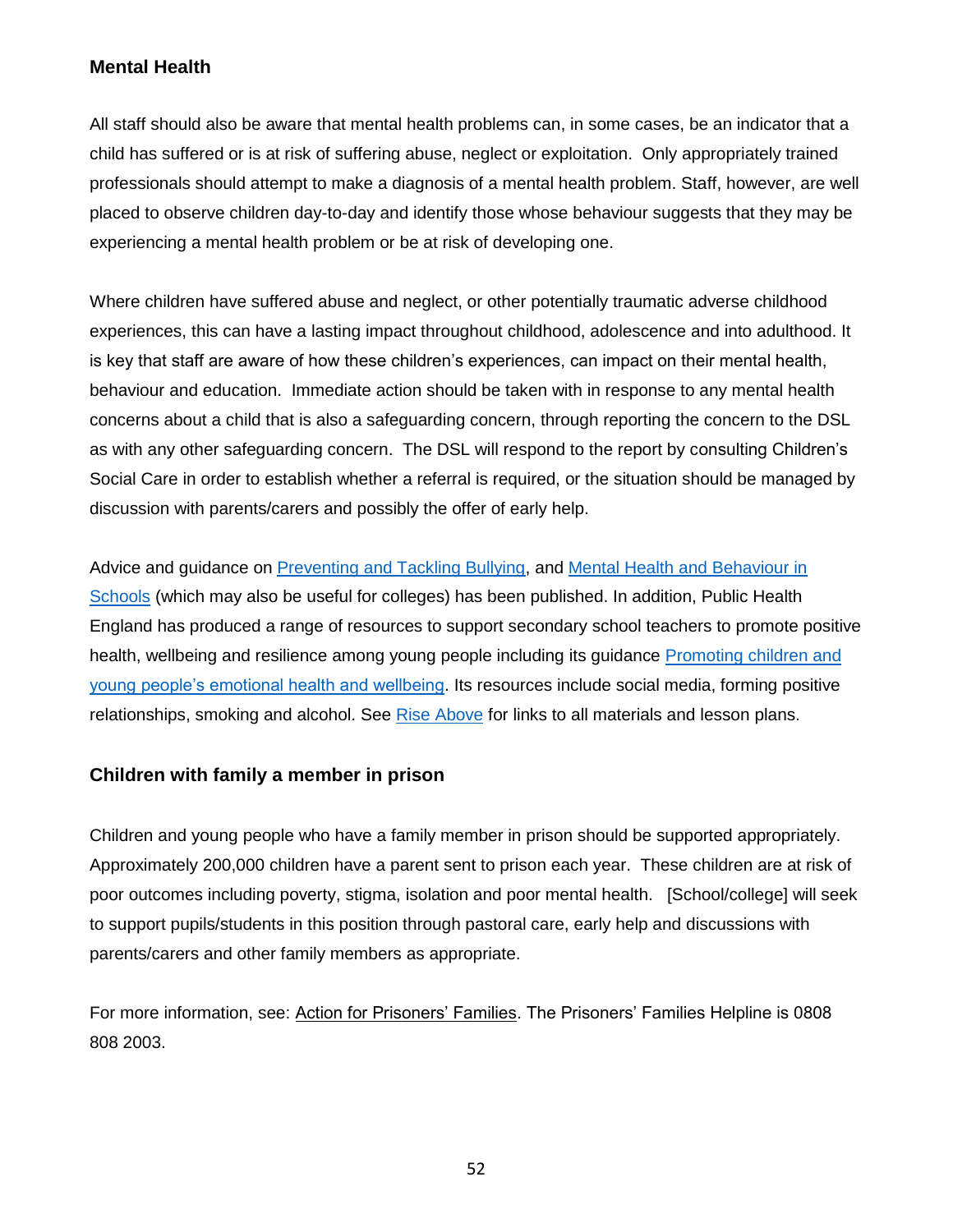## **Mental Health**

All staff should also be aware that mental health problems can, in some cases, be an indicator that a child has suffered or is at risk of suffering abuse, neglect or exploitation. Only appropriately trained professionals should attempt to make a diagnosis of a mental health problem. Staff, however, are well placed to observe children day-to-day and identify those whose behaviour suggests that they may be experiencing a mental health problem or be at risk of developing one.

Where children have suffered abuse and neglect, or other potentially traumatic adverse childhood experiences, this can have a lasting impact throughout childhood, adolescence and into adulthood. It is key that staff are aware of how these children's experiences, can impact on their mental health, behaviour and education. Immediate action should be taken with in response to any mental health concerns about a child that is also a safeguarding concern, through reporting the concern to the DSL as with any other safeguarding concern. The DSL will respond to the report by consulting Children's Social Care in order to establish whether a referral is required, or the situation should be managed by discussion with parents/carers and possibly the offer of early help.

Advice and guidance on [Preventing and Tackling Bullying,](https://assets.publishing.service.gov.uk/government/uploads/system/uploads/attachment_data/file/623895/Preventing_and_tackling_bullying_advice.pdf) and [Mental Health and Behaviour in](https://www.gov.uk/government/publications/mental-health-and-behaviour-in-schools--2)  [Schools](https://www.gov.uk/government/publications/mental-health-and-behaviour-in-schools--2) (which may also be useful for colleges) has been published. In addition, Public Health England has produced a range of resources to support secondary school teachers to promote positive health, wellbeing and resilience among young people including its guidance [Promoting children and](https://www.gov.uk/government/publications/promoting-children-and-young-peoples-emotional-health-and-wellbeing)  [young people's emotional health and wellbeing.](https://www.gov.uk/government/publications/promoting-children-and-young-peoples-emotional-health-and-wellbeing) Its resources include social media, forming positive relationships, smoking and alcohol. See [Rise Above](https://campaignresources.phe.gov.uk/schools/topics/rise-above/overview) for links to all materials and lesson plans.

#### **Children with family a member in prison**

Children and young people who have a family member in prison should be supported appropriately. Approximately 200,000 children have a parent sent to prison each year. These children are at risk of poor outcomes including poverty, stigma, isolation and poor mental health. [School/college] will seek to support pupils/students in this position through pastoral care, early help and discussions with parents/carers and other family members as appropriate.

For more information, see: [Action for Prisoners' Families.](https://www.prisonersfamilies.org/family-lives-action-prisoners-families-form-partnership-manage-offenders-families-helpline/) The Prisoners' Families Helpline is 0808 808 2003.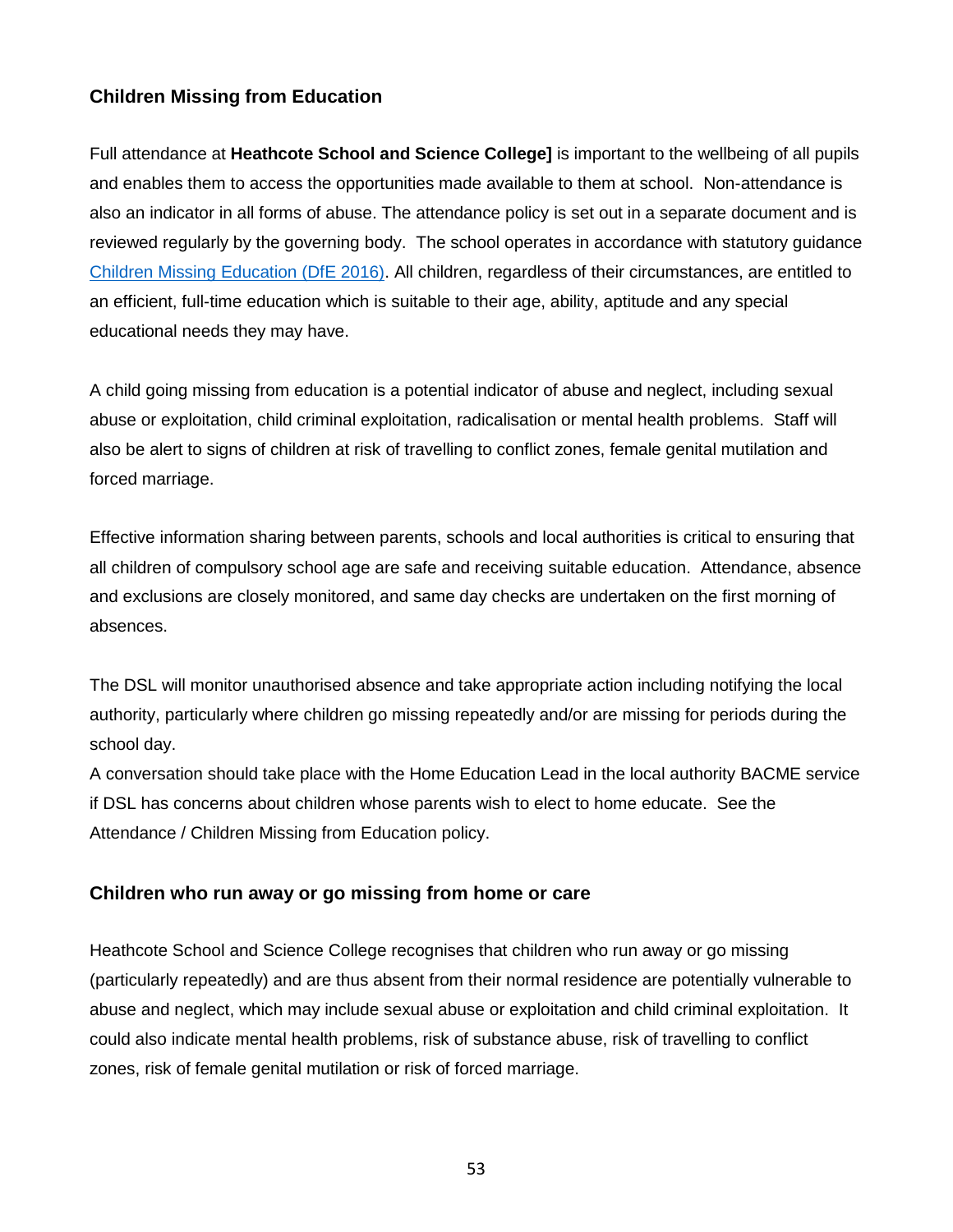## **Children Missing from Education**

Full attendance at **Heathcote School and Science College]** is important to the wellbeing of all pupils and enables them to access the opportunities made available to them at school. Non-attendance is also an indicator in all forms of abuse. The attendance policy is set out in a separate document and is reviewed regularly by the governing body. The school operates in accordance with statutory guidance [Children Missing Education \(DfE 2016\).](https://www.gov.uk/government/uploads/system/uploads/attachment_data/file/550416/Children_Missing_Education_-_statutory_guidance.pdf) All children, regardless of their circumstances, are entitled to an efficient, full-time education which is suitable to their age, ability, aptitude and any special educational needs they may have.

A child going missing from education is a potential indicator of abuse and neglect, including sexual abuse or exploitation, child criminal exploitation, radicalisation or mental health problems. Staff will also be alert to signs of children at risk of travelling to conflict zones, female genital mutilation and forced marriage.

Effective information sharing between parents, schools and local authorities is critical to ensuring that all children of compulsory school age are safe and receiving suitable education. Attendance, absence and exclusions are closely monitored, and same day checks are undertaken on the first morning of absences.

The DSL will monitor unauthorised absence and take appropriate action including notifying the local authority, particularly where children go missing repeatedly and/or are missing for periods during the school day.

A conversation should take place with the Home Education Lead in the local authority BACME service if DSL has concerns about children whose parents wish to elect to home educate. See the Attendance / Children Missing from Education policy.

#### **Children who run away or go missing from home or care**

Heathcote School and Science College recognises that children who run away or go missing (particularly repeatedly) and are thus absent from their normal residence are potentially vulnerable to abuse and neglect, which may include sexual abuse or exploitation and child criminal exploitation. It could also indicate mental health problems, risk of substance abuse, risk of travelling to conflict zones, risk of female genital mutilation or risk of forced marriage.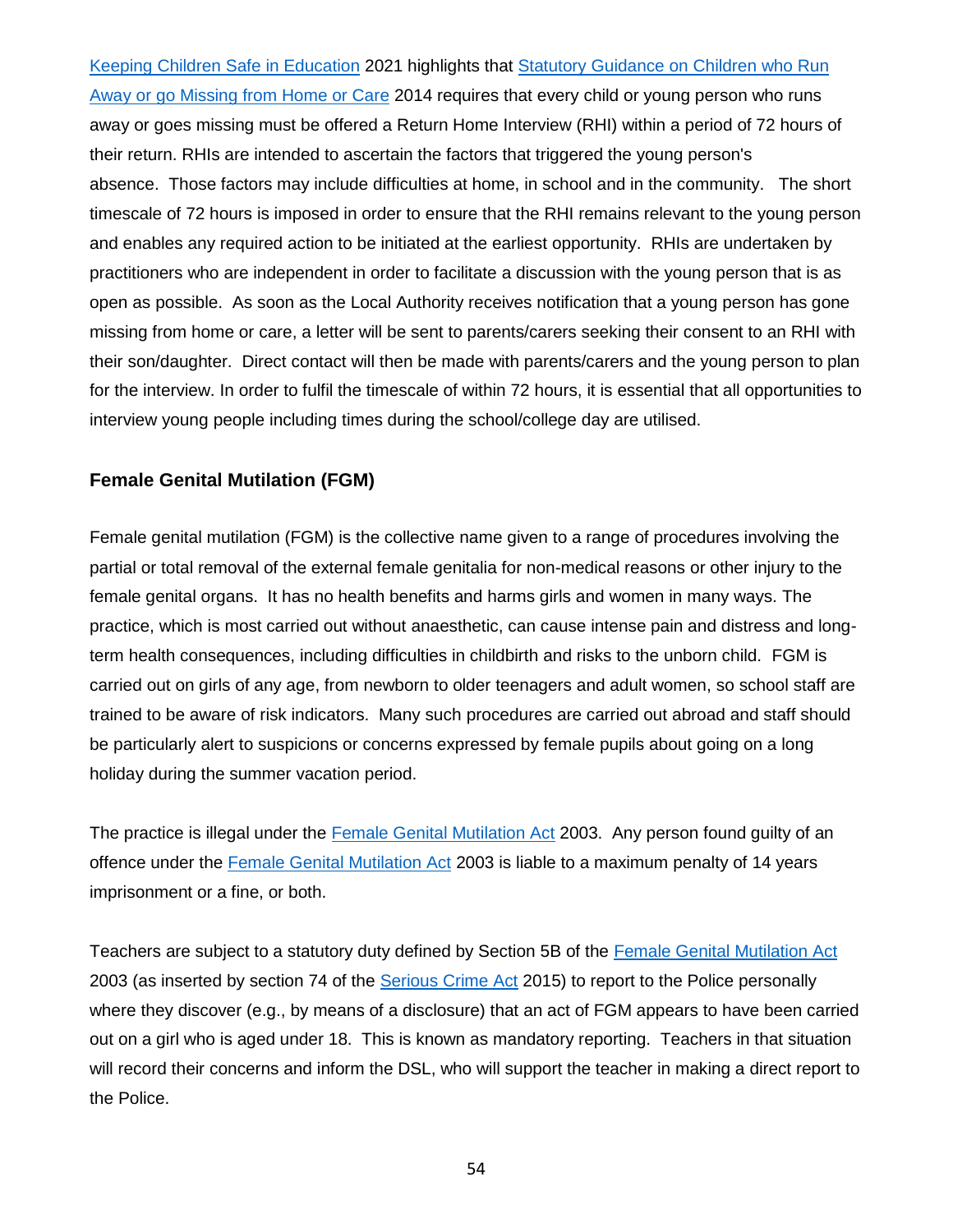[Keeping Children Safe in Education](https://www.gov.uk/government/publications/keeping-children-safe-in-education--2) 2021 highlights that [Statutory Guidance on Children who Run](https://www.gov.uk/government/publications/children-who-run-away-or-go-missing-from-home-or-care)  [Away or go Missing from Home or Care](https://www.gov.uk/government/publications/children-who-run-away-or-go-missing-from-home-or-care) 2014 requires that every child or young person who runs away or goes missing must be offered a Return Home Interview (RHI) within a period of 72 hours of their return. RHIs are intended to ascertain the factors that triggered the young person's absence. Those factors may include difficulties at home, in school and in the community. The short timescale of 72 hours is imposed in order to ensure that the RHI remains relevant to the young person and enables any required action to be initiated at the earliest opportunity. RHIs are undertaken by practitioners who are independent in order to facilitate a discussion with the young person that is as open as possible. As soon as the Local Authority receives notification that a young person has gone missing from home or care, a letter will be sent to parents/carers seeking their consent to an RHI with their son/daughter. Direct contact will then be made with parents/carers and the young person to plan for the interview. In order to fulfil the timescale of within 72 hours, it is essential that all opportunities to interview young people including times during the school/college day are utilised.

#### **Female Genital Mutilation (FGM)**

Female genital mutilation (FGM) is the collective name given to a range of procedures involving the partial or total removal of the external female genitalia for non-medical reasons or other injury to the female genital organs. It has no health benefits and harms girls and women in many ways. The practice, which is most carried out without anaesthetic, can cause intense pain and distress and longterm health consequences, including difficulties in childbirth and risks to the unborn child. FGM is carried out on girls of any age, from newborn to older teenagers and adult women, so school staff are trained to be aware of risk indicators. Many such procedures are carried out abroad and staff should be particularly alert to suspicions or concerns expressed by female pupils about going on a long holiday during the summer vacation period.

The practice is illegal under the [Female Genital Mutilation Act](http://www.legislation.gov.uk/ukpga/2003/31/contents) 2003. Any person found guilty of an offence under the [Female Genital Mutilation Act](http://www.legislation.gov.uk/ukpga/2003/31/contents) 2003 is liable to a maximum penalty of 14 years imprisonment or a fine, or both.

Teachers are subject to a statutory duty defined by Section 5B of the [Female Genital Mutilation Act](http://www.legislation.gov.uk/ukpga/2003/31/contents) 2003 (as inserted by section 74 of the [Serious Crime Act](http://www.legislation.gov.uk/ukpga/2015/9/contents/enacted) 2015) to report to the Police personally where they discover (e.g., by means of a disclosure) that an act of FGM appears to have been carried out on a girl who is aged under 18. This is known as mandatory reporting. Teachers in that situation will record their concerns and inform the DSL, who will support the teacher in making a direct report to the Police.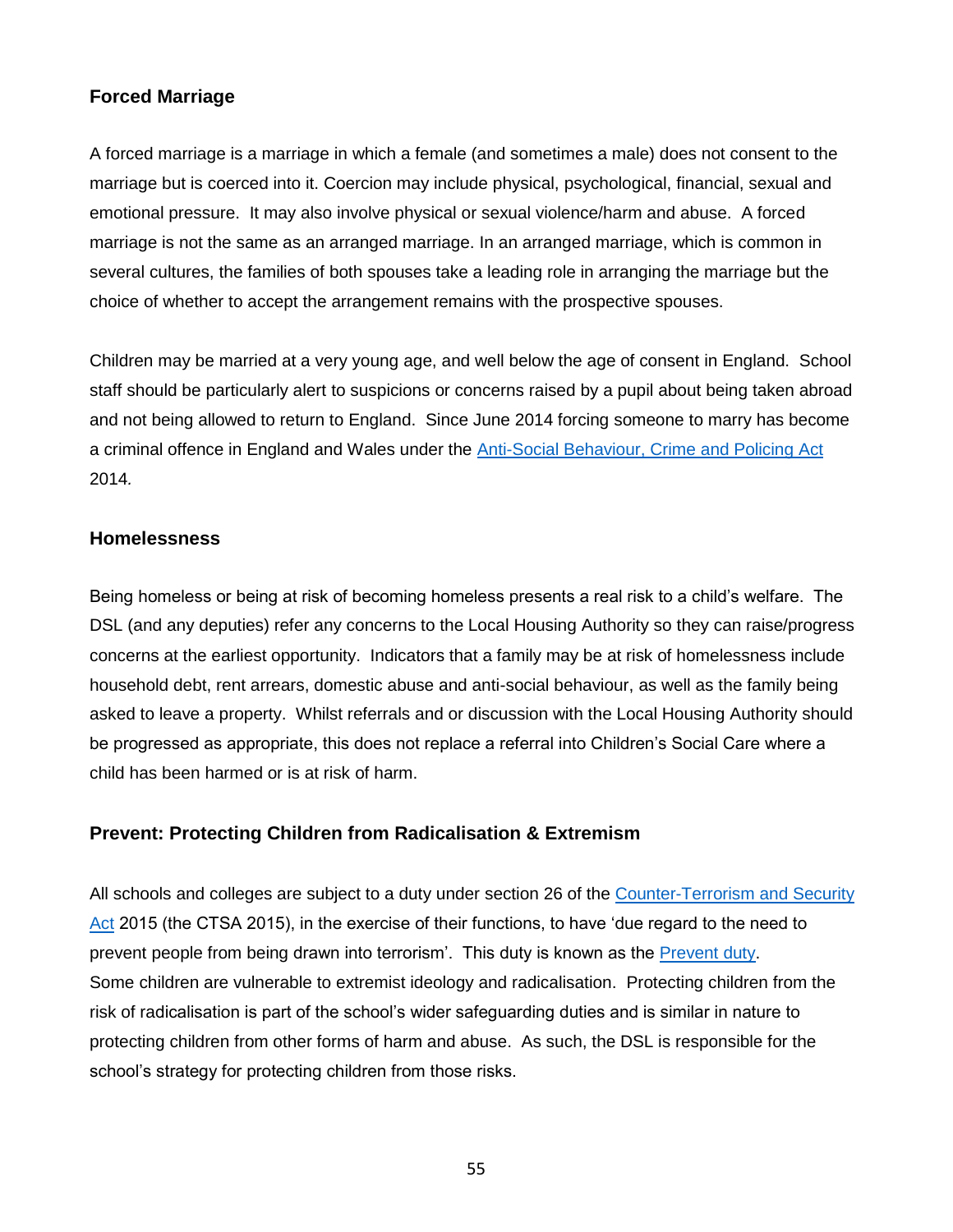### **Forced Marriage**

A forced marriage is a marriage in which a female (and sometimes a male) does not consent to the marriage but is coerced into it. Coercion may include physical, psychological, financial, sexual and emotional pressure. It may also involve physical or sexual violence/harm and abuse. A forced marriage is not the same as an arranged marriage. In an arranged marriage, which is common in several cultures, the families of both spouses take a leading role in arranging the marriage but the choice of whether to accept the arrangement remains with the prospective spouses.

Children may be married at a very young age, and well below the age of consent in England. School staff should be particularly alert to suspicions or concerns raised by a pupil about being taken abroad and not being allowed to return to England. Since June 2014 forcing someone to marry has become a criminal offence in England and Wales under the [Anti-Social Behaviour, Crime and Policing Act](http://www.legislation.gov.uk/ukpga/2014/12/contents/enacted) 2014*.* 

#### **Homelessness**

Being homeless or being at risk of becoming homeless presents a real risk to a child's welfare. The DSL (and any deputies) refer any concerns to the Local Housing Authority so they can raise/progress concerns at the earliest opportunity. Indicators that a family may be at risk of homelessness include household debt, rent arrears, domestic abuse and anti-social behaviour, as well as the family being asked to leave a property. Whilst referrals and or discussion with the Local Housing Authority should be progressed as appropriate, this does not replace a referral into Children's Social Care where a child has been harmed or is at risk of harm.

#### **Prevent: Protecting Children from Radicalisation & Extremism**

All schools and colleges are subject to a duty under section 26 of the [Counter-Terrorism and Security](http://www.legislation.gov.uk/ukpga/2015/6/contents/enacted)  [Act](http://www.legislation.gov.uk/ukpga/2015/6/contents/enacted) 2015 (the CTSA 2015), in the exercise of their functions, to have 'due regard to the need to prevent people from being drawn into terrorism'. This duty is known as the [Prevent duty.](https://www.gov.uk/government/publications/prevent-duty-guidance) Some children are vulnerable to extremist ideology and radicalisation. Protecting children from the risk of radicalisation is part of the school's wider safeguarding duties and is similar in nature to protecting children from other forms of harm and abuse. As such, the DSL is responsible for the school's strategy for protecting children from those risks.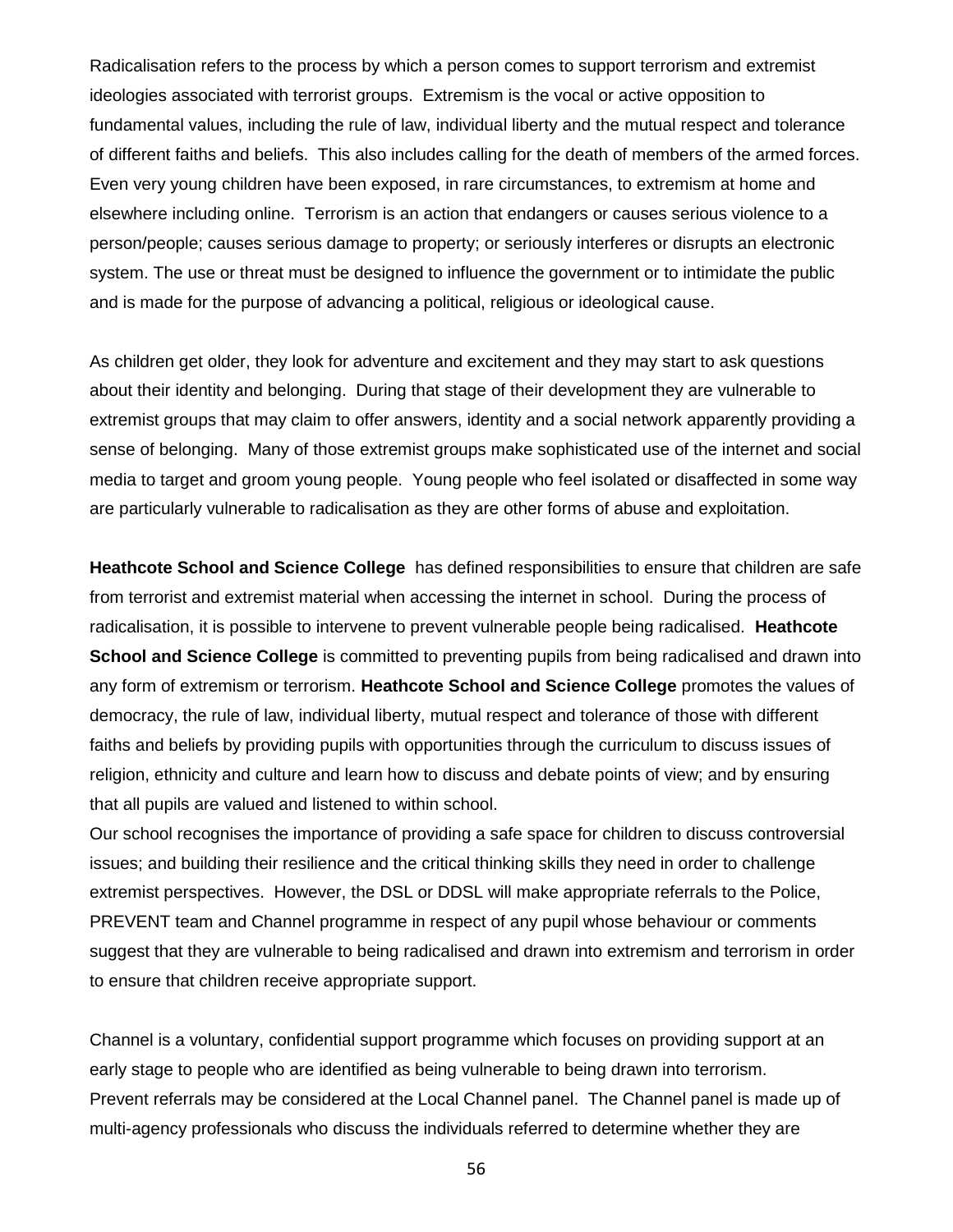Radicalisation refers to the process by which a person comes to support terrorism and extremist ideologies associated with terrorist groups. Extremism is the vocal or active opposition to fundamental values, including the rule of law, individual liberty and the mutual respect and tolerance of different faiths and beliefs. This also includes calling for the death of members of the armed forces. Even very young children have been exposed, in rare circumstances, to extremism at home and elsewhere including online. Terrorism is an action that endangers or causes serious violence to a person/people; causes serious damage to property; or seriously interferes or disrupts an electronic system. The use or threat must be designed to influence the government or to intimidate the public and is made for the purpose of advancing a political, religious or ideological cause.

As children get older, they look for adventure and excitement and they may start to ask questions about their identity and belonging. During that stage of their development they are vulnerable to extremist groups that may claim to offer answers, identity and a social network apparently providing a sense of belonging. Many of those extremist groups make sophisticated use of the internet and social media to target and groom young people. Young people who feel isolated or disaffected in some way are particularly vulnerable to radicalisation as they are other forms of abuse and exploitation.

**Heathcote School and Science College** has defined responsibilities to ensure that children are safe from terrorist and extremist material when accessing the internet in school. During the process of radicalisation, it is possible to intervene to prevent vulnerable people being radicalised. **Heathcote School and Science College** is committed to preventing pupils from being radicalised and drawn into any form of extremism or terrorism. **Heathcote School and Science College** promotes the values of democracy, the rule of law, individual liberty, mutual respect and tolerance of those with different faiths and beliefs by providing pupils with opportunities through the curriculum to discuss issues of religion, ethnicity and culture and learn how to discuss and debate points of view; and by ensuring that all pupils are valued and listened to within school.

Our school recognises the importance of providing a safe space for children to discuss controversial issues; and building their resilience and the critical thinking skills they need in order to challenge extremist perspectives. However, the DSL or DDSL will make appropriate referrals to the Police, PREVENT team and Channel programme in respect of any pupil whose behaviour or comments suggest that they are vulnerable to being radicalised and drawn into extremism and terrorism in order to ensure that children receive appropriate support.

Channel is a voluntary, confidential support programme which focuses on providing support at an early stage to people who are identified as being vulnerable to being drawn into terrorism. Prevent referrals may be considered at the Local Channel panel. The Channel panel is made up of multi-agency professionals who discuss the individuals referred to determine whether they are

56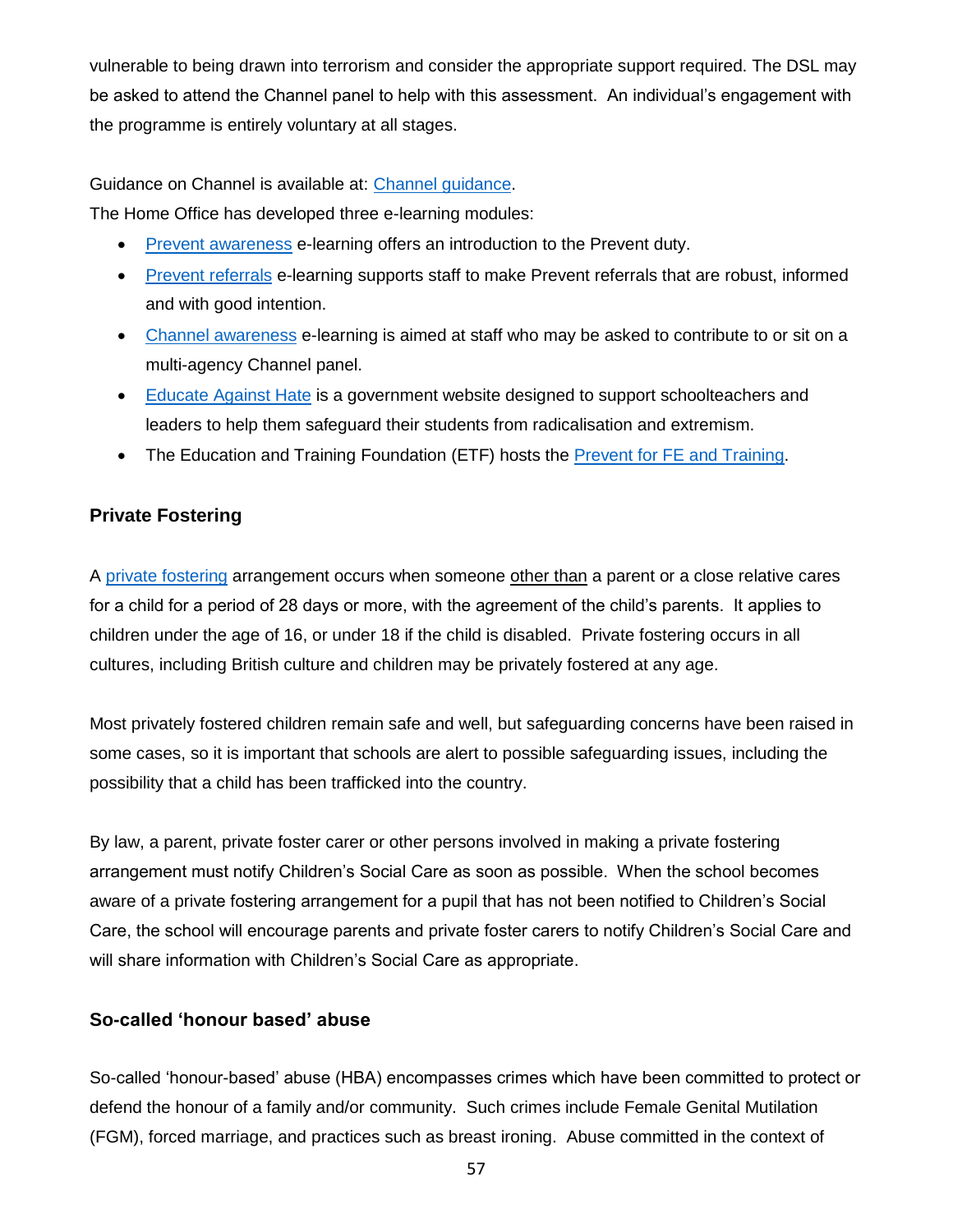vulnerable to being drawn into terrorism and consider the appropriate support required. The DSL may be asked to attend the Channel panel to help with this assessment. An individual's engagement with the programme is entirely voluntary at all stages.

Guidance on Channel is available at: [Channel guidance.](https://www.gov.uk/government/publications/channel-guidance)

The Home Office has developed three e-learning modules:

- [Prevent awareness](https://www.elearning.prevent.homeoffice.gov.uk/prevent_referrals/01-welcome.html) e-learning offers an introduction to the Prevent duty.
- [Prevent referrals](https://www.elearning.prevent.homeoffice.gov.uk/prevent_referrals/01-welcome.html) e-learning supports staff to make Prevent referrals that are robust, informed and with good intention.
- [Channel awareness](https://www.elearning.prevent.homeoffice.gov.uk/channel_awareness/01-welcome.html) e-learning is aimed at staff who may be asked to contribute to or sit on a multi-agency Channel panel.
- [Educate Against Hate](https://educateagainsthate.com/) is a government website designed to support schoolteachers and leaders to help them safeguard their students from radicalisation and extremism.
- The Education and Training Foundation (ETF) hosts the [Prevent for FE and Training.](https://preventforfeandtraining.org.uk/)

## **Private Fostering**

A [private fostering](https://www.gov.uk/government/publications/children-act-1989-private-fostering) arrangement occurs when someone other than a parent or a close relative cares for a child for a period of 28 days or more, with the agreement of the child's parents. It applies to children under the age of 16, or under 18 if the child is disabled. Private fostering occurs in all cultures, including British culture and children may be privately fostered at any age.

Most privately fostered children remain safe and well, but safeguarding concerns have been raised in some cases, so it is important that schools are alert to possible safeguarding issues, including the possibility that a child has been trafficked into the country.

By law, a parent, private foster carer or other persons involved in making a private fostering arrangement must notify Children's Social Care as soon as possible. When the school becomes aware of a private fostering arrangement for a pupil that has not been notified to Children's Social Care, the school will encourage parents and private foster carers to notify Children's Social Care and will share information with Children's Social Care as appropriate.

## **So-called 'honour based' abuse**

So-called 'honour-based' abuse (HBA) encompasses crimes which have been committed to protect or defend the honour of a family and/or community. Such crimes include Female Genital Mutilation (FGM), forced marriage, and practices such as breast ironing. Abuse committed in the context of

57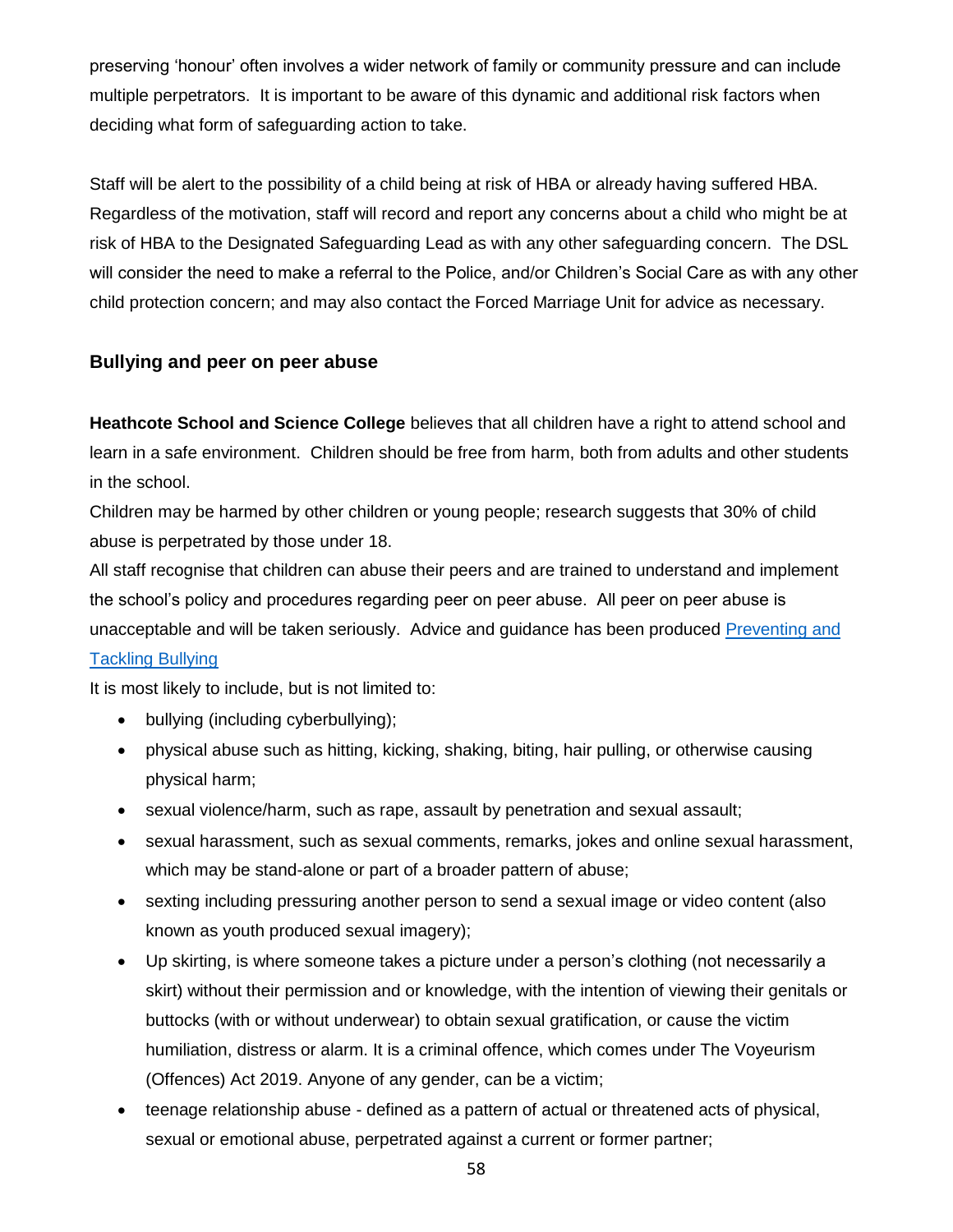preserving 'honour' often involves a wider network of family or community pressure and can include multiple perpetrators. It is important to be aware of this dynamic and additional risk factors when deciding what form of safeguarding action to take.

Staff will be alert to the possibility of a child being at risk of HBA or already having suffered HBA. Regardless of the motivation, staff will record and report any concerns about a child who might be at risk of HBA to the Designated Safeguarding Lead as with any other safeguarding concern. The DSL will consider the need to make a referral to the Police, and/or Children's Social Care as with any other child protection concern; and may also contact the Forced Marriage Unit for advice as necessary.

### **Bullying and peer on peer abuse**

**Heathcote School and Science College** believes that all children have a right to attend school and learn in a safe environment. Children should be free from harm, both from adults and other students in the school.

Children may be harmed by other children or young people; research suggests that 30% of child abuse is perpetrated by those under 18.

All staff recognise that children can abuse their peers and are trained to understand and implement the school's policy and procedures regarding peer on peer abuse. All peer on peer abuse is unacceptable and will be taken seriously. Advice and guidance has been produced [Preventing and](https://assets.publishing.service.gov.uk/government/uploads/system/uploads/attachment_data/file/623895/Preventing_and_tackling_bullying_advice.pdf) 

#### [Tackling Bullying](https://assets.publishing.service.gov.uk/government/uploads/system/uploads/attachment_data/file/623895/Preventing_and_tackling_bullying_advice.pdf)

It is most likely to include, but is not limited to:

- bullying (including cyberbullying);
- physical abuse such as hitting, kicking, shaking, biting, hair pulling, or otherwise causing physical harm;
- sexual violence/harm, such as rape, assault by penetration and sexual assault;
- sexual harassment, such as sexual comments, remarks, jokes and online sexual harassment, which may be stand-alone or part of a broader pattern of abuse;
- sexting including pressuring another person to send a sexual image or video content (also known as youth produced sexual imagery);
- Up skirting, is where someone takes a picture under a person's clothing (not necessarily a skirt) without their permission and or knowledge, with the intention of viewing their genitals or buttocks (with or without underwear) to obtain sexual gratification, or cause the victim humiliation, distress or alarm. It is a criminal offence, which comes under The Voyeurism (Offences) Act 2019. Anyone of any gender, can be a victim;
- teenage relationship abuse defined as a pattern of actual or threatened acts of physical, sexual or emotional abuse, perpetrated against a current or former partner;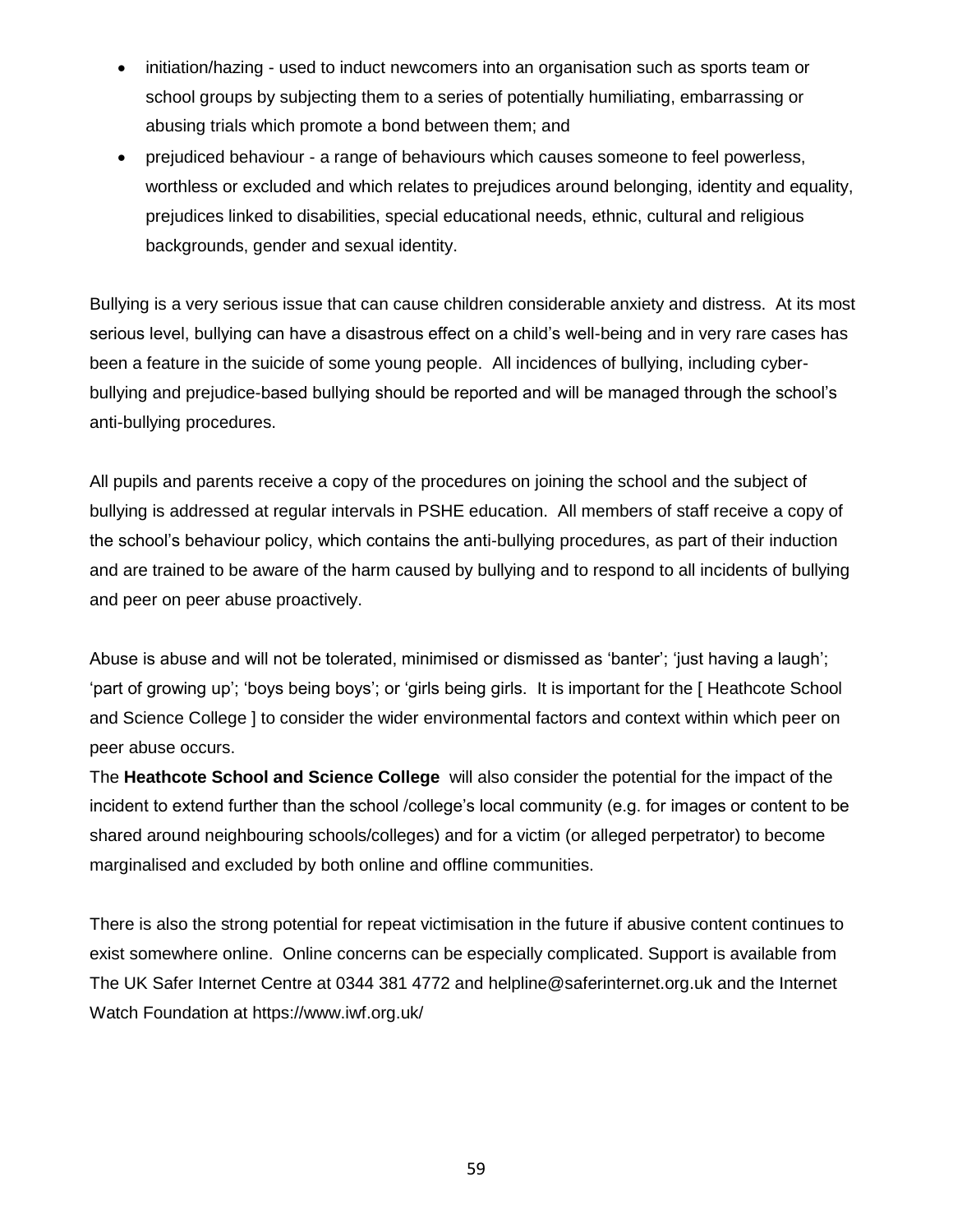- initiation/hazing used to induct newcomers into an organisation such as sports team or school groups by subjecting them to a series of potentially humiliating, embarrassing or abusing trials which promote a bond between them; and
- prejudiced behaviour a range of behaviours which causes someone to feel powerless, worthless or excluded and which relates to prejudices around belonging, identity and equality, prejudices linked to disabilities, special educational needs, ethnic, cultural and religious backgrounds, gender and sexual identity.

Bullying is a very serious issue that can cause children considerable anxiety and distress. At its most serious level, bullying can have a disastrous effect on a child's well-being and in very rare cases has been a feature in the suicide of some young people. All incidences of bullying, including cyberbullying and prejudice-based bullying should be reported and will be managed through the school's anti-bullying procedures.

All pupils and parents receive a copy of the procedures on joining the school and the subject of bullying is addressed at regular intervals in PSHE education. All members of staff receive a copy of the school's behaviour policy, which contains the anti-bullying procedures, as part of their induction and are trained to be aware of the harm caused by bullying and to respond to all incidents of bullying and peer on peer abuse proactively.

Abuse is abuse and will not be tolerated, minimised or dismissed as 'banter'; 'just having a laugh'; 'part of growing up'; 'boys being boys'; or 'girls being girls. It is important for the [ Heathcote School and Science College ] to consider the wider environmental factors and context within which peer on peer abuse occurs.

The **Heathcote School and Science College** will also consider the potential for the impact of the incident to extend further than the school /college's local community (e.g. for images or content to be shared around neighbouring schools/colleges) and for a victim (or alleged perpetrator) to become marginalised and excluded by both online and offline communities.

There is also the strong potential for repeat victimisation in the future if abusive content continues to exist somewhere online. Online concerns can be especially complicated. Support is available from The UK Safer Internet Centre at 0344 381 4772 and [helpline@saferinternet.org.uk](mailto:helpline@saferinternet.org.uk) and the Internet Watch Foundation at<https://www.iwf.org.uk/>

59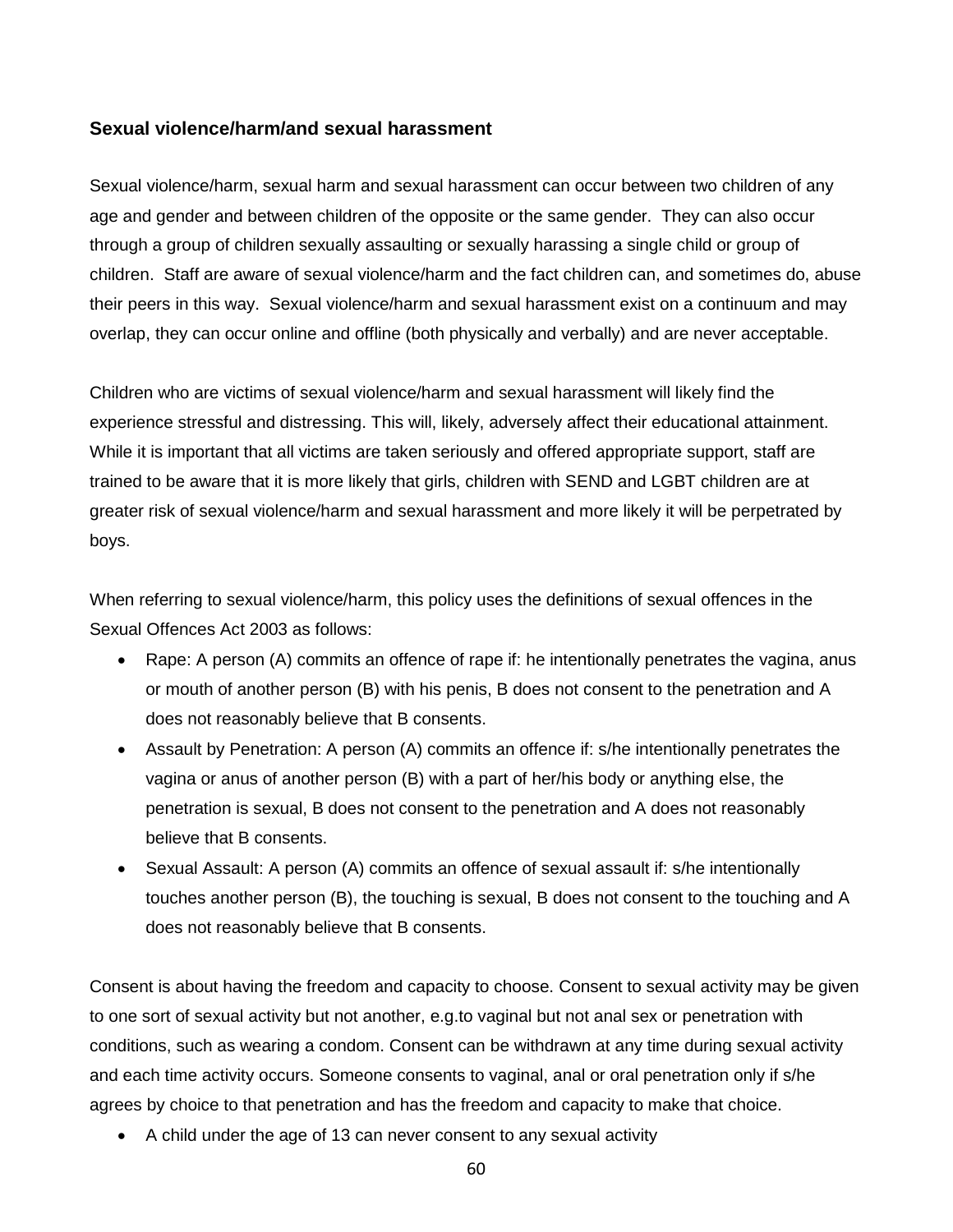#### **Sexual violence/harm/and sexual harassment**

Sexual violence/harm, sexual harm and sexual harassment can occur between two children of any age and gender and between children of the opposite or the same gender. They can also occur through a group of children sexually assaulting or sexually harassing a single child or group of children. Staff are aware of sexual violence/harm and the fact children can, and sometimes do, abuse their peers in this way. Sexual violence/harm and sexual harassment exist on a continuum and may overlap, they can occur online and offline (both physically and verbally) and are never acceptable.

Children who are victims of sexual violence/harm and sexual harassment will likely find the experience stressful and distressing. This will, likely, adversely affect their educational attainment. While it is important that all victims are taken seriously and offered appropriate support, staff are trained to be aware that it is more likely that girls, children with SEND and LGBT children are at greater risk of sexual violence/harm and sexual harassment and more likely it will be perpetrated by boys.

When referring to sexual violence/harm, this policy uses the definitions of sexual offences in the Sexual Offences Act 2003 as follows:

- Rape: A person (A) commits an offence of rape if: he intentionally penetrates the vagina, anus or mouth of another person (B) with his penis, B does not consent to the penetration and A does not reasonably believe that B consents.
- Assault by Penetration: A person (A) commits an offence if: s/he intentionally penetrates the vagina or anus of another person (B) with a part of her/his body or anything else, the penetration is sexual, B does not consent to the penetration and A does not reasonably believe that B consents.
- Sexual Assault: A person (A) commits an offence of sexual assault if: s/he intentionally touches another person (B), the touching is sexual, B does not consent to the touching and A does not reasonably believe that B consents.

Consent is about having the freedom and capacity to choose. Consent to sexual activity may be given to one sort of sexual activity but not another, e.g.to vaginal but not anal sex or penetration with conditions, such as wearing a condom. Consent can be withdrawn at any time during sexual activity and each time activity occurs. Someone consents to vaginal, anal or oral penetration only if s/he agrees by choice to that penetration and has the freedom and capacity to make that choice.

• A child under the age of 13 can never consent to any sexual activity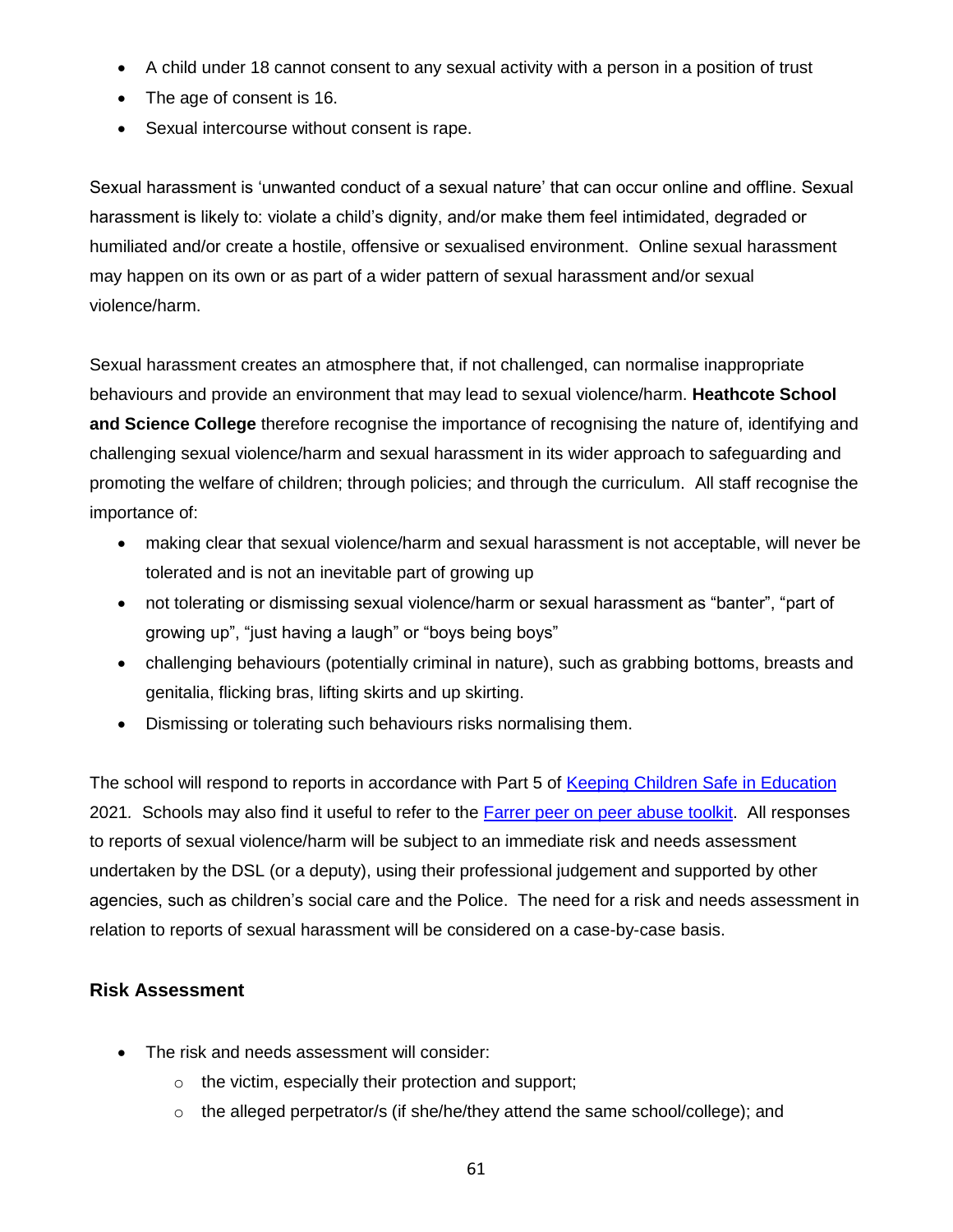- A child under 18 cannot consent to any sexual activity with a person in a position of trust
- The age of consent is 16.
- Sexual intercourse without consent is rape.

Sexual harassment is 'unwanted conduct of a sexual nature' that can occur online and offline. Sexual harassment is likely to: violate a child's dignity, and/or make them feel intimidated, degraded or humiliated and/or create a hostile, offensive or sexualised environment. Online sexual harassment may happen on its own or as part of a wider pattern of sexual harassment and/or sexual violence/harm.

Sexual harassment creates an atmosphere that, if not challenged, can normalise inappropriate behaviours and provide an environment that may lead to sexual violence/harm. **Heathcote School and Science College** therefore recognise the importance of recognising the nature of, identifying and challenging sexual violence/harm and sexual harassment in its wider approach to safeguarding and promoting the welfare of children; through policies; and through the curriculum. All staff recognise the importance of:

- making clear that sexual violence/harm and sexual harassment is not acceptable, will never be tolerated and is not an inevitable part of growing up
- not tolerating or dismissing sexual violence/harm or sexual harassment as "banter", "part of growing up", "just having a laugh" or "boys being boys"
- challenging behaviours (potentially criminal in nature), such as grabbing bottoms, breasts and genitalia, flicking bras, lifting skirts and up skirting.
- Dismissing or tolerating such behaviours risks normalising them.

The school will respond to reports in accordance with Part 5 of [Keeping Children Safe in Education](https://www.gov.uk/government/publications/keeping-children-safe-in-education--2) 2021*.* Schools may also find it useful to refer to the Farrer peer [on peer abuse toolkit.](https://www.farrer.co.uk/globalassets/clients-and-sectors/safeguarding/farrer--co-safeguarding-peer-on-peer-abuse-toolkit-2019.pdf) All responses to reports of sexual violence/harm will be subject to an immediate risk and needs assessment undertaken by the DSL (or a deputy), using their professional judgement and supported by other agencies, such as children's social care and the Police. The need for a risk and needs assessment in relation to reports of sexual harassment will be considered on a case-by-case basis.

#### **Risk Assessment**

- The risk and needs assessment will consider:
	- o the victim, especially their protection and support;
	- $\circ$  the alleged perpetrator/s (if she/he/they attend the same school/college); and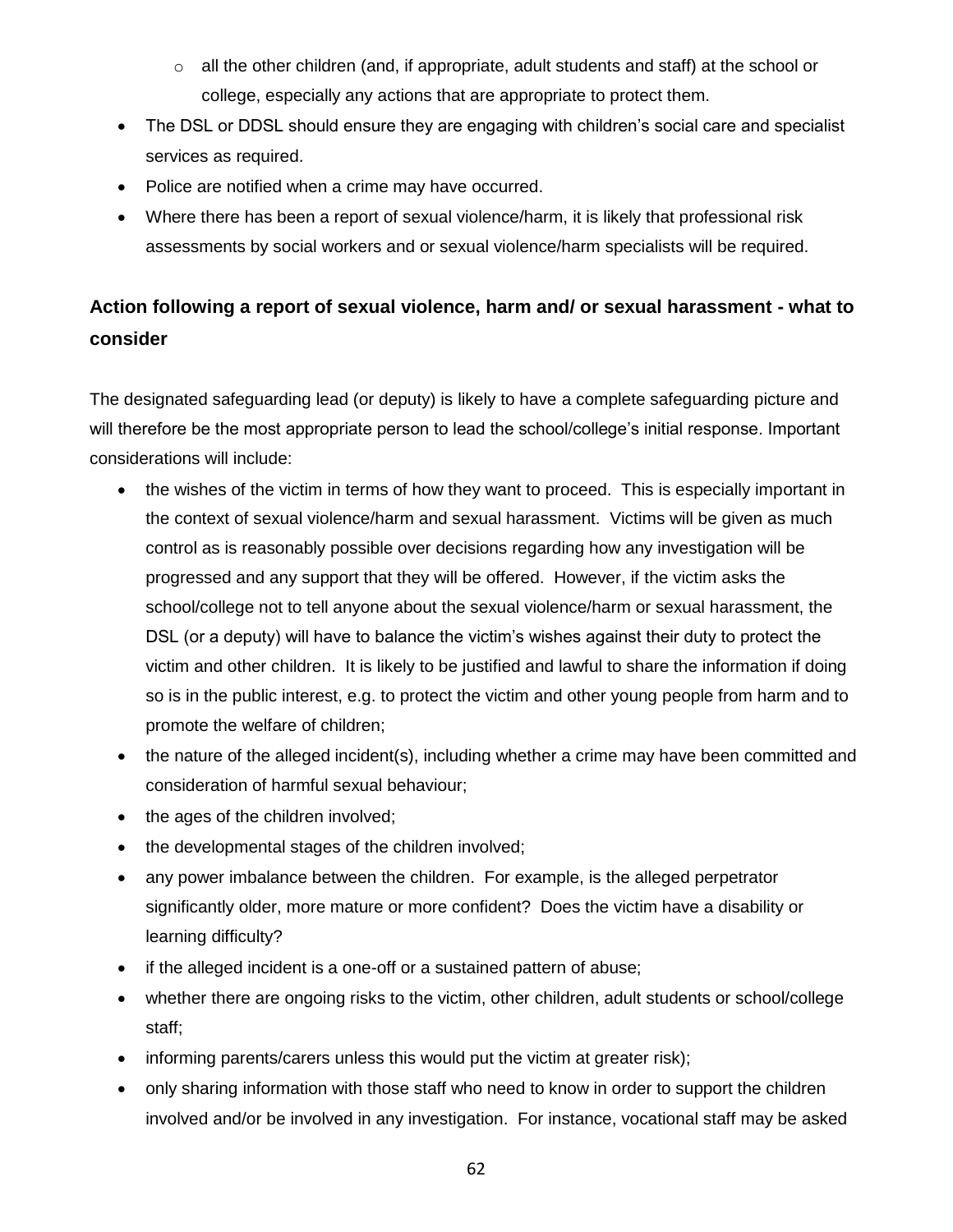- $\circ$  all the other children (and, if appropriate, adult students and staff) at the school or college, especially any actions that are appropriate to protect them.
- The DSL or DDSL should ensure they are engaging with children's social care and specialist services as required.
- Police are notified when a crime may have occurred.
- Where there has been a report of sexual violence/harm, it is likely that professional risk assessments by social workers and or sexual violence/harm specialists will be required.

# **Action following a report of sexual violence, harm and/ or sexual harassment - what to consider**

The designated safeguarding lead (or deputy) is likely to have a complete safeguarding picture and will therefore be the most appropriate person to lead the school/college's initial response. Important considerations will include:

- the wishes of the victim in terms of how they want to proceed. This is especially important in the context of sexual violence/harm and sexual harassment. Victims will be given as much control as is reasonably possible over decisions regarding how any investigation will be progressed and any support that they will be offered. However, if the victim asks the school/college not to tell anyone about the sexual violence/harm or sexual harassment, the DSL (or a deputy) will have to balance the victim's wishes against their duty to protect the victim and other children. It is likely to be justified and lawful to share the information if doing so is in the public interest, e.g. to protect the victim and other young people from harm and to promote the welfare of children;
- the nature of the alleged incident(s), including whether a crime may have been committed and consideration of harmful sexual behaviour;
- the ages of the children involved;
- the developmental stages of the children involved;
- any power imbalance between the children. For example, is the alleged perpetrator significantly older, more mature or more confident? Does the victim have a disability or learning difficulty?
- if the alleged incident is a one-off or a sustained pattern of abuse;
- whether there are ongoing risks to the victim, other children, adult students or school/college staff;
- informing parents/carers unless this would put the victim at greater risk);
- only sharing information with those staff who need to know in order to support the children involved and/or be involved in any investigation. For instance, vocational staff may be asked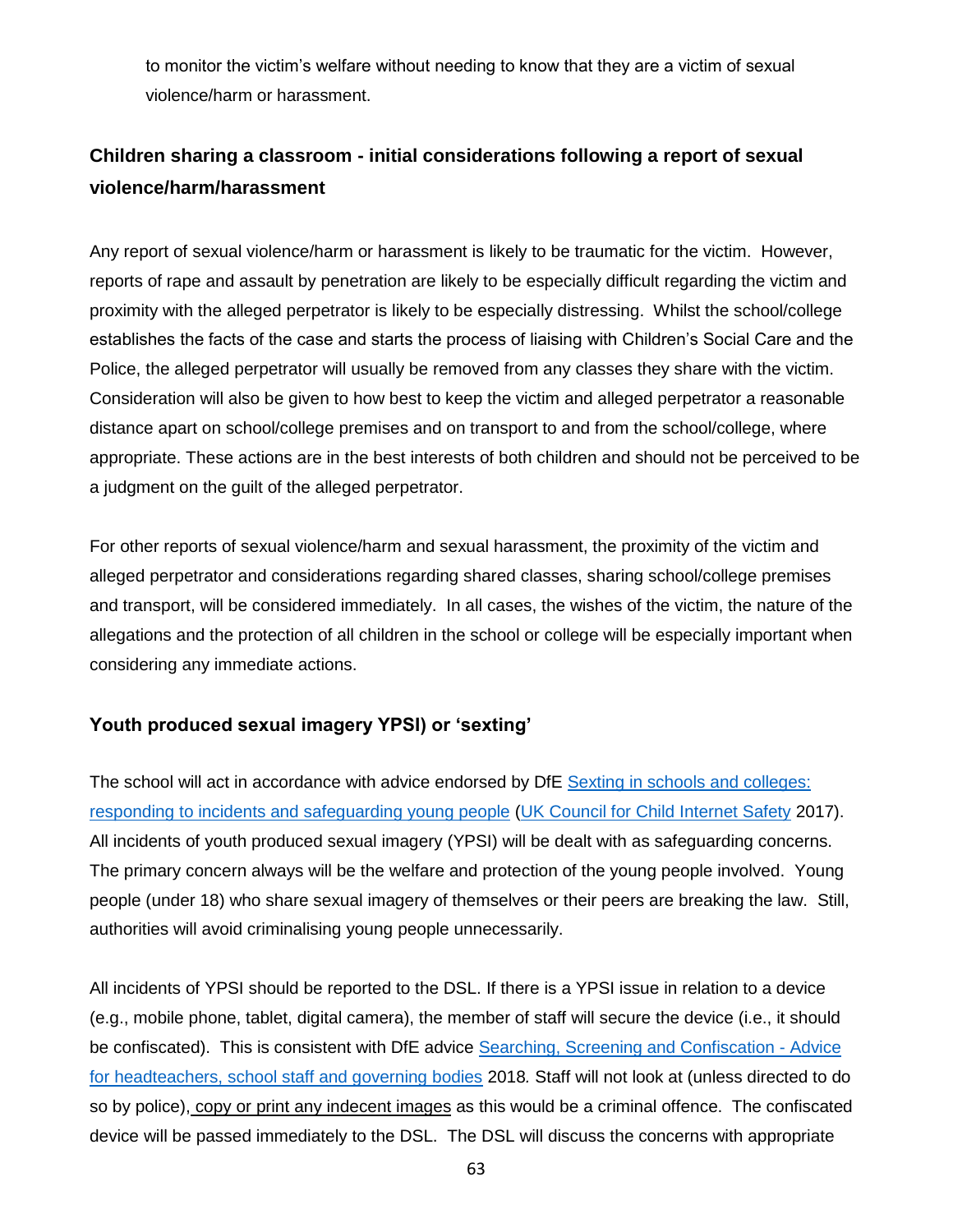to monitor the victim's welfare without needing to know that they are a victim of sexual violence/harm or harassment.

# **Children sharing a classroom - initial considerations following a report of sexual violence/harm/harassment**

Any report of sexual violence/harm or harassment is likely to be traumatic for the victim. However, reports of rape and assault by penetration are likely to be especially difficult regarding the victim and proximity with the alleged perpetrator is likely to be especially distressing. Whilst the school/college establishes the facts of the case and starts the process of liaising with Children's Social Care and the Police, the alleged perpetrator will usually be removed from any classes they share with the victim. Consideration will also be given to how best to keep the victim and alleged perpetrator a reasonable distance apart on school/college premises and on transport to and from the school/college, where appropriate. These actions are in the best interests of both children and should not be perceived to be a judgment on the guilt of the alleged perpetrator.

For other reports of sexual violence/harm and sexual harassment, the proximity of the victim and alleged perpetrator and considerations regarding shared classes, sharing school/college premises and transport, will be considered immediately. In all cases, the wishes of the victim, the nature of the allegations and the protection of all children in the school or college will be especially important when considering any immediate actions.

## **Youth produced sexual imagery YPSI) or 'sexting'**

The school will act in accordance with advice endorsed by DfE [Sexting in schools and colleges:](https://assets.publishing.service.gov.uk/government/uploads/system/uploads/attachment_data/file/609874/6_2939_SP_NCA_Sexting_In_Schools_FINAL_Update_Jan17.pdf)  [responding to incidents and safeguarding young people](https://assets.publishing.service.gov.uk/government/uploads/system/uploads/attachment_data/file/609874/6_2939_SP_NCA_Sexting_In_Schools_FINAL_Update_Jan17.pdf) [\(UK Council for Child Internet Safety](https://www.gov.uk/government/groups/uk-council-for-child-internet-safety-ukccis) 2017). All incidents of youth produced sexual imagery (YPSI) will be dealt with as safeguarding concerns. The primary concern always will be the welfare and protection of the young people involved. Young people (under 18) who share sexual imagery of themselves or their peers are breaking the law. Still, authorities will avoid criminalising young people unnecessarily.

All incidents of YPSI should be reported to the DSL. If there is a YPSI issue in relation to a device (e.g., mobile phone, tablet, digital camera), the member of staff will secure the device (i.e., it should be confiscated). This is consistent with DfE advice [Searching, Screening and Confiscation -](https://assets.publishing.service.gov.uk/government/uploads/system/uploads/attachment_data/file/674416/Searching_screening_and_confiscation.pdf) Advice [for headteachers, school staff and governing bodies](https://assets.publishing.service.gov.uk/government/uploads/system/uploads/attachment_data/file/674416/Searching_screening_and_confiscation.pdf) 2018*.* Staff will not look at (unless directed to do so by police), copy or print any indecent images as this would be a criminal offence. The confiscated device will be passed immediately to the DSL. The DSL will discuss the concerns with appropriate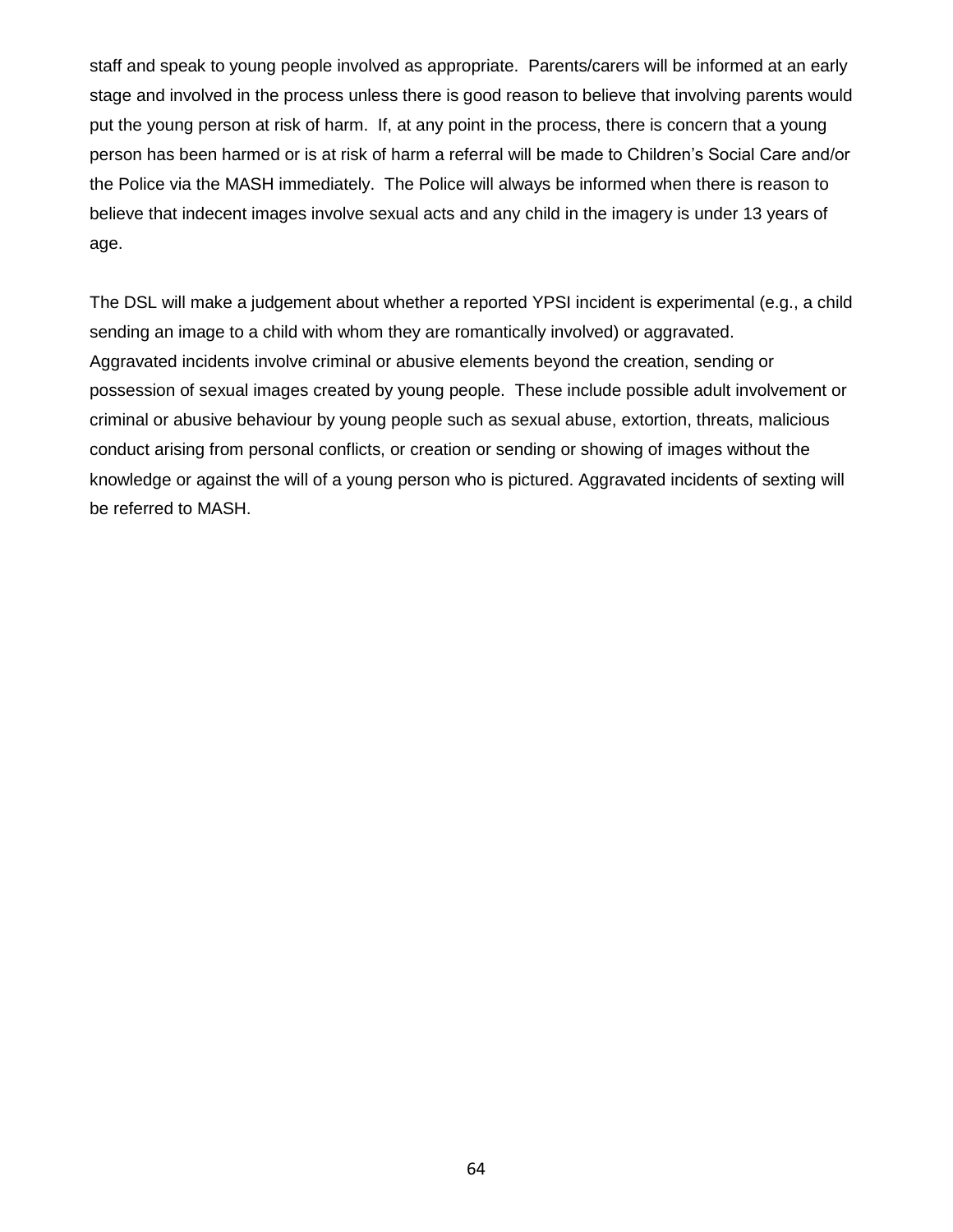staff and speak to young people involved as appropriate. Parents/carers will be informed at an early stage and involved in the process unless there is good reason to believe that involving parents would put the young person at risk of harm. If, at any point in the process, there is concern that a young person has been harmed or is at risk of harm a referral will be made to Children's Social Care and/or the Police via the MASH immediately. The Police will always be informed when there is reason to believe that indecent images involve sexual acts and any child in the imagery is under 13 years of age.

The DSL will make a judgement about whether a reported YPSI incident is experimental (e.g., a child sending an image to a child with whom they are romantically involved) or aggravated. Aggravated incidents involve criminal or abusive elements beyond the creation, sending or possession of sexual images created by young people. These include possible adult involvement or criminal or abusive behaviour by young people such as sexual abuse, extortion, threats, malicious conduct arising from personal conflicts, or creation or sending or showing of images without the knowledge or against the will of a young person who is pictured. Aggravated incidents of sexting will be referred to MASH.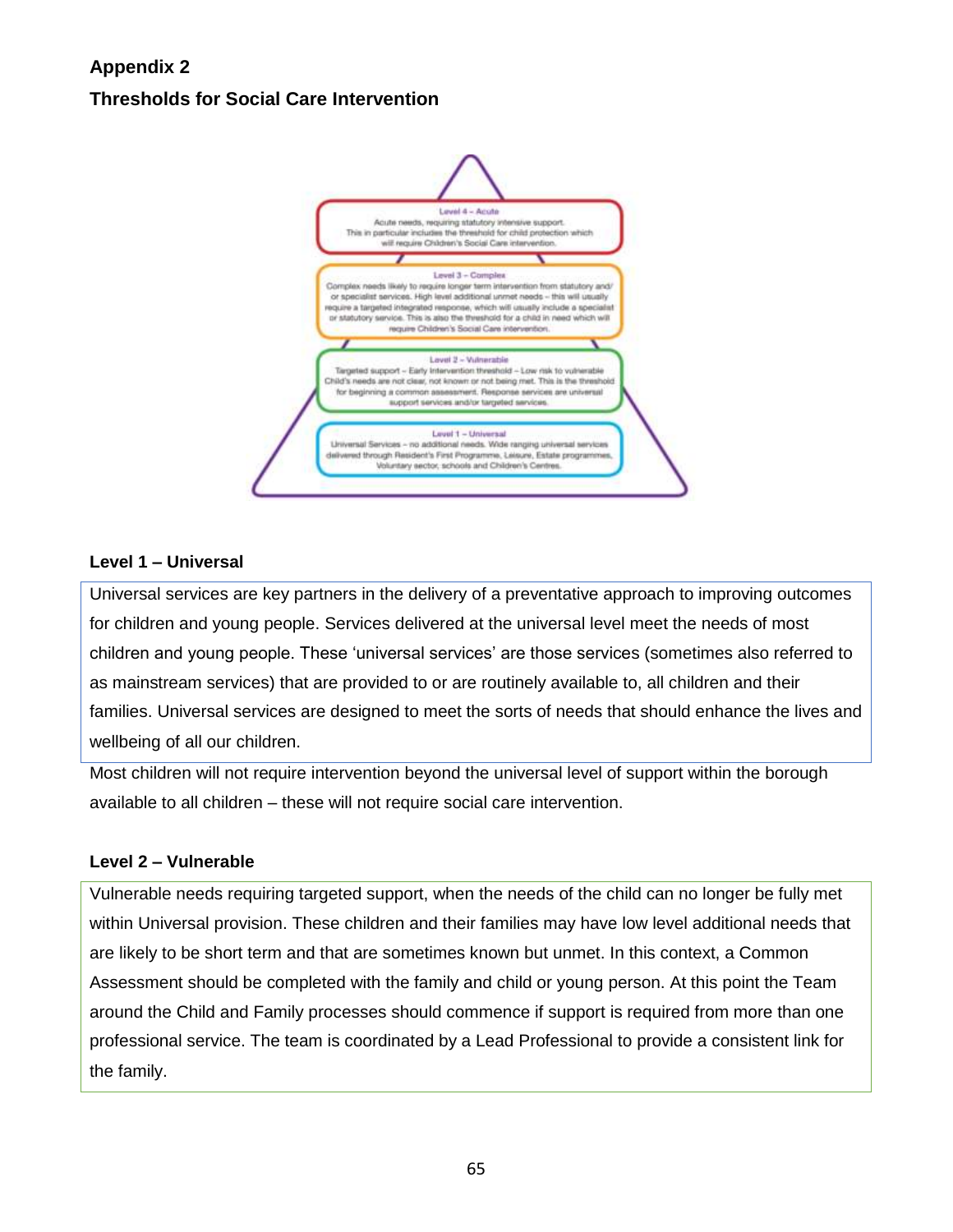# **Appendix 2 Thresholds for Social Care Intervention**



#### **Level 1 – Universal**

Universal services are key partners in the delivery of a preventative approach to improving outcomes for children and young people. Services delivered at the universal level meet the needs of most children and young people. These 'universal services' are those services (sometimes also referred to as mainstream services) that are provided to or are routinely available to, all children and their families. Universal services are designed to meet the sorts of needs that should enhance the lives and wellbeing of all our children.

Most children will not require intervention beyond the universal level of support within the borough available to all children – these will not require social care intervention.

#### **Level 2 – Vulnerable**

Vulnerable needs requiring targeted support, when the needs of the child can no longer be fully met within Universal provision. These children and their families may have low level additional needs that are likely to be short term and that are sometimes known but unmet. In this context, a Common Assessment should be completed with the family and child or young person. At this point the Team around the Child and Family processes should commence if support is required from more than one professional service. The team is coordinated by a Lead Professional to provide a consistent link for the family.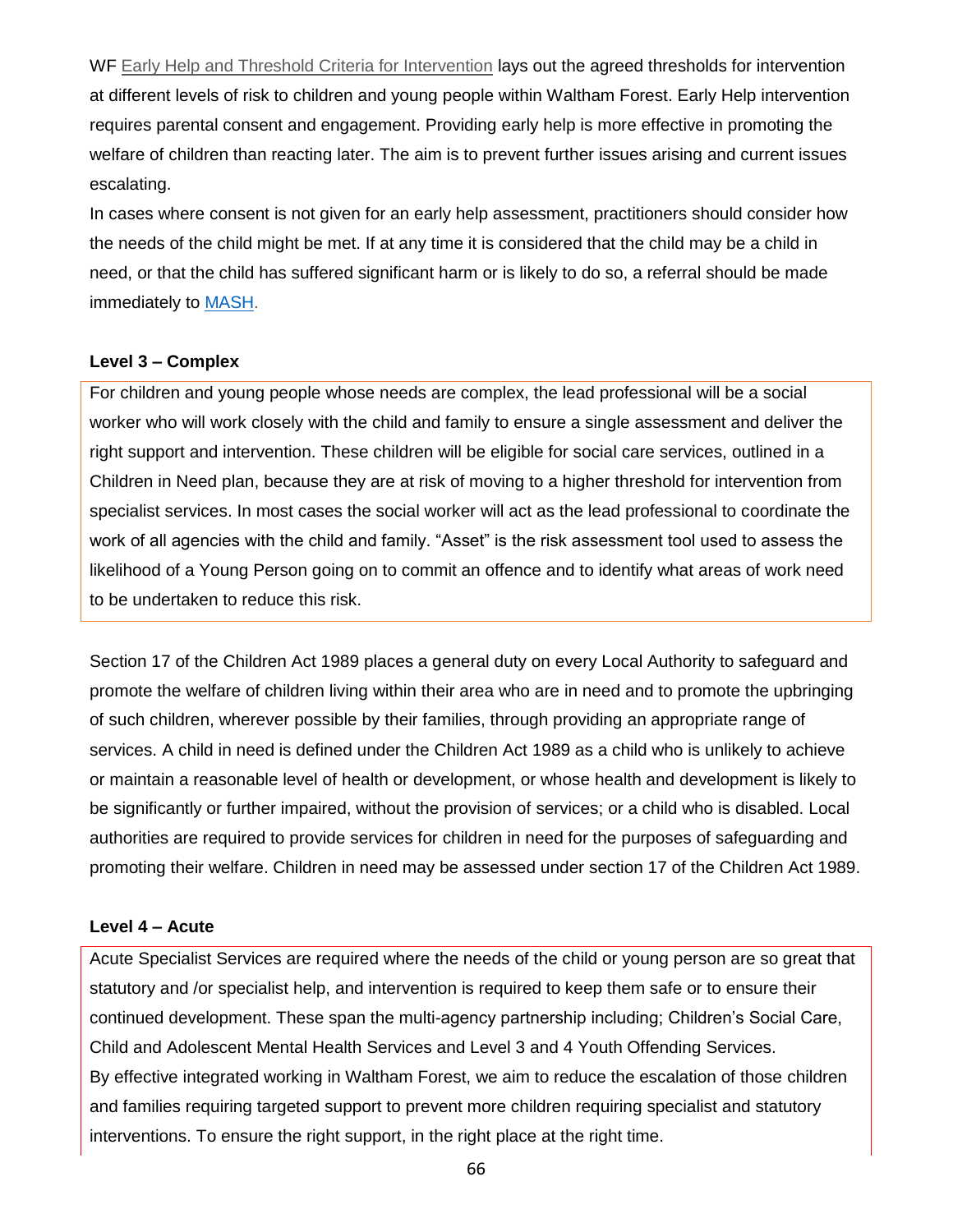WF [Early Help and Threshold Criteria for Intervention](https://branding.walthamforest.gov.uk/Documents/Early-Help-and-Threshold-Criteria-for-Intervention.pdf) lays out the agreed thresholds for intervention at different levels of risk to children and young people within Waltham Forest. Early Help intervention requires parental consent and engagement. Providing early help is more effective in promoting the welfare of children than reacting later. The aim is to prevent further issues arising and current issues escalating.

In cases where consent is not given for an early help assessment, practitioners should consider how the needs of the child might be met. If at any time it is considered that the child may be a child in need, or that the child has suffered significant harm or is likely to do so, a referral should be made immediately to [MASH.](https://directory.walthamforest.gov.uk/kb5/walthamforest/directory/advice.page?id=HztREMmHJIg)

#### **Level 3 – Complex**

For children and young people whose needs are complex, the lead professional will be a social worker who will work closely with the child and family to ensure a single assessment and deliver the right support and intervention. These children will be eligible for social care services, outlined in a Children in Need plan, because they are at risk of moving to a higher threshold for intervention from specialist services. In most cases the social worker will act as the lead professional to coordinate the work of all agencies with the child and family. "Asset" is the risk assessment tool used to assess the likelihood of a Young Person going on to commit an offence and to identify what areas of work need to be undertaken to reduce this risk.

Section 17 of the [Children Act 1989](https://assets.publishing.service.gov.uk/government/uploads/system/uploads/attachment_data/file/737289/Keeping_Children_Safe_in_Education_Sept_2018.pdfhttps:/www.legislation.gov.uk/ukpga/1989/41/contents) places a general duty on every Local Authority to safeguard and promote the welfare of children living within their area who are in need and to promote the upbringing of such children, wherever possible by their families, through providing an appropriate range of services. A child in need is defined under the Children Act 1989 as a child who is unlikely to achieve or maintain a reasonable level of health or development, or whose health and development is likely to be significantly or further impaired, without the provision of services; or a child who is disabled. Local authorities are required to provide services for children in need for the purposes of safeguarding and promoting their welfare. Children in need may be assessed under section 17 of the Children Act 1989.

#### **Level 4 – Acute**

Acute Specialist Services are required where the needs of the child or young person are so great that statutory and /or specialist help, and intervention is required to keep them safe or to ensure their continued development. These span the multi-agency partnership including; Children's Social Care, Child and Adolescent Mental Health Services and Level 3 and 4 Youth Offending Services. By effective integrated working in Waltham Forest, we aim to reduce the escalation of those children and families requiring targeted support to prevent more children requiring specialist and statutory interventions. To ensure the right support, in the right place at the right time.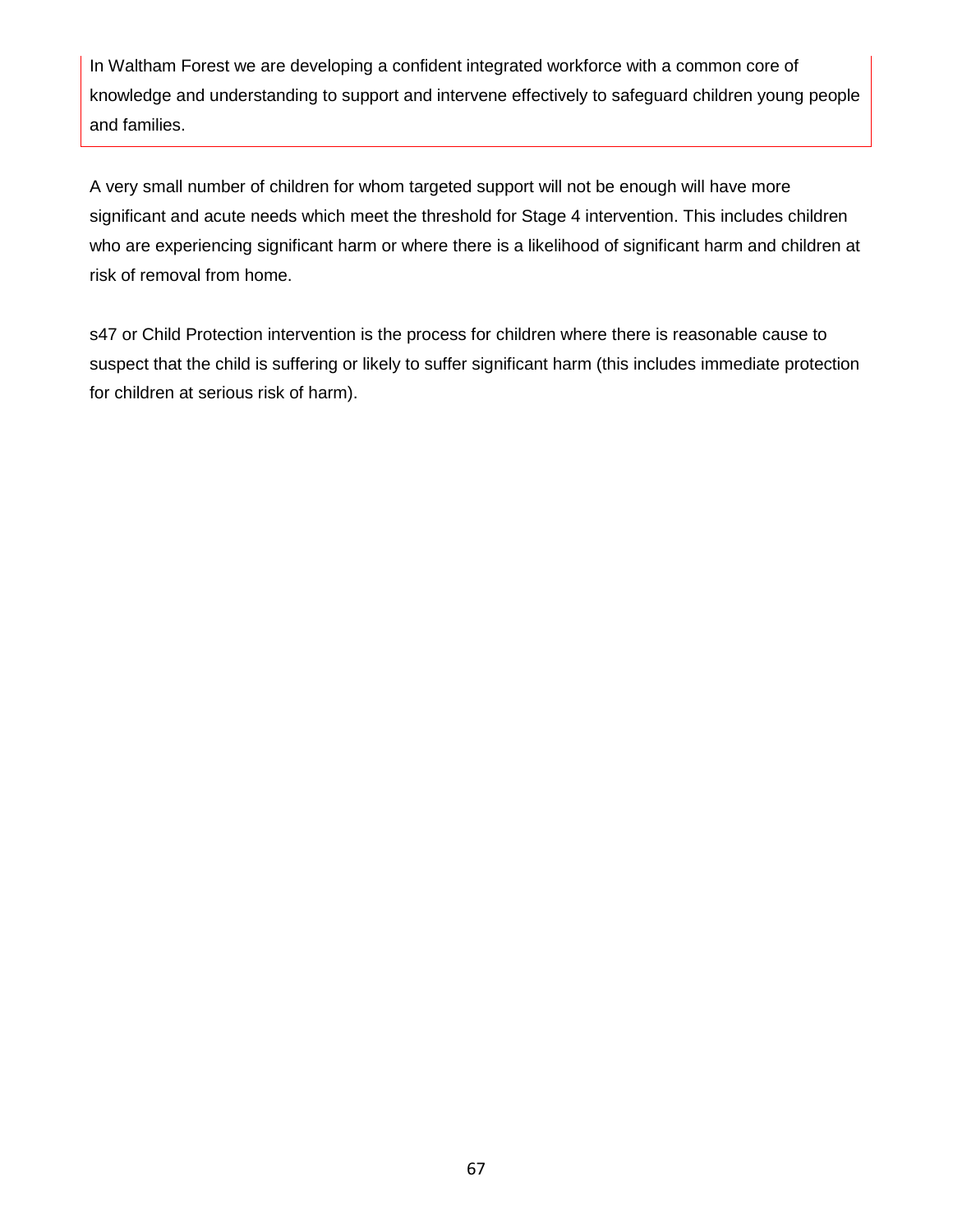In Waltham Forest we are developing a confident integrated workforce with a common core of knowledge and understanding to support and intervene effectively to safeguard children young people and families.

A very small number of children for whom targeted support will not be enough will have more significant and acute needs which meet the threshold for Stage 4 intervention. This includes children who are experiencing significant harm or where there is a likelihood of significant harm and children at risk of removal from home.

s47 or Child Protection intervention is the process for children where there is reasonable cause to suspect that the child is suffering or likely to suffer significant harm (this includes immediate protection for children at serious risk of harm).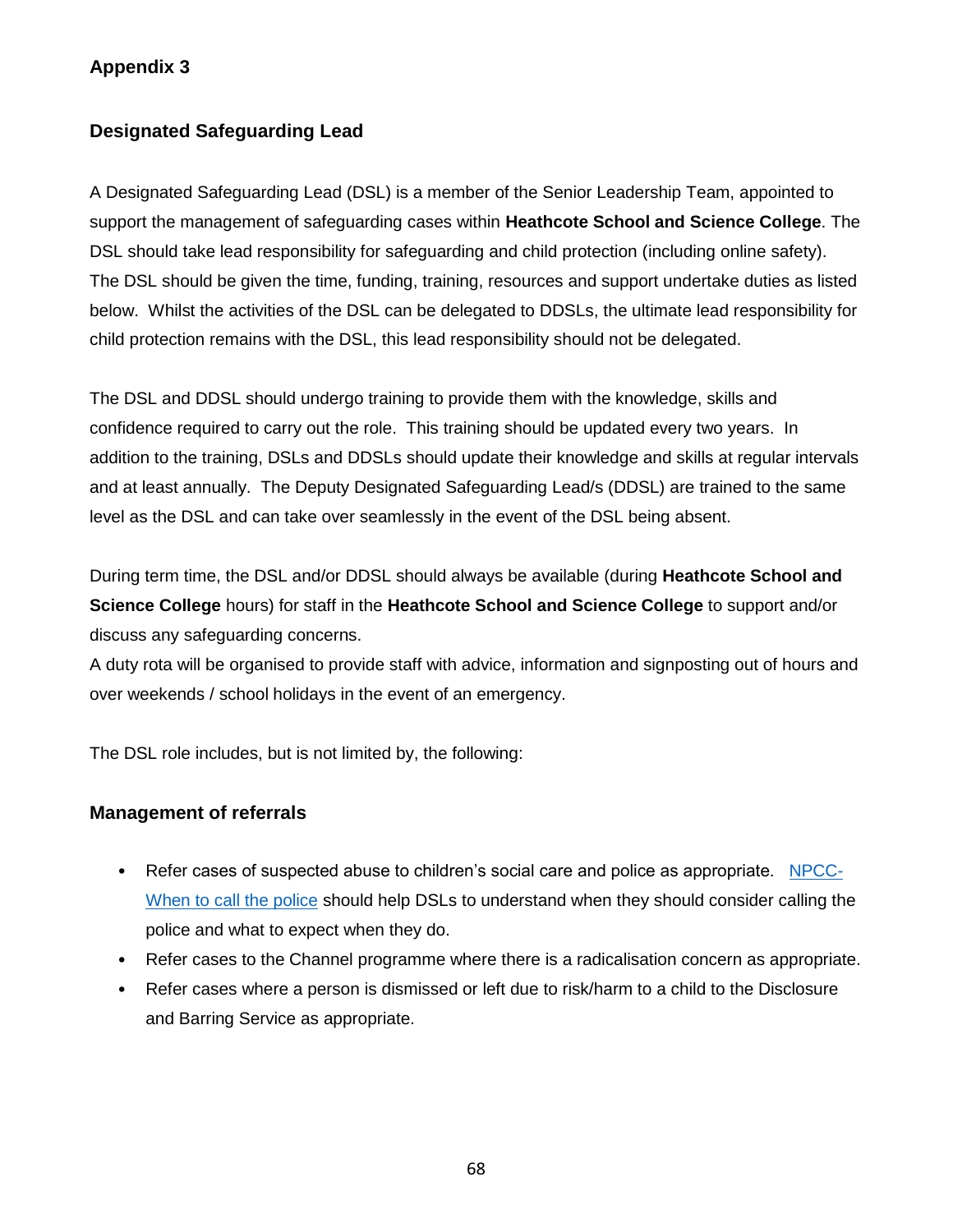## **Appendix 3**

## **Designated Safeguarding Lead**

A Designated Safeguarding Lead (DSL) is a member of the Senior Leadership Team, appointed to support the management of safeguarding cases within **Heathcote School and Science College**. The DSL should take lead responsibility for safeguarding and child protection (including online safety). The DSL should be given the time, funding, training, resources and support undertake duties as listed below. Whilst the activities of the DSL can be delegated to DDSLs, the ultimate lead responsibility for child protection remains with the DSL, this lead responsibility should not be delegated.

The DSL and DDSL should undergo training to provide them with the knowledge, skills and confidence required to carry out the role. This training should be updated every two years. In addition to the training, DSLs and DDSLs should update their knowledge and skills at regular intervals and at least annually. The Deputy Designated Safeguarding Lead/s (DDSL) are trained to the same level as the DSL and can take over seamlessly in the event of the DSL being absent.

During term time, the DSL and/or DDSL should always be available (during **Heathcote School and Science College** hours) for staff in the **Heathcote School and Science College** to support and/or discuss any safeguarding concerns.

A duty rota will be organised to provide staff with advice, information and signposting out of hours and over weekends / school holidays in the event of an emergency.

The DSL role includes, but is not limited by, the following:

## **Management of referrals**

- Refer cases of suspected abuse to children's social care and police as appropriate. [NPCC-](https://www.npcc.police.uk/documents/Children%20and%20Young%20people/When%20to%20call%20the%20police%20guidance%20for%20schools%20and%20colleges.pdf)[When to call the police](https://www.npcc.police.uk/documents/Children%20and%20Young%20people/When%20to%20call%20the%20police%20guidance%20for%20schools%20and%20colleges.pdf) should help DSLs to understand when they should consider calling the police and what to expect when they do.
- Refer cases to the Channel programme where there is a radicalisation concern as appropriate.
- Refer cases where a person is dismissed or left due to risk/harm to a child to the Disclosure and Barring Service as appropriate.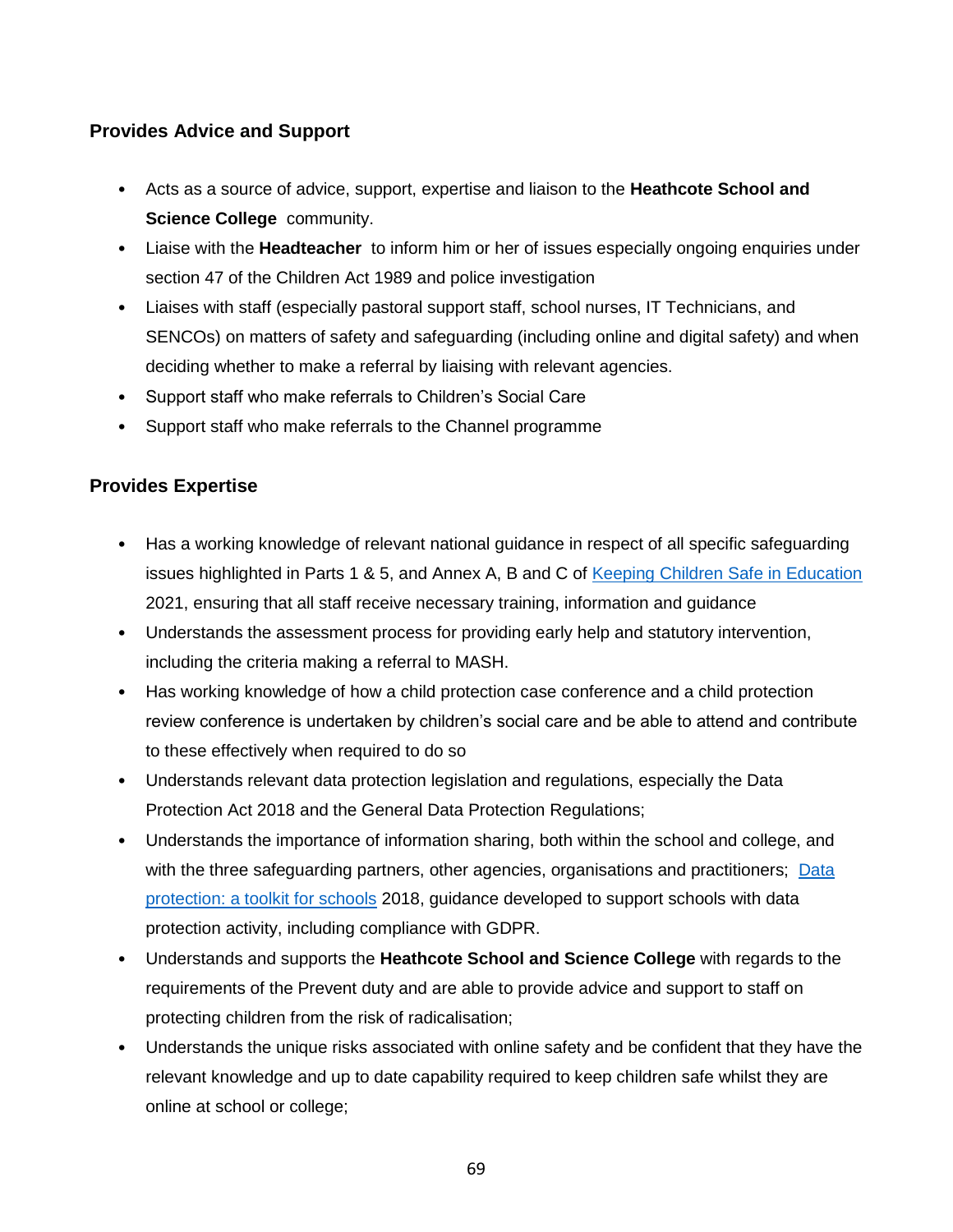## **Provides Advice and Support**

- Acts as a source of advice, support, expertise and liaison to the **Heathcote School and Science College** community.
- Liaise with the **Headteacher** to inform him or her of issues especially ongoing enquiries under section 47 of the Children Act 1989 and police investigation
- Liaises with staff (especially pastoral support staff, school nurses, IT Technicians, and SENCOs) on matters of safety and safeguarding (including online and digital safety) and when deciding whether to make a referral by liaising with relevant agencies.
- Support staff who make referrals to Children's Social Care
- Support staff who make referrals to the Channel programme

## **Provides Expertise**

- Has a working knowledge of relevant national guidance in respect of all specific safeguarding issues highlighted in Parts 1 & 5, and Annex A, B and C of [Keeping Children Safe in Education](https://www.gov.uk/government/publications/keeping-children-safe-in-education--2) 2021, ensuring that all staff receive necessary training, information and guidance
- Understands the assessment process for providing early help and statutory intervention, including the criteria making a referral to MASH.
- Has working knowledge of how a child protection case conference and a child protection review conference is undertaken by children's social care and be able to attend and contribute to these effectively when required to do so
- Understands relevant data protection legislation and regulations, especially the Data Protection Act 2018 and the General Data Protection Regulations;
- Understands the importance of information sharing, both within the school and college, and with the three safeguarding partners, other agencies, organisations and practitioners; [Data](https://assets.publishing.service.gov.uk/government/uploads/system/uploads/attachment_data/file/747620/Data_Protection_Toolkit_for_Schools_OpenBeta.pdf)  [protection: a toolkit for schools](https://assets.publishing.service.gov.uk/government/uploads/system/uploads/attachment_data/file/747620/Data_Protection_Toolkit_for_Schools_OpenBeta.pdf) 2018, guidance developed to support schools with data protection activity, including compliance with GDPR.
- Understands and supports the **Heathcote School and Science College** with regards to the requirements of the Prevent duty and are able to provide advice and support to staff on protecting children from the risk of radicalisation;
- Understands the unique risks associated with online safety and be confident that they have the relevant knowledge and up to date capability required to keep children safe whilst they are online at school or college;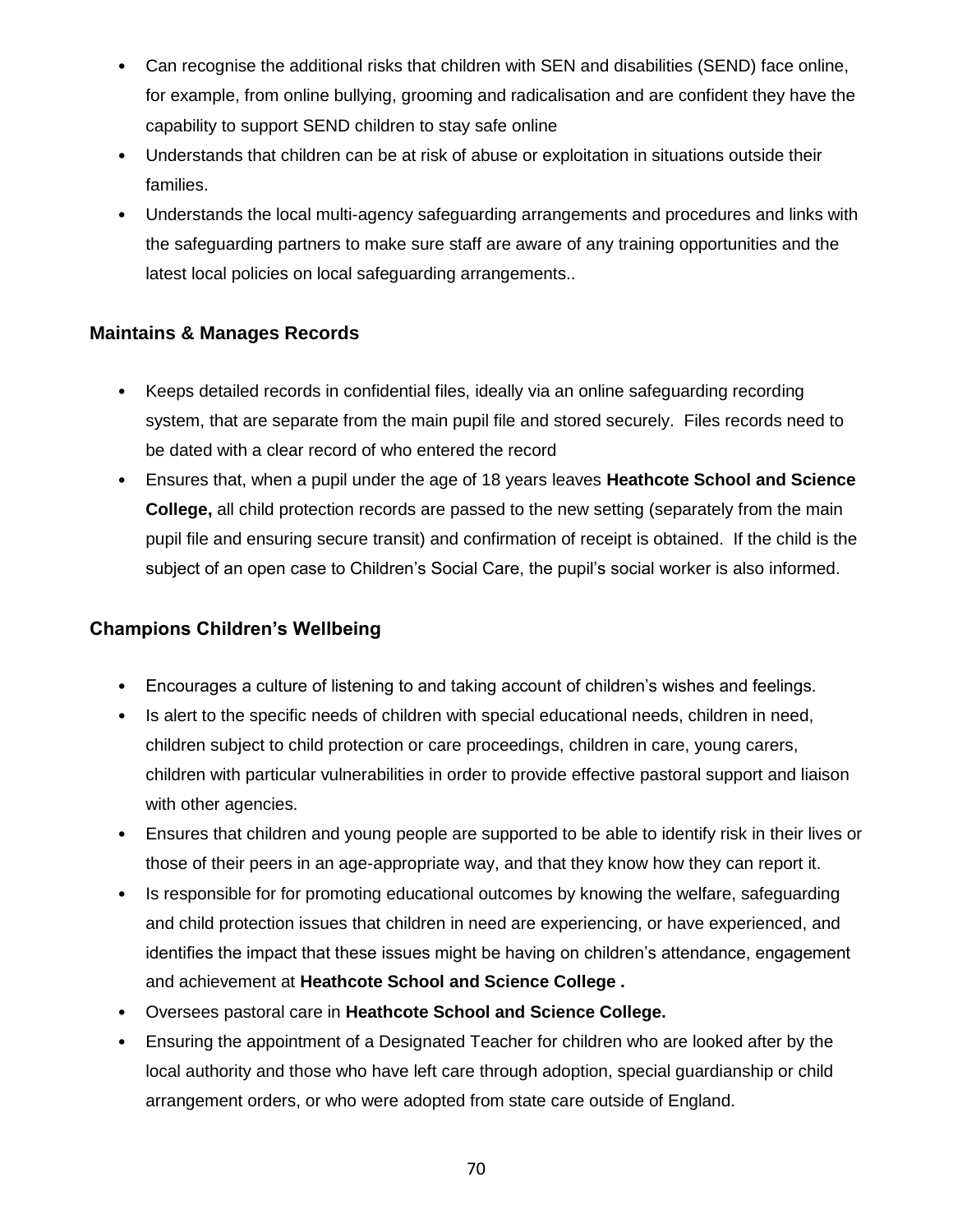- Can recognise the additional risks that children with SEN and disabilities (SEND) face online, for example, from online bullying, grooming and radicalisation and are confident they have the capability to support SEND children to stay safe online
- Understands that children can be at risk of abuse or exploitation in situations outside their families.
- Understands the local multi-agency safeguarding arrangements and procedures and links with the safeguarding partners to make sure staff are aware of any training opportunities and the latest local policies on local safeguarding arrangements..

## **Maintains & Manages Records**

- Keeps detailed records in confidential files, ideally via an online safeguarding recording system, that are separate from the main pupil file and stored securely. Files records need to be dated with a clear record of who entered the record
- Ensures that, when a pupil under the age of 18 years leaves **Heathcote School and Science College,** all child protection records are passed to the new setting (separately from the main pupil file and ensuring secure transit) and confirmation of receipt is obtained. If the child is the subject of an open case to Children's Social Care, the pupil's social worker is also informed.

## **Champions Children's Wellbeing**

- Encourages a culture of listening to and taking account of children's wishes and feelings.
- Is alert to the specific needs of children with special educational needs, children in need, children subject to child protection or care proceedings, children in care, young carers, children with particular vulnerabilities in order to provide effective pastoral support and liaison with other agencies.
- Ensures that children and young people are supported to be able to identify risk in their lives or those of their peers in an age-appropriate way, and that they know how they can report it.
- Is responsible for for promoting educational outcomes by knowing the welfare, safeguarding and child protection issues that children in need are experiencing, or have experienced, and identifies the impact that these issues might be having on children's attendance, engagement and achievement at **Heathcote School and Science College .**
- Oversees pastoral care in **Heathcote School and Science College.**
- Ensuring the appointment of a Designated Teacher for children who are looked after by the local authority and those who have left care through adoption, special guardianship or child arrangement orders, or who were adopted from state care outside of England.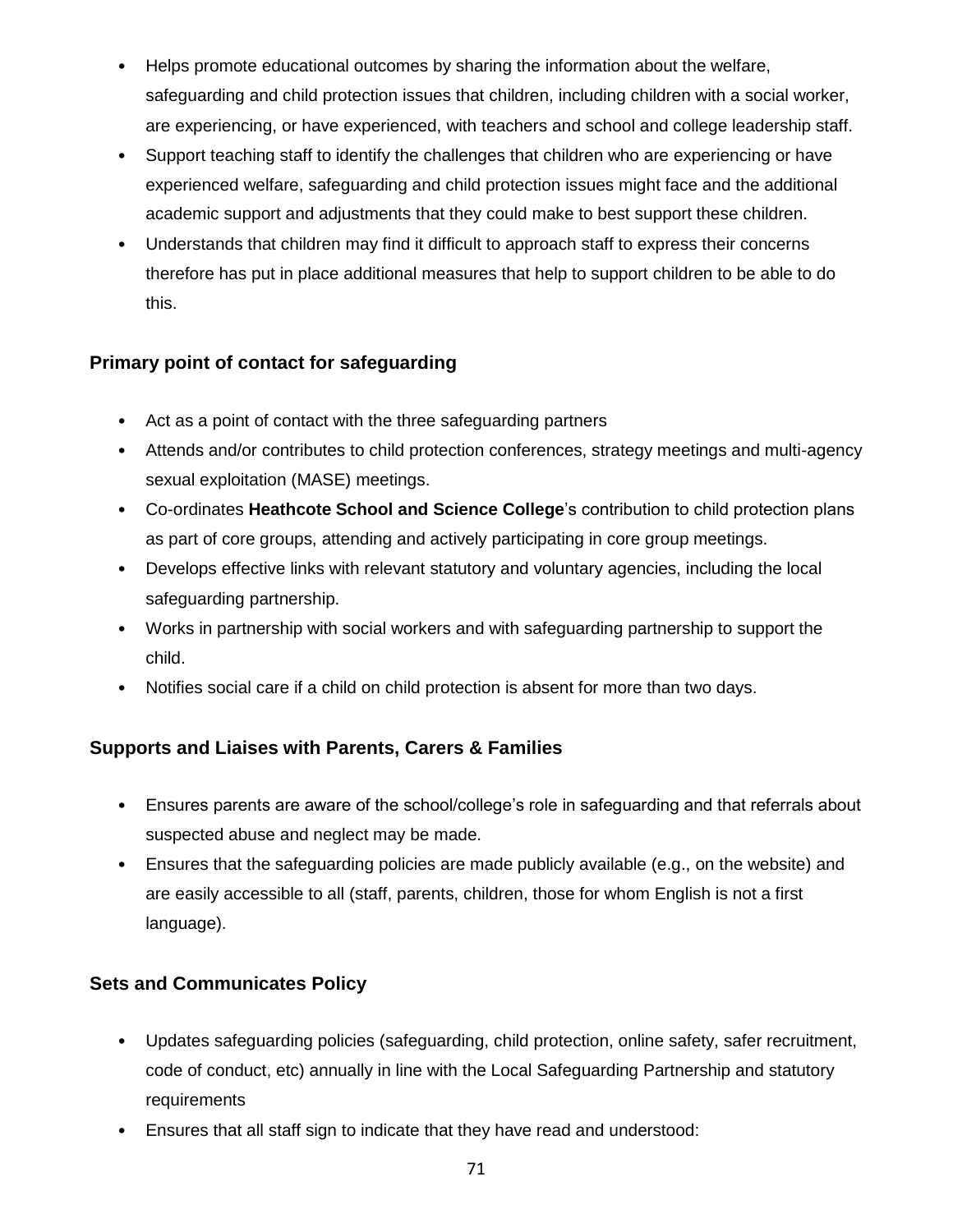- Helps promote educational outcomes by sharing the information about the welfare, safeguarding and child protection issues that children, including children with a social worker, are experiencing, or have experienced, with teachers and school and college leadership staff.
- Support teaching staff to identify the challenges that children who are experiencing or have experienced welfare, safeguarding and child protection issues might face and the additional academic support and adjustments that they could make to best support these children.
- Understands that children may find it difficult to approach staff to express their concerns therefore has put in place additional measures that help to support children to be able to do this.

## **Primary point of contact for safeguarding**

- Act as a point of contact with the three safeguarding partners
- Attends and/or contributes to child protection conferences, strategy meetings and multi-agency sexual exploitation (MASE) meetings.
- Co-ordinates **Heathcote School and Science College**'s contribution to child protection plans as part of core groups, attending and actively participating in core group meetings.
- Develops effective links with relevant statutory and voluntary agencies, including the local safeguarding partnership.
- Works in partnership with social workers and with safeguarding partnership to support the child.
- Notifies social care if a child on child protection is absent for more than two days.

## **Supports and Liaises with Parents, Carers & Families**

- Ensures parents are aware of the school/college's role in safeguarding and that referrals about suspected abuse and neglect may be made.
- Ensures that the safeguarding policies are made publicly available (e.g., on the website) and are easily accessible to all (staff, parents, children, those for whom English is not a first language).

## **Sets and Communicates Policy**

- Updates safeguarding policies (safeguarding, child protection, online safety, safer recruitment, code of conduct, etc) annually in line with the Local Safeguarding Partnership and statutory requirements
- Ensures that all staff sign to indicate that they have read and understood: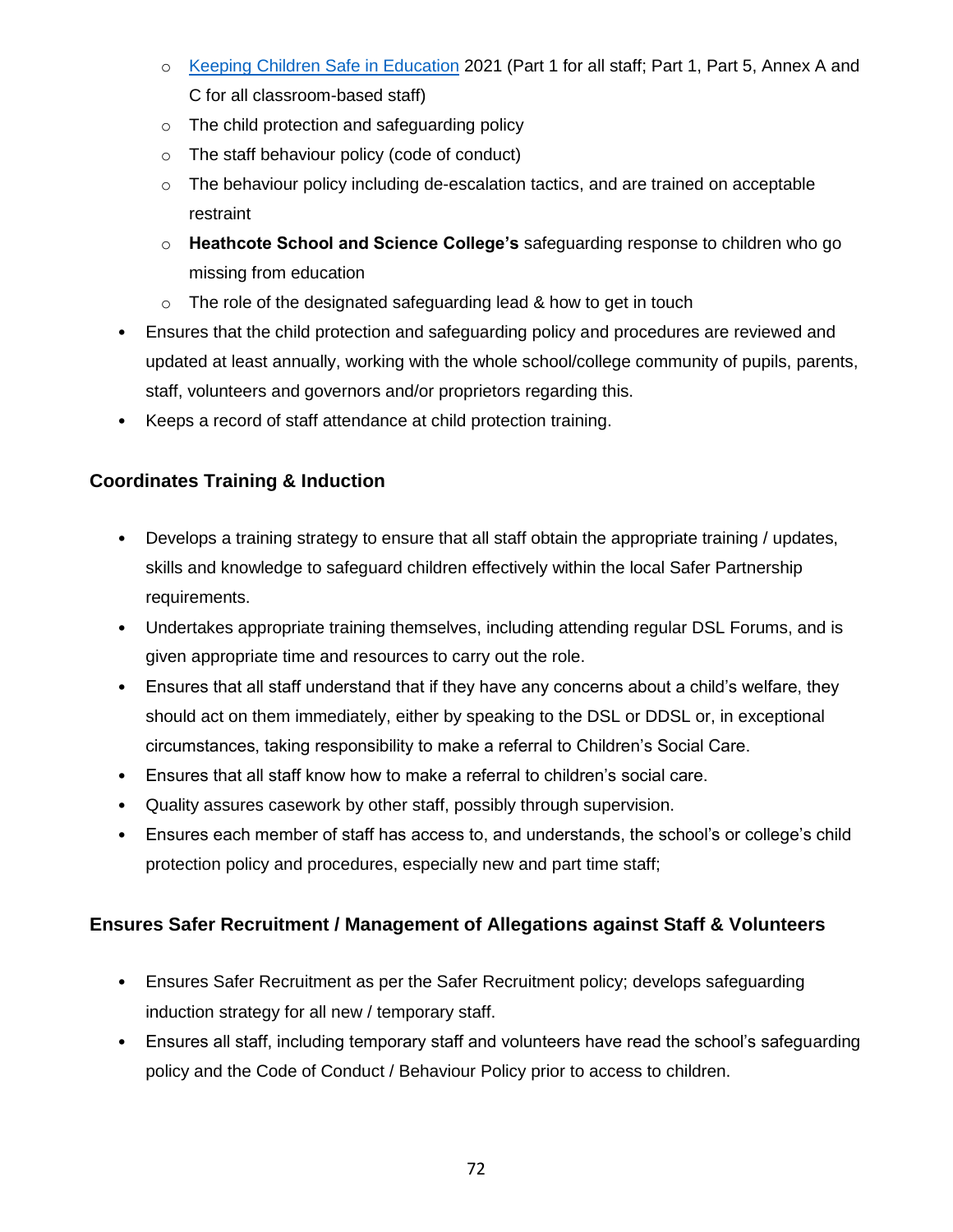- o [Keeping Children Safe in Education](https://www.gov.uk/government/publications/keeping-children-safe-in-education--2) 2021 (Part 1 for all staff; Part 1, Part 5, Annex A and C for all classroom-based staff)
- o The child protection and safeguarding policy
- o The staff behaviour policy (code of conduct)
- $\circ$  The behaviour policy including de-escalation tactics, and are trained on acceptable restraint
- o **Heathcote School and Science College's** safeguarding response to children who go missing from education
- $\circ$  The role of the designated safeguarding lead & how to get in touch
- Ensures that the child protection and safeguarding policy and procedures are reviewed and updated at least annually, working with the whole school/college community of pupils, parents, staff, volunteers and governors and/or proprietors regarding this.
- Keeps a record of staff attendance at child protection training.

## **Coordinates Training & Induction**

- Develops a training strategy to ensure that all staff obtain the appropriate training / updates, skills and knowledge to safeguard children effectively within the local Safer Partnership requirements.
- Undertakes appropriate training themselves, including attending regular DSL Forums, and is given appropriate time and resources to carry out the role.
- Ensures that all staff understand that if they have any concerns about a child's welfare, they should act on them immediately, either by speaking to the DSL or DDSL or, in exceptional circumstances, taking responsibility to make a referral to Children's Social Care.
- Ensures that all staff know how to make a referral to children's social care.
- Quality assures casework by other staff, possibly through supervision.
- Ensures each member of staff has access to, and understands, the school's or college's child protection policy and procedures, especially new and part time staff;

## **Ensures Safer Recruitment / Management of Allegations against Staff & Volunteers**

- Ensures Safer Recruitment as per the Safer Recruitment policy; develops safeguarding induction strategy for all new / temporary staff.
- Ensures all staff, including temporary staff and volunteers have read the school's safeguarding policy and the Code of Conduct / Behaviour Policy prior to access to children.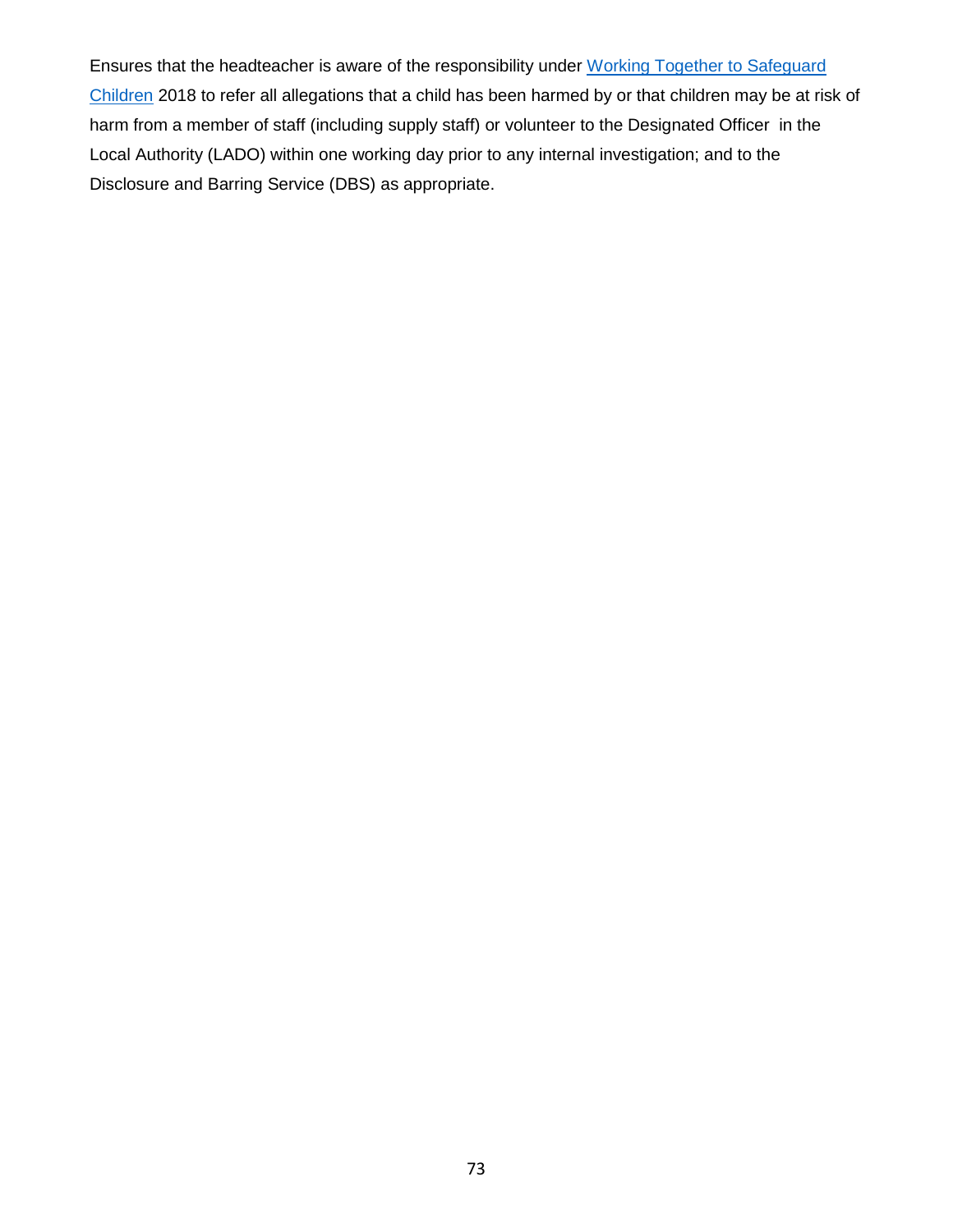Ensures that the headteacher is aware of the responsibility under [Working Together to Safeguard](https://www.gov.uk/government/publications/working-together-to-safeguard-children--2)  [Children](https://www.gov.uk/government/publications/working-together-to-safeguard-children--2) 2018 to refer all allegations that a child has been harmed by or that children may be at risk of harm from a member of staff (including supply staff) or volunteer to the Designated Officer in the Local Authority (LADO) within one working day prior to any internal investigation; and to the Disclosure and Barring Service (DBS) as appropriate.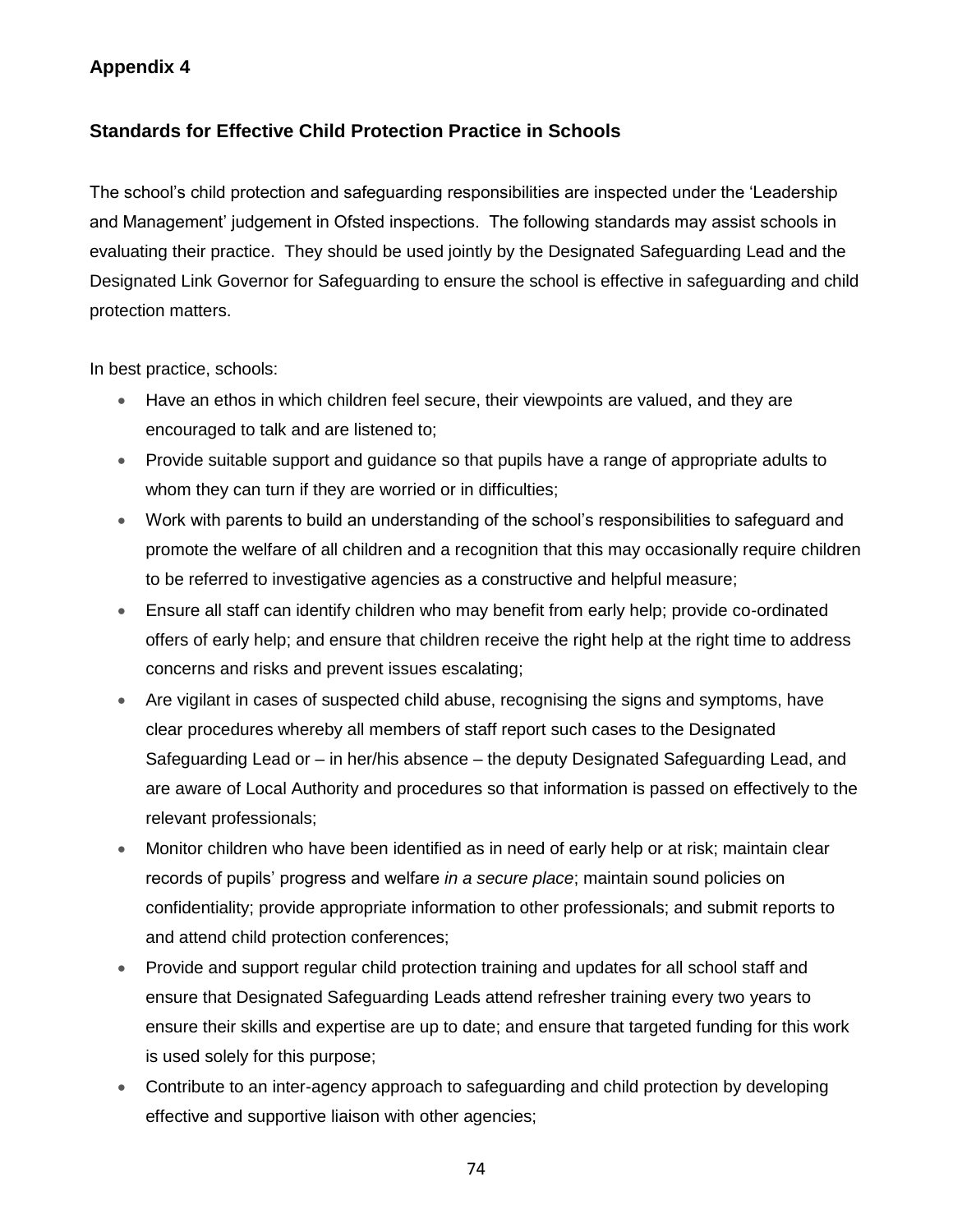### **Appendix 4**

### **Standards for Effective Child Protection Practice in Schools**

The school's child protection and safeguarding responsibilities are inspected under the 'Leadership and Management' judgement in Ofsted inspections. The following standards may assist schools in evaluating their practice. They should be used jointly by the Designated Safeguarding Lead and the Designated Link Governor for Safeguarding to ensure the school is effective in safeguarding and child protection matters.

In best practice, schools:

- Have an ethos in which children feel secure, their viewpoints are valued, and they are encouraged to talk and are listened to;
- Provide suitable support and guidance so that pupils have a range of appropriate adults to whom they can turn if they are worried or in difficulties;
- Work with parents to build an understanding of the school's responsibilities to safeguard and promote the welfare of all children and a recognition that this may occasionally require children to be referred to investigative agencies as a constructive and helpful measure;
- Ensure all staff can identify children who may benefit from early help; provide co-ordinated offers of early help; and ensure that children receive the right help at the right time to address concerns and risks and prevent issues escalating;
- Are vigilant in cases of suspected child abuse, recognising the signs and symptoms, have clear procedures whereby all members of staff report such cases to the Designated Safeguarding Lead or – in her/his absence – the deputy Designated Safeguarding Lead, and are aware of Local Authority and procedures so that information is passed on effectively to the relevant professionals;
- Monitor children who have been identified as in need of early help or at risk; maintain clear records of pupils' progress and welfare *in a secure place*; maintain sound policies on confidentiality; provide appropriate information to other professionals; and submit reports to and attend child protection conferences;
- Provide and support regular child protection training and updates for all school staff and ensure that Designated Safeguarding Leads attend refresher training every two years to ensure their skills and expertise are up to date; and ensure that targeted funding for this work is used solely for this purpose;
- Contribute to an inter-agency approach to safeguarding and child protection by developing effective and supportive liaison with other agencies;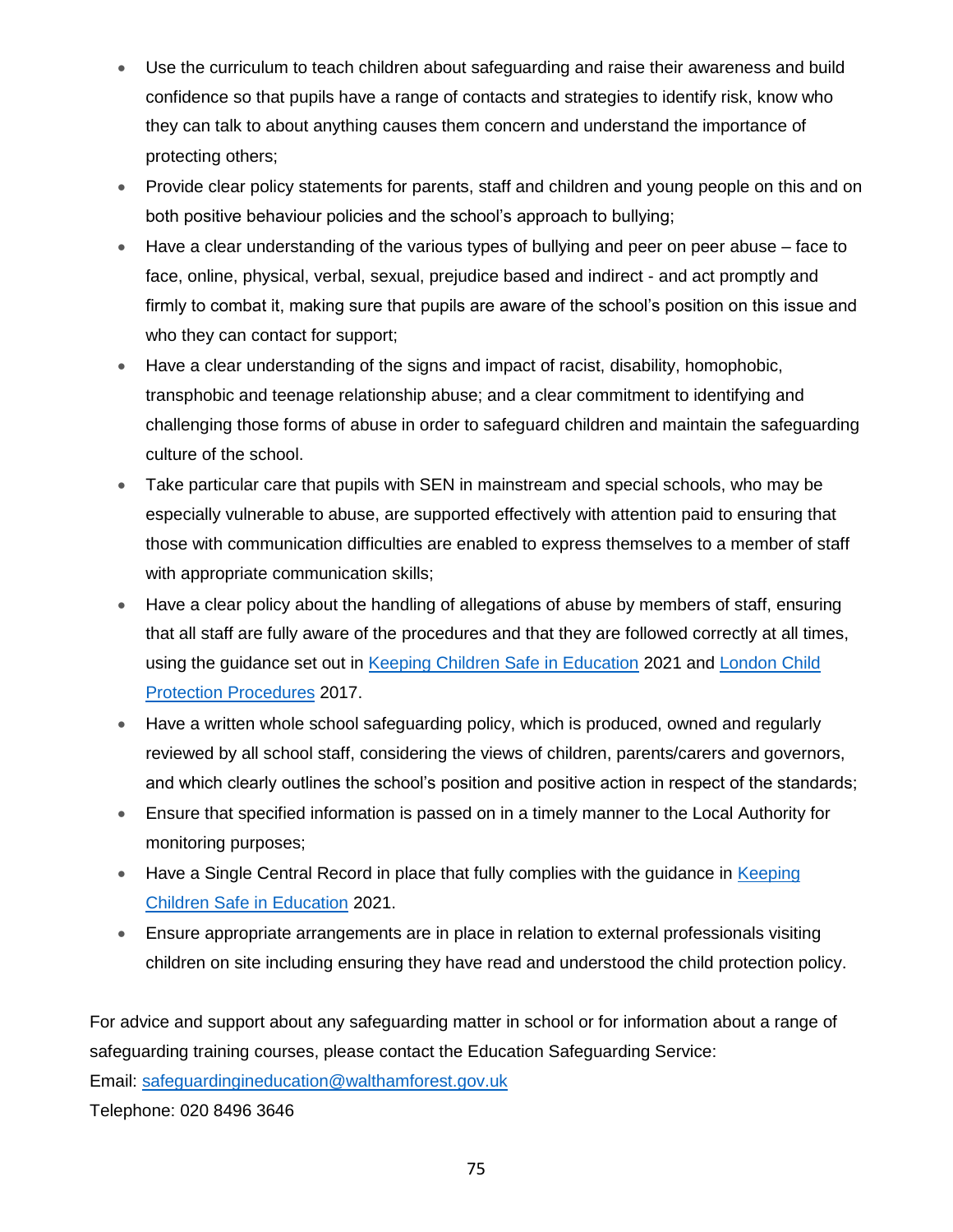- Use the curriculum to teach children about safeguarding and raise their awareness and build confidence so that pupils have a range of contacts and strategies to identify risk, know who they can talk to about anything causes them concern and understand the importance of protecting others;
- Provide clear policy statements for parents, staff and children and young people on this and on both positive behaviour policies and the school's approach to bullying;
- Have a clear understanding of the various types of bullying and peer on peer abuse face to face, online, physical, verbal, sexual, prejudice based and indirect - and act promptly and firmly to combat it, making sure that pupils are aware of the school's position on this issue and who they can contact for support;
- Have a clear understanding of the signs and impact of racist, disability, homophobic, transphobic and teenage relationship abuse; and a clear commitment to identifying and challenging those forms of abuse in order to safeguard children and maintain the safeguarding culture of the school.
- Take particular care that pupils with SEN in mainstream and special schools, who may be especially vulnerable to abuse, are supported effectively with attention paid to ensuring that those with communication difficulties are enabled to express themselves to a member of staff with appropriate communication skills;
- Have a clear policy about the handling of allegations of abuse by members of staff, ensuring that all staff are fully aware of the procedures and that they are followed correctly at all times, using the guidance set out in [Keeping Children Safe in Education](https://www.gov.uk/government/publications/keeping-children-safe-in-education--2) 2021 and [London Child](https://www.londoncp.co.uk/chapters/alleg_staff.html)  [Protection Procedures](https://www.londoncp.co.uk/chapters/alleg_staff.html) 2017.
- Have a written whole school safeguarding policy, which is produced, owned and regularly reviewed by all school staff, considering the views of children, parents/carers and governors, and which clearly outlines the school's position and positive action in respect of the standards;
- Ensure that specified information is passed on in a timely manner to the Local Authority for monitoring purposes;
- Have a Single Central Record in place that fully complies with the guidance in Keeping [Children Safe in Education](https://www.gov.uk/government/publications/keeping-children-safe-in-education--2) 2021.
- Ensure appropriate arrangements are in place in relation to external professionals visiting children on site including ensuring they have read and understood the child protection policy.

For advice and support about any safeguarding matter in school or for information about a range of safeguarding training courses, please contact the Education Safeguarding Service: Email: [safeguardingineducation@walthamforest.gov.uk](mailto:safeguardingineducation@walthamforest.gov.uk) Telephone: 020 8496 3646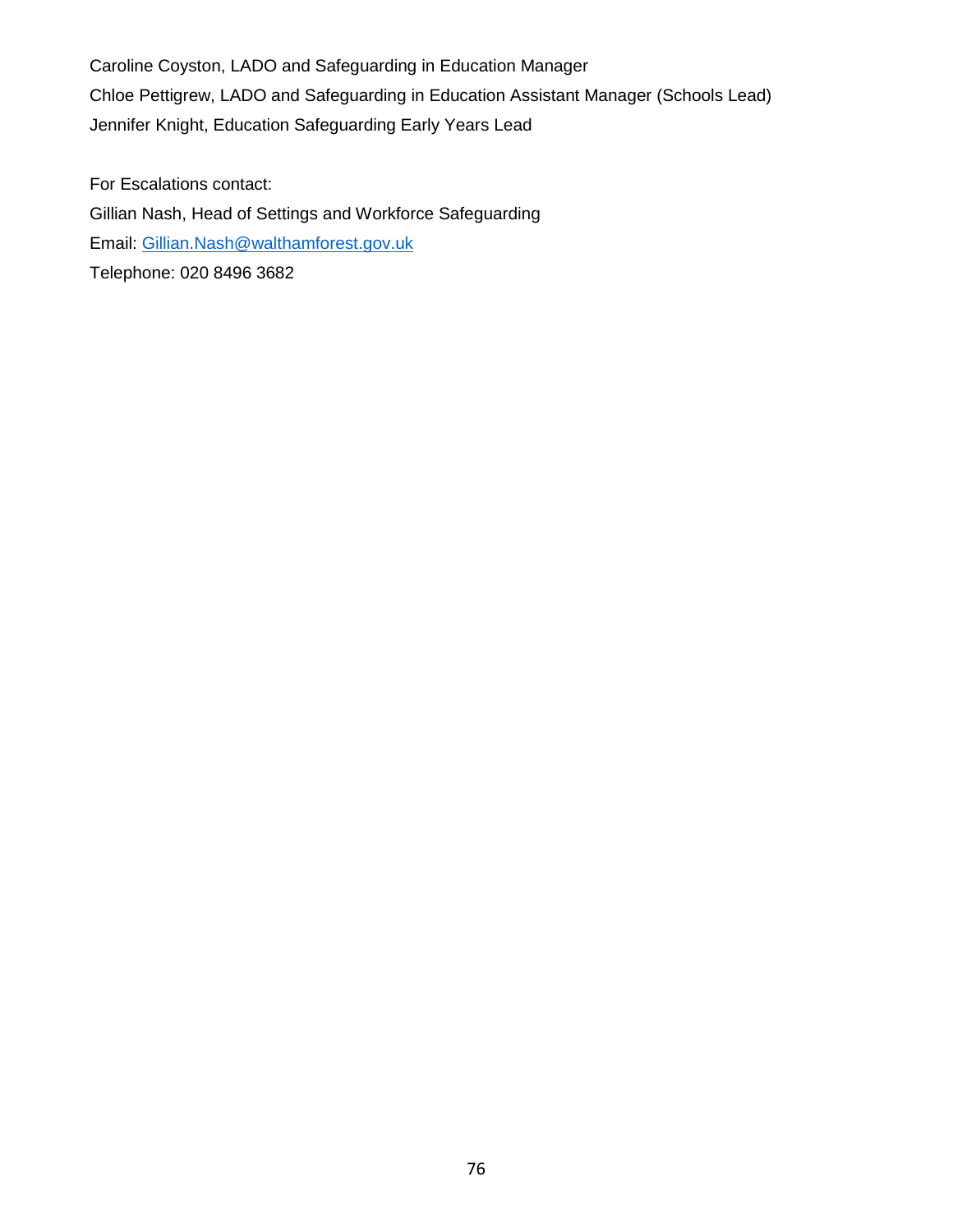Caroline Coyston, LADO and Safeguarding in Education Manager Chloe Pettigrew, LADO and Safeguarding in Education Assistant Manager (Schools Lead) Jennifer Knight, Education Safeguarding Early Years Lead

For Escalations contact: Gillian Nash, Head of Settings and Workforce Safeguarding Email: [Gillian.Nash@walthamforest.gov.uk](mailto:Gillian.Nash@walthamforest.gov.uk) Telephone: 020 8496 3682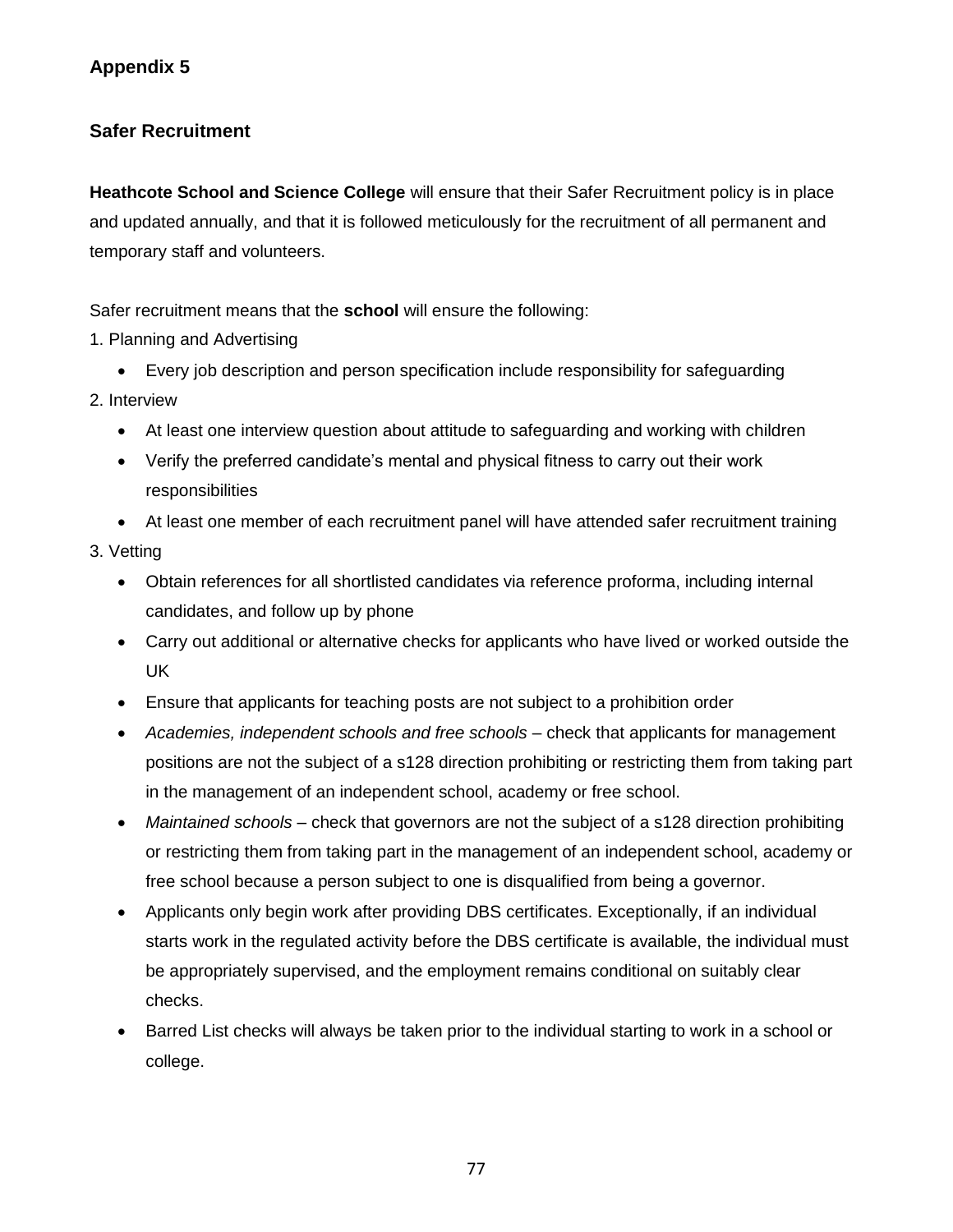### **Safer Recruitment**

**Heathcote School and Science College** will ensure that their Safer Recruitment policy is in place and updated annually, and that it is followed meticulously for the recruitment of all permanent and temporary staff and volunteers.

Safer recruitment means that the **school** will ensure the following:

- 1. Planning and Advertising
	- Every job description and person specification include responsibility for safeguarding
- 2. Interview
	- At least one interview question about attitude to safeguarding and working with children
	- Verify the preferred candidate's mental and physical fitness to carry out their work responsibilities
	- At least one member of each recruitment panel will have attended safer recruitment training
- 3. Vetting
	- Obtain references for all shortlisted candidates via reference proforma, including internal candidates, and follow up by phone
	- Carry out additional or alternative checks for applicants who have lived or worked outside the UK
	- Ensure that applicants for teaching posts are not subject to a prohibition order
	- *Academies, independent schools and free schools –* check that applicants for management positions are not the subject of a s128 direction prohibiting or restricting them from taking part in the management of an independent school, academy or free school.
	- Maintained schools check that governors are not the subject of a s128 direction prohibiting or restricting them from taking part in the management of an independent school, academy or free school because a person subject to one is disqualified from being a governor.
	- Applicants only begin work after providing DBS certificates. Exceptionally, if an individual starts work in the regulated activity before the DBS certificate is available, the individual must be appropriately supervised, and the employment remains conditional on suitably clear checks.
	- Barred List checks will always be taken prior to the individual starting to work in a school or college.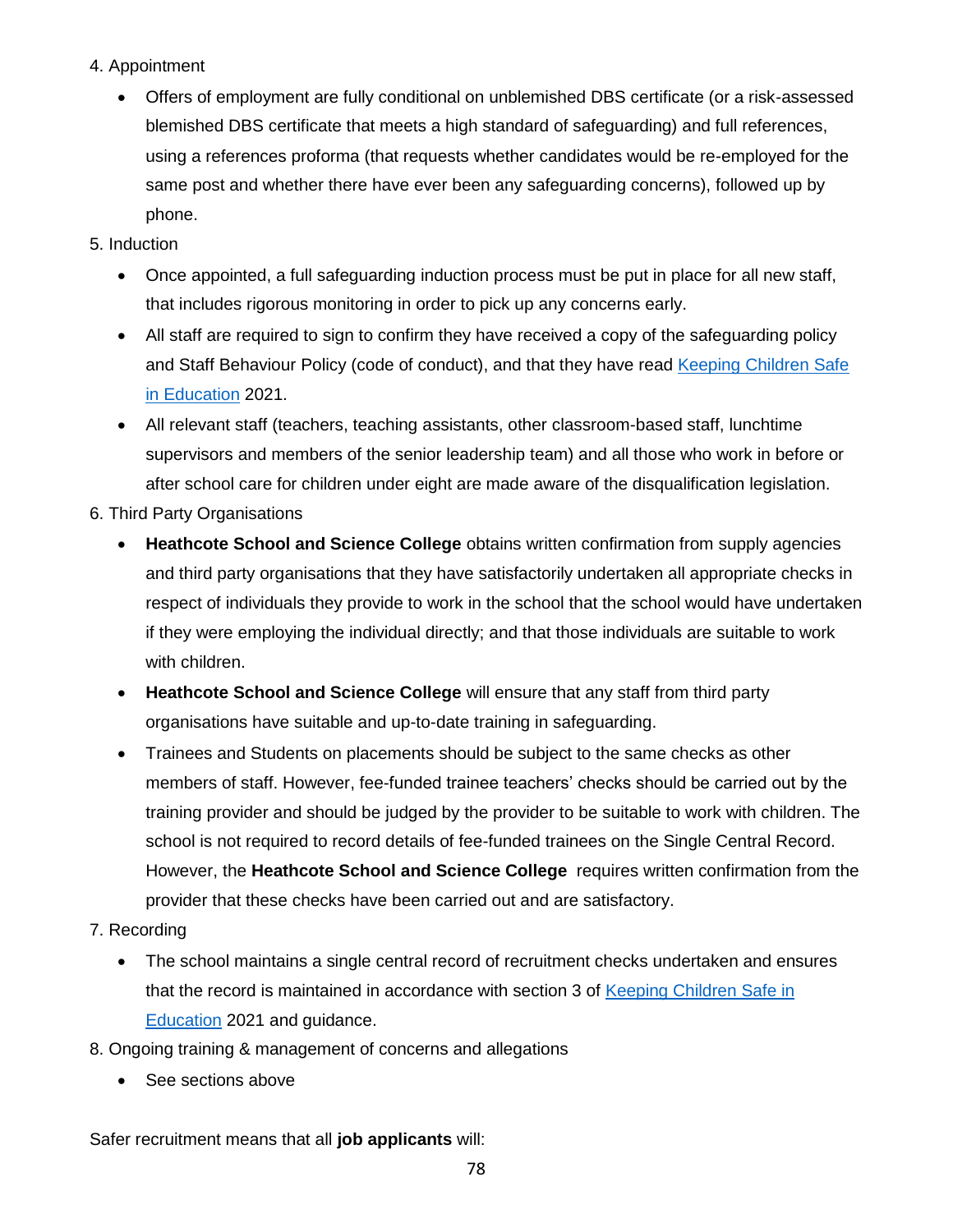- 4. Appointment
	- Offers of employment are fully conditional on unblemished DBS certificate (or a risk-assessed blemished DBS certificate that meets a high standard of safeguarding) and full references, using a references proforma (that requests whether candidates would be re-employed for the same post and whether there have ever been any safeguarding concerns), followed up by phone.
- 5. Induction
	- Once appointed, a full safeguarding induction process must be put in place for all new staff, that includes rigorous monitoring in order to pick up any concerns early.
	- All staff are required to sign to confirm they have received a copy of the safeguarding policy and Staff Behaviour Policy (code of conduct), and that they have read [Keeping Children Safe](https://www.gov.uk/government/publications/keeping-children-safe-in-education--2)  [in Education](https://www.gov.uk/government/publications/keeping-children-safe-in-education--2) 2021.
	- All relevant staff (teachers, teaching assistants, other classroom-based staff, lunchtime supervisors and members of the senior leadership team) and all those who work in before or after school care for children under eight are made aware of the disqualification legislation.
- 6. Third Party Organisations
	- **Heathcote School and Science College** obtains written confirmation from supply agencies and third party organisations that they have satisfactorily undertaken all appropriate checks in respect of individuals they provide to work in the school that the school would have undertaken if they were employing the individual directly; and that those individuals are suitable to work with children.
	- **Heathcote School and Science College** will ensure that any staff from third party organisations have suitable and up-to-date training in safeguarding.
	- Trainees and Students on placements should be subject to the same checks as other members of staff. However, fee-funded trainee teachers' checks should be carried out by the training provider and should be judged by the provider to be suitable to work with children. The school is not required to record details of fee-funded trainees on the Single Central Record. However, the **Heathcote School and Science College** requires written confirmation from the provider that these checks have been carried out and are satisfactory.
- 7. Recording
	- The school maintains a single central record of recruitment checks undertaken and ensures that the record is maintained in accordance with section 3 of [Keeping Children Safe in](https://www.gov.uk/government/publications/keeping-children-safe-in-education--2)  [Education](https://www.gov.uk/government/publications/keeping-children-safe-in-education--2) 2021 and guidance.
- 8. Ongoing training & management of concerns and allegations
	- See sections above

Safer recruitment means that all **job applicants** will: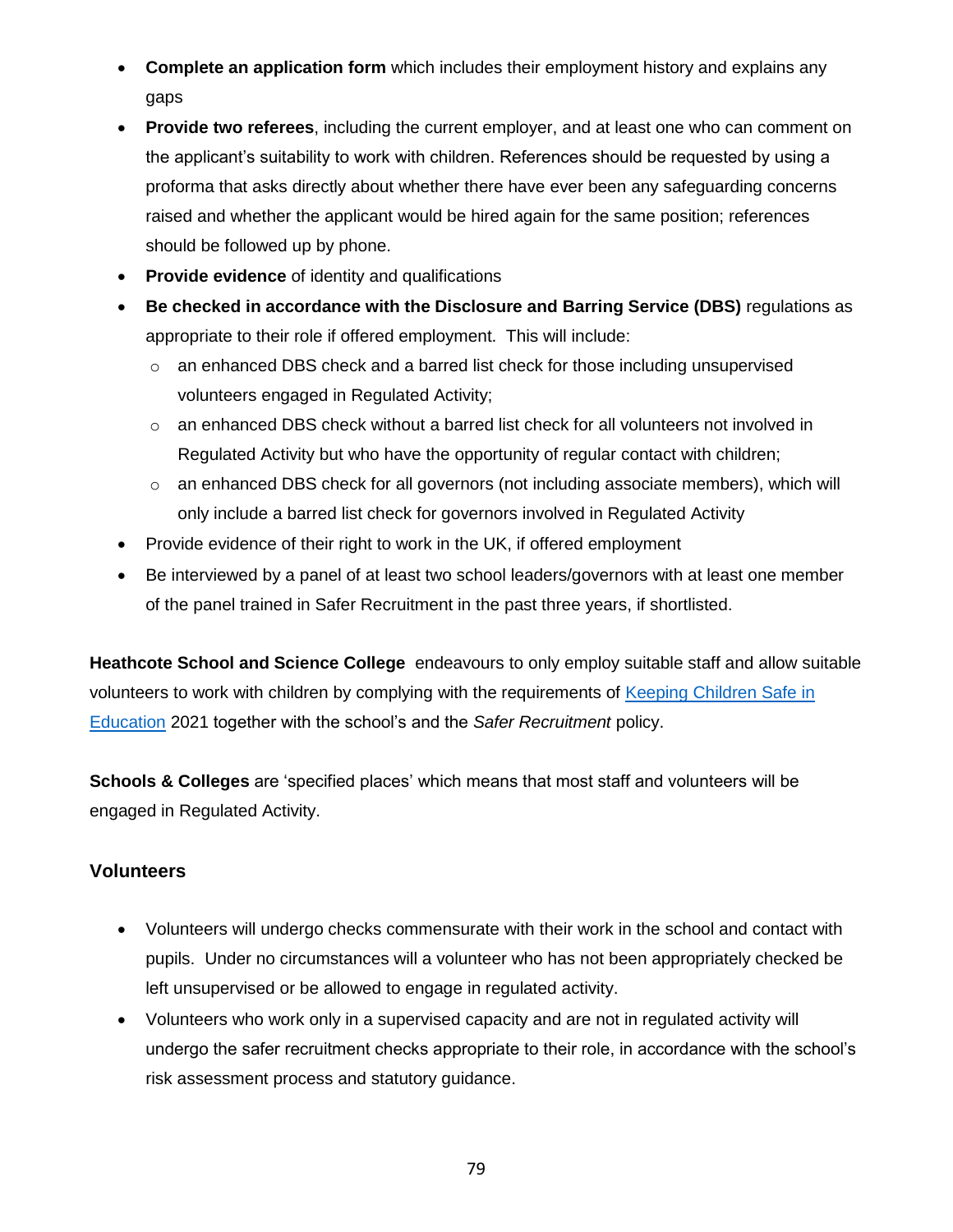- **Complete an application form** which includes their employment history and explains any gaps
- **Provide two referees**, including the current employer, and at least one who can comment on the applicant's suitability to work with children. References should be requested by using a proforma that asks directly about whether there have ever been any safeguarding concerns raised and whether the applicant would be hired again for the same position; references should be followed up by phone.
- **Provide evidence** of identity and qualifications
- **Be checked in accordance with the Disclosure and Barring Service (DBS)** regulations as appropriate to their role if offered employment. This will include:
	- $\circ$  an enhanced DBS check and a barred list check for those including unsupervised volunteers engaged in Regulated Activity;
	- $\circ$  an enhanced DBS check without a barred list check for all volunteers not involved in Regulated Activity but who have the opportunity of regular contact with children;
	- $\circ$  an enhanced DBS check for all governors (not including associate members), which will only include a barred list check for governors involved in Regulated Activity
- Provide evidence of their right to work in the UK, if offered employment
- Be interviewed by a panel of at least two school leaders/governors with at least one member of the panel trained in Safer Recruitment in the past three years, if shortlisted.

**Heathcote School and Science College** endeavours to only employ suitable staff and allow suitable volunteers to work with children by complying with the requirements of [Keeping Children Safe in](https://www.gov.uk/government/publications/keeping-children-safe-in-education--2)  [Education](https://www.gov.uk/government/publications/keeping-children-safe-in-education--2) 2021 together with the school's and the *Safer Recruitment* policy.

**Schools & Colleges** are 'specified places' which means that most staff and volunteers will be engaged in Regulated Activity.

### **Volunteers**

- Volunteers will undergo checks commensurate with their work in the school and contact with pupils. Under no circumstances will a volunteer who has not been appropriately checked be left unsupervised or be allowed to engage in regulated activity.
- Volunteers who work only in a supervised capacity and are not in regulated activity will undergo the safer recruitment checks appropriate to their role, in accordance with the school's risk assessment process and statutory guidance.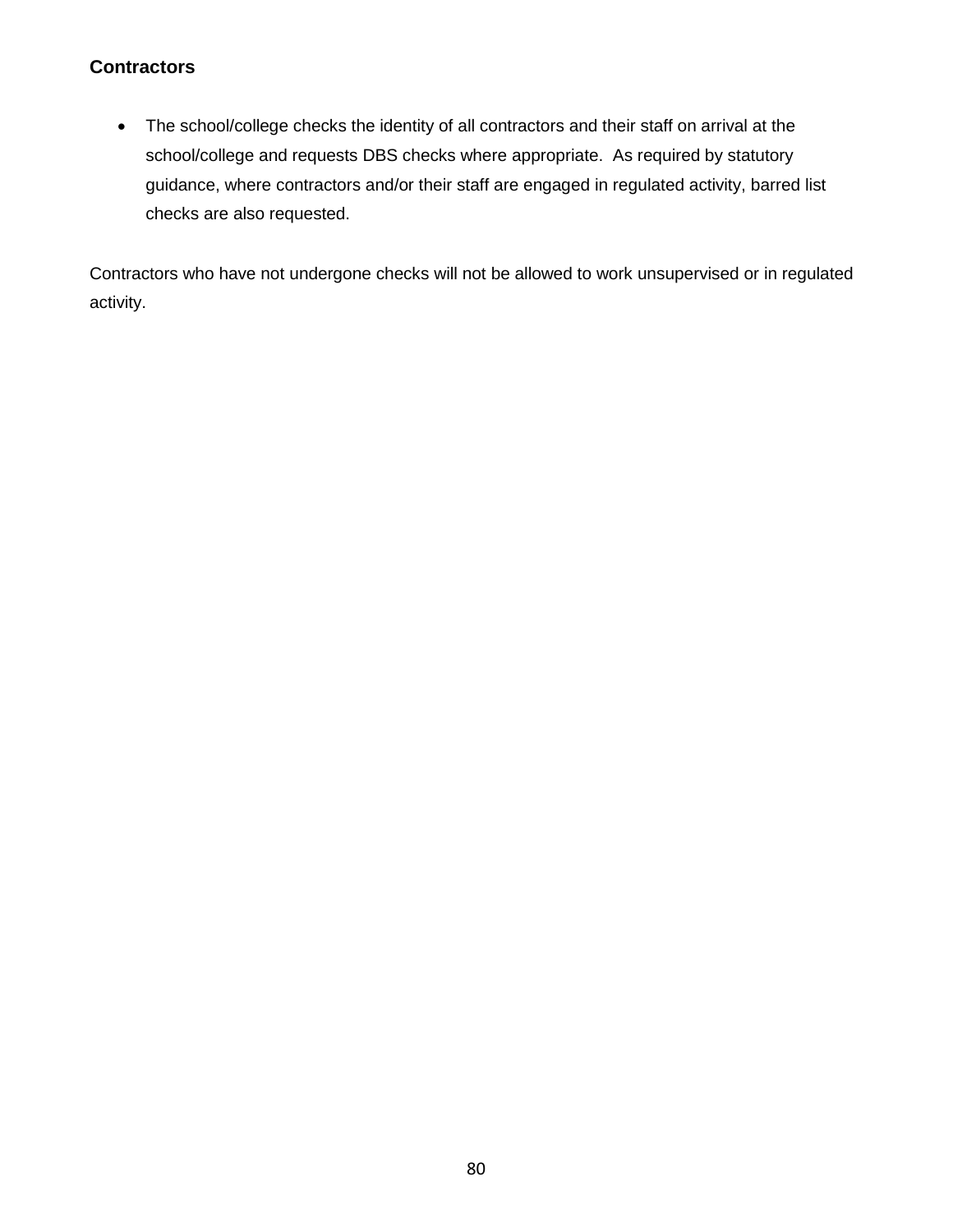### **Contractors**

• The school/college checks the identity of all contractors and their staff on arrival at the school/college and requests DBS checks where appropriate. As required by statutory guidance, where contractors and/or their staff are engaged in regulated activity, barred list checks are also requested.

Contractors who have not undergone checks will not be allowed to work unsupervised or in regulated activity.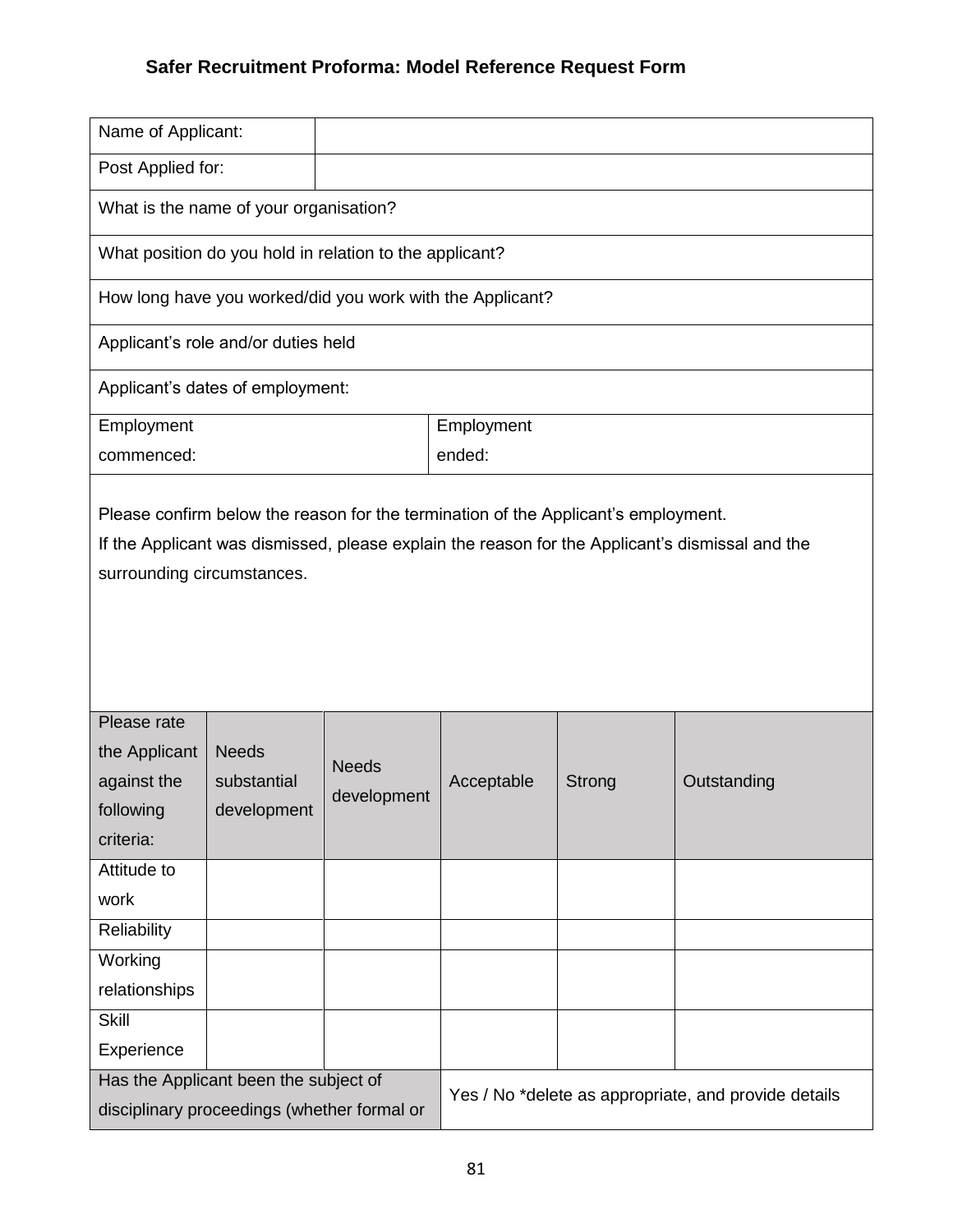# **Safer Recruitment Proforma: Model Reference Request Form**

| Name of Applicant:                                                                                                            |                                            |                             |            |        |                                                      |  |
|-------------------------------------------------------------------------------------------------------------------------------|--------------------------------------------|-----------------------------|------------|--------|------------------------------------------------------|--|
| Post Applied for:                                                                                                             |                                            |                             |            |        |                                                      |  |
| What is the name of your organisation?                                                                                        |                                            |                             |            |        |                                                      |  |
| What position do you hold in relation to the applicant?                                                                       |                                            |                             |            |        |                                                      |  |
| How long have you worked/did you work with the Applicant?                                                                     |                                            |                             |            |        |                                                      |  |
| Applicant's role and/or duties held                                                                                           |                                            |                             |            |        |                                                      |  |
| Applicant's dates of employment:                                                                                              |                                            |                             |            |        |                                                      |  |
| Employment                                                                                                                    |                                            |                             | Employment |        |                                                      |  |
| commenced:                                                                                                                    |                                            |                             | ended:     |        |                                                      |  |
| If the Applicant was dismissed, please explain the reason for the Applicant's dismissal and the<br>surrounding circumstances. |                                            |                             |            |        |                                                      |  |
| Please rate<br>the Applicant<br>against the<br>following<br>criteria:                                                         | <b>Needs</b><br>substantial<br>development | <b>Needs</b><br>development | Acceptable | Strong | Outstanding                                          |  |
| Attitude to                                                                                                                   |                                            |                             |            |        |                                                      |  |
| work<br>Reliability                                                                                                           |                                            |                             |            |        |                                                      |  |
| Working                                                                                                                       |                                            |                             |            |        |                                                      |  |
| relationships                                                                                                                 |                                            |                             |            |        |                                                      |  |
| <b>Skill</b>                                                                                                                  |                                            |                             |            |        |                                                      |  |
| Experience                                                                                                                    |                                            |                             |            |        |                                                      |  |
| Has the Applicant been the subject of<br>disciplinary proceedings (whether formal or                                          |                                            |                             |            |        | Yes / No *delete as appropriate, and provide details |  |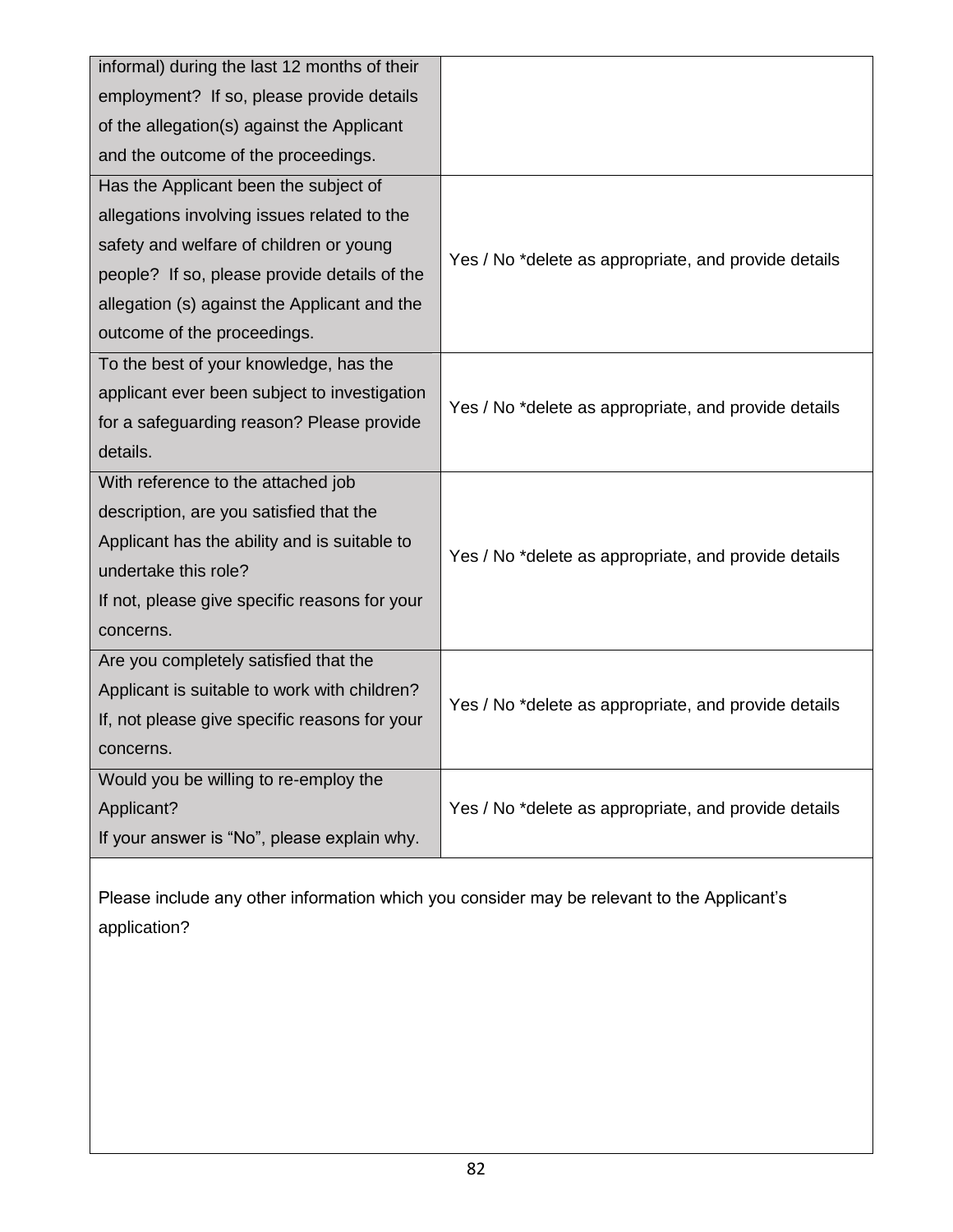| informal) during the last 12 months of their  |                                                      |  |
|-----------------------------------------------|------------------------------------------------------|--|
| employment? If so, please provide details     |                                                      |  |
| of the allegation(s) against the Applicant    |                                                      |  |
| and the outcome of the proceedings.           |                                                      |  |
| Has the Applicant been the subject of         |                                                      |  |
| allegations involving issues related to the   |                                                      |  |
| safety and welfare of children or young       | Yes / No *delete as appropriate, and provide details |  |
| people? If so, please provide details of the  |                                                      |  |
| allegation (s) against the Applicant and the  |                                                      |  |
| outcome of the proceedings.                   |                                                      |  |
| To the best of your knowledge, has the        |                                                      |  |
| applicant ever been subject to investigation  | Yes / No *delete as appropriate, and provide details |  |
| for a safeguarding reason? Please provide     |                                                      |  |
| details.                                      |                                                      |  |
| With reference to the attached job            |                                                      |  |
| description, are you satisfied that the       |                                                      |  |
| Applicant has the ability and is suitable to  | Yes / No *delete as appropriate, and provide details |  |
| undertake this role?                          |                                                      |  |
| If not, please give specific reasons for your |                                                      |  |
| concerns.                                     |                                                      |  |
| Are you completely satisfied that the         |                                                      |  |
| Applicant is suitable to work with children?  | Yes / No *delete as appropriate, and provide details |  |
| If, not please give specific reasons for your |                                                      |  |
| concerns.                                     |                                                      |  |
| Would you be willing to re-employ the         |                                                      |  |
| Applicant?                                    | Yes / No *delete as appropriate, and provide details |  |
| If your answer is "No", please explain why.   |                                                      |  |

Please include any other information which you consider may be relevant to the Applicant's application?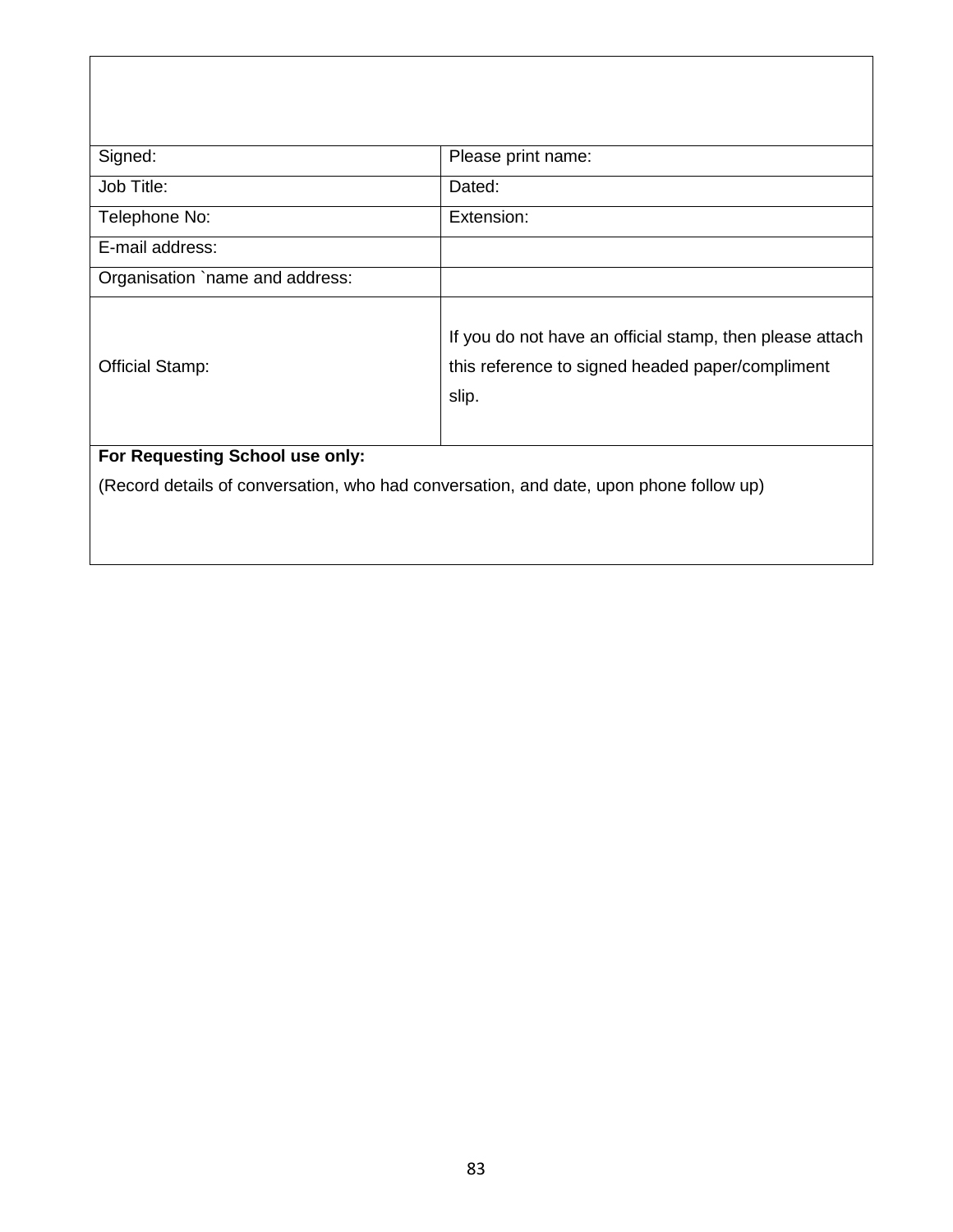| Signed:                                                                                | Please print name:                                                                                                    |  |  |  |
|----------------------------------------------------------------------------------------|-----------------------------------------------------------------------------------------------------------------------|--|--|--|
| Job Title:                                                                             | Dated:                                                                                                                |  |  |  |
| Telephone No:                                                                          | Extension:                                                                                                            |  |  |  |
| E-mail address:                                                                        |                                                                                                                       |  |  |  |
| Organisation `name and address:                                                        |                                                                                                                       |  |  |  |
| Official Stamp:                                                                        | If you do not have an official stamp, then please attach<br>this reference to signed headed paper/compliment<br>slip. |  |  |  |
| For Requesting School use only:                                                        |                                                                                                                       |  |  |  |
| (Record details of conversation, who had conversation, and date, upon phone follow up) |                                                                                                                       |  |  |  |
|                                                                                        |                                                                                                                       |  |  |  |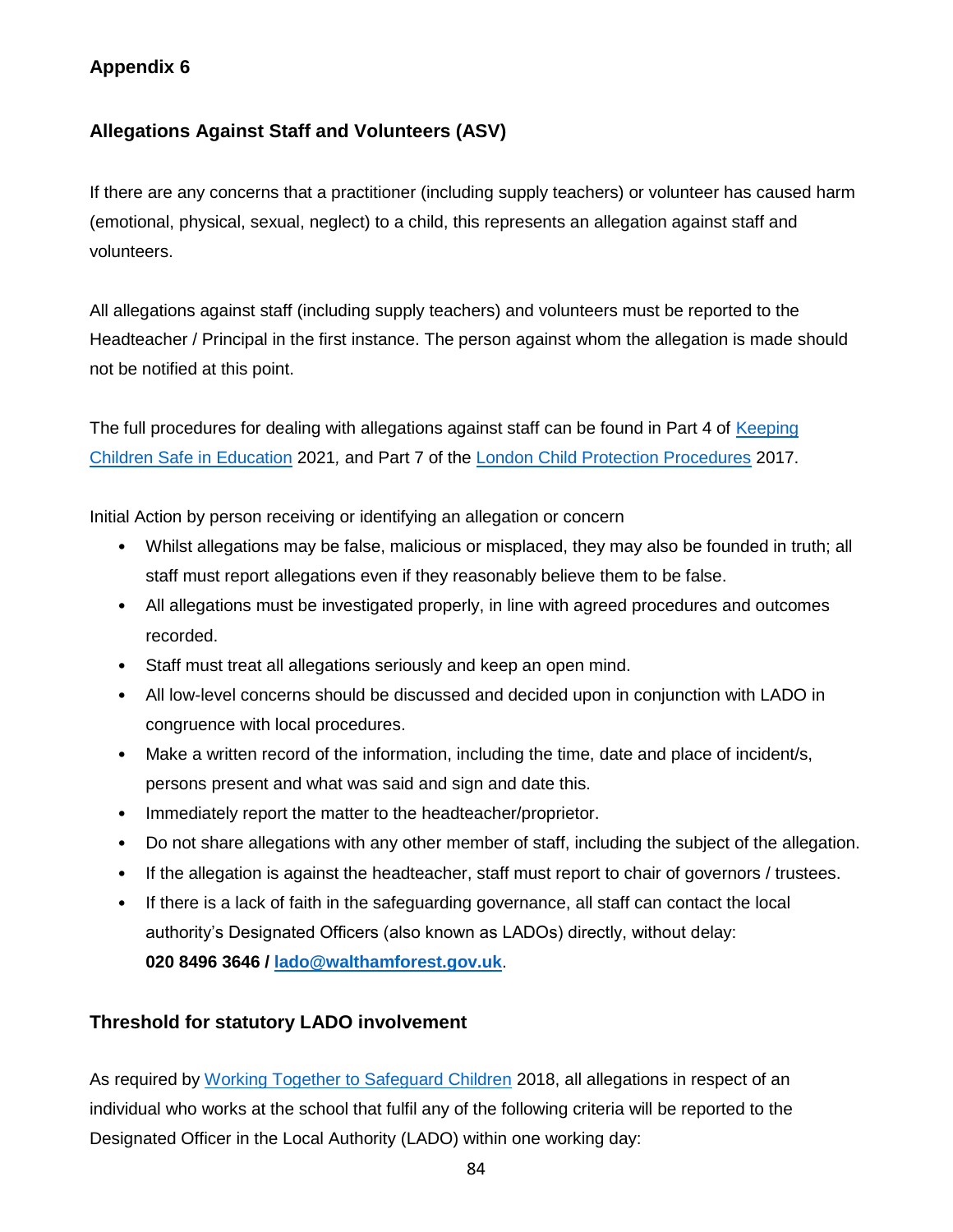## **Appendix 6**

## **Allegations Against Staff and Volunteers (ASV)**

If there are any concerns that a practitioner (including supply teachers) or volunteer has caused harm (emotional, physical, sexual, neglect) to a child, this represents an allegation against staff and volunteers.

All allegations against staff (including supply teachers) and volunteers must be reported to the Headteacher / Principal in the first instance. The person against whom the allegation is made should not be notified at this point.

The full procedures for dealing with allegations against staff can be found in Part 4 of Keeping [Children Safe in Education](https://www.gov.uk/government/publications/keeping-children-safe-in-education--2) 2021*,* and Part 7 of the [London Child Protection Procedures](https://www.londoncp.co.uk/chapters/alleg_staff.html) 2017.

Initial Action by person receiving or identifying an allegation or concern

- Whilst allegations may be false, malicious or misplaced, they may also be founded in truth; all staff must report allegations even if they reasonably believe them to be false.
- All allegations must be investigated properly, in line with agreed procedures and outcomes recorded.
- Staff must treat all allegations seriously and keep an open mind.
- All low-level concerns should be discussed and decided upon in conjunction with LADO in congruence with local procedures.
- Make a written record of the information, including the time, date and place of incident/s, persons present and what was said and sign and date this.
- Immediately report the matter to the headteacher/proprietor.
- Do not share allegations with any other member of staff, including the subject of the allegation.
- If the allegation is against the headteacher, staff must report to chair of governors / trustees.
- If there is a lack of faith in the safeguarding governance, all staff can contact the local authority's Designated Officers (also known as LADOs) directly, without delay: **020 8496 3646 / [lado@walthamforest.gov.uk](mailto:lado@walthamforest.gov.uk)**.

## **Threshold for statutory LADO involvement**

As required by [Working Together to Safeguard Children](https://www.gov.uk/government/publications/working-together-to-safeguard-children--2) 2018, all allegations in respect of an individual who works at the school that fulfil any of the following criteria will be reported to the Designated Officer in the Local Authority (LADO) within one working day: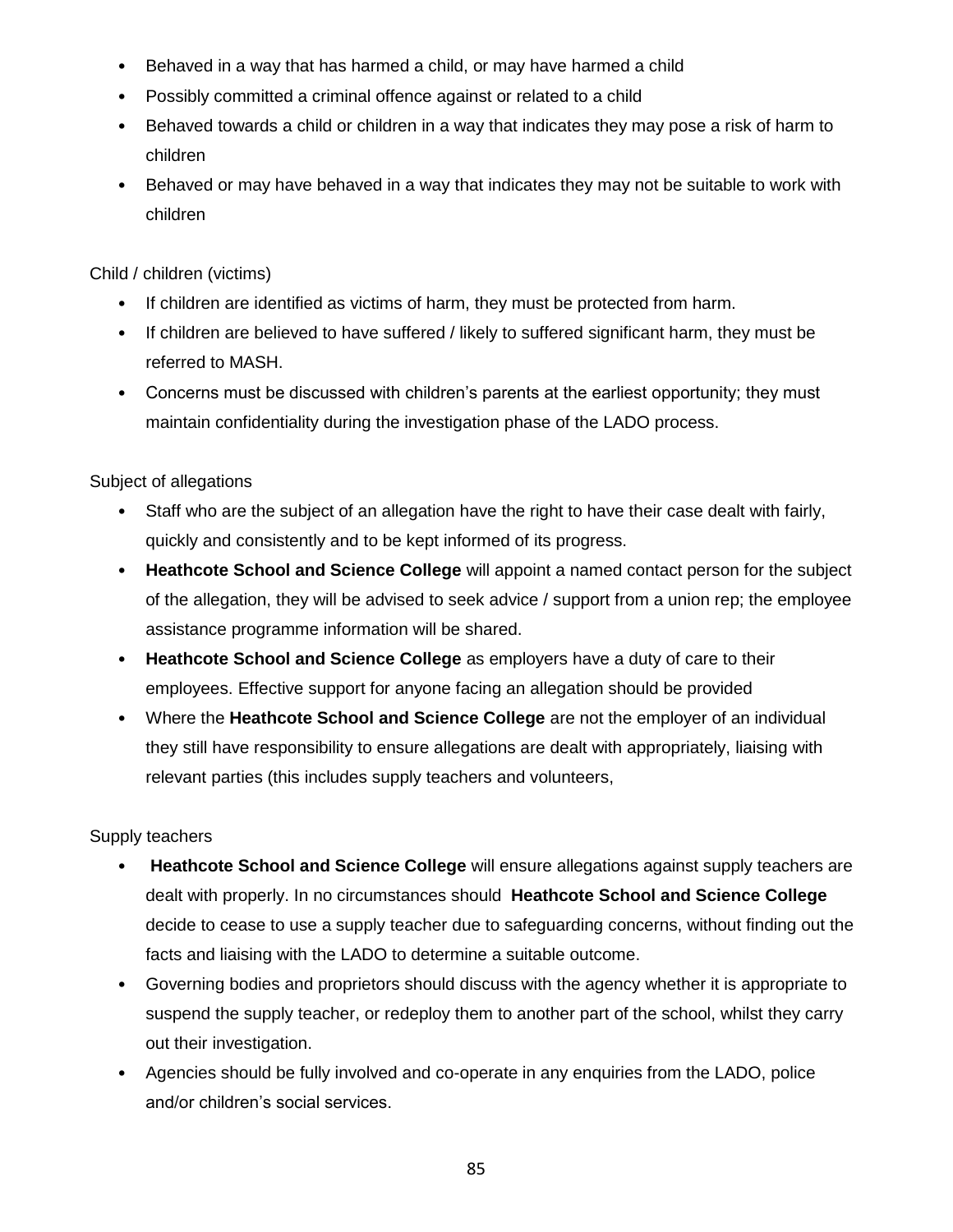- Behaved in a way that has harmed a child, or may have harmed a child
- Possibly committed a criminal offence against or related to a child
- Behaved towards a child or children in a way that indicates they may pose a risk of harm to children
- Behaved or may have behaved in a way that indicates they may not be suitable to work with children

Child / children (victims)

- If children are identified as victims of harm, they must be protected from harm.
- If children are believed to have suffered / likely to suffered significant harm, they must be referred to MASH.
- Concerns must be discussed with children's parents at the earliest opportunity; they must maintain confidentiality during the investigation phase of the LADO process.

Subject of allegations

- Staff who are the subject of an allegation have the right to have their case dealt with fairly, quickly and consistently and to be kept informed of its progress.
- **Heathcote School and Science College** will appoint a named contact person for the subject of the allegation, they will be advised to seek advice / support from a union rep; the employee assistance programme information will be shared.
- **Heathcote School and Science College** as employers have a duty of care to their employees. Effective support for anyone facing an allegation should be provided
- Where the **Heathcote School and Science College** are not the employer of an individual they still have responsibility to ensure allegations are dealt with appropriately, liaising with relevant parties (this includes supply teachers and volunteers,

Supply teachers

- **Heathcote School and Science College** will ensure allegations against supply teachers are dealt with properly. In no circumstances should **Heathcote School and Science College** decide to cease to use a supply teacher due to safeguarding concerns, without finding out the facts and liaising with the LADO to determine a suitable outcome.
- Governing bodies and proprietors should discuss with the agency whether it is appropriate to suspend the supply teacher, or redeploy them to another part of the school, whilst they carry out their investigation.
- Agencies should be fully involved and co-operate in any enquiries from the LADO, police and/or children's social services.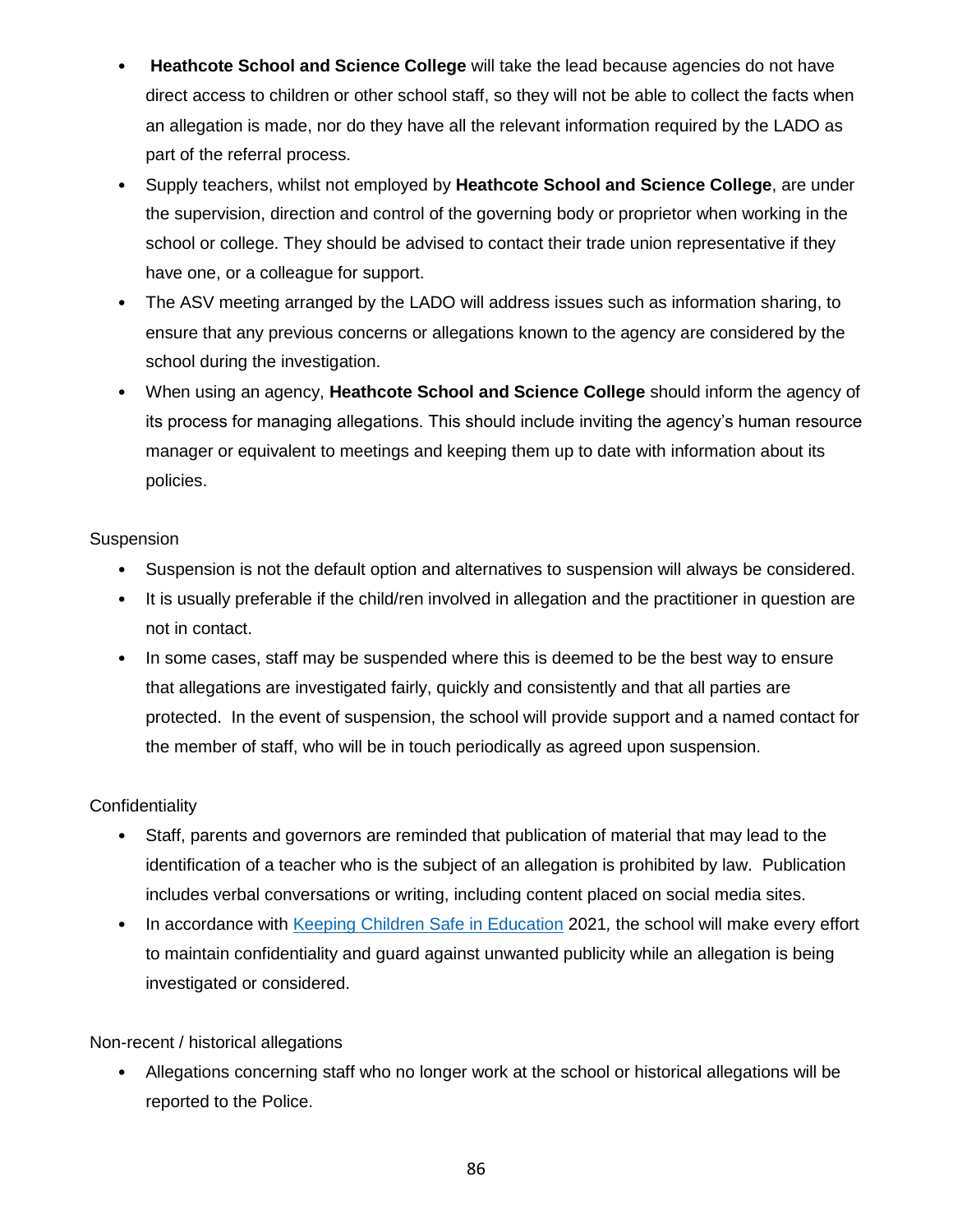- **Heathcote School and Science College** will take the lead because agencies do not have direct access to children or other school staff, so they will not be able to collect the facts when an allegation is made, nor do they have all the relevant information required by the LADO as part of the referral process.
- Supply teachers, whilst not employed by **Heathcote School and Science College**, are under the supervision, direction and control of the governing body or proprietor when working in the school or college. They should be advised to contact their trade union representative if they have one, or a colleague for support.
- The ASV meeting arranged by the LADO will address issues such as information sharing, to ensure that any previous concerns or allegations known to the agency are considered by the school during the investigation.
- When using an agency, **Heathcote School and Science College** should inform the agency of its process for managing allegations. This should include inviting the agency's human resource manager or equivalent to meetings and keeping them up to date with information about its policies.

#### **Suspension**

- Suspension is not the default option and alternatives to suspension will always be considered.
- It is usually preferable if the child/ren involved in allegation and the practitioner in question are not in contact.
- In some cases, staff may be suspended where this is deemed to be the best way to ensure that allegations are investigated fairly, quickly and consistently and that all parties are protected. In the event of suspension, the school will provide support and a named contact for the member of staff, who will be in touch periodically as agreed upon suspension.

#### **Confidentiality**

- Staff, parents and governors are reminded that publication of material that may lead to the identification of a teacher who is the subject of an allegation is prohibited by law. Publication includes verbal conversations or writing, including content placed on social media sites.
- In accordance with [Keeping Children Safe in Education](https://www.gov.uk/government/publications/keeping-children-safe-in-education--2) 2021*,* the school will make every effort to maintain confidentiality and guard against unwanted publicity while an allegation is being investigated or considered.

#### Non-recent / historical allegations

• Allegations concerning staff who no longer work at the school or historical allegations will be reported to the Police.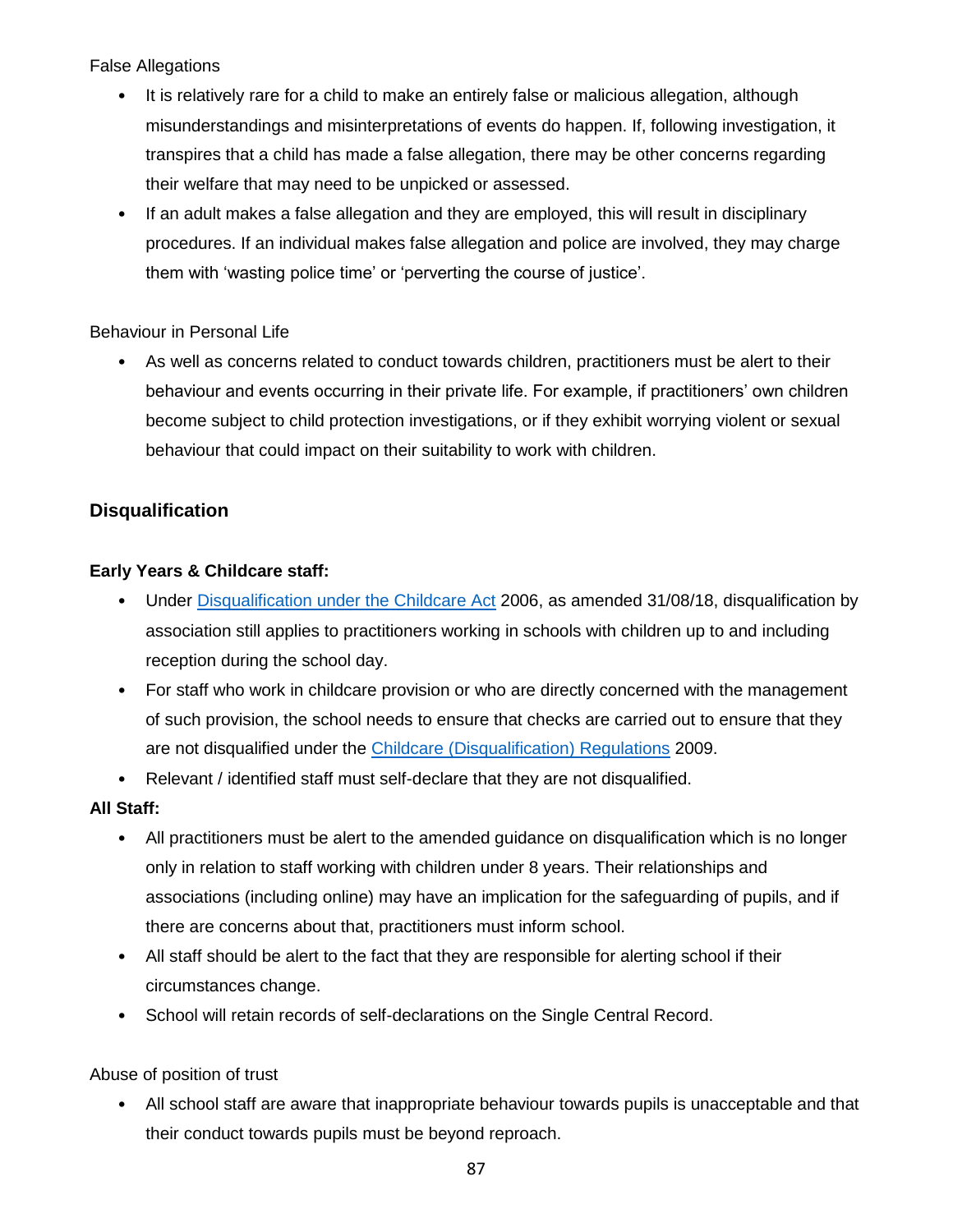False Allegations

- It is relatively rare for a child to make an entirely false or malicious allegation, although misunderstandings and misinterpretations of events do happen. If, following investigation, it transpires that a child has made a false allegation, there may be other concerns regarding their welfare that may need to be unpicked or assessed.
- If an adult makes a false allegation and they are employed, this will result in disciplinary procedures. If an individual makes false allegation and police are involved, they may charge them with 'wasting police time' or 'perverting the course of justice'.

#### Behaviour in Personal Life

• As well as concerns related to conduct towards children, practitioners must be alert to their behaviour and events occurring in their private life. For example, if practitioners' own children become subject to child protection investigations, or if they exhibit worrying violent or sexual behaviour that could impact on their suitability to work with children.

### **Disqualification**

### **Early Years & Childcare staff:**

- Under [Disqualification under the Childcare Act](https://www.gov.uk/government/publications/disqualification-under-the-childcare-act-2006/disqualification-under-the-childcare-act-2006) 2006, as amended 31/08/18, disqualification by association still applies to practitioners working in schools with children up to and including reception during the school day.
- For staff who work in childcare provision or who are directly concerned with the management of such provision, the school needs to ensure that checks are carried out to ensure that they are not disqualified under the [Childcare \(Disqualification\) Regulations](http://www.legislation.gov.uk/uksi/2009/1547/contents/made) 2009.
- Relevant / identified staff must self-declare that they are not disqualified.

#### **All Staff:**

- All practitioners must be alert to the amended guidance on disqualification which is no longer only in relation to staff working with children under 8 years. Their relationships and associations (including online) may have an implication for the safeguarding of pupils, and if there are concerns about that, practitioners must inform school.
- All staff should be alert to the fact that they are responsible for alerting school if their circumstances change.
- School will retain records of self-declarations on the Single Central Record.

#### Abuse of position of trust

• All school staff are aware that inappropriate behaviour towards pupils is unacceptable and that their conduct towards pupils must be beyond reproach.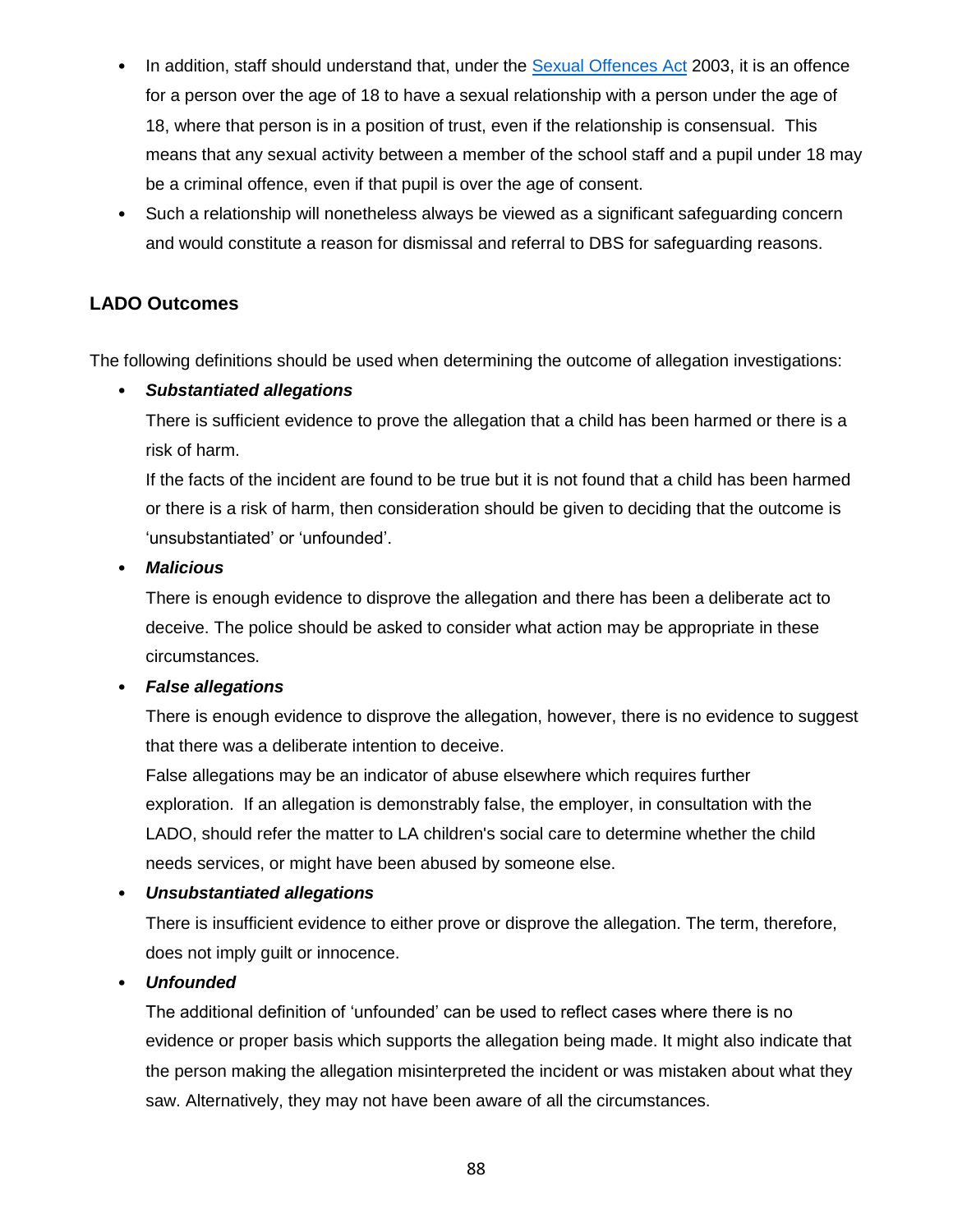- In addition, staff should understand that, under the **Sexual Offences Act 2003**, it is an offence for a person over the age of 18 to have a sexual relationship with a person under the age of 18, where that person is in a position of trust, even if the relationship is consensual. This means that any sexual activity between a member of the school staff and a pupil under 18 may be a criminal offence, even if that pupil is over the age of consent.
- Such a relationship will nonetheless always be viewed as a significant safeguarding concern and would constitute a reason for dismissal and referral to DBS for safeguarding reasons.

### **LADO Outcomes**

The following definitions should be used when determining the outcome of allegation investigations:

#### • *Substantiated allegations*

There is sufficient evidence to prove the allegation that a child has been harmed or there is a risk of harm.

If the facts of the incident are found to be true but it is not found that a child has been harmed or there is a risk of harm, then consideration should be given to deciding that the outcome is 'unsubstantiated' or 'unfounded'.

#### • *Malicious*

There is enough evidence to disprove the allegation and there has been a deliberate act to deceive. The police should be asked to consider what action may be appropriate in these circumstances.

#### • *False allegations*

There is enough evidence to disprove the allegation, however, there is no evidence to suggest that there was a deliberate intention to deceive.

False allegations may be an indicator of abuse elsewhere which requires further exploration. If an allegation is demonstrably false, the employer, in consultation with the LADO, should refer the matter to LA children's social care to determine whether the child needs services, or might have been abused by someone else.

#### • *Unsubstantiated allegations*

There is insufficient evidence to either prove or disprove the allegation. The term, therefore, does not imply guilt or innocence.

#### • *Unfounded*

The additional definition of 'unfounded' can be used to reflect cases where there is no evidence or proper basis which supports the allegation being made. It might also indicate that the person making the allegation misinterpreted the incident or was mistaken about what they saw. Alternatively, they may not have been aware of all the circumstances.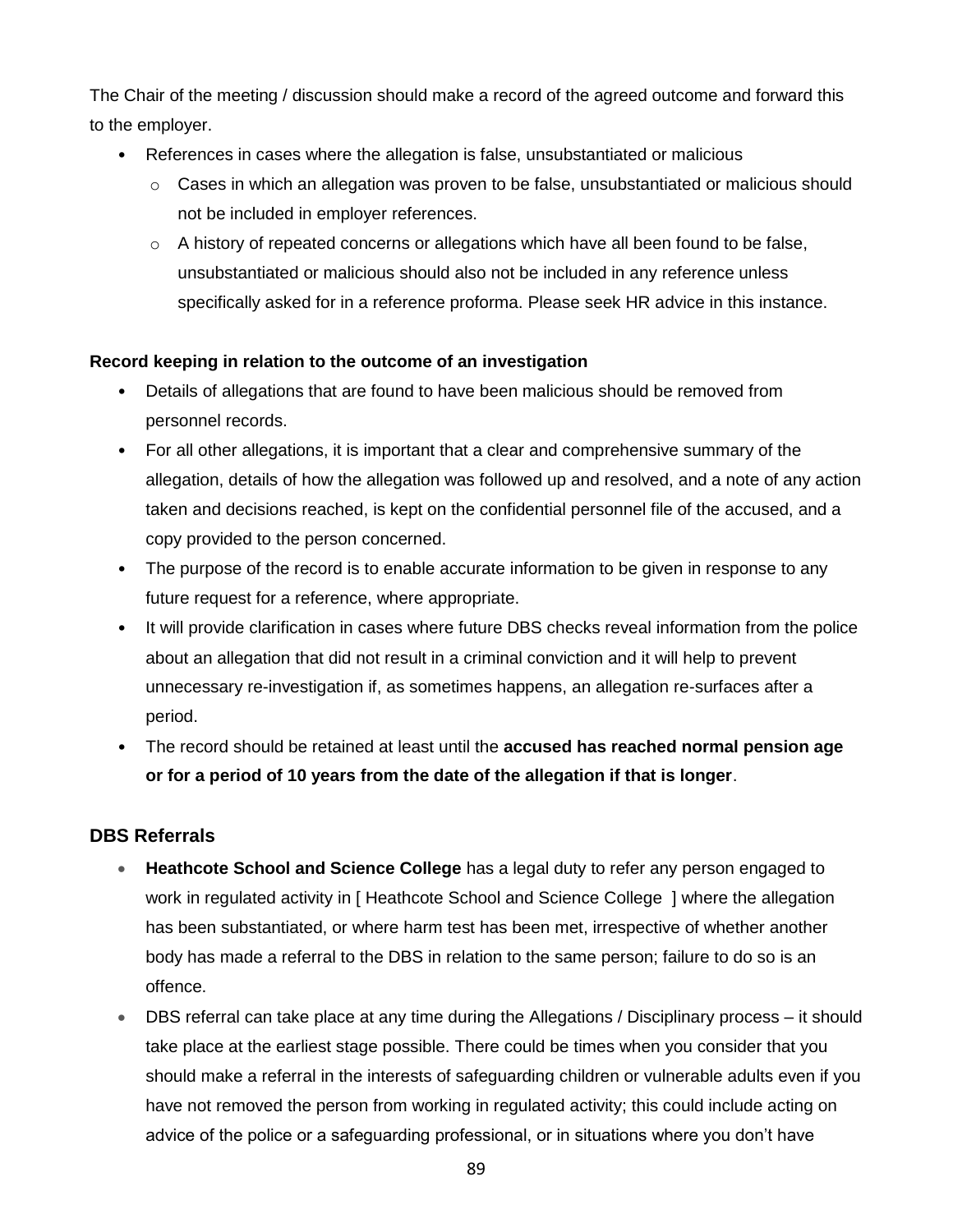The Chair of the meeting / discussion should make a record of the agreed outcome and forward this to the employer.

- References in cases where the allegation is false, unsubstantiated or malicious
	- $\circ$  Cases in which an allegation was proven to be false, unsubstantiated or malicious should not be included in employer references.
	- $\circ$  A history of repeated concerns or allegations which have all been found to be false, unsubstantiated or malicious should also not be included in any reference unless specifically asked for in a reference proforma. Please seek HR advice in this instance.

#### **Record keeping in relation to the outcome of an investigation**

- Details of allegations that are found to have been malicious should be removed from personnel records.
- For all other allegations, it is important that a clear and comprehensive summary of the allegation, details of how the allegation was followed up and resolved, and a note of any action taken and decisions reached, is kept on the confidential personnel file of the accused, and a copy provided to the person concerned.
- The purpose of the record is to enable accurate information to be given in response to any future request for a reference, where appropriate.
- It will provide clarification in cases where future DBS checks reveal information from the police about an allegation that did not result in a criminal conviction and it will help to prevent unnecessary re-investigation if, as sometimes happens, an allegation re-surfaces after a period.
- The record should be retained at least until the **accused has reached normal pension age or for a period of 10 years from the date of the allegation if that is longer**.

#### **DBS Referrals**

- **Heathcote School and Science College** has a legal duty to refer any person engaged to work in regulated activity in [ Heathcote School and Science College ] where the allegation has been substantiated, or where harm test has been met, irrespective of whether another body has made a referral to the DBS in relation to the same person; failure to do so is an offence.
- DBS referral can take place at any time during the Allegations / Disciplinary process it should take place at the earliest stage possible. There could be times when you consider that you should make a referral in the interests of safeguarding children or vulnerable adults even if you have not removed the person from working in regulated activity; this could include acting on advice of the police or a safeguarding professional, or in situations where you don't have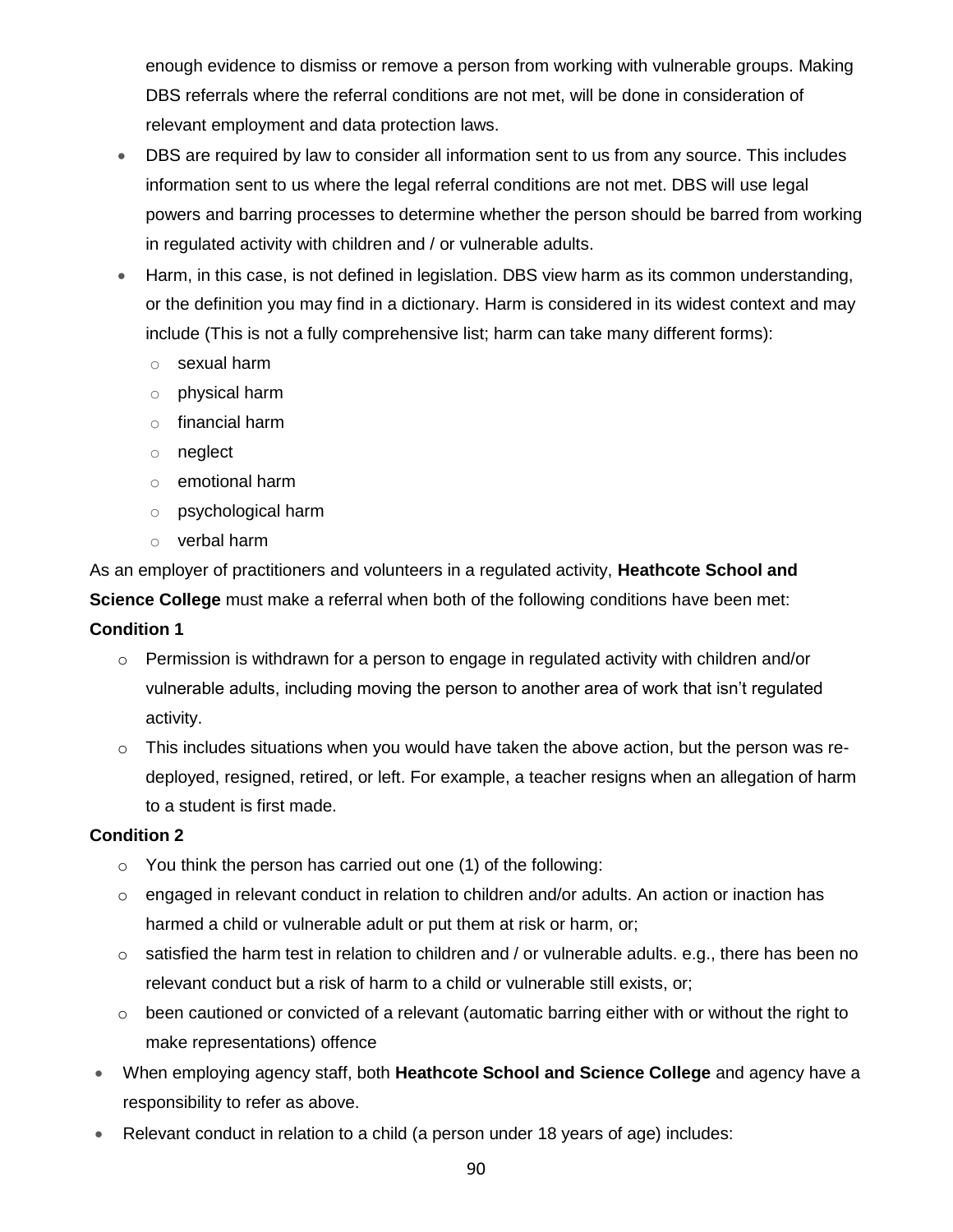enough evidence to dismiss or remove a person from working with vulnerable groups. Making DBS referrals where the referral conditions are not met, will be done in consideration of relevant employment and data protection laws.

- DBS are required by law to consider all information sent to us from any source. This includes information sent to us where the legal referral conditions are not met. DBS will use legal powers and barring processes to determine whether the person should be barred from working in regulated activity with children and / or vulnerable adults.
- Harm, in this case, is not defined in legislation. DBS view harm as its common understanding, or the definition you may find in a dictionary. Harm is considered in its widest context and may include (This is not a fully comprehensive list; harm can take many different forms):
	- o sexual harm
	- o physical harm
	- o financial harm
	- o neglect
	- o emotional harm
	- o psychological harm
	- o verbal harm

As an employer of practitioners and volunteers in a regulated activity, **Heathcote School and** 

**Science College** must make a referral when both of the following conditions have been met:

### **Condition 1**

- o Permission is withdrawn for a person to engage in regulated activity with children and/or vulnerable adults, including moving the person to another area of work that isn't regulated activity.
- $\circ$  This includes situations when you would have taken the above action, but the person was redeployed, resigned, retired, or left. For example, a teacher resigns when an allegation of harm to a student is first made.

### **Condition 2**

- $\circ$  You think the person has carried out one (1) of the following:
- $\circ$  engaged in relevant conduct in relation to children and/or adults. An action or inaction has harmed a child or vulnerable adult or put them at risk or harm, or;
- $\circ$  satisfied the harm test in relation to children and / or vulnerable adults. e.g., there has been no relevant conduct but a risk of harm to a child or vulnerable still exists, or;
- o been cautioned or convicted of a relevant (automatic barring either with or without the right to make representations) offence
- When employing agency staff, both **Heathcote School and Science College** and agency have a responsibility to refer as above.
- Relevant conduct in relation to a child (a person under 18 years of age) includes: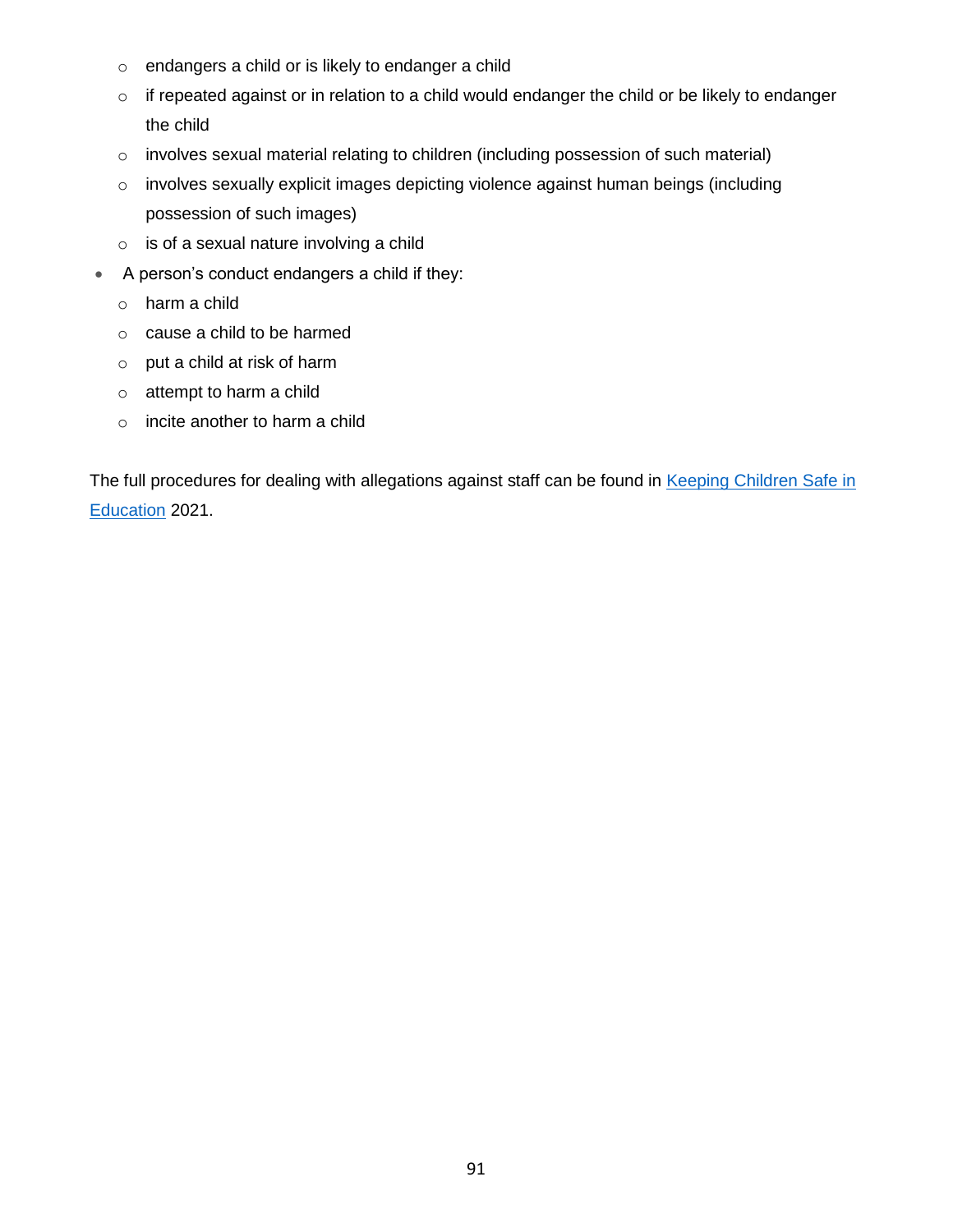- o endangers a child or is likely to endanger a child
- o if repeated against or in relation to a child would endanger the child or be likely to endanger the child
- o involves sexual material relating to children (including possession of such material)
- o involves sexually explicit images depicting violence against human beings (including possession of such images)
- o is of a sexual nature involving a child
- A person's conduct endangers a child if they:
	- o harm a child
	- o cause a child to be harmed
	- o put a child at risk of harm
	- o attempt to harm a child
	- o incite another to harm a child

The full procedures for dealing with allegations against staff can be found in Keeping Children Safe in [Education](https://www.gov.uk/government/uploads/system/uploads/attachment_data/file/550511/Keeping_children_safe_in_education.pdf) 2021.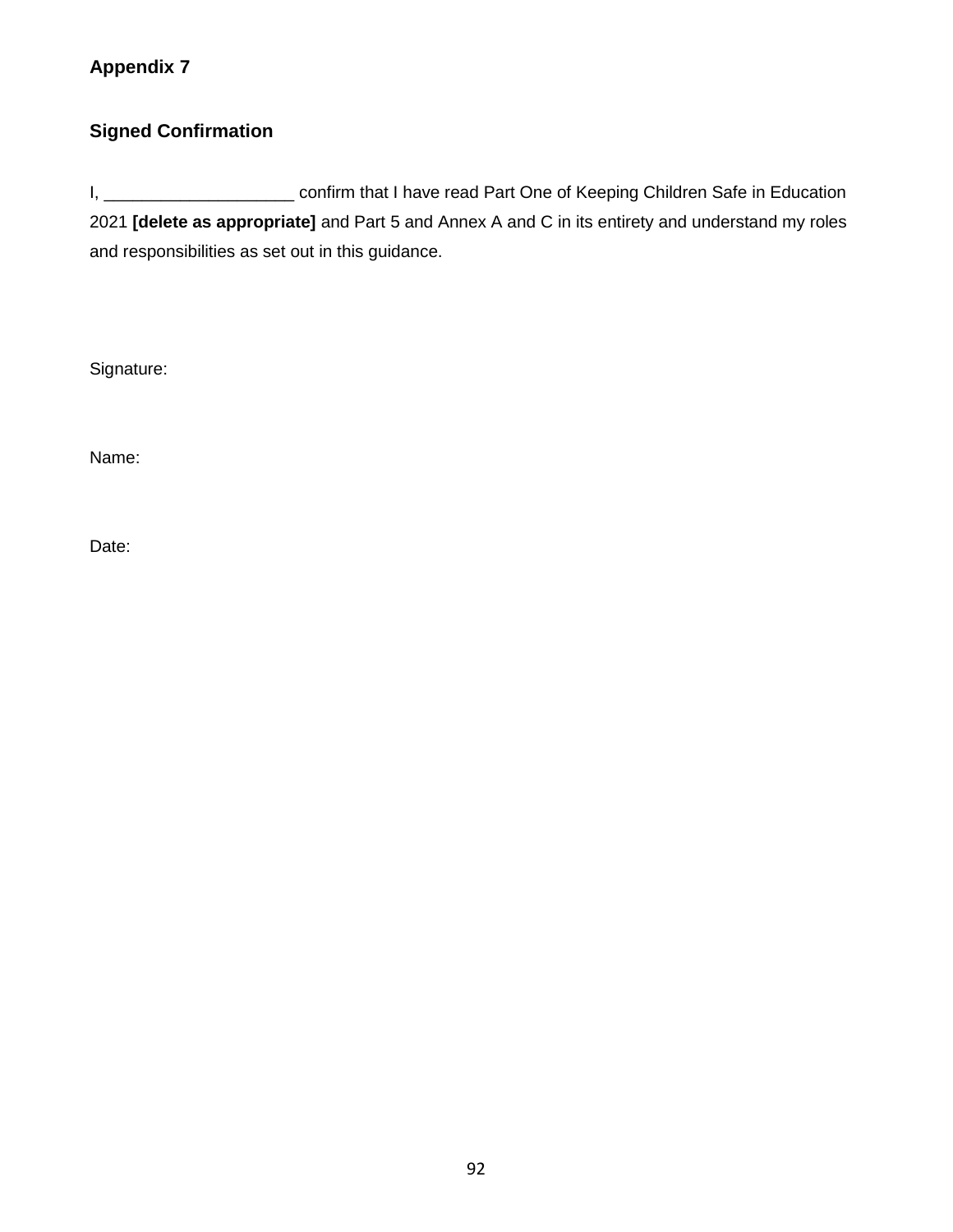## **Appendix 7**

## **Signed Confirmation**

I, \_\_\_\_\_\_\_\_\_\_\_\_\_\_\_\_\_\_\_\_\_\_\_\_\_ confirm that I have read Part One of Keeping Children Safe in Education 2021 **[delete as appropriate]** and Part 5 and Annex A and C in its entirety and understand my roles and responsibilities as set out in this guidance.

Signature:

Name:

Date: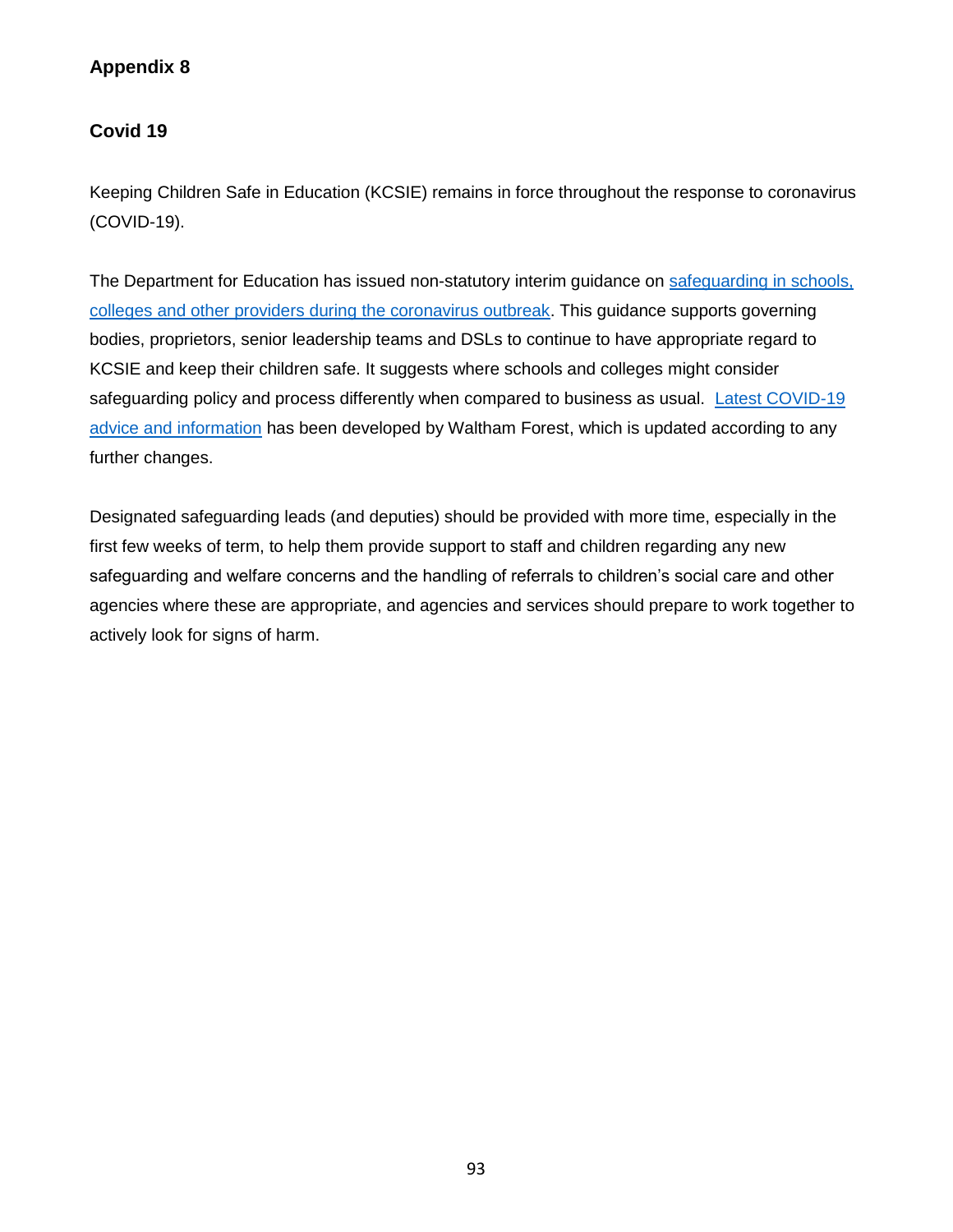## **Appendix 8**

### **Covid 19**

Keeping Children Safe in Education (KCSIE) remains in force throughout the response to coronavirus (COVID-19).

The Department for Education has issued non-statutory interim guidance on [safeguarding in schools,](https://www.gov.uk/government/publications/covid-19-safeguarding-in-schools-colleges-and-other-providers)  [colleges and other providers during the coronavirus outbreak.](https://www.gov.uk/government/publications/covid-19-safeguarding-in-schools-colleges-and-other-providers) This guidance supports governing bodies, proprietors, senior leadership teams and DSLs to continue to have appropriate regard to KCSIE and keep their children safe. It suggests where schools and colleges might consider safeguarding policy and process differently when compared to business as usual. [Latest COVID-19](https://thehub-beta.walthamforest.gov.uk/latest-covid-19-advice-and-information)  [advice and information](https://thehub-beta.walthamforest.gov.uk/latest-covid-19-advice-and-information) has been developed by Waltham Forest, which is updated according to any further changes.

Designated safeguarding leads (and deputies) should be provided with more time, especially in the first few weeks of term, to help them provide support to staff and children regarding any new safeguarding and welfare concerns and the handling of referrals to children's social care and other agencies where these are appropriate, and agencies and services should prepare to work together to actively look for signs of harm.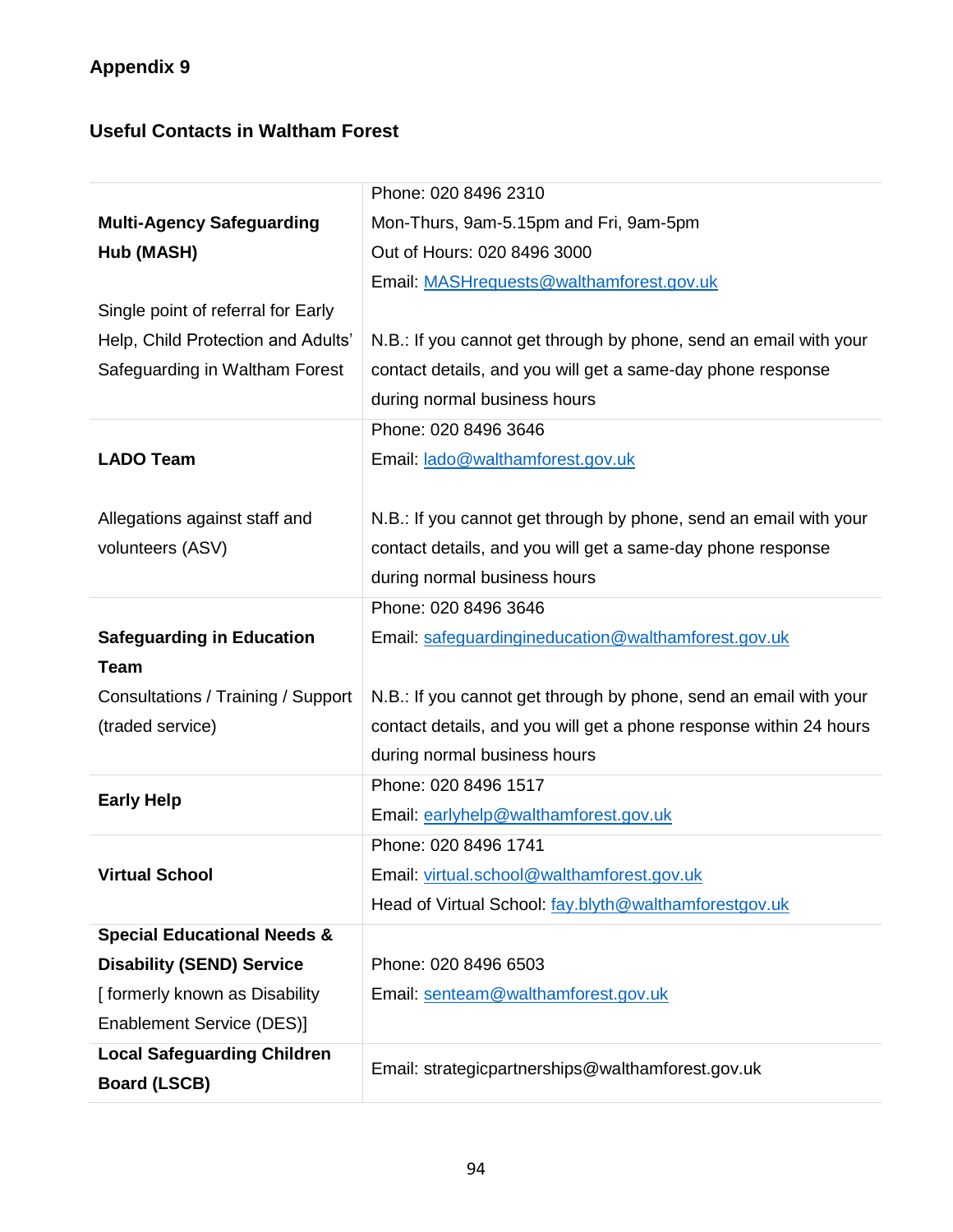## **Useful Contacts in Waltham Forest**

|                                        | Phone: 020 8496 2310                                               |
|----------------------------------------|--------------------------------------------------------------------|
| <b>Multi-Agency Safeguarding</b>       | Mon-Thurs, 9am-5.15pm and Fri, 9am-5pm                             |
| Hub (MASH)                             | Out of Hours: 020 8496 3000                                        |
|                                        | Email: MASHrequests@walthamforest.gov.uk                           |
| Single point of referral for Early     |                                                                    |
| Help, Child Protection and Adults'     | N.B.: If you cannot get through by phone, send an email with your  |
| Safeguarding in Waltham Forest         | contact details, and you will get a same-day phone response        |
|                                        | during normal business hours                                       |
|                                        | Phone: 020 8496 3646                                               |
| <b>LADO Team</b>                       | Email: lado@walthamforest.gov.uk                                   |
|                                        |                                                                    |
| Allegations against staff and          | N.B.: If you cannot get through by phone, send an email with your  |
| volunteers (ASV)                       | contact details, and you will get a same-day phone response        |
|                                        | during normal business hours                                       |
|                                        | Phone: 020 8496 3646                                               |
| <b>Safeguarding in Education</b>       | Email: safeguardingineducation@walthamforest.gov.uk                |
| <b>Team</b>                            |                                                                    |
| Consultations / Training / Support     | N.B.: If you cannot get through by phone, send an email with your  |
| (traded service)                       | contact details, and you will get a phone response within 24 hours |
|                                        | during normal business hours                                       |
| <b>Early Help</b>                      | Phone: 020 8496 1517                                               |
|                                        | Email: earlyhelp@walthamforest.gov.uk                              |
|                                        | Phone: 020 8496 1741                                               |
| <b>Virtual School</b>                  | Email: virtual.school@walthamforest.gov.uk                         |
|                                        | Head of Virtual School: fay.blyth@walthamforestgov.uk              |
| <b>Special Educational Needs &amp;</b> |                                                                    |
| <b>Disability (SEND) Service</b>       | Phone: 020 8496 6503                                               |
| [formerly known as Disability          | Email: senteam@walthamforest.gov.uk                                |
| Enablement Service (DES)]              |                                                                    |
| <b>Local Safeguarding Children</b>     | Email: strategicpartnerships@walthamforest.gov.uk                  |
| <b>Board (LSCB)</b>                    |                                                                    |